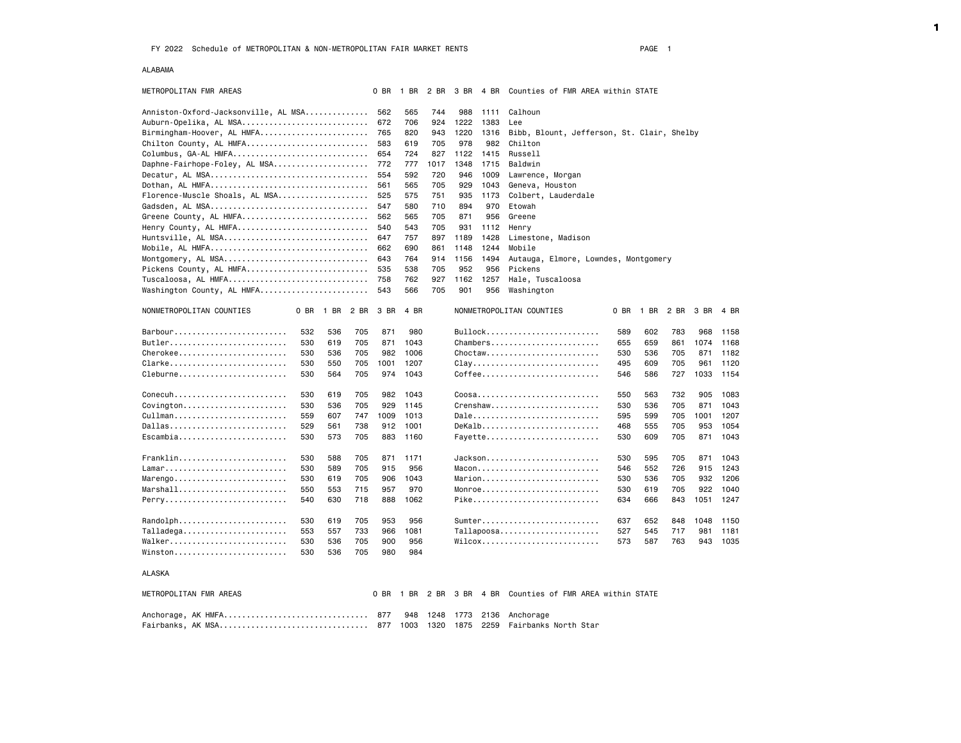### ALABAMA

| METROPOLITAN FMR AREAS                                                           | 0 BR | 1 BR | 2 BR | 3 BR | 4 BR | Counties of FMR AREA within STATE                                                                 |      |
|----------------------------------------------------------------------------------|------|------|------|------|------|---------------------------------------------------------------------------------------------------|------|
| Anniston-Oxford-Jacksonville, AL MSA                                             | 562  | 565  | 744  | 988  | 1111 | Calhoun                                                                                           |      |
| Auburn-Opelika, AL MSA                                                           | 672  | 706  | 924  | 1222 | 1383 | Lee                                                                                               |      |
| Birmingham-Hoover, AL HMFA                                                       | 765  | 820  | 943  | 1220 | 1316 | Bibb, Blount, Jefferson, St. Clair, Shelby                                                        |      |
| Chilton County, AL HMFA                                                          | 583  | 619  | 705  | 978  | 982  | Chilton                                                                                           |      |
| Columbus, GA-AL HMFA                                                             | 654  | 724  | 827  | 1122 | 1415 | Russell                                                                                           |      |
| Daphne-Fairhope-Foley, AL MSA                                                    | 772  | 777  | 1017 | 1348 | 1715 | Baldwin                                                                                           |      |
| Decatur, AL MSA                                                                  | 554  | 592  | 720  | 946  | 1009 | Lawrence, Morgan                                                                                  |      |
| Dothan, AL HMFA                                                                  | 561  | 565  | 705  | 929  | 1043 | Geneva, Houston                                                                                   |      |
| Florence-Muscle Shoals, AL MSA                                                   | 525  | 575  | 751  | 935  | 1173 | Colbert, Lauderdale                                                                               |      |
|                                                                                  | 547  | 580  | 710  | 894  | 970  | Etowah                                                                                            |      |
| Greene County, AL HMFA                                                           | 562  | 565  | 705  | 871  | 956  | Greene                                                                                            |      |
| Henry County, AL HMFA                                                            | 540  | 543  | 705  | 931  | 1112 | Henry                                                                                             |      |
| Huntsville, AL MSA                                                               | 647  | 757  | 897  | 1189 | 1428 | Limestone, Madison                                                                                |      |
| Mobile, AL HMFA                                                                  | 662  | 690  | 861  | 1148 | 1244 | Mobile                                                                                            |      |
| Montgomery, AL MSA                                                               | 643  | 764  | 914  | 1156 | 1494 | Autauga, Elmore, Lowndes, Montgomery                                                              |      |
| Pickens County, AL HMFA                                                          | 535  | 538  | 705  | 952  | 956  | Pickens                                                                                           |      |
| Tuscaloosa, AL HMFA                                                              | 758  | 762  | 927  | 1162 | 1257 | Hale, Tuscaloosa                                                                                  |      |
| Washington County, AL HMFA                                                       | 543  | 566  | 705  | 901  | 956  | Washington                                                                                        |      |
|                                                                                  |      |      |      |      |      |                                                                                                   |      |
| NONMETROPOLITAN COUNTIES<br>0 BR<br>1 BR<br>2 BR                                 | 3 BR | 4 BR |      |      |      | NONMETROPOLITAN COUNTIES<br>0 BR<br>1 BR<br>2 BR<br>3 BR                                          | 4 BR |
| 532<br>536<br>705                                                                | 871  | 980  |      |      |      | Bullock<br>589<br>602<br>783<br>968                                                               | 1158 |
| Butler<br>530<br>619<br>705                                                      | 871  | 1043 |      |      |      | Chambers<br>659<br>1074<br>655<br>861                                                             | 1168 |
| Cherokee<br>536<br>530<br>705                                                    | 982  | 1006 |      |      |      | Choctaw<br>530<br>536<br>705<br>871                                                               | 1182 |
| Clarke<br>530<br>550<br>705                                                      | 1001 | 1207 |      |      |      | $clay \ldots \ldots \ldots \ldots \ldots \ldots \ldots \ldots \ldots$<br>495<br>609<br>705<br>961 | 1120 |
| Cleburne<br>530<br>564<br>705                                                    | 974  | 1043 |      |      |      | Coffee<br>546<br>586<br>727<br>1033                                                               | 1154 |
|                                                                                  |      |      |      |      |      |                                                                                                   |      |
| Conecuh<br>530<br>619<br>705                                                     | 982  | 1043 |      |      |      | Coosa<br>550<br>563<br>732<br>905                                                                 | 1083 |
| 705<br>530<br>536                                                                | 929  | 1145 |      |      |      | Crenshaw<br>705<br>871<br>530<br>536                                                              | 1043 |
| Cullman<br>559<br>607<br>747                                                     | 1009 | 1013 |      |      |      | Dale<br>595<br>599<br>705<br>1001                                                                 | 1207 |
| Dallas<br>529<br>738<br>561                                                      | 912  | 1001 |      |      |      | DeKalb<br>705<br>953<br>468<br>555                                                                | 1054 |
| Escambia<br>530<br>573<br>705                                                    | 883  | 1160 |      |      |      | Fayette<br>530<br>609<br>705<br>871                                                               | 1043 |
| Franklin<br>530<br>588<br>705                                                    | 871  | 1171 |      |      |      | Jackson<br>530<br>595<br>705<br>871                                                               | 1043 |
| Lamar<br>705<br>530<br>589                                                       | 915  | 956  |      |      |      | $Macon$<br>726<br>546<br>552<br>915                                                               | 1243 |
| Marengo<br>530<br>619<br>705                                                     | 906  | 1043 |      |      |      | Marion<br>530<br>536<br>705<br>932                                                                | 1206 |
| $Marshall \ldots \ldots \ldots \ldots \ldots \ldots \ldots$<br>550<br>553<br>715 | 957  | 970  |      |      |      | $Monroe$<br>530<br>619<br>705<br>922                                                              | 1040 |
| Perry<br>540<br>630<br>718                                                       | 888  | 1062 |      |      |      | Pike<br>634<br>666<br>843<br>1051                                                                 | 1247 |
|                                                                                  |      |      |      |      |      |                                                                                                   |      |
| Randolph<br>530<br>619<br>705                                                    | 953  | 956  |      |      |      | Sumter<br>637<br>652<br>1048<br>848                                                               | 1150 |
| $Talladega \ldots \ldots \ldots \ldots \ldots$<br>553<br>557<br>733              | 966  | 1081 |      |      |      | Tallapoosa<br>527<br>545<br>717<br>981                                                            | 1181 |
| Walker<br>530<br>536<br>705                                                      | 900  | 956  |      |      |      | Wilcox<br>573<br>587<br>763<br>943                                                                | 1035 |
| Winston<br>705<br>530<br>536                                                     | 980  | 984  |      |      |      |                                                                                                   |      |
|                                                                                  |      |      |      |      |      |                                                                                                   |      |
| ALASKA                                                                           |      |      |      |      |      |                                                                                                   |      |
| METROPOLITAN FMR AREAS                                                           | 0 BR | 1 BR | 2 BR | 3 BR | 4 BR | Counties of FMR AREA within STATE                                                                 |      |
| Anchorage, AK HMFA                                                               | 877  | 948  | 1248 | 1773 | 2136 | Anchorage                                                                                         |      |
| Fairbanks, AK MSA                                                                | 877  | 1003 | 1320 | 1875 | 2259 | Fairbanks North Star                                                                              |      |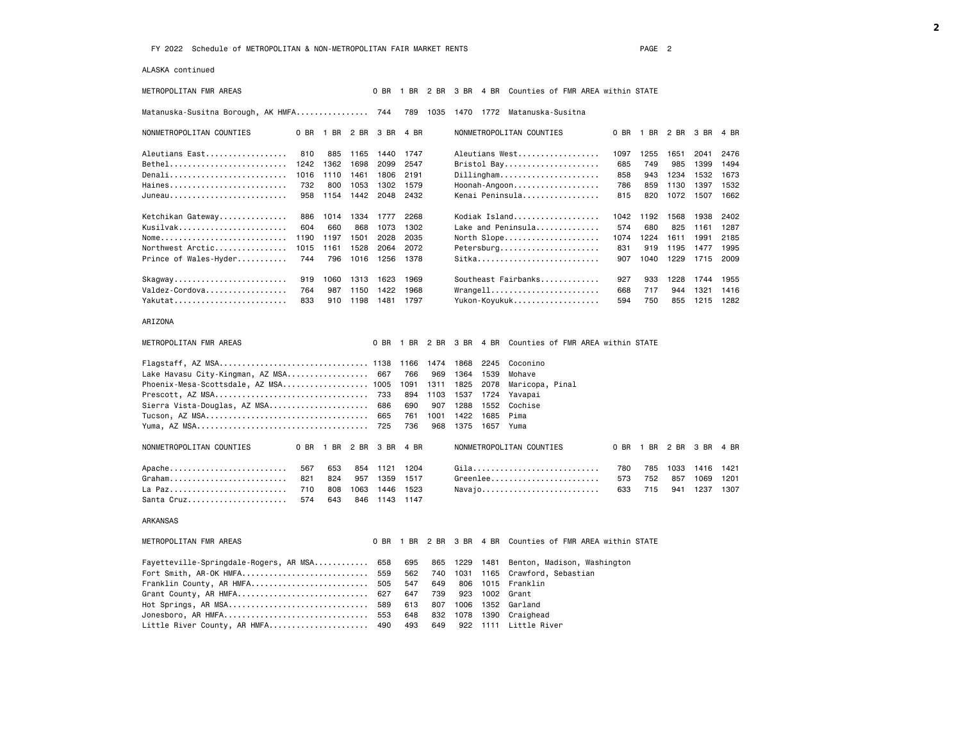ALASKA continued

METROPOLITAN FMR AREAS 0 BR 1 BR 2 BR 3 BR 4 BR Counties of FMR AREA within STATE

Matanuska-Susitna Borough, AK HMFA................ 744 789 1035 1470 1772 Matanuska-Susitna

| NONMETROPOLITAN COUNTIES                                          | 0 BR | BR.  | 2 BR | 3 BR | 4 BR | NONMETROPOLITAN COUNTIES           | 0 BR | <b>BR</b> | 2 BR | 3 BR | 4 BR |
|-------------------------------------------------------------------|------|------|------|------|------|------------------------------------|------|-----------|------|------|------|
| Aleutians East                                                    | 810  | 885  | 1165 | 1440 | 1747 | Aleutians West                     | 1097 | 1255      | 1651 | 2041 | 2476 |
| Bethel                                                            | 1242 | 1362 | 1698 | 2099 | 2547 | Bristol Bay                        | 685  | 749       | 985  | 1399 | 1494 |
| Denali                                                            | 1016 | 1110 | 1461 | 1806 | 2191 | $Dillingham.$                      | 858  | 943       | 1234 | 1532 | 1673 |
| Haines                                                            | 732  | 800  | 1053 | 1302 | 1579 | Hoonah-Angoon                      | 786  | 859       | 1130 | 1397 | 1532 |
| $Juneau$                                                          | 958  | 1154 | 1442 | 2048 | 2432 | Kenai Peninsula                    | 815  | 820       | 1072 | 1507 | 1662 |
| Ketchikan Gateway                                                 | 886  | 1014 | 1334 | 1777 | 2268 | Kodiak Island                      | 1042 | 1192      | 1568 | 1938 | 2402 |
| Kusilvak                                                          | 604  | 660  | 868  | 1073 | 1302 | Lake and Peninsula                 | 574  | 680       | 825  | 1161 | 1287 |
| Nome                                                              | 1190 | 1197 | 1501 | 2028 | 2035 | North Slope                        | 1074 | 1224      | 1611 | 1991 | 2185 |
| Northwest Arctic                                                  | 1015 | 1161 | 1528 | 2064 | 2072 | Petersburg                         | 831  | 919       | 1195 | 1477 | 1995 |
| Prince of Wales-Hyder                                             | 744  | 796  | 1016 | 1256 | 1378 | Sitka                              | 907  | 1040      | 1229 | 1715 | 2009 |
| $Skagway \ldots \ldots \ldots \ldots \ldots \ldots \ldots \ldots$ | 919  | 1060 | 1313 | 1623 | 1969 | Southeast Fairbanks                | 927  | 933       | 1228 | 1744 | 1955 |
| Valdez-Cordova                                                    | 764  | 987  | 1150 | 1422 | 1968 | $Wrange11 \ldots  \ldots  \ldots $ | 668  | 717       | 944  | 1321 | 1416 |
| Yakutat                                                           | 833  | 910  | 1198 | 1481 | 1797 | Yukon-Koyukuk                      | 594  | 750       | 855  | 1215 | 1282 |

#### ARIZONA

| METROPOLITAN FMR AREAS                         |     |     |      |      | 0 BR 1 BR                |      |           |      | 2 BR 3 BR 4 BR Counties of FMR AREA within STATE |     |                     |      |      |      |
|------------------------------------------------|-----|-----|------|------|--------------------------|------|-----------|------|--------------------------------------------------|-----|---------------------|------|------|------|
|                                                |     |     |      |      |                          |      |           |      | Coconino                                         |     |                     |      |      |      |
| Lake Havasu City-Kingman, AZ MSA 667 766       |     |     |      |      |                          | 969  | 1364 1539 |      | Mohave                                           |     |                     |      |      |      |
| Phoenix-Mesa-Scottsdale, AZ MSA 1005 1091 1311 |     |     |      |      |                          |      | 1825 2078 |      | Maricopa, Pinal                                  |     |                     |      |      |      |
|                                                |     |     |      |      |                          | 1103 | 1537      | 1724 | Yavapai                                          |     |                     |      |      |      |
| Sierra Vista-Douglas, AZ MSA 686               |     |     |      |      | 690                      | 907  | 1288      | 1552 | Cochise                                          |     |                     |      |      |      |
|                                                |     |     |      |      |                          | 1001 | 1422      | 1685 | Pima                                             |     |                     |      |      |      |
|                                                |     |     |      |      | 736                      | 968  | 1375      | 1657 | Yuma                                             |     |                     |      |      |      |
| NONMETROPOLITAN COUNTIES                       |     |     |      |      | 0 BR 1 BR 2 BR 3 BR 4 BR |      |           |      | NONMETROPOLITAN COUNTIES                         |     | 0 BR 1 BR 2 BR 3 BR |      |      | 4 BR |
| Apache                                         | 567 | 653 | 854  | 1121 | 1204                     |      |           |      | Gila, , , , , , ,                                | 780 | 785                 | 1033 | 1416 | 1421 |
| Graham                                         | 821 | 824 | 957  | 1359 | 1517                     |      |           |      | Greenlee                                         | 573 | 752                 | 857  | 1069 | 1201 |
| La Paz                                         | 710 | 808 | 1063 | 1446 | 1523                     |      |           |      | Navajo                                           | 633 | 715                 | 941  | 1237 | 1307 |
| Santa Cruz                                     | 574 | 643 | 846  | 1143 | 1147                     |      |           |      |                                                  |     |                     |      |      |      |

#### ARKANSAS

| METROPOLITAN FMR AREAS                                                                   |  |  | 0 BR 1 BR 2 BR 3 BR 4 BR Counties of FMR AREA within STATE |
|------------------------------------------------------------------------------------------|--|--|------------------------------------------------------------|
| Fayetteville-Springdale-Rogers, AR MSA 658 695 865 1229 1481 Benton, Madison, Washington |  |  |                                                            |
|                                                                                          |  |  |                                                            |
| Franklin County, AR HMFA 505 547 649 806 1015 Franklin                                   |  |  |                                                            |
| Grant County, AR HMFA 627 647 739 923 1002 Grant                                         |  |  |                                                            |
|                                                                                          |  |  |                                                            |
|                                                                                          |  |  |                                                            |
| Little River County, AR HMFA 490 493 649 922 1111 Little River                           |  |  |                                                            |
|                                                                                          |  |  |                                                            |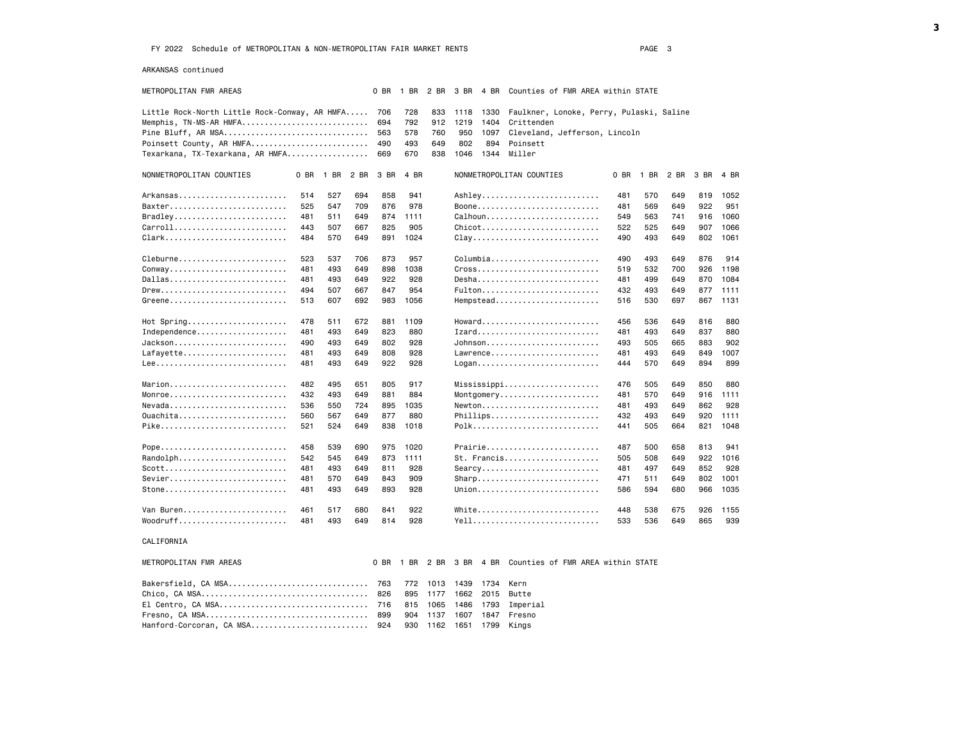ARKANSAS continued

|                                                  |      |           | 3 BR 4 BR Counties of FMR AREA within STATE |                            |                                          |     |      |      |
|--------------------------------------------------|------|-----------|---------------------------------------------|----------------------------|------------------------------------------|-----|------|------|
| Little Rock-North Little Rock-Conway, AR HMFA    | 706  | 728       | 833                                         | 1118<br>1330               | Faulkner, Lonoke, Perry, Pulaski, Saline |     |      |      |
| Memphis, TN-MS-AR HMFA                           | 694  | 792       | 912                                         | 1219<br>Crittenden<br>1404 |                                          |     |      |      |
| Pine Bluff, AR MSA                               | 563  | 578       | 760                                         | 950<br>1097                | Cleveland, Jefferson, Lincoln            |     |      |      |
| Poinsett County, AR HMFA                         | 490  | 493       | 649                                         | 802<br>894<br>Poinsett     |                                          |     |      |      |
| Texarkana, TX-Texarkana, AR HMFA                 | 669  | 670       | 838                                         | 1046<br>1344<br>Miller     |                                          |     |      |      |
| NONMETROPOLITAN COUNTIES<br>0 BR<br>1 BR<br>2 BR | 3 BR | 4 BR      |                                             | NONMETROPOLITAN COUNTIES   | 0 BR<br>1 BR 2 BR                        |     | 3 BR | 4 BR |
| Arkansas<br>514<br>527<br>694                    | 858  | 941       |                                             | Ashley                     | 481<br>570                               | 649 | 819  | 1052 |
| Baxter<br>525<br>547<br>709                      | 876  | 978       |                                             | Boone                      | 481<br>569                               | 649 | 922  | 951  |
| Bradley<br>481<br>511<br>649                     | 874  | 1111      |                                             | $Callhoun$                 | 563<br>549                               | 741 | 916  | 1060 |
| Carroll<br>443<br>507<br>667                     | 825  | 905       |                                             | Chicot                     | 522<br>525                               | 649 | 907  | 1066 |
| Clark<br>484<br>570<br>649                       | 891  | 1024      |                                             | $clay$                     | 493<br>490                               | 649 | 802  | 1061 |
| 523<br>Cleburne<br>537<br>706                    | 873  | 957       |                                             | Columbia                   | 490<br>493                               | 649 | 876  | 914  |
| Conway<br>481<br>493<br>649                      | 898  | 1038      |                                             | Cross                      | 532<br>519                               | 700 | 926  | 1198 |
| Dallas<br>481<br>493<br>649                      | 922  | 928       |                                             | $Desha$                    | 481<br>499                               | 649 | 870  | 1084 |
| Drew<br>494<br>507<br>667                        | 847  | 954       |                                             | Fulton                     | 432<br>493                               | 649 | 877  | 1111 |
| Greene<br>607<br>692<br>513                      | 983  | 1056      |                                             | Hempstead                  | 530<br>516                               | 697 | 867  | 1131 |
| $Hot$ Spring<br>478<br>511<br>672                | 881  | 1109      |                                             | Howard                     | 456<br>536                               | 649 | 816  | 880  |
| Independence<br>481<br>493<br>649                | 823  | 880       |                                             | Izard                      | 481<br>493                               | 649 | 837  | 880  |
| Jackson<br>490<br>493<br>649                     | 802  | 928       |                                             | Johnson                    | 505<br>493                               | 665 | 883  | 902  |
| Lafayette<br>493<br>481<br>649                   | 808  | 928       |                                             | Lawrence                   | 481<br>493                               | 649 | 849  | 1007 |
| 481<br>493<br>649                                | 922  | 928       |                                             | Logan                      | 570<br>444                               | 649 | 894  | 899  |
| Marion<br>482<br>495<br>651                      | 805  | 917       |                                             | Mississippi                | 476<br>505                               | 649 | 850  | 880  |
| Monroe<br>432<br>493<br>649                      | 881  | 884       |                                             | Montgomery                 | 481<br>570                               | 649 | 916  | 1111 |
| $N$ evada<br>536<br>550<br>724                   | 895  | 1035      |                                             | Newton                     | 493<br>481                               | 649 | 862  | 928  |
| Quachita<br>560<br>567<br>649                    | 877  | 880       |                                             | Phillips                   | 432<br>493                               | 649 | 920  | 1111 |
| Pike<br>521<br>524<br>649                        | 838  | 1018      |                                             | Polk                       | 505<br>441                               | 664 | 821  | 1048 |
| Pope<br>458<br>539<br>690                        | 975  | 1020      |                                             | Prairie                    | 487<br>500                               | 658 | 813  | 941  |
| Randolph<br>542<br>545<br>649                    | 873  | 1111      |                                             | St. Francis                | 505<br>508                               | 649 | 922  | 1016 |
| $Scott$<br>481<br>493<br>649                     | 811  | 928       |                                             | Searcy                     | 481<br>497                               | 649 | 852  | 928  |
| Sevier<br>481<br>570<br>649                      | 843  | 909       |                                             | $Sharp$                    | 471<br>511                               | 649 | 802  | 1001 |
| Stone<br>493<br>481<br>649                       | 893  | 928       |                                             | Union                      | 594<br>586                               | 680 | 966  | 1035 |
| Van Buren<br>461<br>517<br>680                   | 841  | 922       |                                             | White                      | 448<br>538                               | 675 | 926  | 1155 |
| $Woodruff.$<br>481<br>493<br>649                 | 814  | 928       |                                             | Yell                       | 536<br>533                               | 649 | 865  | 939  |
| CALIFORNIA                                       |      |           |                                             |                            |                                          |     |      |      |
| METROPOLITAN FMR AREAS                           | 0 BR | 1 BR 2 BR |                                             | 3 BR 4 BR                  | Counties of FMR AREA within STATE        |     |      |      |
| Bakersfield, CA MSA                              | 763  |           | 772 1013                                    | 1439<br>1734<br>Kern       |                                          |     |      |      |
|                                                  | 826  | 895       | 1177                                        | 1662<br>2015<br>Butte      |                                          |     |      |      |
| El Centro, CA MSA                                | 716  | 815       | 1065                                        | 1486<br>1793<br>Imperial   |                                          |     |      |      |
|                                                  | 899  | 904       | 1137                                        | 1607<br>1847<br>Fresno     |                                          |     |      |      |
| Hanford-Corcoran, CA MSA                         | 924  | 930       | 1162                                        | 1651<br>1799<br>Kings      |                                          |     |      |      |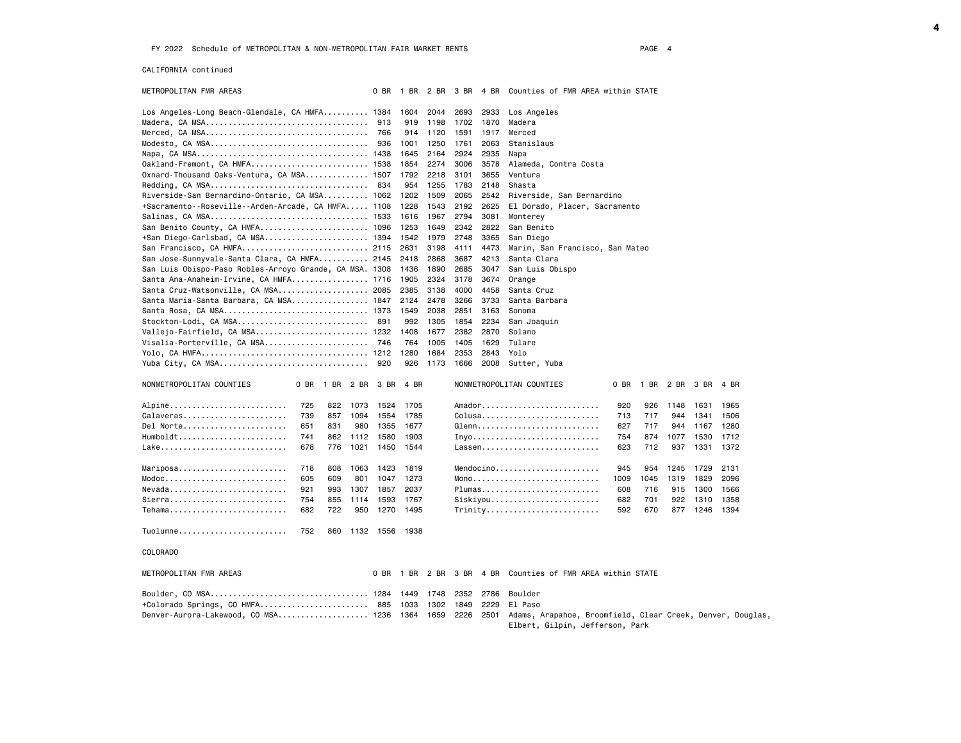CALIFORNIA continued

| METROPOLITAN FMR AREAS                                  |            |      | 0 BR      | 1 BR         | 2 BR         | 3 BR | 4 BR         | Counties of FMR AREA within STATE                                                              |
|---------------------------------------------------------|------------|------|-----------|--------------|--------------|------|--------------|------------------------------------------------------------------------------------------------|
| Los Angeles-Long Beach-Glendale, CA HMFA 1384           |            |      |           | 1604         | 2044         | 2693 | 2933         | Los Angeles                                                                                    |
|                                                         |            |      | 913       | 919          | 1198         | 1702 | 1870         | Madera                                                                                         |
|                                                         |            |      | 766       | 914          | 1120         | 1591 | 1917         | Merced                                                                                         |
|                                                         |            |      | 936       | 1001         | 1250         | 1761 | 2063         | Stanislaus                                                                                     |
|                                                         |            |      |           | 1645         | 2164         | 2924 | 2935         | Napa                                                                                           |
| Oakland-Fremont, CA HMFA 1538                           |            |      |           | 1854         | 2274         | 3006 | 3578         | Alameda, Contra Costa                                                                          |
| Oxnard-Thousand Oaks-Ventura, CA MSA 1507               |            |      |           | 1792         | 2218         | 3101 | 3655         | Ventura                                                                                        |
|                                                         |            |      | - 834     | 954          | 1255         | 1783 | 2148         | Shasta                                                                                         |
| Riverside-San Bernardino-Ontario, CA MSA 1062           |            |      |           | 1202         | 1509         | 2065 | 2542         | Riverside, San Bernardino                                                                      |
| +Sacramento--Roseville--Arden-Arcade, CA HMFA 1108      |            |      |           | 1228         | 1543         | 2192 | 2625         | El Dorado, Placer, Sacramento                                                                  |
|                                                         |            |      |           | 1616         | 1967         | 2794 | 3081         | Monterey                                                                                       |
| San Benito County, CA HMFA 1096                         |            |      |           | 1253         | 1649         | 2342 | 2822         | San Benito                                                                                     |
| +San Diego-Carlsbad, CA MSA 1394                        |            |      |           | 1542         | 1979         | 2748 | 3365         | San Diego                                                                                      |
| San Francisco, CA HMFA 2115                             |            |      |           | 2631         | 3198         | 4111 | 4473         | Marin, San Francisco, San Mateo                                                                |
| San Jose-Sunnyvale-Santa Clara, CA HMFA 2145            |            |      |           | 2418         | 2868         | 3687 | 4213         | Santa Clara                                                                                    |
| San Luis Obispo-Paso Robles-Arroyo Grande, CA MSA. 1308 |            |      |           | 1436         | 1890         | 2685 | 3047         | San Luis Obispo                                                                                |
| Santa Ana-Anaheim-Irvine, CA HMFA 1716                  |            |      |           | 1905         | 2324         | 3178 | 3674         | Orange                                                                                         |
| Santa Cruz-Watsonville, CA MSA 2085                     |            |      |           | 2385         | 3138         | 4000 | 4458         | Santa Cruz                                                                                     |
| Santa Maria-Santa Barbara, CA MSA 1847                  |            |      |           | 2124         | 2478         | 3266 | 3733         | Santa Barbara                                                                                  |
| Santa Rosa, CA MSA 1373                                 |            |      |           | 1549         | 2038         | 2851 | 3163         | Sonoma                                                                                         |
| Stockton-Lodi, CA MSA 891                               |            |      |           | 992          | 1305         | 1854 | 2234         | San Joaquin                                                                                    |
| Vallejo-Fairfield, CA MSA 1232                          |            |      |           | 1408         | 1677         | 2382 | 2870         | Solano                                                                                         |
| Visalia-Porterville, CA MSA 746                         |            |      |           | 764          | 1005         | 1405 | 1629         | Tulare                                                                                         |
|                                                         |            |      |           | 1280         | 1684         | 2353 | 2843         | Yolo                                                                                           |
| Yuba City, CA MSA                                       |            |      | 920       | 926          | 1173         | 1666 | 2008         | Sutter, Yuba                                                                                   |
| NONMETROPOLITAN COUNTIES<br>0 BR                        | 1 BR       | 2 BR | 3 BR      | 4 BR         |              |      |              | NONMETROPOLITAN COUNTIES<br>0 BR<br>1 BR<br>2 BR<br>3 BR<br>4 BR                               |
| Alpine                                                  | 725<br>822 | 1073 | 1524      | 1705         |              |      |              | $A$ mador<br>920<br>926<br>1148<br>1631<br>1965                                                |
| Calaveras                                               | 739<br>857 | 1094 | 1554      | 1785         |              |      |              | $Colusa \ldots \ldots \ldots \ldots \ldots \ldots \ldots$<br>713<br>717<br>944<br>1341<br>1506 |
| Del Norte<br>651                                        | 831        | 980  | 1355      | 1677         |              |      |              | Glenn<br>627<br>717<br>944<br>1167<br>1280                                                     |
| Humboldt                                                | 741<br>862 | 1112 | 1580      | 1903         |              |      |              | 754<br>874<br>1077<br>1530<br>1712                                                             |
|                                                         | 678<br>776 | 1021 | 1450      | 1544         |              |      |              | Lassen<br>623<br>712<br>937<br>1331<br>1372                                                    |
|                                                         |            |      |           |              |              |      |              |                                                                                                |
| Mariposa                                                | 718<br>808 | 1063 | 1423      | 1819         |              |      |              | $Mendocino$<br>945<br>954<br>1729<br>2131<br>1245                                              |
| Modoc                                                   | 605<br>609 | 801  | 1047      | 1273         |              |      |              | 2096<br>1009<br>1319<br>1829<br>1045                                                           |
| Nevada<br>921                                           | 993        | 1307 | 1857      | 2037         |              |      |              | Plumas<br>1566<br>608<br>716<br>915<br>1300                                                    |
| Sierra                                                  | 754<br>855 | 1114 | 1593      | 1767         |              |      |              | Siskiyou<br>1358<br>682<br>701<br>922<br>1310                                                  |
| Tehama                                                  | 682<br>722 | 950  | 1270      | 1495         |              |      |              | Trinity<br>592<br>670<br>877<br>1246<br>1394                                                   |
|                                                         |            |      |           |              |              |      |              |                                                                                                |
| Tuolumne                                                | 752<br>860 |      | 1132 1556 | 1938         |              |      |              |                                                                                                |
| COLORADO                                                |            |      |           |              |              |      |              |                                                                                                |
| METROPOLITAN FMR AREAS                                  |            |      | 0 BR      | 1 BR         | 2 BR         | 3 BR | 4 BR         | Counties of FMR AREA within STATE                                                              |
| Boulder, CO MSA 1284                                    |            |      |           |              |              | 2352 |              | Boulder                                                                                        |
| +Colorado Springs, CO HMFA 885                          |            |      |           | 1449<br>1033 | 1748<br>1302 | 1849 | 2786<br>2229 | El Paso                                                                                        |
| Denver-Aurora-Lakewood, CO MSA 1236                     |            |      |           | 1364         | 1659         | 2226 | 2501         |                                                                                                |
|                                                         |            |      |           |              |              |      |              | Adams, Arapahoe, Broomfield, Clear Creek, Denver, Douglas,<br>Elbert, Gilpin, Jefferson, Park  |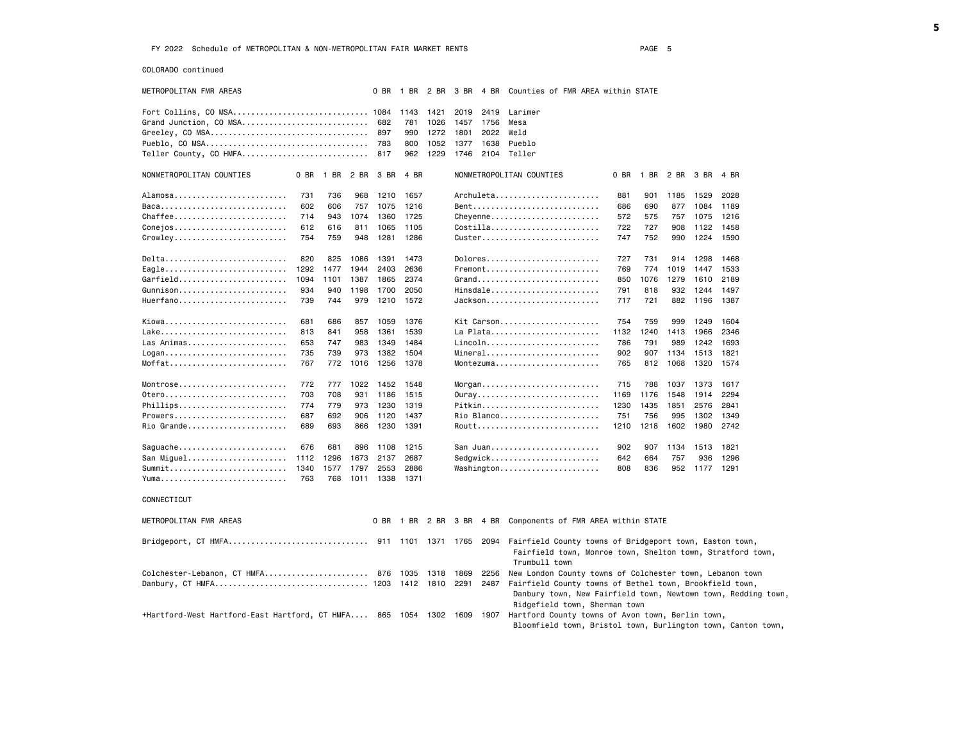COLORADO continued

| METROPOLITAN FMR AREAS                                            |      |      |            | 0 BR |      |      |      |      | 1 BR 2 BR 3 BR 4 BR Counties of FMR AREA within STATE                                                                                       |      |                |      |           |      |  |
|-------------------------------------------------------------------|------|------|------------|------|------|------|------|------|---------------------------------------------------------------------------------------------------------------------------------------------|------|----------------|------|-----------|------|--|
| Fort Collins, CO MSA 1084                                         |      |      |            |      | 1143 | 1421 | 2019 | 2419 | Larimer                                                                                                                                     |      |                |      |           |      |  |
| Grand Junction, CO MSA                                            |      |      |            | 682  | 781  | 1026 | 1457 | 1756 | Mesa                                                                                                                                        |      |                |      |           |      |  |
| Greeley, CO MSA                                                   |      |      |            | 897  | 990  | 1272 | 1801 | 2022 | Weld                                                                                                                                        |      |                |      |           |      |  |
|                                                                   |      |      |            |      | 800  | 1052 | 1377 | 1638 | Pueblo                                                                                                                                      |      |                |      |           |      |  |
| Teller County, CO HMFA                                            |      |      |            | 817  | 962  | 1229 | 1746 |      | 2104 Teller                                                                                                                                 |      |                |      |           |      |  |
|                                                                   |      |      |            |      |      |      |      |      |                                                                                                                                             |      |                |      |           |      |  |
| NONMETROPOLITAN COUNTIES                                          | 0 BR | 1 BR | 2 BR       | 3 BR | 4 BR |      |      |      | NONMETROPOLITAN COUNTIES                                                                                                                    |      | 0 BR 1 BR 2 BR |      | 3 BR      | 4 BR |  |
| Alamosa                                                           | 731  | 736  | 968        | 1210 | 1657 |      |      |      | Archuleta                                                                                                                                   | 881  | 901            | 1185 | 1529      | 2028 |  |
| Baca                                                              | 602  | 606  | 757        | 1075 | 1216 |      |      |      | Bent                                                                                                                                        | 686  | 690            | 877  | 1084      | 1189 |  |
| Chaffee                                                           | 714  | 943  | 1074       | 1360 | 1725 |      |      |      | Cheyenne                                                                                                                                    | 572  | 575            | 757  | 1075      | 1216 |  |
| Conejos                                                           | 612  | 616  | 811        | 1065 | 1105 |      |      |      | $Costilla$                                                                                                                                  | 722  | 727            | 908  | 1122      | 1458 |  |
| Crowley                                                           | 754  | 759  | 948        | 1281 | 1286 |      |      |      | $Custer$                                                                                                                                    | 747  | 752            | 990  | 1224      | 1590 |  |
|                                                                   |      |      |            |      |      |      |      |      |                                                                                                                                             |      |                |      |           |      |  |
| Delta                                                             | 820  | 825  | 1086       | 1391 | 1473 |      |      |      | Dolores                                                                                                                                     | 727  | 731            | 914  | 1298      | 1468 |  |
| Eagle                                                             | 1292 | 1477 | 1944       | 2403 | 2636 |      |      |      | $F$ remont                                                                                                                                  | 769  | 774            | 1019 | 1447      | 1533 |  |
| Garfield                                                          | 1094 | 1101 | 1387       | 1865 | 2374 |      |      |      | Grand                                                                                                                                       | 850  | 1076           | 1279 | 1610      | 2189 |  |
| Gunnison                                                          | 934  | 940  | 1198       | 1700 | 2050 |      |      |      | Hinsdale                                                                                                                                    | 791  | 818            | 932  | 1244      | 1497 |  |
| Huerfano                                                          | 739  | 744  | 979        | 1210 | 1572 |      |      |      | $Jackson \ldots \ldots \ldots \ldots \ldots$                                                                                                | 717  | 721            | 882  | 1196      | 1387 |  |
| Kiowa                                                             | 681  | 686  |            | 1059 | 1376 |      |      |      | Kit Carson                                                                                                                                  | 754  | 759            | 999  | 1249      | 1604 |  |
|                                                                   | 813  | 841  | 857        | 1361 | 1539 |      |      |      | La Plata                                                                                                                                    | 1132 | 1240           | 1413 | 1966      | 2346 |  |
| Las Animas                                                        | 653  | 747  | 958<br>983 | 1349 | 1484 |      |      |      | Lincoln                                                                                                                                     | 786  | 791            | 989  | 1242      | 1693 |  |
|                                                                   |      | 739  | 973        |      |      |      |      |      | Mineral                                                                                                                                     |      |                |      |           |      |  |
| Moffat                                                            | 735  |      |            | 1382 | 1504 |      |      |      | Montezuma                                                                                                                                   | 902  | 907            | 1134 | 1513      | 1821 |  |
|                                                                   | 767  | 772  | 1016       | 1256 | 1378 |      |      |      |                                                                                                                                             | 765  | 812            | 1068 | 1320      | 1574 |  |
| Montrose                                                          | 772  | 777  | 1022       | 1452 | 1548 |      |      |      |                                                                                                                                             | 715  | 788            | 1037 | 1373      | 1617 |  |
| 0tero                                                             | 703  | 708  | 931        | 1186 | 1515 |      |      |      | 0uray                                                                                                                                       | 1169 | 1176           | 1548 | 1914      | 2294 |  |
| Phillips                                                          | 774  | 779  | 973        | 1230 | 1319 |      |      |      | Pitkin                                                                                                                                      | 1230 | 1435           | 1851 | 2576      | 2841 |  |
| Prowers                                                           | 687  | 692  | 906        | 1120 | 1437 |      |      |      | Rio Blanco                                                                                                                                  | 751  | 756            | 995  | 1302      | 1349 |  |
| Rio Grande                                                        | 689  | 693  | 866        | 1230 | 1391 |      |      |      | Routt                                                                                                                                       | 1210 | 1218           | 1602 | 1980      | 2742 |  |
|                                                                   |      |      |            |      |      |      |      |      |                                                                                                                                             |      |                |      |           |      |  |
| Saguache                                                          | 676  | 681  | 896        | 1108 | 1215 |      |      |      | San Juan                                                                                                                                    | 902  | 907            | 1134 | 1513 1821 |      |  |
| San Miguel                                                        | 1112 | 1296 | 1673       | 2137 | 2687 |      |      |      | Sedgwick                                                                                                                                    | 642  | 664            | 757  | 936       | 1296 |  |
| Summit                                                            | 1340 | 1577 | 1797       | 2553 | 2886 |      |      |      | Washington                                                                                                                                  | 808  | 836            | 952  | 1177 1291 |      |  |
|                                                                   | 763  | 768  | 1011       | 1338 | 1371 |      |      |      |                                                                                                                                             |      |                |      |           |      |  |
| CONNECTICUT                                                       |      |      |            |      |      |      |      |      |                                                                                                                                             |      |                |      |           |      |  |
| METROPOLITAN FMR AREAS                                            |      |      |            |      |      |      |      |      | 0 BR 1 BR 2 BR 3 BR 4 BR Components of FMR AREA within STATE                                                                                |      |                |      |           |      |  |
|                                                                   |      |      |            |      |      |      |      |      |                                                                                                                                             |      |                |      |           |      |  |
|                                                                   |      |      |            |      |      |      |      |      | 2094 Fairfield County towns of Bridgeport town, Easton town,<br>Fairfield town, Monroe town, Shelton town, Stratford town,<br>Trumbull town |      |                |      |           |      |  |
| Colchester-Lebanon, CT HMFA 876                                   |      |      |            |      | 1035 | 1318 | 1869 | 2256 | New London County towns of Colchester town, Lebanon town                                                                                    |      |                |      |           |      |  |
|                                                                   |      |      |            |      |      |      | 2291 | 2487 | Fairfield County towns of Bethel town, Brookfield town,                                                                                     |      |                |      |           |      |  |
|                                                                   |      |      |            |      |      |      |      |      | Danbury town, New Fairfield town, Newtown town, Redding town,                                                                               |      |                |      |           |      |  |
|                                                                   |      |      |            |      |      |      |      |      | Ridgefield town, Sherman town                                                                                                               |      |                |      |           |      |  |
| +Hartford-West Hartford-East Hartford, CT HMFA 865 1054 1302 1609 |      |      |            |      |      |      |      |      | 1907 Hartford County towns of Avon town, Berlin town,                                                                                       |      |                |      |           |      |  |
|                                                                   |      |      |            |      |      |      |      |      | Bloomfield town, Bristol town, Burlington town, Canton town,                                                                                |      |                |      |           |      |  |
|                                                                   |      |      |            |      |      |      |      |      |                                                                                                                                             |      |                |      |           |      |  |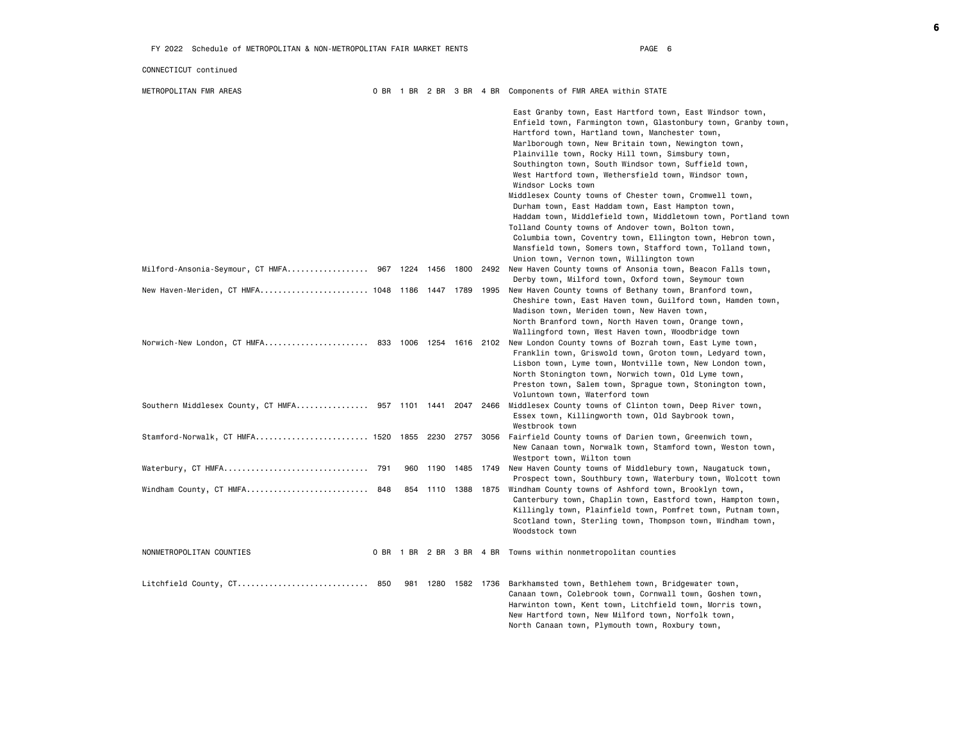### CONNECTICUT continued

METROPOLITAN FMR AREAS 0 BR 1 BR 2 BR 3 BR 4 BR Components of FMR AREA within STATE

|                                                            |     |                | East Granby town, East Hartford town, East Windsor town,<br>Enfield town, Farmington town, Glastonbury town, Granby town,<br>Hartford town, Hartland town, Manchester town,<br>Marlborough town, New Britain town, Newington town,<br>Plainville town, Rocky Hill town, Simsbury town,<br>Southington town, South Windsor town, Suffield town,<br>West Hartford town, Wethersfield town, Windsor town,<br>Windsor Locks town<br>Middlesex County towns of Chester town, Cromwell town,<br>Durham town, East Haddam town, East Hampton town,<br>Haddam town, Middlefield town, Middletown town, Portland town<br>Tolland County towns of Andover town, Bolton town,<br>Columbia town, Coventry town, Ellington town, Hebron town,<br>Mansfield town, Somers town, Stafford town, Tolland town,<br>Union town, Vernon town, Willington town |
|------------------------------------------------------------|-----|----------------|-------------------------------------------------------------------------------------------------------------------------------------------------------------------------------------------------------------------------------------------------------------------------------------------------------------------------------------------------------------------------------------------------------------------------------------------------------------------------------------------------------------------------------------------------------------------------------------------------------------------------------------------------------------------------------------------------------------------------------------------------------------------------------------------------------------------------------------------|
| Milford-Ansonia-Seymour, CT HMFA 967 1224 1456 1800 2492   |     |                | New Haven County towns of Ansonia town, Beacon Falls town,                                                                                                                                                                                                                                                                                                                                                                                                                                                                                                                                                                                                                                                                                                                                                                                |
| New Haven-Meriden, CT HMFA 1048 1186 1447 1789 1995        |     |                | Derby town, Milford town, Oxford town, Seymour town<br>New Haven County towns of Bethany town, Branford town,<br>Cheshire town, East Haven town, Guilford town, Hamden town,<br>Madison town, Meriden town, New Haven town,<br>North Branford town, North Haven town, Orange town,<br>Wallingford town, West Haven town, Woodbridge town                                                                                                                                                                                                                                                                                                                                                                                                                                                                                                  |
| Norwich-New London, CT HMFA 833 1006 1254 1616 2102        |     |                | New London County towns of Bozrah town, East Lyme town,<br>Franklin town, Griswold town, Groton town, Ledyard town,<br>Lisbon town, Lyme town, Montville town, New London town,<br>North Stonington town, Norwich town, Old Lyme town,<br>Preston town, Salem town, Sprague town, Stonington town,<br>Voluntown town, Waterford town                                                                                                                                                                                                                                                                                                                                                                                                                                                                                                      |
| Southern Middlesex County, CT HMFA 957 1101 1441 2047 2466 |     |                | Middlesex County towns of Clinton town, Deep River town,<br>Essex town, Killingworth town, Old Saybrook town,<br>Westbrook town                                                                                                                                                                                                                                                                                                                                                                                                                                                                                                                                                                                                                                                                                                           |
| Stamford-Norwalk, CT HMFA 1520 1855 2230 2757 3056         |     |                | Fairfield County towns of Darien town, Greenwich town,<br>New Canaan town, Norwalk town, Stamford town, Weston town,<br>Westport town, Wilton town                                                                                                                                                                                                                                                                                                                                                                                                                                                                                                                                                                                                                                                                                        |
| Waterbury, CT HMFA 791                                     | 960 | 1190 1485 1749 | New Haven County towns of Middlebury town, Naugatuck town,<br>Prospect town, Southbury town, Waterbury town, Wolcott town                                                                                                                                                                                                                                                                                                                                                                                                                                                                                                                                                                                                                                                                                                                 |
| Windham County, CT HMFA 848                                | 854 | 1110 1388 1875 | Windham County towns of Ashford town, Brooklyn town,<br>Canterbury town, Chaplin town, Eastford town, Hampton town,<br>Killingly town, Plainfield town, Pomfret town, Putnam town,<br>Scotland town, Sterling town, Thompson town, Windham town,<br>Woodstock town                                                                                                                                                                                                                                                                                                                                                                                                                                                                                                                                                                        |
| NONMETROPOLITAN COUNTIES                                   |     |                | 0 BR 1 BR 2 BR 3 BR 4 BR Towns within nonmetropolitan counties                                                                                                                                                                                                                                                                                                                                                                                                                                                                                                                                                                                                                                                                                                                                                                            |
| Litchfield County, CT 850                                  |     |                | 981 1280 1582 1736 Barkhamsted town, Bethlehem town, Bridgewater town,<br>Canaan town, Colebrook town, Cornwall town, Goshen town,<br>Harwinton town, Kent town, Litchfield town, Morris town,<br>New Hartford town, New Milford town, Norfolk town,<br>North Canaan town, Plymouth town, Roxbury town,                                                                                                                                                                                                                                                                                                                                                                                                                                                                                                                                   |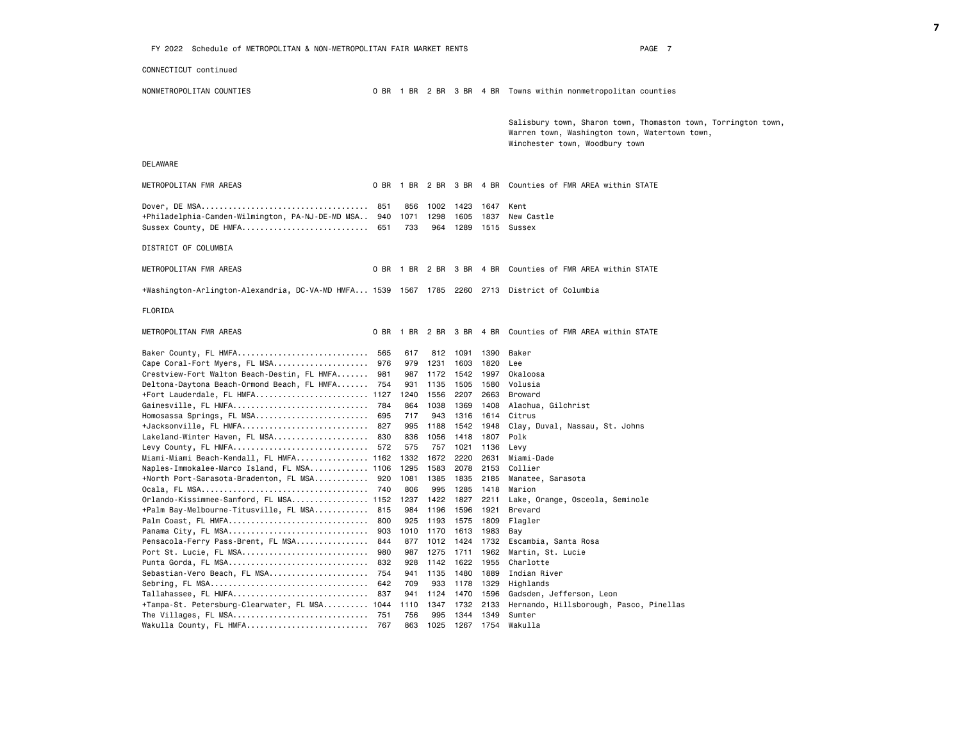FY 2022 Schedule of METROPOLITAN & NON-METROPOLITAN FAIR MARKET RENTS FAGE TO PAGE 7 CONNECTICUT continued NONMETROPOLITAN COUNTIES 0 BR 1 BR 2 BR 3 BR 4 BR Towns within nonmetropolitan counties Salisbury town, Sharon town, Thomaston town, Torrington town, Warren town, Washington town, Watertown town, Winchester town, Woodbury town DELAWARE METROPOLITAN FMR AREAS 0 BR 1 BR 2 BR 3 BR 4 BR Counties of FMR AREA within STATE Dover, DE MSA..................................... 851 856 1002 1423 1647 Kent +Philadelphia-Camden-Wilmington, PA-NJ-DE-MD MSA.. 940 1071 1298 1605 1837 New Castle Sussex County, DE HMFA................................... 651 733 964 1289 1515 Sussex DISTRICT OF COLUMBIA METROPOLITAN FMR AREAS 0 BR 1 BR 2 BR 3 BR 4 BR Counties of FMR AREA within STATE +Washington-Arlington-Alexandria, DC-VA-MD HMFA... 1539 1567 1785 2260 2713 District of Columbia FLORIDA METROPOLITAN FMR AREAS 0 BR 1 BR 2 BR 3 BR 4 BR Counties of FMR AREA within STATE Baker County, FL HMFA............................. 565 617 812 1091 1390 Baker Cape Coral-Fort Myers, FL MSA..................... 976 979 1231 1603 1820 Lee Crestview-Fort Walton Beach-Destin, FL HMFA....... 981 987 1172 1542 1997 Okaloosa Deltona-Daytona Beach-Ormond Beach, FL HMFA....... 754 931 1135 1505 1580 Volusia +Fort Lauderdale, FL HMFA......................... 1127 1240 1556 2207 2663 Broward Gainesville, FL HMFA.............................. 784 864 1038 1369 1408 Alachua, Gilchrist Homosassa Springs, FL MSA......................... 695 717 943 1316 1614 Citrus +Jacksonville, FL HMFA............................ 827 995 1188 1542 1948 Clay, Duval, Nassau, St. Johns Lakeland-Winter Haven, FL MSA.......................... 830 836 1056 1418 1807 Polk Levy County, FL HMFA.............................. 572 575 757 1021 1136 Levy Miami-Miami Beach-Kendall, FL HMFA................ 1162 1332 1672 2220 2631 Miami-Dade Naples-Immokalee-Marco Island, FL MSA............. 1106 1295 1583 2078 2153 Collier +North Port-Sarasota-Bradenton, FL MSA............ 920 1081 1385 1835 2185 Manatee, Sarasota Ocala, FL MSA..................................... 740 806 995 1285 1418 Marion Orlando-Kissimmee-Sanford, FL MSA................. 1152 1237 1422 1827 2211 Lake, Orange, Osceola, Seminole +Palm Bay-Melbourne-Titusville, FL MSA............ 815 984 1196 1596 1921 Brevard Palm Coast, FL HMFA............................... 800 925 1193 1575 1809 Flagler Panama City, FL MSA............................... 903 1010 1170 1613 1983 Bay Pensacola-Ferry Pass-Brent, FL MSA................ 844 877 1012 1424 1732 Escambia, Santa Rosa Port St. Lucie, FL MSA............................ 980 987 1275 1711 1962 Martin, St. Lucie Punta Gorda, FL MSA............................... 832 928 1142 1622 1955 Charlotte Sebastian-Vero Beach, FL MSA...................... 754 941 1135 1480 1889 Indian River Sebring, FL MSA................................... 642 709 933 1178 1329 Highlands Tallahassee, FL HMFA.............................. 837 941 1124 1470 1596 Gadsden, Jefferson, Leon +Tampa-St. Petersburg-Clearwater, FL MSA.......... 1044 1110 1347 1732 2133 Hernando, Hillsborough, Pasco, Pinellas The Villages, FL MSA.............................. 751 756 995 1344 1349 Sumter Wakulla County, FL HMFA........................... 767 863 1025 1267 1754 Wakulla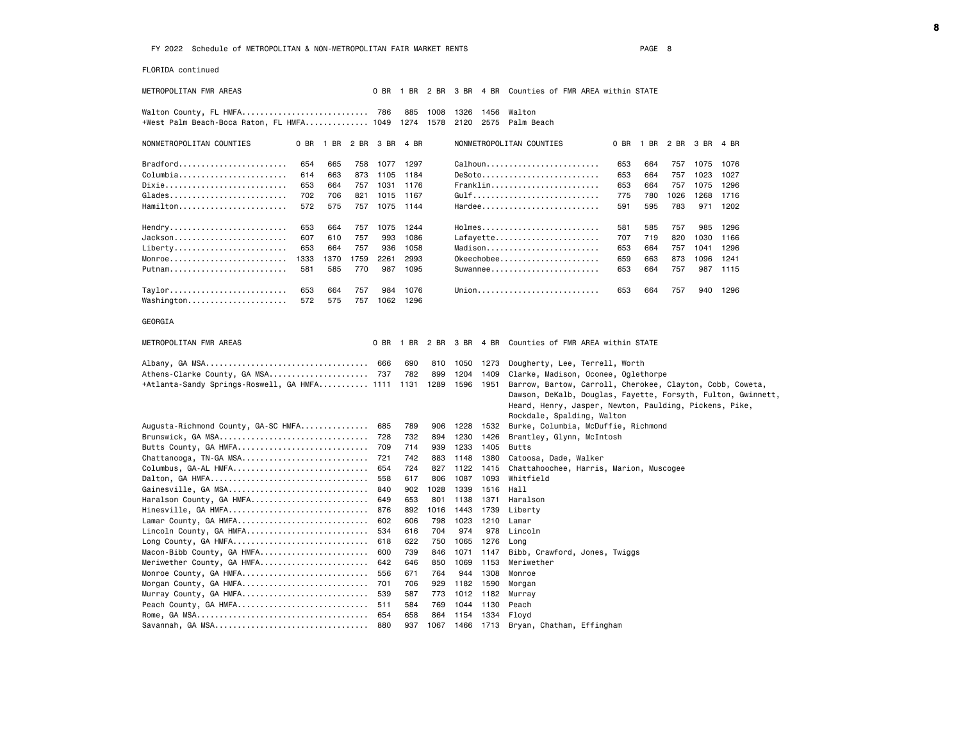FLORIDA continued

METROPOLITAN FMR AREAS 0 BR 1 BR 2 BR 3 BR 4 BR Counties of FMR AREA within STATE

Walton County, FL HMFA............................ 786 885 1008 1326 1456 Walton +West Palm Beach-Boca Raton, FL HMFA.............. 1049 1274 1578 2120 2575 Palm Beach

NONMETROPOLITAN COUNTIES 0 BR 1 BR 2 BR 3 BR 4 BR NONMETROPOLITAN COUNTIES 0 BR 1 BR 2 BR 3 BR 4 BR Bradford........................ 654 665 758 1077 1297 Calhoun......................... 653 664 757 1075 1076 Columbia............................... 614 663 873 1105 1184 Dixie........................... 653 664 757 1031 1176 Franklin........................ 653 664 757 1075 1296 Glades.......................... 702 706 821 1015 1167 Gulf............................ 775 780 1026 1268 1716 Hamilton........................ 572 575 757 1075 1144 Hardee.......................... 591 595 783 971 1202 Hendry.......................... 653 664 757 1075 1244 Holmes.......................... 581 585 757 985 1296 Jackson......................... 607 610 757 993 1086 Lafayette....................... 707 719 820 1030 1166 Liberty............................... 653 664 757 936 1058 Madison............................ 653 664 757 1041 1296<br>Monroe............................. 1333 1370 1759 2261 2993 Okeechobee....................... 659 663 8 Monroe............................ 1333 1370 1759 2261 2993 Putnam.......................... 581 585 770 987 1095 Suwannee........................ 653 664 757 987 1115 Taylor.......................... 653 664 757 984 1076 Union........................... 653 664 757 940 1296 Washington...................... 572 575 757 1062 1296

GEORGIA

| METROPOLITAN FMR AREAS                       |     |      |      |           |      | 0 BR 1 BR 2 BR 3 BR 4 BR Counties of FMR AREA within STATE                                                                                                                                                        |
|----------------------------------------------|-----|------|------|-----------|------|-------------------------------------------------------------------------------------------------------------------------------------------------------------------------------------------------------------------|
|                                              | 666 | 690  | 810  | 1050 1273 |      | Dougherty, Lee, Terrell, Worth                                                                                                                                                                                    |
| Athens-Clarke County, GA MSA 737             |     | 782  | 899  | 1204      | 1409 | Clarke, Madison, Oconee, Oglethorpe                                                                                                                                                                               |
| +Atlanta-Sandy Springs-Roswell, GA HMFA 1111 |     | 1131 | 1289 | 1596      | 1951 | Barrow, Bartow, Carroll, Cherokee, Clayton, Cobb, Coweta,<br>Dawson, DeKalb, Douglas, Fayette, Forsyth, Fulton, Gwinnett,<br>Heard, Henry, Jasper, Newton, Paulding, Pickens, Pike,<br>Rockdale, Spalding, Walton |
| Augusta-Richmond County, GA-SC HMFA          | 685 | 789  | 906  | 1228      | 1532 | Burke, Columbia, McDuffie, Richmond                                                                                                                                                                               |
| Brunswick, GA MSA                            | 728 | 732  | 894  | 1230      | 1426 | Brantley, Glynn, McIntosh                                                                                                                                                                                         |
| Butts County, GA HMFA                        | 709 | 714  | 939  | 1233      | 1405 | <b>Butts</b>                                                                                                                                                                                                      |
| Chattanooga, TN-GA MSA                       | 721 | 742  | 883  | 1148      | 1380 | Catoosa, Dade, Walker                                                                                                                                                                                             |
| Columbus, GA-AL HMFA                         | 654 | 724  | 827  | 1122      | 1415 | Chattahoochee, Harris, Marion, Muscogee                                                                                                                                                                           |
| Dalton, GA HMFA                              | 558 | 617  | 806  | 1087      | 1093 | Whitfield                                                                                                                                                                                                         |
| Gainesville, GA MSA                          | 840 | 902  | 1028 | 1339      | 1516 | Hall                                                                                                                                                                                                              |
| Haralson County, GA HMFA                     | 649 | 653  | 801  | 1138      | 1371 | Haralson                                                                                                                                                                                                          |
| Hinesville, GA HMFA                          | 876 | 892  | 1016 | 1443      | 1739 | Liberty                                                                                                                                                                                                           |
| Lamar County, GA HMFA                        | 602 | 606  | 798  | 1023      | 1210 | Lamar                                                                                                                                                                                                             |
| Lincoln County, GA HMFA                      | 534 | 616  | 704  | 974       | 978  | Lincoln                                                                                                                                                                                                           |
| Long County, GA HMFA                         | 618 | 622  | 750  | 1065      | 1276 | Lona                                                                                                                                                                                                              |
| Macon-Bibb County, GA HMFA                   | 600 | 739  | 846  | 1071      | 1147 | Bibb, Crawford, Jones, Twiggs                                                                                                                                                                                     |
| Meriwether County, GA HMFA                   | 642 | 646  | 850  | 1069      | 1153 | Meriwether                                                                                                                                                                                                        |
| Monroe County, GA HMFA                       | 556 | 671  | 764  | 944       | 1308 | Monroe                                                                                                                                                                                                            |
| Morgan County, GA HMFA                       | 701 | 706  | 929  | 1182      | 1590 | Morgan                                                                                                                                                                                                            |
| Murray County, GA HMFA                       | 539 | 587  | 773  | 1012      | 1182 | Murray                                                                                                                                                                                                            |
| Peach County, GA HMFA                        | 511 | 584  | 769  | 1044      | 1130 | Peach                                                                                                                                                                                                             |
|                                              | 654 | 658  | 864  | 1154      | 1334 | Floyd                                                                                                                                                                                                             |
|                                              | 880 | 937  | 1067 | 1466      |      | 1713 Bryan, Chatham, Effingham                                                                                                                                                                                    |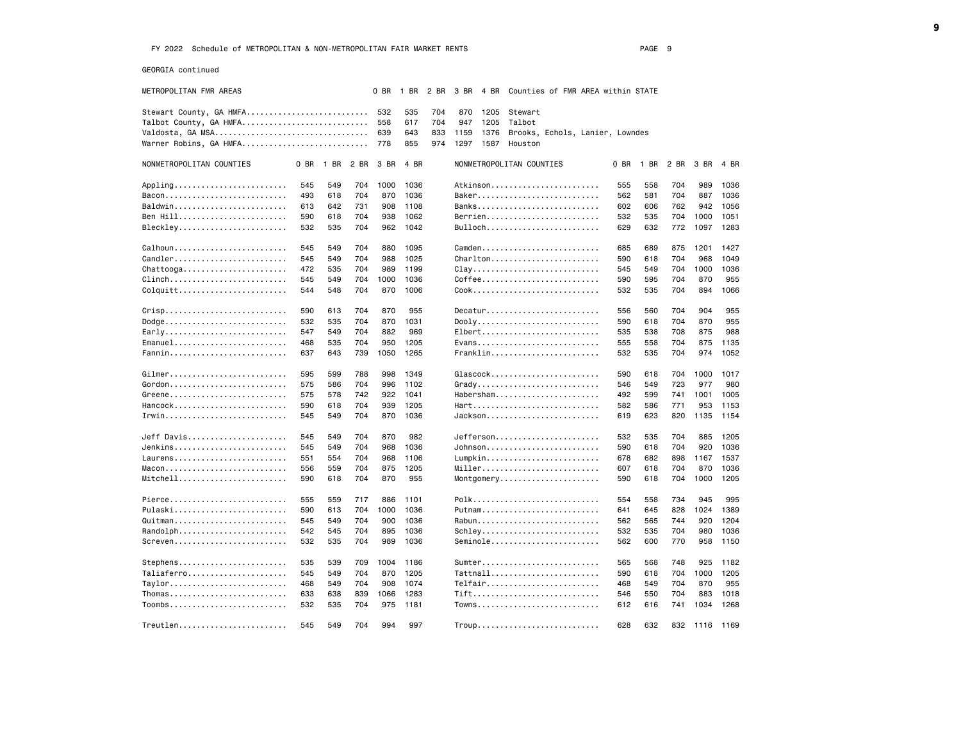GEORGIA continued

| METROPOLITAN FMR AREAS                         |      |                |     | 0 BR | 1 BR | 2 BR |      |      | 3 BR  4 BR  Counties of FMR AREA within STATE |     |                          |     |           |      |
|------------------------------------------------|------|----------------|-----|------|------|------|------|------|-----------------------------------------------|-----|--------------------------|-----|-----------|------|
| Stewart County, GA HMFA                        |      |                |     | 532  | 535  | 704  | 870  | 1205 | Stewart                                       |     |                          |     |           |      |
| Talbot County, GA HMFA                         |      |                |     | 558  | 617  | 704  | 947  |      | 1205 Talbot                                   |     |                          |     |           |      |
|                                                |      |                |     | 639  | 643  | 833  | 1159 | 1376 | Brooks, Echols, Lanier, Lowndes               |     |                          |     |           |      |
| Warner Robins, GA HMFA                         |      |                |     | 778  | 855  | 974  |      |      | 1297 1587 Houston                             |     |                          |     |           |      |
|                                                |      |                |     |      |      |      |      |      |                                               |     |                          |     |           |      |
| NONMETROPOLITAN COUNTIES                       | 0 BR | 1 BR 2 BR 3 BR |     |      | 4 BR |      |      |      | NONMETROPOLITAN COUNTIES                      |     | 0 BR 1 BR 2 BR 3 BR 4 BR |     |           |      |
| Appling                                        | 545  | 549            | 704 | 1000 | 1036 |      |      |      | Atkinson                                      | 555 | 558                      | 704 | 989       | 1036 |
|                                                | 493  | 618            | 704 | 870  | 1036 |      |      |      |                                               | 562 | 581                      | 704 | 887       | 1036 |
| Baldwin                                        | 613  | 642            | 731 | 908  | 1108 |      |      |      |                                               | 602 | 606                      | 762 | 942       | 1056 |
| Ben Hill                                       | 590  | 618            | 704 | 938  | 1062 |      |      |      | Berrien                                       | 532 | 535                      | 704 | 1000      | 1051 |
| Bleckley                                       | 532  | 535            | 704 | 962  | 1042 |      |      |      | Bulloch                                       | 629 | 632                      | 772 | 1097      | 1283 |
| Calhoun                                        | 545  | 549            | 704 | 880  | 1095 |      |      |      | Camden                                        | 685 | 689                      | 875 | 1201      | 1427 |
| Candler                                        | 545  | 549            | 704 | 988  | 1025 |      |      |      | Charlton                                      | 590 | 618                      | 704 | 968       | 1049 |
| $Chattooga \ldots \ldots \ldots \ldots \ldots$ | 472  | 535            | 704 | 989  | 1199 |      |      |      | $Clav$                                        | 545 | 549                      | 704 | 1000      | 1036 |
| $Clinch$                                       | 545  | 549            | 704 | 1000 | 1036 |      |      |      | Coffee                                        | 590 | 595                      | 704 | 870       | 955  |
| $Colquitt$                                     | 544  | 548            | 704 | 870  | 1006 |      |      |      |                                               | 532 | 535                      | 704 | 894       | 1066 |
|                                                |      |                |     |      |      |      |      |      |                                               |     |                          |     |           |      |
|                                                | 590  | 613            | 704 | 870  | 955  |      |      |      | Decatur                                       | 556 | 560                      | 704 | 904       | 955  |
| Dodge                                          | 532  | 535            | 704 | 870  | 1031 |      |      |      | Dooly                                         | 590 | 618                      | 704 | 870       | 955  |
| Early                                          | 547  | 549            | 704 | 882  | 969  |      |      |      | Elbert                                        | 535 | 538                      | 708 | 875       | 988  |
| Emanuel                                        | 468  | 535            | 704 | 950  | 1205 |      |      |      | Evans                                         | 555 | 558                      | 704 | 875       | 1135 |
| Fannin                                         | 637  | 643            | 739 | 1050 | 1265 |      |      |      | Franklin                                      | 532 | 535                      | 704 | 974       | 1052 |
| Gilmer                                         | 595  | 599            | 788 | 998  | 1349 |      |      |      | Glascock                                      | 590 | 618                      | 704 | 1000      | 1017 |
|                                                | 575  | 586            | 704 | 996  | 1102 |      |      |      | Grady                                         | 546 | 549                      | 723 | 977       | 980  |
| Greene                                         | 575  | 578            | 742 | 922  | 1041 |      |      |      | Habersham                                     | 492 | 599                      | 741 | 1001      | 1005 |
| Hancock                                        | 590  | 618            | 704 | 939  | 1205 |      |      |      | Hart                                          | 582 | 586                      | 771 | 953       | 1153 |
| Irwin                                          | 545  | 549            | 704 | 870  | 1036 |      |      |      | Jackson                                       | 619 | 623                      | 820 | 1135      | 1154 |
| Jeff Davis                                     | 545  | 549            | 704 | 870  | 982  |      |      |      | Jefferson                                     | 532 | 535                      | 704 | 885       | 1205 |
| Jenkins                                        | 545  | 549            | 704 | 968  | 1036 |      |      |      | Johnson                                       | 590 | 618                      | 704 | 920       | 1036 |
| Laurens                                        | 551  | 554            | 704 | 968  | 1106 |      |      |      | Lumpkin                                       | 678 | 682                      | 898 | 1167      | 1537 |
|                                                | 556  | 559            | 704 | 875  | 1205 |      |      |      | Miller                                        | 607 | 618                      | 704 | 870       | 1036 |
| Mitchell                                       | 590  | 618            | 704 | 870  | 955  |      |      |      | Montgomery                                    | 590 | 618                      | 704 | 1000      | 1205 |
|                                                |      |                |     |      |      |      |      |      |                                               |     |                          |     |           |      |
| Pierce                                         | 555  | 559            | 717 | 886  | 1101 |      |      |      | Polk                                          | 554 | 558                      | 734 | 945       | 995  |
| Pulaski                                        | 590  | 613            | 704 | 1000 | 1036 |      |      |      | Putnam                                        | 641 | 645                      | 828 | 1024      | 1389 |
| Quitman                                        | 545  | 549            | 704 | 900  | 1036 |      |      |      | Rabun                                         | 562 | 565                      | 744 | 920       | 1204 |
| Randolph                                       | 542  | 545            | 704 | 895  | 1036 |      |      |      | Schley                                        | 532 | 535                      | 704 | 980       | 1036 |
| Screven                                        | 532  | 535            | 704 | 989  | 1036 |      |      |      | Seminole                                      | 562 | 600                      | 770 | 958       | 1150 |
| Stephens                                       | 535  | 539            | 709 | 1004 | 1186 |      |      |      | Sumter                                        | 565 | 568                      | 748 | 925       | 1182 |
| Taliaferro                                     | 545  | 549            | 704 | 870  | 1205 |      |      |      | Tattnall                                      | 590 | 618                      | 704 | 1000      | 1205 |
| Taylor                                         | 468  | 549            | 704 | 908  | 1074 |      |      |      | Telfair                                       | 468 | 549                      | 704 | 870       | 955  |
| Thomas                                         | 633  | 638            | 839 | 1066 | 1283 |      |      |      | Tift                                          | 546 | 550                      | 704 | 883       | 1018 |
| Toombs                                         | 532  | 535            | 704 | 975  | 1181 |      |      |      | Towns                                         | 612 | 616                      | 741 | 1034      | 1268 |
|                                                |      |                |     |      |      |      |      |      |                                               |     |                          |     |           |      |
| Treutlen                                       | 545  | 549            | 704 | 994  | 997  |      |      |      | Troup                                         | 628 | 632                      | 832 | 1116 1169 |      |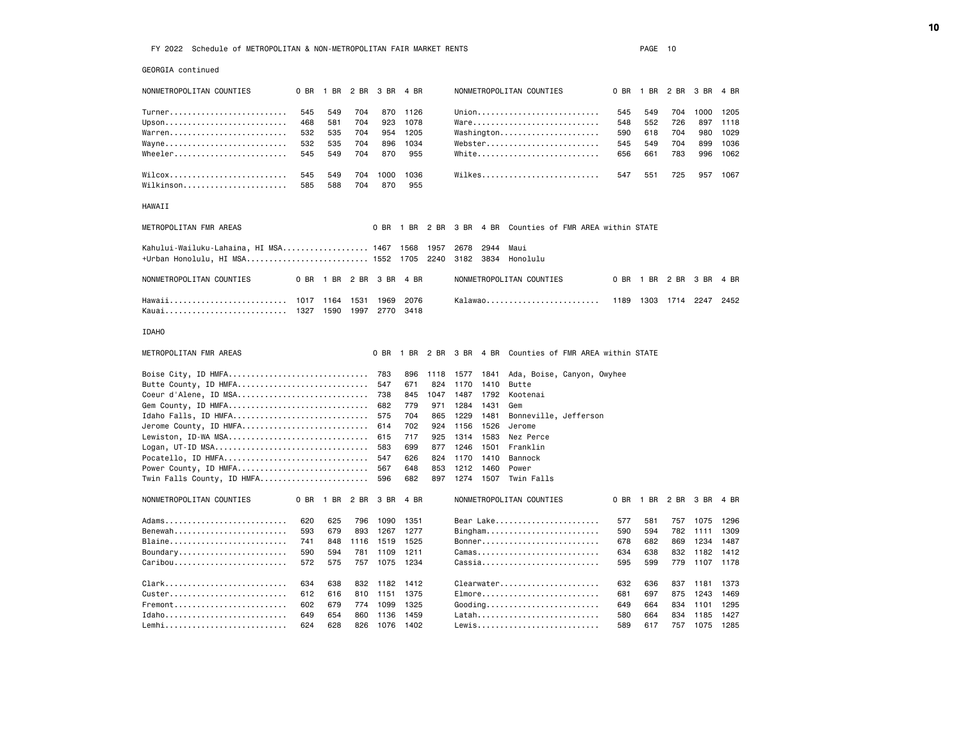GEORGIA continued

| NONMETROPOLITAN COUNTIES               | 0 BR | 1 BR 2 BR |      | 3 BR   | 4 BR      |      |           |           | NONMETROPOLITAN COUNTIES          | 0 BR | 1 BR | 2 BR | 3 BR | 4 BR |
|----------------------------------------|------|-----------|------|--------|-----------|------|-----------|-----------|-----------------------------------|------|------|------|------|------|
| Turner                                 | 545  | 549       | 704  | 870    | 1126      |      |           |           | Union                             | 545  | 549  | 704  | 1000 | 1205 |
| Upson                                  | 468  | 581       | 704  | 923    | 1078      |      |           |           | $W$ are                           | 548  | 552  | 726  | 897  | 1118 |
| Warren                                 | 532  | 535       | 704  | 954    | 1205      |      |           |           | Washington                        | 590  | 618  | 704  | 980  | 1029 |
| Wayne                                  | 532  | 535       | 704  | 896    | 1034      |      |           |           | Webster                           | 545  | 549  | 704  | 899  | 1036 |
| Wheeler                                | 545  | 549       | 704  | 870    | 955       |      |           |           | White                             | 656  | 661  | 783  | 996  | 1062 |
| WilcoX                                 | 545  | 549       | 704  | 1000   | 1036      |      |           |           | Wilkes                            | 547  | 551  | 725  | 957  | 1067 |
| Wilkinson                              | 585  | 588       | 704  | 870    | 955       |      |           |           |                                   |      |      |      |      |      |
|                                        |      |           |      |        |           |      |           |           |                                   |      |      |      |      |      |
| HAWAII                                 |      |           |      |        |           |      |           |           |                                   |      |      |      |      |      |
| METROPOLITAN FMR AREAS                 |      |           |      | $0$ BR | 1 BR 2 BR |      | 3 BR 4 BR |           | Counties of FMR AREA within STATE |      |      |      |      |      |
| Kahului-Wailuku-Lahaina, HI MSA 1467   |      |           |      |        | 1568      | 1957 | 2678      | 2944      | Maui                              |      |      |      |      |      |
| +Urban Honolulu, HI MSA 1552 1705 2240 |      |           |      |        |           |      | 3182      | 3834      | Honolulu                          |      |      |      |      |      |
| NONMETROPOLITAN COUNTIES               | 0 BR | 1 BR      | 2 BR | 3 BR   | 4 BR      |      |           |           | NONMETROPOLITAN COUNTIES          | 0 BR | 1 BR | 2 BR | 3 BR | 4 BR |
| Hawaii                                 | 1017 | 1164      | 1531 | 1969   | 2076      |      |           |           | Kalawao                           | 1189 | 1303 | 1714 | 2247 | 2452 |
| Kauai                                  | 1327 | 1590      | 1997 | 2770   | 3418      |      |           |           |                                   |      |      |      |      |      |
| <b>IDAHO</b>                           |      |           |      |        |           |      |           |           |                                   |      |      |      |      |      |
| METROPOLITAN FMR AREAS                 |      |           |      | 0 BR   | 1 BR      | 2 BR |           | 3 BR 4 BR | Counties of FMR AREA within STATE |      |      |      |      |      |
| Boise City, ID HMFA                    |      |           |      | 783    | 896       | 1118 | 1577      | 1841      | Ada, Boise, Canyon, Owyhee        |      |      |      |      |      |
| Butte County, ID HMFA                  |      |           |      | 547    | 671       | 824  | 1170      | 1410      | Butte                             |      |      |      |      |      |
| Coeur d'Alene, ID MSA                  |      |           |      | 738    | 845       | 1047 | 1487      | 1792      | Kootenai                          |      |      |      |      |      |
| Gem County, ID HMFA                    |      |           |      | 682    | 779       | 971  | 1284      | 1431      | Gem                               |      |      |      |      |      |
| Idaho Falls, ID HMFA                   |      |           |      | 575    | 704       | 865  | 1229      | 1481      | Bonneville, Jefferson             |      |      |      |      |      |
| Jerome County, ID HMFA                 |      |           |      | 614    | 702       | 924  | 1156      | 1526      | Jerome                            |      |      |      |      |      |
| Lewiston, ID-WA MSA                    |      |           |      | 615    | 717       | 925  | 1314      | 1583      | Nez Perce                         |      |      |      |      |      |
| Logan, UT-ID MSA                       |      |           |      | 583    | 699       | 877  | 1246      | 1501      | Franklin                          |      |      |      |      |      |
| Pocatello, ID HMFA                     |      |           |      | 547    | 626       | 824  | 1170      | 1410      | Bannock                           |      |      |      |      |      |
| Power County, ID HMFA                  |      |           |      | 567    | 648       | 853  | 1212      | 1460      | Power                             |      |      |      |      |      |
| Twin Falls County, ID HMFA             |      |           |      | 596    | 682       | 897  | 1274      | 1507      | Twin Falls                        |      |      |      |      |      |
| NONMETROPOLITAN COUNTIES               | 0 BR | 1 BR      | 2 BR | 3 BR   | 4 BR      |      |           |           | NONMETROPOLITAN COUNTIES          | 0 BR | 1 BR | 2 BR | 3 BR | 4 BR |
| Adams                                  | 620  | 625       | 796  | 1090   | 1351      |      |           |           | Bear Lake                         | 577  | 581  | 757  | 1075 | 1296 |
| Benewah                                | 593  | 679       | 893  | 1267   | 1277      |      |           |           | Bingham                           | 590  | 594  | 782  | 1111 | 1309 |
| Blaine                                 | 741  | 848       | 1116 | 1519   | 1525      |      |           |           | Bonner                            | 678  | 682  | 869  | 1234 | 1487 |
| Boundary                               | 590  | 594       | 781  | 1109   | 1211      |      |           |           | $Camas$                           | 634  | 638  | 832  | 1182 | 1412 |
| Caribou                                | 572  | 575       | 757  | 1075   | 1234      |      |           |           | Cassia                            | 595  | 599  | 779  | 1107 | 1178 |
| Clark                                  | 634  | 638       | 832  | 1182   | 1412      |      |           |           | Clearwater                        | 632  | 636  | 837  | 1181 | 1373 |
| Custer                                 | 612  | 616       | 810  | 1151   | 1375      |      |           |           | Elmore                            | 681  | 697  | 875  | 1243 | 1469 |
| Fremont                                | 602  | 679       | 774  | 1099   | 1325      |      |           |           | $Gooding$                         | 649  | 664  | 834  | 1101 | 1295 |
| Idaho                                  | 649  | 654       | 860  | 1136   | 1459      |      |           |           | Latah                             | 580  | 664  | 834  | 1185 | 1427 |
| Lemhi                                  | 624  | 628       | 826  | 1076   | 1402      |      |           |           | Lewis                             | 589  | 617  | 757  | 1075 | 1285 |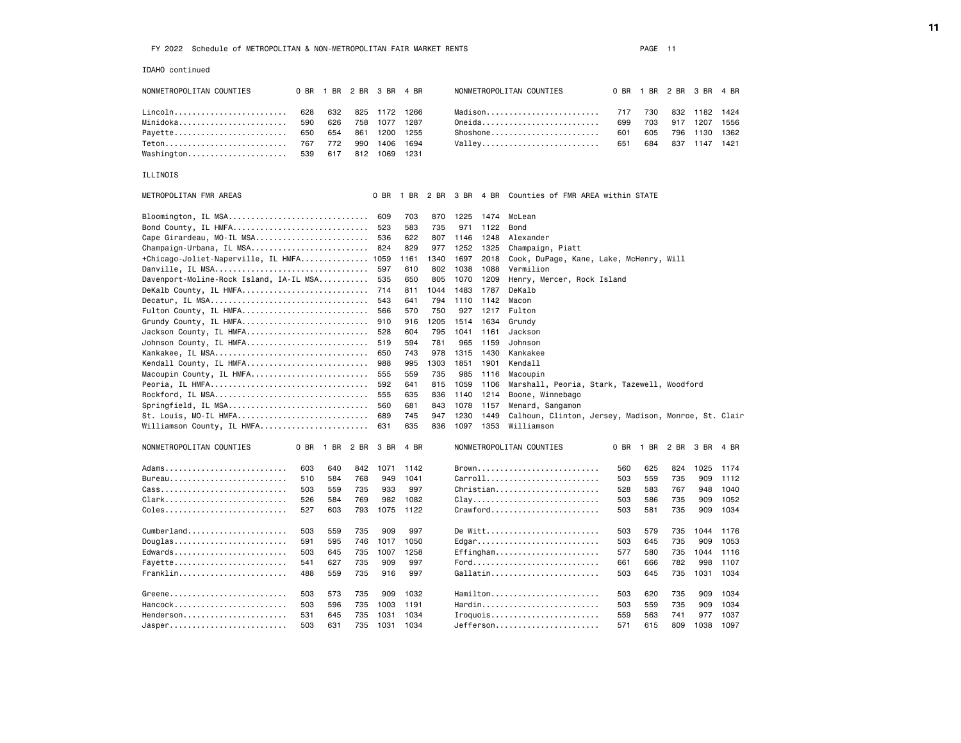IDAHO continued

| NONMETROPOLITAN COUNTIES      |     |         | 0 BR 1 BR 2 BR 3 BR 4 BR |      | NONMETROPOLITAN COUNTIES     |     |     |     | 0 BR 1 BR 2 BR 3 BR 4 BR |      |
|-------------------------------|-----|---------|--------------------------|------|------------------------------|-----|-----|-----|--------------------------|------|
| Lincoln 628 632 825 1172 1266 |     |         |                          |      | Madison 717 730              |     |     |     | 832 1182 1424            |      |
| Minidoka                      | 590 | 626     | 758 1077 1287            |      | Oneida                       | 699 | 703 | 917 | 1207                     | 1556 |
| Payette 650 654 861 1200 1255 |     |         |                          |      | Shoshone                     | 601 | 605 | 796 | 1130 1362                |      |
| Teton 767 772                 |     |         | 990 1406                 | 1694 | Valley 651 684 837 1147 1421 |     |     |     |                          |      |
| Washington                    |     | 539 617 | 812 1069 1231            |      |                              |     |     |     |                          |      |

# ILLINOIS

| METROPOLITAN FMR AREAS                  |      |           |     | 0 BR |      |      |      |      | 1 BR 2 BR 3 BR 4 BR Counties of FMR AREA within STATE |     |           |     |           |      |
|-----------------------------------------|------|-----------|-----|------|------|------|------|------|-------------------------------------------------------|-----|-----------|-----|-----------|------|
| Bloomington, IL MSA                     |      |           |     | 609  | 703  | 870  | 1225 | 1474 | McLean                                                |     |           |     |           |      |
| Bond County, IL HMFA                    |      |           |     | 523  | 583  | 735  | 971  | 1122 | Bond                                                  |     |           |     |           |      |
| Cape Girardeau, MO-IL MSA               |      |           |     | 536  | 622  | 807  | 1146 | 1248 | Alexander                                             |     |           |     |           |      |
| Champaign-Urbana, IL MSA                |      |           |     | 824  | 829  | 977  | 1252 | 1325 | Champaign, Piatt                                      |     |           |     |           |      |
| +Chicago-Joliet-Naperville, IL HMFA     |      |           |     | 1059 | 1161 | 1340 | 1697 | 2018 | Cook, DuPage, Kane, Lake, McHenry, Will               |     |           |     |           |      |
| Danville, IL MSA                        |      |           |     | 597  | 610  | 802  | 1038 | 1088 | Vermilion                                             |     |           |     |           |      |
| Davenport-Moline-Rock Island, IA-IL MSA |      |           |     | 535  | 650  | 805  | 1070 | 1209 | Henry, Mercer, Rock Island                            |     |           |     |           |      |
| DeKalb County, IL HMFA                  |      |           |     | 714  | 811  | 1044 | 1483 | 1787 | DeKalb                                                |     |           |     |           |      |
| Decatur, IL MSA                         |      |           |     | 543  | 641  | 794  | 1110 | 1142 | Macon                                                 |     |           |     |           |      |
| Fulton County, IL HMFA                  |      |           |     | 566  | 570  | 750  | 927  | 1217 | Fulton                                                |     |           |     |           |      |
| Grundy County, IL HMFA                  |      |           |     | 910  | 916  | 1205 | 1514 | 1634 | Grundy                                                |     |           |     |           |      |
| Jackson County, IL HMFA                 |      |           |     | 528  | 604  | 795  | 1041 | 1161 | Jackson                                               |     |           |     |           |      |
| Johnson County, IL HMFA                 |      |           |     | 519  | 594  | 781  | 965  | 1159 | Johnson                                               |     |           |     |           |      |
| Kankakee, IL MSA                        |      |           |     | 650  | 743  | 978  | 1315 | 1430 | Kankakee                                              |     |           |     |           |      |
| Kendall County, IL HMFA                 |      |           |     | 988  | 995  | 1303 | 1851 | 1901 | Kendall                                               |     |           |     |           |      |
| Macoupin County, IL HMFA                |      |           |     | 555  | 559  | 735  | 985  | 1116 | Macoupin                                              |     |           |     |           |      |
| Peoria, IL HMFA                         |      |           |     | 592  | 641  | 815  | 1059 | 1106 | Marshall, Peoria, Stark, Tazewell, Woodford           |     |           |     |           |      |
| Rockford, IL MSA                        |      |           |     | 555  | 635  | 836  | 1140 | 1214 | Boone, Winnebago                                      |     |           |     |           |      |
| Springfield, IL MSA                     |      |           |     | 560  | 681  | 843  | 1078 | 1157 | Menard, Sangamon                                      |     |           |     |           |      |
| St. Louis, MO-IL HMFA                   |      |           |     | 689  | 745  | 947  | 1230 | 1449 | Calhoun, Clinton, Jersey, Madison, Monroe, St. Clair  |     |           |     |           |      |
| Williamson County, IL HMFA              |      |           |     | 631  | 635  | 836  | 1097 | 1353 | Williamson                                            |     |           |     |           |      |
| NONMETROPOLITAN COUNTIES                | 0 BR | 1 BR 2 BR |     | 3 BR | 4 BR |      |      |      | NONMETROPOLITAN COUNTIES                              |     | 0 BR 1 BR |     | 2 BR 3 BR | 4 BR |
| Adams                                   | 603  | 640       | 842 | 1071 | 1142 |      |      |      | Brown                                                 | 560 | 625       | 824 | 1025      | 1174 |
|                                         | 510  | 584       | 768 | 949  | 1041 |      |      |      | Carroll                                               | 503 | 559       | 735 | 909       | 1112 |
| Cass                                    | 503  | 559       | 735 | 933  | 997  |      |      |      | Christian                                             | 528 | 583       | 767 | 948       | 1040 |
| Clark                                   | 526  | 584       | 769 | 982  | 1082 |      |      |      | $clay$                                                | 503 | 586       | 735 | 909       | 1052 |
| Coles                                   | 527  | 603       | 793 | 1075 | 1122 |      |      |      | $Crawford$                                            | 503 | 581       | 735 | 909       | 1034 |
| Cumberland                              | 503  | 559       | 735 | 909  | 997  |      |      |      | De Witt                                               | 503 | 579       | 735 | 1044      | 1176 |
| Douglas                                 | 591  | 595       | 746 | 1017 | 1050 |      |      |      | Edgar                                                 | 503 | 645       | 735 | 909       | 1053 |
| Edwards                                 | 503  | 645       | 735 | 1007 | 1258 |      |      |      | Effingham                                             | 577 | 580       | 735 | 1044      | 1116 |
| Fayette                                 | 541  | 627       | 735 | 909  | 997  |      |      |      | Ford                                                  | 661 | 666       | 782 | 998       | 1107 |
| Franklin                                | 488  | 559       | 735 | 916  | 997  |      |      |      | Gallatin                                              | 503 | 645       | 735 | 1031      | 1034 |
| Greene                                  | 503  | 573       | 735 | 909  | 1032 |      |      |      | Hamilton                                              | 503 | 620       | 735 | 909       | 1034 |
| Hancock                                 | 503  | 596       | 735 | 1003 | 1191 |      |      |      | Hardin                                                | 503 | 559       | 735 | 909       | 1034 |
| Henderson                               | 531  | 645       | 735 | 1031 | 1034 |      |      |      | $I$ roquois                                           | 559 | 563       | 741 | 977       | 1037 |
| Jasper                                  | 503  | 631       | 735 | 1031 | 1034 |      |      |      | Jefferson                                             | 571 | 615       | 809 | 1038      | 1097 |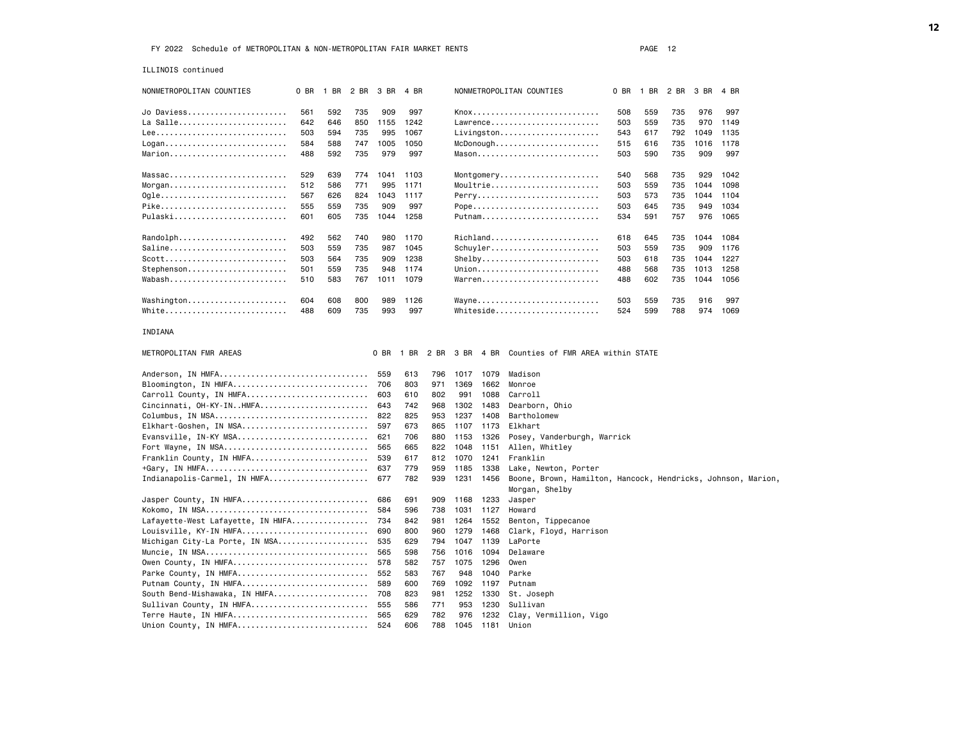ILLINOIS continued

| NONMETROPOLITAN COUNTIES                                  | 0 BR | 1 BR | 2 BR | 3 BR | 4 BR |      |      |           | NONMETROPOLITAN COUNTIES                                                       | 0 BR | 1 BR | 2 BR | 3 BR | 4 BR |  |
|-----------------------------------------------------------|------|------|------|------|------|------|------|-----------|--------------------------------------------------------------------------------|------|------|------|------|------|--|
| Jo Daviess                                                | 561  | 592  | 735  | 909  | 997  |      |      |           |                                                                                | 508  | 559  | 735  | 976  | 997  |  |
| La Salle                                                  | 642  | 646  | 850  | 1155 | 1242 |      |      |           | Lawrence                                                                       | 503  | 559  | 735  | 970  | 1149 |  |
|                                                           | 503  | 594  | 735  | 995  | 1067 |      |      |           | $Livingston$                                                                   | 543  | 617  | 792  | 1049 | 1135 |  |
| Logan                                                     | 584  | 588  | 747  | 1005 | 1050 |      |      |           | $McDonough \ldots \ldots \ldots \ldots$                                        | 515  | 616  | 735  | 1016 | 1178 |  |
| Marion                                                    | 488  | 592  | 735  | 979  | 997  |      |      |           | Mason                                                                          | 503  | 590  | 735  | 909  | 997  |  |
|                                                           |      |      |      |      |      |      |      |           |                                                                                |      |      |      |      |      |  |
| $Massac \ldots \ldots \ldots \ldots \ldots \ldots \ldots$ | 529  | 639  | 774  | 1041 | 1103 |      |      |           | Montgomery                                                                     | 540  | 568  | 735  | 929  | 1042 |  |
| $Morgan$                                                  | 512  | 586  | 771  | 995  | 1171 |      |      |           | Moultrie                                                                       | 503  | 559  | 735  | 1044 | 1098 |  |
| 0gle                                                      | 567  | 626  | 824  | 1043 | 1117 |      |      |           | Perry                                                                          | 503  | 573  | 735  | 1044 | 1104 |  |
| Pike                                                      | 555  | 559  | 735  | 909  | 997  |      |      |           | Pope                                                                           | 503  | 645  | 735  | 949  | 1034 |  |
| Pulaski                                                   | 601  | 605  | 735  | 1044 | 1258 |      |      |           | Putnam                                                                         | 534  | 591  | 757  | 976  | 1065 |  |
| Randolph                                                  | 492  | 562  | 740  | 980  | 1170 |      |      |           | Richland                                                                       | 618  | 645  | 735  | 1044 | 1084 |  |
| Saline                                                    | 503  | 559  | 735  | 987  | 1045 |      |      |           | Schuyler                                                                       | 503  | 559  | 735  | 909  | 1176 |  |
| Scott                                                     | 503  | 564  | 735  | 909  | 1238 |      |      |           | Shelby                                                                         | 503  | 618  | 735  | 1044 | 1227 |  |
| Stephenson                                                | 501  | 559  | 735  | 948  | 1174 |      |      |           | Union                                                                          | 488  | 568  | 735  | 1013 | 1258 |  |
| Wabash                                                    | 510  | 583  | 767  | 1011 | 1079 |      |      |           | Warren                                                                         | 488  | 602  | 735  | 1044 | 1056 |  |
|                                                           |      |      |      |      |      |      |      |           |                                                                                |      |      |      |      |      |  |
| Washington                                                | 604  | 608  | 800  | 989  | 1126 |      |      |           | Wayne                                                                          | 503  | 559  | 735  | 916  | 997  |  |
| White                                                     | 488  | 609  | 735  | 993  | 997  |      |      |           | Whiteside                                                                      | 524  | 599  | 788  | 974  | 1069 |  |
| INDIANA                                                   |      |      |      |      |      |      |      |           |                                                                                |      |      |      |      |      |  |
| METROPOLITAN FMR AREAS                                    |      |      |      | 0 BR | 1 BR | 2 BR |      | 3 BR 4 BR | Counties of FMR AREA within STATE                                              |      |      |      |      |      |  |
| Anderson, IN HMFA                                         |      |      |      | 559  | 613  | 796  | 1017 | 1079      | Madison                                                                        |      |      |      |      |      |  |
| Bloomington, IN HMFA                                      |      |      |      | 706  | 803  | 971  | 1369 | 1662      | Monroe                                                                         |      |      |      |      |      |  |
| Carroll County, IN HMFA                                   |      |      |      | 603  | 610  | 802  | 991  | 1088      | Carroll                                                                        |      |      |      |      |      |  |
| Cincinnati, OH-KY-INHMFA                                  |      |      |      | 643  | 742  | 968  | 1302 | 1483      | Dearborn, Ohio                                                                 |      |      |      |      |      |  |
| Columbus, IN MSA                                          |      |      |      | 822  | 825  | 953  | 1237 | 1408      | Bartholomew                                                                    |      |      |      |      |      |  |
| Elkhart-Goshen, IN MSA                                    |      |      |      | 597  | 673  | 865  | 1107 | 1173      | Elkhart                                                                        |      |      |      |      |      |  |
| Evansville, IN-KY MSA                                     |      |      |      | 621  | 706  | 880  | 1153 | 1326      | Posey, Vanderburgh, Warrick                                                    |      |      |      |      |      |  |
| Fort Wayne, IN MSA                                        |      |      |      | 565  | 665  | 822  | 1048 | 1151      | Allen, Whitley                                                                 |      |      |      |      |      |  |
| Franklin County, IN HMFA                                  |      |      |      | 539  | 617  | 812  | 1070 | 1241      | Franklin                                                                       |      |      |      |      |      |  |
|                                                           |      |      |      | 637  | 779  | 959  | 1185 | 1338      | Lake, Newton, Porter                                                           |      |      |      |      |      |  |
| Indianapolis-Carmel, IN HMFA                              |      |      |      | 677  | 782  | 939  | 1231 | 1456      | Boone, Brown, Hamilton, Hancock, Hendricks, Johnson, Marion,<br>Morgan, Shelby |      |      |      |      |      |  |
| Jasper County, IN HMFA                                    |      |      |      | 686  | 691  | 909  | 1168 | 1233      | Jasper                                                                         |      |      |      |      |      |  |
|                                                           |      |      |      | 584  | 596  | 738  | 1031 | 1127      | Howard                                                                         |      |      |      |      |      |  |
| Lafayette-West Lafayette, IN HMFA                         |      |      |      | 734  | 842  | 981  | 1264 | 1552      | Benton, Tippecanoe                                                             |      |      |      |      |      |  |
| Louisville, KY-IN HMFA                                    |      |      |      | 690  | 800  | 960  | 1279 | 1468      | Clark, Floyd, Harrison                                                         |      |      |      |      |      |  |
| Michigan City-La Porte, IN MSA                            |      |      |      | 535  | 629  | 794  | 1047 | 1139      | LaPorte                                                                        |      |      |      |      |      |  |
|                                                           |      |      |      | 565  | 598  | 756  | 1016 | 1094      | Delaware                                                                       |      |      |      |      |      |  |
| Owen County, IN HMFA                                      |      |      |      | 578  | 582  | 757  | 1075 | 1296      | Owen                                                                           |      |      |      |      |      |  |
| Parke County, IN HMFA                                     |      |      |      | 552  | 583  | 767  | 948  | 1040      | Parke                                                                          |      |      |      |      |      |  |
| Putnam County, IN HMFA                                    |      |      |      | 589  | 600  | 769  | 1092 | 1197      | Putnam                                                                         |      |      |      |      |      |  |
| South Bend-Mishawaka, IN HMFA                             |      |      |      | 708  | 823  | 981  | 1252 | 1330      | St. Joseph                                                                     |      |      |      |      |      |  |
| Sullivan County, IN HMFA                                  |      |      |      | 555  | 586  | 771  | 953  | 1230      | Sullivan                                                                       |      |      |      |      |      |  |
| Terre Haute, IN HMFA                                      |      |      |      | 565  | 629  | 782  | 976  | 1232      | Clay, Vermillion, Vigo                                                         |      |      |      |      |      |  |
| Union County, IN HMFA                                     |      |      |      | 524  | 606  | 788  | 1045 | 1181      | Union                                                                          |      |      |      |      |      |  |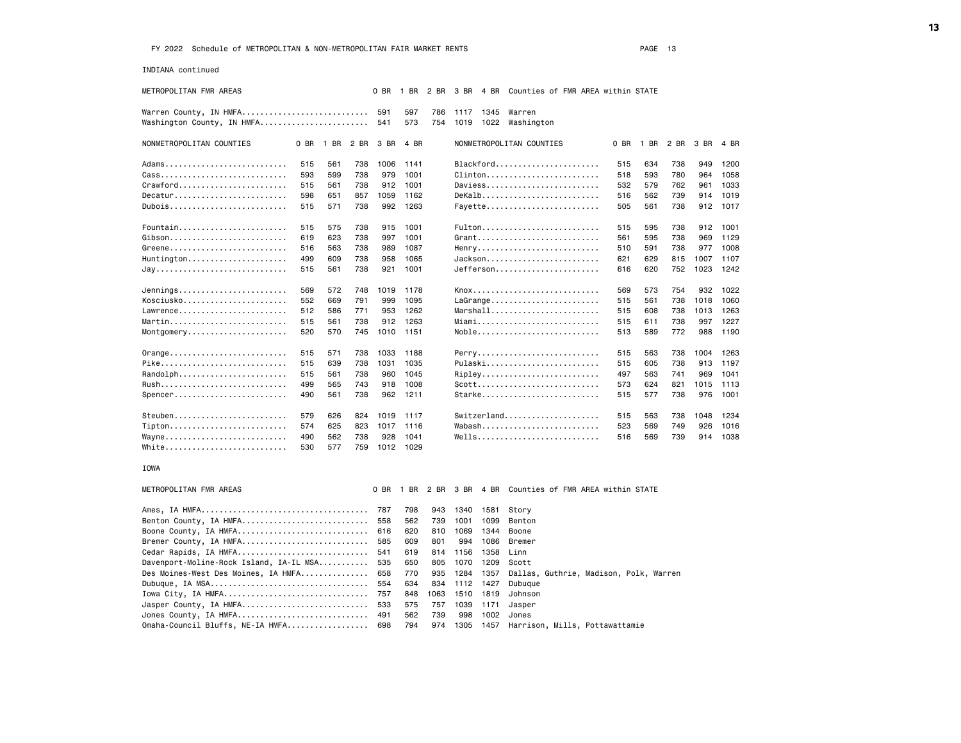INDIANA continued

| METROPOLITAN FMR AREAS                                         |      |      |      | 0 BR       | 1 BR       | 2 BR       |      |                   | 3 BR 4 BR Counties of FMR AREA within STATE |      |      |      |      |      |
|----------------------------------------------------------------|------|------|------|------------|------------|------------|------|-------------------|---------------------------------------------|------|------|------|------|------|
| Warren County, IN HMFA<br>Washington County, IN HMFA           |      |      |      | 591<br>541 | 597<br>573 | 786<br>754 | 1019 | 1117 1345<br>1022 | Warren<br>Washington                        |      |      |      |      |      |
|                                                                |      |      |      |            |            |            |      |                   |                                             |      |      |      |      |      |
| NONMETROPOLITAN COUNTIES                                       | 0 BR | 1 BR | 2 BR | 3 BR       | 4 BR       |            |      |                   | NONMETROPOLITAN COUNTIES                    | 0 BR | 1 BR | 2 BR | 3 BR | 4 BR |
| Adams                                                          | 515  | 561  | 738  | 1006       | 1141       |            |      |                   | Blackford                                   | 515  | 634  | 738  | 949  | 1200 |
| $\texttt{Class}$                                               | 593  | 599  | 738  | 979        | 1001       |            |      |                   | Clinton                                     | 518  | 593  | 780  | 964  | 1058 |
| Crawford                                                       | 515  | 561  | 738  | 912        | 1001       |            |      |                   | Daviess                                     | 532  | 579  | 762  | 961  | 1033 |
| Decatur                                                        | 598  | 651  | 857  | 1059       | 1162       |            |      |                   | DeKalb                                      | 516  | 562  | 739  | 914  | 1019 |
| Dubois                                                         | 515  | 571  | 738  | 992        | 1263       |            |      |                   | Fayette                                     | 505  | 561  | 738  | 912  | 1017 |
| Fountain                                                       | 515  | 575  | 738  | 915        | 1001       |            |      |                   | Fulton                                      | 515  | 595  | 738  | 912  | 1001 |
|                                                                | 619  | 623  | 738  | 997        | 1001       |            |      |                   | Grant                                       | 561  | 595  | 738  | 969  | 1129 |
| Greene                                                         | 516  | 563  | 738  | 989        | 1087       |            |      |                   | Henry                                       | 510  | 591  | 738  | 977  | 1008 |
| $Huntington. \ldots \ldots \ldots \ldots \ldots \ldots \ldots$ | 499  | 609  | 738  | 958        | 1065       |            |      |                   | Jackson                                     | 621  | 629  | 815  | 1007 | 1107 |
|                                                                | 515  | 561  | 738  | 921        | 1001       |            |      |                   | Jefferson                                   | 616  | 620  | 752  | 1023 | 1242 |
| Jennings                                                       | 569  | 572  | 748  | 1019       | 1178       |            |      |                   | Knox                                        | 569  | 573  | 754  | 932  | 1022 |
| Kosciusko                                                      | 552  | 669  | 791  | 999        | 1095       |            |      |                   | LaGrange                                    | 515  | 561  | 738  | 1018 | 1060 |
| Lawrence                                                       | 512  | 586  | 771  | 953        | 1262       |            |      |                   | Marshall                                    | 515  | 608  | 738  | 1013 | 1263 |
|                                                                | 515  | 561  | 738  | 912        | 1263       |            |      |                   | Miami                                       | 515  | 611  | 738  | 997  | 1227 |
| Montgomery                                                     | 520  | 570  | 745  | 1010       | 1151       |            |      |                   | Noble                                       | 513  | 589  | 772  | 988  | 1190 |
| Orange                                                         | 515  | 571  | 738  | 1033       | 1188       |            |      |                   | Perry                                       | 515  | 563  | 738  | 1004 | 1263 |
| Pike                                                           | 515  | 639  | 738  | 1031       | 1035       |            |      |                   | Pulaski                                     | 515  | 605  | 738  | 913  | 1197 |
| Randolph                                                       | 515  | 561  | 738  | 960        | 1045       |            |      |                   | Ripley                                      | 497  | 563  | 741  | 969  | 1041 |
|                                                                | 499  | 565  | 743  | 918        | 1008       |            |      |                   | Scott                                       | 573  | 624  | 821  | 1015 | 1113 |
| Spencer                                                        | 490  | 561  | 738  | 962        | 1211       |            |      |                   | Starke                                      | 515  | 577  | 738  | 976  | 1001 |
|                                                                |      |      |      |            |            |            |      |                   |                                             |      |      |      |      |      |
| Steuben                                                        | 579  | 626  | 824  | 1019       | 1117       |            |      |                   |                                             | 515  | 563  | 738  | 1048 | 1234 |
| Tipton                                                         | 574  | 625  | 823  | 1017       | 1116       |            |      |                   | Wabash                                      | 523  | 569  | 749  | 926  | 1016 |
| Wayne                                                          | 490  | 562  | 738  | 928        | 1041       |            |      |                   | Wells                                       | 516  | 569  | 739  | 914  | 1038 |
| White                                                          | 530  | 577  | 759  | 1012       | 1029       |            |      |                   |                                             |      |      |      |      |      |
| IOWA                                                           |      |      |      |            |            |            |      |                   |                                             |      |      |      |      |      |
| METROPOLITAN FMR AREAS                                         |      |      |      | 0 BR       | 1 BR       | 2 BR       | 3 BR | 4 BR              | Counties of FMR AREA within STATE           |      |      |      |      |      |
|                                                                |      |      |      | 787        | 798        | 943        | 1340 | 1581              | Story                                       |      |      |      |      |      |
| Benton County, IA HMFA                                         |      |      |      | 558        | 562        | 739        | 1001 | 1099              | Benton                                      |      |      |      |      |      |
| Boone County, IA HMFA                                          |      |      |      | 616        | 620        | 810        | 1069 | 1344              | Boone                                       |      |      |      |      |      |
| Bremer County, IA HMFA                                         |      |      |      | 585        | 609        | 801        | 994  | 1086              | Bremer                                      |      |      |      |      |      |
| Cedar Rapids, IA HMFA                                          |      |      |      | 541        | 619        | 814        | 1156 | 1358              | Linn                                        |      |      |      |      |      |
| Davenport-Moline-Rock Island, IA-IL MSA                        |      |      |      | 535        | 650        | 805        | 1070 | 1209              | Scott                                       |      |      |      |      |      |
| Des Moines-West Des Moines, IA HMFA                            |      |      |      | 658        | 770        | 935        | 1284 | 1357              | Dallas, Guthrie, Madison, Polk, Warren      |      |      |      |      |      |
|                                                                |      |      |      | 554        | 634        | 834        | 1112 | 1427              | Dubuque                                     |      |      |      |      |      |
| Iowa City, IA HMFA                                             |      |      |      | 757        | 848        | 1063       | 1510 | 1819              | Johnson                                     |      |      |      |      |      |
| Jasper County, IA HMFA                                         |      |      |      | 533        | 575        | 757        | 1039 | 1171              | Jasper                                      |      |      |      |      |      |
| Jones County, IA HMFA                                          |      |      |      | 491        | 562        | 739        | 998  | 1002              | Jones                                       |      |      |      |      |      |
| Omaha-Council Bluffs, NE-IA HMFA                               |      |      |      | 698        | 794        | 974        | 1305 | 1457              | Harrison, Mills, Pottawattamie              |      |      |      |      |      |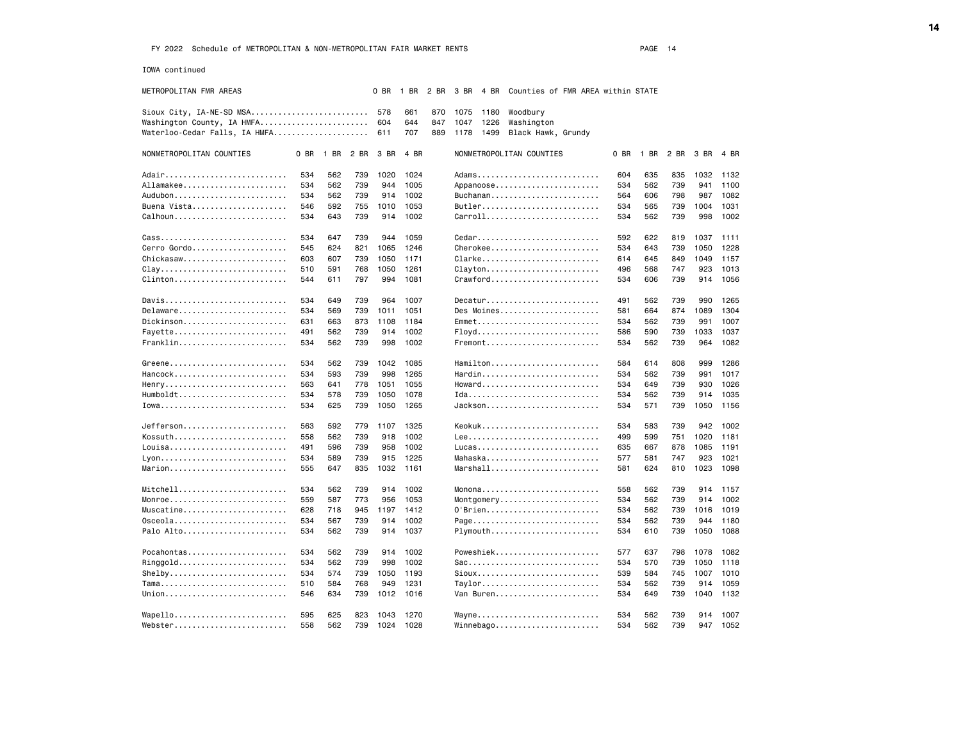IOWA continued

| METROPOLITAN FMR AREAS        |     |                     |     | 0 BR | 1 BR | 2 BR | 3 BR 4 BR |      | Counties of FMR AREA within STATE                    |     |                          |     |      |          |
|-------------------------------|-----|---------------------|-----|------|------|------|-----------|------|------------------------------------------------------|-----|--------------------------|-----|------|----------|
| Sioux City, IA-NE-SD MSA 578  |     |                     |     |      | 661  | 870  | 1075      | 1180 | Woodbury                                             |     |                          |     |      |          |
| Washington County, IA HMFA    |     |                     |     | 604  | 644  | 847  | 1047      | 1226 | Washington                                           |     |                          |     |      |          |
| Waterloo-Cedar Falls, IA HMFA |     |                     |     | 611  | 707  | 889  | 1178      | 1499 | Black Hawk, Grundy                                   |     |                          |     |      |          |
| NONMETROPOLITAN COUNTIES      |     | 0 BR 1 BR 2 BR 3 BR |     |      | 4 BR |      |           |      | NONMETROPOLITAN COUNTIES                             |     | 0 BR 1 BR 2 BR 3 BR 4 BR |     |      |          |
| Adair                         | 534 | 562                 | 739 | 1020 | 1024 |      |           |      | Adams                                                | 604 | 635                      | 835 | 1032 | 1132     |
| Allamakee                     | 534 | 562                 | 739 | 944  | 1005 |      |           |      | Appanoose                                            | 534 | 562                      | 739 | 941  | 1100     |
|                               | 534 | 562                 | 739 | 914  | 1002 |      |           |      | Buchanan                                             | 564 | 606                      | 798 | 987  | 1082     |
| Buena Vista                   | 546 | 592                 | 755 | 1010 | 1053 |      |           |      | Butler                                               | 534 | 565                      | 739 | 1004 | 1031     |
| Calhoun                       | 534 | 643                 | 739 | 914  | 1002 |      |           |      | Carroll                                              | 534 | 562                      | 739 | 998  | 1002     |
|                               | 534 | 647                 | 739 | 944  | 1059 |      |           |      | Cedar                                                | 592 | 622                      | 819 | 1037 | 1111     |
| Cerro Gordo                   | 545 | 624                 | 821 | 1065 | 1246 |      |           |      | Cherokee                                             | 534 | 643                      | 739 | 1050 | 1228     |
| Chickasaw, , , , , ,          | 603 | 607                 | 739 | 1050 | 1171 |      |           |      | Clarke                                               | 614 | 645                      | 849 | 1049 | 1157     |
| $clay$                        | 510 | 591                 | 768 | 1050 | 1261 |      |           |      | Clayton                                              | 496 | 568                      | 747 | 923  | 1013     |
| Clinton                       | 544 | 611                 | 797 | 994  | 1081 |      |           |      | Crawford                                             | 534 | 606                      | 739 | 914  | 1056     |
| Davis                         | 534 | 649                 | 739 | 964  | 1007 |      |           |      | Decatur                                              | 491 | 562                      | 739 | 990  | 1265     |
| Delaware                      | 534 | 569                 | 739 | 1011 | 1051 |      |           |      | Des Moines                                           | 581 | 664                      | 874 | 1089 | 1304     |
| Dickinson                     | 631 | 663                 | 873 | 1108 | 1184 |      |           |      | Emmet                                                | 534 | 562                      | 739 | 991  | 1007     |
| Fayette                       | 491 | 562                 | 739 | 914  | 1002 |      |           |      | Floyd                                                | 586 | 590                      | 739 | 1033 | 1037     |
| Franklin                      | 534 | 562                 | 739 | 998  | 1002 |      |           |      | $F$ remont                                           | 534 | 562                      | 739 | 964  | 1082     |
| Greene                        | 534 | 562                 | 739 | 1042 | 1085 |      |           |      | Hamilton                                             | 584 | 614                      | 808 | 999  | 1286     |
| Hancock                       | 534 | 593                 | 739 | 998  | 1265 |      |           |      | Hardin                                               | 534 | 562                      | 739 | 991  | 1017     |
| Henry                         | 563 | 641                 | 778 | 1051 | 1055 |      |           |      | Howard                                               | 534 | 649                      | 739 | 930  | 1026     |
| Humboldt                      | 534 | 578                 | 739 | 1050 | 1078 |      |           |      |                                                      | 534 | 562                      | 739 | 914  | 1035     |
|                               | 534 | 625                 | 739 | 1050 | 1265 |      |           |      | Jackson                                              | 534 | 571                      | 739 | 1050 | 1156     |
| Jefferson                     | 563 | 592                 | 779 | 1107 | 1325 |      |           |      | Keokuk                                               | 534 | 583                      | 739 | 942  | 1002     |
| Kossuth                       | 558 | 562                 | 739 | 918  | 1002 |      |           |      |                                                      | 499 | 599                      | 751 | 1020 | 1181     |
| Louisa                        | 491 | 596                 | 739 | 958  | 1002 |      |           |      | Lucas                                                | 635 | 667                      | 878 | 1085 | 1191     |
|                               | 534 | 589                 | 739 | 915  | 1225 |      |           |      | Mahaska                                              | 577 | 581                      | 747 | 923  | 1021     |
| Marion                        | 555 | 647                 | 835 | 1032 | 1161 |      |           |      | $Marshall \ldots \ldots \ldots \ldots \ldots \ldots$ | 581 | 624                      | 810 | 1023 | 1098     |
| Mitchell                      | 534 | 562                 | 739 | 914  | 1002 |      |           |      | Monona                                               | 558 | 562                      | 739 |      | 914 1157 |
| Monroe                        | 559 | 587                 | 773 | 956  | 1053 |      |           |      | Montgomery                                           | 534 | 562                      | 739 | 914  | 1002     |
| Muscatine                     | 628 | 718                 | 945 | 1197 | 1412 |      |           |      | 0'Brien                                              | 534 | 562                      | 739 | 1016 | 1019     |
| Osceola                       | 534 | 567                 | 739 | 914  | 1002 |      |           |      | Page                                                 | 534 | 562                      | 739 | 944  | 1180     |
| Palo Alto                     | 534 | 562                 | 739 | 914  | 1037 |      |           |      | Plymouth                                             | 534 | 610                      | 739 | 1050 | 1088     |
| Pocahontas                    | 534 | 562                 | 739 | 914  | 1002 |      |           |      | Poweshiek                                            | 577 | 637                      | 798 | 1078 | 1082     |
| Ringgold                      | 534 | 562                 | 739 | 998  | 1002 |      |           |      | Sac                                                  | 534 | 570                      | 739 | 1050 | 1118     |
| Shelby                        | 534 | 574                 | 739 | 1050 | 1193 |      |           |      | Sioux                                                | 539 | 584                      | 745 | 1007 | 1010     |
|                               | 510 | 584                 | 768 | 949  | 1231 |      |           |      | Taylor                                               | 534 | 562                      | 739 | 914  | 1059     |
|                               | 546 | 634                 | 739 | 1012 | 1016 |      |           |      | Van Buren                                            | 534 | 649                      | 739 | 1040 | 1132     |
| Wapello                       | 595 | 625                 | 823 | 1043 | 1270 |      |           |      | Wayne                                                | 534 | 562                      | 739 | 914  | 1007     |
| Webster                       | 558 | 562                 | 739 | 1024 | 1028 |      |           |      | Winnebago                                            | 534 | 562                      | 739 | 947  | 1052     |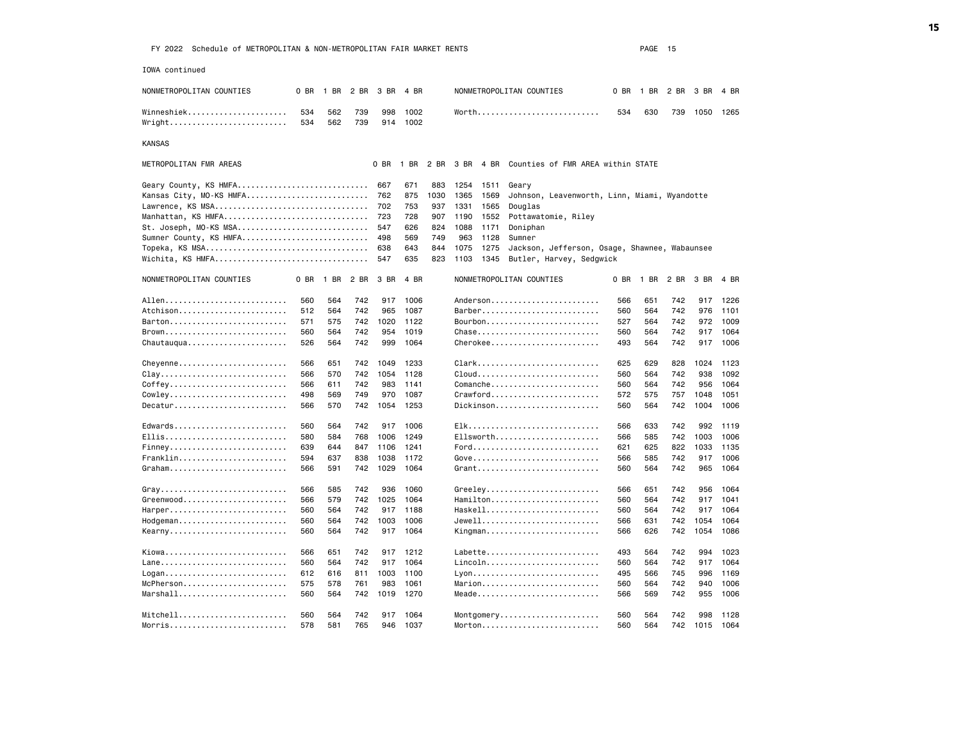IOWA continued NONMETROPOLITAN COUNTIES 0 BR 1 BR 2 BR 3 BR 4 BR NONMETROPOLITAN COUNTIES 0 BR 1 BR 2 BR 4 BR Winneshiek.............................. 534 562 739 998 1002 Worth.................................. 534 630 739 1050 1265 Wright.......................... 534 562 739 914 1002 KANSAS METROPOLITAN FMR AREAS 0 BR 1 BR 2 BR 3 BR 4 BR Counties of FMR AREA within STATE Geary County, KS HMFA............................. 667 671 883 1254 1511 Geary Kansas City, MO-KS HMFA................................... 762 875 1030 1365 1569 Lawrence, KS MSA.................................. 702 753 937 1331 1565 Douglas Manhattan, KS HMFA................................ 723 728 907 1190 1552 Pottawatomie, Riley St. Joseph, MO-KS MSA............................. 547 626 824 1088 1171 Doniphan Sumner County, KS HMFA.............................. 498 569 749 963 1128 Sumner Topeka, KS MSA.................................... 638 643 844 1075 1275 Jackson, Jefferson, Osage, Shawnee, Wabaunsee Wichita, KS HMFA.................................. 547 635 823 1103 1345 Butler, Harvey, Sedgwick NONMETROPOLITAN COUNTIES O BR 1 BR 2 BR 3 BR 4 BR NONMETROPOLITAN COUNTIES O BR 1 BR 2 BR 3 BR 4 BR Allen........................... 560 564 742 917 1006 Anderson........................ 566 651 742 917 1226 Atchison........................ 512 564 742 965 1087 Barber.......................... 560 564 742 976 1101 Barton.......................... 571 575 742 1020 1122 Bourbon......................... 527 564 742 972 1009 Brown........................... 560 564 742 954 1019 Chase........................... 560 564 742 917 1064 Chautauqua...................... 526 564 742 999 1064 Cherokee........................ 493 564 742 917 1006 Cheyenne........................ 566 651 742 1049 1233 Clark........................... 625 629 828 1024 1123 Clay............................ 566 570 742 1054 1128 Cloud........................... 560 564 742 938 1092 Coffey.......................... 566 611 742 983 1141 Comanche........................ 560 564 742 956 1064 Cowley.......................... 498 569 749 970 1087 Crawford........................ 572 575 757 1048 1051 Decatur............................. 566 570 742 1054 1253 Dickinson.......................... 560 564 742 1004 1006 Edwards......................... 560 564 742 917 1006 Elk............................. 566 633 742 992 1119 Ellis........................... 580 584 768 1006 1249 Ellsworth....................... 566 585 742 1003 1006 Finney................................ 639 644 847 1106 1241 Ford.................................. 621 625 822 1033 1135 Franklin........................ 594 637 838 1038 1172 Gove............................ 566 585 742 917 1006 Graham.......................... 566 591 742 1029 1064 Grant........................... 560 564 742 965 1064 Gray............................ 566 585 742 936 1060 Greeley......................... 566 651 742 956 1064 Greenwood....................... 566 579 742 1025 1064 Hamilton........................ 560 564 742 917 1041 Harper.......................... 560 564 742 917 1188 Haskell......................... 560 564 742 917 1064 Hodgeman........................ 560 564 742 1003 1006 Jewell.......................... 566 631 742 1054 1064 Kearny.................................. 560 564 742 917 1064 Kingman............................... 566 626 742 1054 1086 Kiowa........................... 566 651 742 917 1212 Labette......................... 493 564 742 994 1023 Lane............................ 560 564 742 917 1064 Lincoln......................... 560 564 742 917 1064 Logan................................ 612 616 811 1003 1100 Lyon................................. 495 566 745 996 1169 McPherson............................... 575 578 761 983 1061 Marion................................ 560 564 742 940 1006<br>Marshall......................... 560 564 742 1019 1270 Meade............................ 566 569 74 Marshall........................ 560 564 742 1019 1270 Meade........................... 566 569 742 955 1006 Mitchell........................ 560 564 742 917 1064 Montgomery...................... 560 564 742 998 1128 Morris.......................... 578 581 765 946 1037 Morton.......................... 560 564 742 1015 1064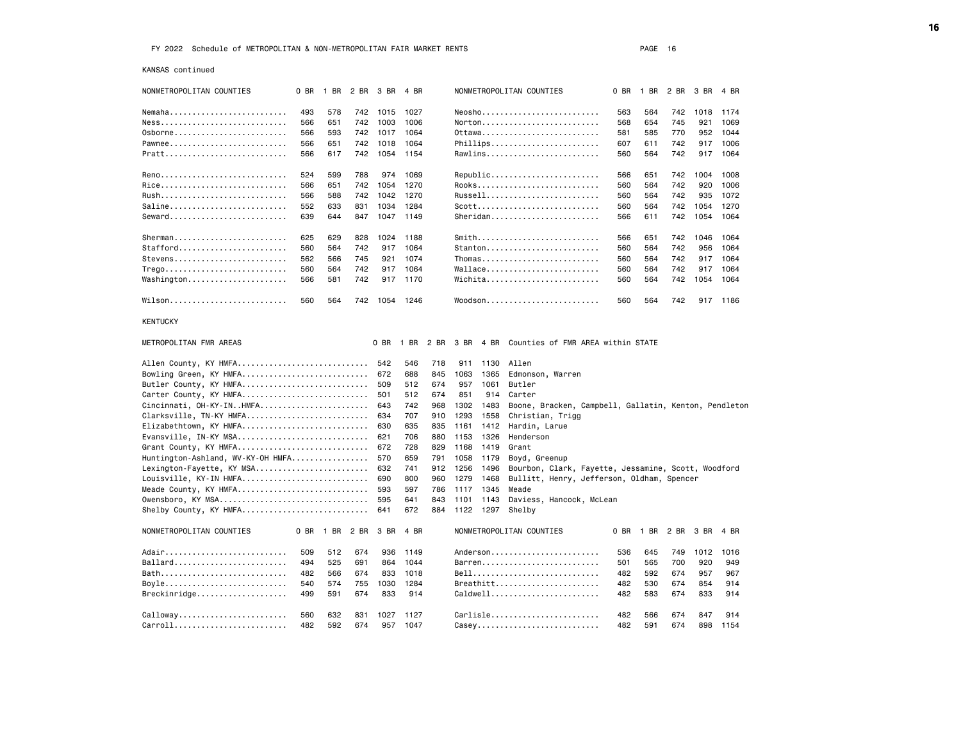KANSAS continued

| NONMETROPOLITAN COUNTIES                                        | 0 BR | 1 BR           |     | 2 BR 3 BR  | 4 BR       |            |              |              | NONMETROPOLITAN COUNTIES                              | 0 BR | 1 BR                     | 2 BR | 3 BR | 4 BR     |
|-----------------------------------------------------------------|------|----------------|-----|------------|------------|------------|--------------|--------------|-------------------------------------------------------|------|--------------------------|------|------|----------|
| Nemaha                                                          | 493  | 578            | 742 | 1015       | 1027       |            |              |              |                                                       | 563  | 564                      | 742  | 1018 | 1174     |
|                                                                 | 566  | 651            | 742 | 1003       | 1006       |            |              |              | Norton                                                | 568  | 654                      | 745  | 921  | 1069     |
| 0sborne                                                         | 566  | 593            | 742 | 1017       | 1064       |            |              |              | 0ttawa                                                | 581  | 585                      | 770  | 952  | 1044     |
| Pawnee                                                          | 566  | 651            | 742 | 1018       | 1064       |            |              |              | Phillips                                              | 607  | 611                      | 742  | 917  | 1006     |
| Pratt                                                           | 566  | 617            | 742 | 1054       | 1154       |            |              |              | Rawlins                                               | 560  | 564                      | 742  |      | 917 1064 |
|                                                                 | 524  | 599            | 788 | 974        | 1069       |            |              |              | Republic                                              | 566  | 651                      | 742  | 1004 | 1008     |
|                                                                 | 566  | 651            | 742 | 1054       | 1270       |            |              |              | Rooks                                                 | 560  | 564                      | 742  | 920  | 1006     |
|                                                                 | 566  | 588            | 742 | 1042       | 1270       |            |              |              | Russell                                               | 560  | 564                      | 742  | 935  | 1072     |
| Saline                                                          | 552  | 633            | 831 | 1034       | 1284       |            |              |              | Scott                                                 | 560  | 564                      | 742  | 1054 | 1270     |
| Seward                                                          | 639  | 644            | 847 | 1047       | 1149       |            |              |              | $Sheridan$                                            | 566  | 611                      | 742  | 1054 | 1064     |
| Sherman                                                         | 625  | 629            | 828 | 1024       | 1188       |            |              |              | Smith                                                 | 566  | 651                      | 742  | 1046 | 1064     |
| Stafford                                                        | 560  | 564            | 742 | 917        | 1064       |            |              |              | Stanton                                               | 560  | 564                      | 742  | 956  | 1064     |
| Stevens                                                         | 562  | 566            | 745 | 921        | 1074       |            |              |              | Thomas                                                | 560  | 564                      | 742  | 917  | 1064     |
| $Trego \ldots \ldots \ldots \ldots \ldots \ldots \ldots \ldots$ | 560  | 564            | 742 | 917        | 1064       |            |              |              | Wallace                                               | 560  | 564                      | 742  | 917  | 1064     |
| Washington                                                      | 566  | 581            | 742 | 917        | 1170       |            |              |              | Wichita                                               | 560  | 564                      | 742  | 1054 | 1064     |
| Wilson                                                          | 560  | 564            | 742 | 1054       | 1246       |            |              |              | Woodson                                               | 560  | 564                      | 742  |      | 917 1186 |
| <b>KENTUCKY</b>                                                 |      |                |     |            |            |            |              |              |                                                       |      |                          |      |      |          |
| METROPOLITAN FMR AREAS                                          |      |                |     | 0 BR       | 1 BR 2 BR  |            | 3 BR         | 4 BR         | Counties of FMR AREA within STATE                     |      |                          |      |      |          |
| Allen County, KY HMFA                                           |      |                |     | 542        | 546        | 718        | 911          | 1130         | Allen                                                 |      |                          |      |      |          |
| Bowling Green, KY HMFA                                          |      |                |     | 672        | 688        | 845        | 1063         | 1365         | Edmonson, Warren                                      |      |                          |      |      |          |
| Butler County, KY HMFA                                          |      |                |     | 509        | 512        | 674        | 957          | 1061         | Butler                                                |      |                          |      |      |          |
| Carter County, KY HMFA                                          |      |                |     | 501        | 512        | 674        | 851          | 914          | Carter                                                |      |                          |      |      |          |
| Cincinnati, OH-KY-INHMFA                                        |      |                |     | 643        | 742        | 968        | 1302         | 1483         | Boone, Bracken, Campbell, Gallatin, Kenton, Pendleton |      |                          |      |      |          |
| Clarksville, TN-KY HMFA                                         |      |                |     | 634        | 707        | 910        | 1293         | 1558         | Christian, Trigg                                      |      |                          |      |      |          |
| Elizabethtown, KY HMFA                                          |      |                |     | 630        | 635        | 835        | 1161         | 1412         | Hardin, Larue                                         |      |                          |      |      |          |
| Evansville, IN-KY MSA                                           |      |                |     | 621        | 706        | 880        | 1153         | 1326         | Henderson                                             |      |                          |      |      |          |
| Grant County, KY HMFA                                           |      |                |     | 672        | 728        | 829        | 1168         | 1419         | Grant                                                 |      |                          |      |      |          |
| Huntington-Ashland, WV-KY-OH HMFA                               |      |                |     | 570        | 659        | 791        | 1058         | 1179         | Boyd, Greenup                                         |      |                          |      |      |          |
| Lexington-Fayette, KY MSA<br>Louisville, KY-IN HMFA             |      |                |     | 632<br>690 | 741<br>800 | 912<br>960 | 1256<br>1279 | 1496<br>1468 | Bourbon, Clark, Fayette, Jessamine, Scott, Woodford   |      |                          |      |      |          |
| Meade County, KY HMFA                                           |      |                |     | 593        | 597        | 786        | 1117 1345    |              | Bullitt, Henry, Jefferson, Oldham, Spencer<br>Meade   |      |                          |      |      |          |
| Owensboro, KY MSA                                               |      |                |     | 595        | 641        | 843        | 1101         | 1143         | Daviess, Hancock, McLean                              |      |                          |      |      |          |
| Shelby County, KY HMFA                                          |      |                |     | 641        | 672        | 884        | 1122 1297    |              | Shelby                                                |      |                          |      |      |          |
| NONMETROPOLITAN COUNTIES                                        |      | 0 BR 1 BR 2 BR |     | 3 BR       | 4 BR       |            |              |              | NONMETROPOLITAN COUNTIES                              |      | 0 BR 1 BR 2 BR 3 BR 4 BR |      |      |          |
| Adair                                                           | 509  | 512            | 674 | 936        | 1149       |            |              |              | Anderson                                              | 536  | 645                      | 749  | 1012 | 1016     |
| Ballard                                                         | 494  | 525            | 691 | 864        | 1044       |            |              |              | Barren                                                | 501  | 565                      | 700  | 920  | 949      |
| Bath                                                            | 482  | 566            | 674 | 833        | 1018       |            |              |              | Bell                                                  | 482  | 592                      | 674  | 957  | 967      |
| Boyle                                                           | 540  | 574            | 755 | 1030       | 1284       |            |              |              | Breathitt                                             | 482  | 530                      | 674  | 854  | 914      |
| Breckinridge                                                    | 499  | 591            | 674 | 833        | 914        |            |              |              | Caldwell                                              | 482  | 583                      | 674  | 833  | 914      |
| Calloway                                                        | 560  | 632            | 831 | 1027       | 1127       |            |              |              | Carlisle                                              | 482  | 566                      | 674  | 847  | 914      |
| Carroll                                                         | 482  | 592            | 674 | 957        | 1047       |            |              |              | Casey                                                 | 482  | 591                      | 674  | 898  | 1154     |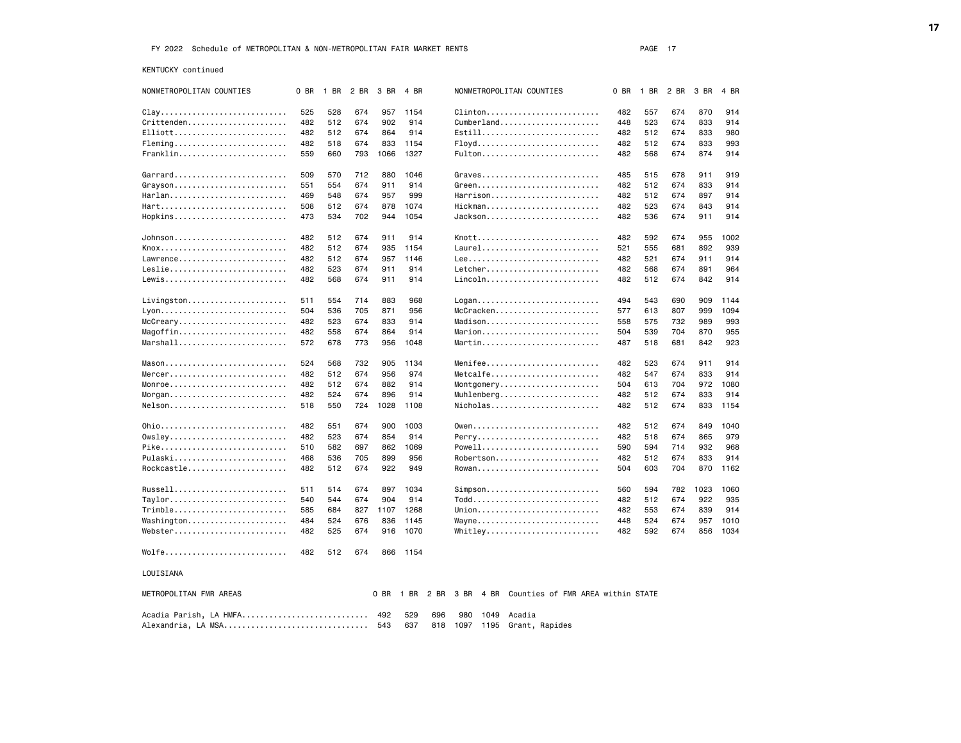KENTUCKY continued

| NONMETROPOLITAN COUNTIES                      | 0 BR       | 1 BR       | 2 BR       | 3 BR       | 4 BR         |      |      |      | NONMETROPOLITAN COUNTIES                    | 0 BR | 1 BR | 2 BR       | 3 BR       | 4 BR        |
|-----------------------------------------------|------------|------------|------------|------------|--------------|------|------|------|---------------------------------------------|------|------|------------|------------|-------------|
| $clay$                                        | 525        | 528        | 674        | 957        | 1154         |      |      |      | Clinton                                     | 482  | 557  | 674        | 870        | 914         |
| $Critt$ enden                                 | 482        | 512        | 674        | 902        | 914          |      |      |      | Cumberland                                  | 448  | 523  | 674        | 833        | 914         |
| Elliott                                       | 482        | 512        | 674        | 864        | 914          |      |      |      | Estill                                      | 482  | 512  | 674        | 833        | 980         |
| $Fleming$                                     | 482        | 518        | 674        | 833        | 1154         |      |      |      | Floyd                                       | 482  | 512  | 674        | 833        | 993         |
| Franklin                                      | 559        | 660        | 793        | 1066       | 1327         |      |      |      | Fulton                                      | 482  | 568  | 674        | 874        | 914         |
|                                               |            |            |            |            |              |      |      |      |                                             |      |      |            |            |             |
| Garrard                                       | 509        | 570        | 712        | 880        | 1046         |      |      |      | Graves                                      | 485  | 515  | 678        | 911        | 919         |
| Grayson                                       | 551        | 554        | 674        | 911        | 914          |      |      |      | $Green$                                     | 482  | 512  | 674        | 833        | 914         |
| Harlan                                        | 469        | 548        | 674        | 957        | 999          |      |      |      | Harrison                                    | 482  | 512  | 674        | 897        | 914         |
| Hart                                          | 508        | 512        | 674        | 878        | 1074         |      |      |      | Hickman                                     | 482  | 523  | 674        | 843        | 914         |
| Hopkins                                       | 473        | 534        | 702        | 944        | 1054         |      |      |      | Jackson                                     | 482  | 536  | 674        | 911        | 914         |
|                                               |            |            |            |            |              |      |      |      |                                             |      |      |            |            |             |
| Johnson<br>Knox                               | 482        | 512        | 674<br>674 | 911        | 914          |      |      |      | Knott<br>Laurel                             | 482  | 592  | 674        | 955        | 1002<br>939 |
| Lawrence                                      | 482<br>482 | 512<br>512 |            | 935        | 1154<br>1146 |      |      |      |                                             | 521  | 555  | 681<br>674 | 892<br>911 | 914         |
| Leslie                                        |            | 523        | 674        | 957<br>911 | 914          |      |      |      | Letcher                                     | 482  | 521  | 674        | 891        | 964         |
| Lewis                                         | 482        |            | 674        | 911        | 914          |      |      |      | Lincoln                                     | 482  | 568  |            | 842        | 914         |
|                                               | 482        | 568        | 674        |            |              |      |      |      |                                             | 482  | 512  | 674        |            |             |
| Livingston                                    | 511        | 554        | 714        | 883        | 968          |      |      |      | Logan                                       | 494  | 543  | 690        | 909        | 1144        |
|                                               | 504        | 536        | 705        | 871        | 956          |      |      |      | McCracken                                   | 577  | 613  | 807        | 999        | 1094        |
| McCreary                                      | 482        | 523        | 674        | 833        | 914          |      |      |      | Madison                                     | 558  | 575  | 732        | 989        | 993         |
| Magoffin                                      | 482        | 558        | 674        | 864        | 914          |      |      |      | Marion                                      | 504  | 539  | 704        | 870        | 955         |
| $Marshall \ldots \ldots \ldots \ldots \ldots$ | 572        | 678        | 773        | 956        | 1048         |      |      |      | Martin                                      | 487  | 518  | 681        | 842        | 923         |
|                                               |            |            |            |            |              |      |      |      |                                             |      |      |            |            |             |
|                                               | 524        | 568        | 732        | 905        | 1134         |      |      |      | Menifee                                     | 482  | 523  | 674        | 911        | 914         |
| Mercer                                        | 482        | 512        | 674        | 956        | 974          |      |      |      | Metcalfe                                    | 482  | 547  | 674        | 833        | 914         |
| Monroe                                        | 482        | 512        | 674        | 882        | 914          |      |      |      | Montgomery                                  | 504  | 613  | 704        | 972        | 1080        |
| $Morgan$                                      | 482        | 524        | 674        | 896        | 914          |      |      |      | Muhlenberg                                  | 482  | 512  | 674        | 833        | 914         |
| Nelson                                        | 518        | 550        | 724        | 1028       | 1108         |      |      |      | Nicholas                                    | 482  | 512  | 674        | 833        | 1154        |
| 0hio                                          | 482        | 551        | 674        | 900        | 1003         |      |      |      |                                             | 482  | 512  | 674        | 849        | 1040        |
| 0wsley                                        | 482        | 523        | 674        | 854        | 914          |      |      |      | Perry                                       | 482  | 518  | 674        | 865        | 979         |
| Pike                                          | 510        | 582        | 697        | 862        | 1069         |      |      |      | Powell                                      | 590  | 594  | 714        | 932        | 968         |
| Pulaski                                       | 468        | 536        | 705        | 899        | 956          |      |      |      | Robertson                                   | 482  | 512  | 674        | 833        | 914         |
| Rockcastle                                    | 482        | 512        | 674        | 922        | 949          |      |      |      | Rowan                                       | 504  | 603  | 704        | 870        | 1162        |
|                                               |            |            |            |            |              |      |      |      |                                             |      |      |            |            |             |
| Russell                                       | 511        | 514        | 674        |            | 897 1034     |      |      |      | $Simpson$                                   | 560  | 594  | 782        | 1023       | 1060        |
| Taylor                                        | 540        | 544        | 674        | 904        | 914          |      |      |      | Todd                                        | 482  | 512  | 674        | 922        | 935         |
| Trimble                                       | 585        | 684        | 827        |            | 1107 1268    |      |      |      | Union                                       | 482  | 553  | 674        | 839        | 914         |
| Washington                                    | 484        | 524        | 676        | 836        | 1145         |      |      |      | Wayne                                       | 448  | 524  | 674        | 957        | 1010        |
| Webster                                       | 482        | 525        | 674        | 916        | 1070         |      |      |      | Whitley                                     | 482  | 592  | 674        | 856        | 1034        |
| Wolfe                                         | 482        | 512        | 674        | 866        | 1154         |      |      |      |                                             |      |      |            |            |             |
| LOUISIANA                                     |            |            |            |            |              |      |      |      |                                             |      |      |            |            |             |
| METROPOLITAN FMR AREAS                        |            |            |            | 0 BR       | 1 BR         | 2 BR |      |      | 3 BR 4 BR Counties of FMR AREA within STATE |      |      |            |            |             |
| Acadia Parish, LA HMFA 492                    |            |            |            |            | 529          | 696  | 980  | 1049 | Acadia                                      |      |      |            |            |             |
| Alexandria, LA MSA                            |            |            |            | 543        | 637          | 818  | 1097 |      | 1195 Grant, Rapides                         |      |      |            |            |             |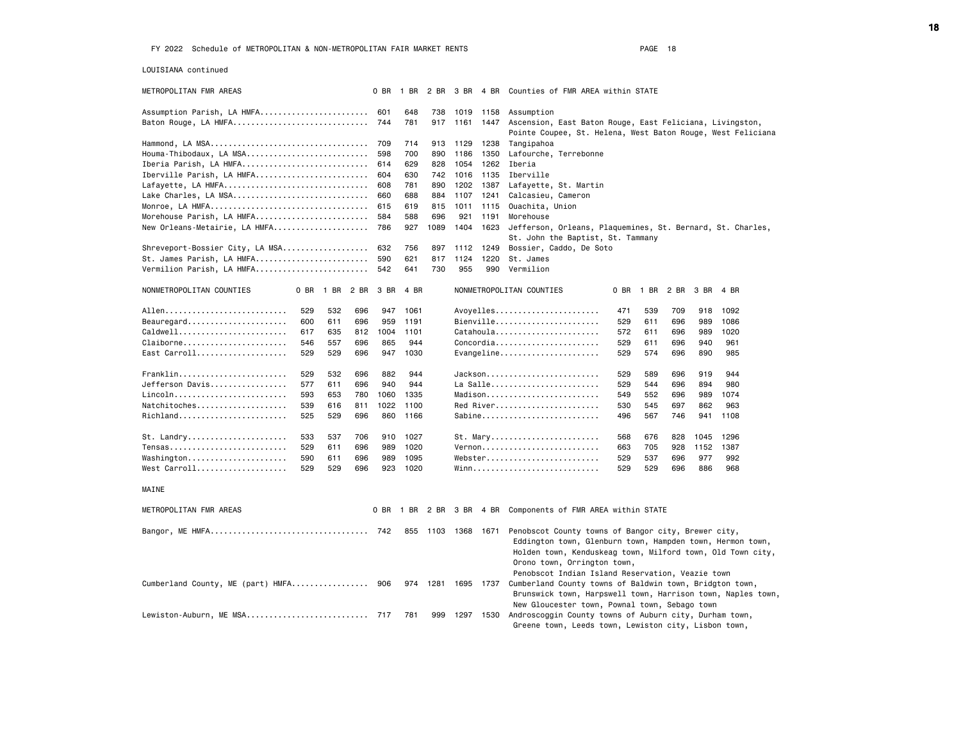LOUISIANA continued

| METROPOLITAN FMR AREAS                       |     |           |      | 0 BR       | 1 BR           | 2 BR        | 3 BR 4 BR   |               | Counties of FMR AREA within STATE                                                                                       |      |           |     |           |      |  |
|----------------------------------------------|-----|-----------|------|------------|----------------|-------------|-------------|---------------|-------------------------------------------------------------------------------------------------------------------------|------|-----------|-----|-----------|------|--|
| Assumption Parish, LA HMFA 601               |     |           |      |            | 648            | 738         | 1019        | 1158          | Assumption                                                                                                              |      |           |     |           |      |  |
| Baton Rouge, LA HMFA                         |     |           |      | 744        | 781            |             |             | 917 1161 1447 | Ascension, East Baton Rouge, East Feliciana, Livingston,                                                                |      |           |     |           |      |  |
|                                              |     |           |      |            |                |             |             |               | Pointe Coupee, St. Helena, West Baton Rouge, West Feliciana                                                             |      |           |     |           |      |  |
|                                              |     |           |      | 709        | 714            | 913         | 1129        | 1238          | Tangipahoa                                                                                                              |      |           |     |           |      |  |
| Houma-Thibodaux, LA MSA                      |     |           |      | 598        | 700            | 890         | 1186        | 1350          | Lafourche, Terrebonne                                                                                                   |      |           |     |           |      |  |
| Iberia Parish, LA HMFA                       |     |           |      | 614        | 629            | 828         | 1054        | 1262          | Iberia                                                                                                                  |      |           |     |           |      |  |
| Iberville Parish, LA HMFA                    |     |           |      | 604        | 630            | 742         | 1016        | 1135          | Iberville                                                                                                               |      |           |     |           |      |  |
| Lafayette, LA HMFA                           |     |           |      | 608        | 781            | 890         | 1202        | 1387          | Lafayette, St. Martin                                                                                                   |      |           |     |           |      |  |
| Lake Charles, LA MSA                         |     |           |      | 660        | 688            | 884         | 1107        | 1241          | Calcasieu, Cameron                                                                                                      |      |           |     |           |      |  |
| Monroe, LA HMFA<br>Morehouse Parish, LA HMFA |     |           |      | 615        | 619            | 815         | 1011        | 1115          | Ouachita, Union                                                                                                         |      |           |     |           |      |  |
| New Orleans-Metairie, LA HMFA                |     |           |      | 584<br>786 | 588<br>927     | 696<br>1089 | 921<br>1404 | 1191<br>1623  | Morehouse                                                                                                               |      |           |     |           |      |  |
|                                              |     |           |      |            |                |             |             |               | Jefferson, Orleans, Plaquemines, St. Bernard, St. Charles,<br>St. John the Baptist, St. Tammany                         |      |           |     |           |      |  |
| Shreveport-Bossier City, LA MSA              |     |           |      | 632        | 756            | 897         | 1112        | 1249          | Bossier, Caddo, De Soto                                                                                                 |      |           |     |           |      |  |
| St. James Parish, LA HMFA                    |     |           |      | 590        | 621            | 817         | 1124        | 1220          | St. James                                                                                                               |      |           |     |           |      |  |
| Vermilion Parish, LA HMFA                    |     |           |      | 542        | 641            | 730         | 955         | 990           | Vermilion                                                                                                               |      |           |     |           |      |  |
| NONMETROPOLITAN COUNTIES                     |     | 0 BR 1 BR | 2 BR | 3 BR       | 4 BR           |             |             |               | NONMETROPOLITAN COUNTIES                                                                                                | 0 BR | 1 BR 2 BR |     | 3 BR 4 BR |      |  |
|                                              | 529 | 532       | 696  | 947        | 1061           |             |             |               | Avoyelles                                                                                                               | 471  | 539       | 709 | 918       | 1092 |  |
| Beauregard                                   | 600 | 611       | 696  | 959        | 1191           |             |             |               | Bienville                                                                                                               | 529  | 611       | 696 | 989       | 1086 |  |
| Caldwell                                     | 617 | 635       | 812  | 1004       | 1101           |             |             |               | Catahoula                                                                                                               | 572  | 611       | 696 | 989       | 1020 |  |
| Claiborne                                    | 546 | 557       | 696  | 865        | 944            |             |             |               | Concordia                                                                                                               | 529  | 611       | 696 | 940       | 961  |  |
| East Carroll                                 | 529 | 529       | 696  | 947        | 1030           |             |             |               | Evangeline                                                                                                              | 529  | 574       | 696 | 890       | 985  |  |
| Franklin                                     | 529 | 532       | 696  | 882        | 944            |             |             |               | Jackson                                                                                                                 | 529  | 589       | 696 | 919       | 944  |  |
| Jefferson Davis                              | 577 | 611       | 696  | 940        | 944            |             |             |               | La Salle                                                                                                                | 529  | 544       | 696 | 894       | 980  |  |
| Lincoln                                      | 593 | 653       | 780  | 1060       | 1335           |             |             |               | $Madison$                                                                                                               | 549  | 552       | 696 | 989       | 1074 |  |
| Natchitoches                                 | 539 | 616       | 811  | 1022       | 1100           |             |             |               | Red River                                                                                                               | 530  | 545       | 697 | 862       | 963  |  |
| Richland                                     | 525 | 529       | 696  | 860        | 1166           |             |             |               | Sabine                                                                                                                  | 496  | 567       | 746 | 941       | 1108 |  |
| St. Landry                                   | 533 | 537       | 706  | 910        | 1027           |             |             |               | St. Mary                                                                                                                | 568  | 676       | 828 | 1045      | 1296 |  |
| Tensas                                       | 529 | 611       | 696  | 989        | 1020           |             |             |               | Vernon                                                                                                                  | 663  | 705       | 928 | 1152      | 1387 |  |
| Washington                                   | 590 | 611       | 696  | 989        | 1095           |             |             |               | Webster                                                                                                                 | 529  | 537       | 696 | 977       | 992  |  |
| West Carroll                                 | 529 | 529       | 696  | 923        | 1020           |             |             |               |                                                                                                                         | 529  | 529       | 696 | 886       | 968  |  |
| MAINE                                        |     |           |      |            |                |             |             |               |                                                                                                                         |      |           |     |           |      |  |
|                                              |     |           |      |            |                |             |             |               |                                                                                                                         |      |           |     |           |      |  |
| METROPOLITAN FMR AREAS                       |     |           |      |            | 0 BR 1 BR 2 BR |             |             |               | 3 BR 4 BR Components of FMR AREA within STATE                                                                           |      |           |     |           |      |  |
|                                              |     |           |      |            | 855            | 1103        | 1368 1671   |               | Penobscot County towns of Bangor city, Brewer city,                                                                     |      |           |     |           |      |  |
|                                              |     |           |      |            |                |             |             |               | Eddington town, Glenburn town, Hampden town, Hermon town,<br>Holden town, Kenduskeag town, Milford town, Old Town city, |      |           |     |           |      |  |
|                                              |     |           |      |            |                |             |             |               | Orono town, Orrington town,<br>Penobscot Indian Island Reservation, Veazie town                                         |      |           |     |           |      |  |
| Cumberland County, ME (part) HMFA            |     |           |      | 906        | 974            | 1281        |             |               | 1695 1737 Cumberland County towns of Baldwin town, Bridgton town,                                                       |      |           |     |           |      |  |
|                                              |     |           |      |            |                |             |             |               | Brunswick town, Harpswell town, Harrison town, Naples town,                                                             |      |           |     |           |      |  |
|                                              |     |           |      |            |                |             |             |               | New Gloucester town, Pownal town, Sebago town                                                                           |      |           |     |           |      |  |
| Lewiston-Auburn, ME MSA 717                  |     |           |      |            | 781            | 999         |             | 1297 1530     | Androscoggin County towns of Auburn city, Durham town,                                                                  |      |           |     |           |      |  |
|                                              |     |           |      |            |                |             |             |               | Greene town, Leeds town, Lewiston city, Lisbon town,                                                                    |      |           |     |           |      |  |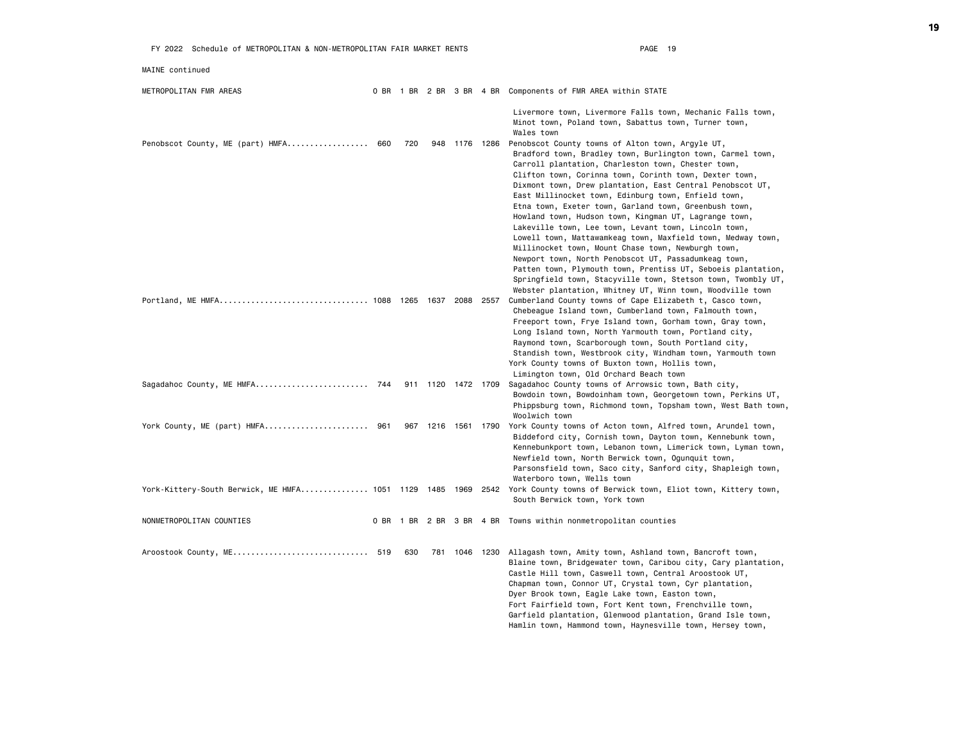| FY 2022 Schedule of METROPOLITAN & NON-METROPOLITAN FAIR MARKET RENTS |     |     |                    | PAGE 19                                                                                                                                                                                                                                                                                                                                                                                                                                                                                                                                                                                                                                                                                                                                                                                                                                                                                                |
|-----------------------------------------------------------------------|-----|-----|--------------------|--------------------------------------------------------------------------------------------------------------------------------------------------------------------------------------------------------------------------------------------------------------------------------------------------------------------------------------------------------------------------------------------------------------------------------------------------------------------------------------------------------------------------------------------------------------------------------------------------------------------------------------------------------------------------------------------------------------------------------------------------------------------------------------------------------------------------------------------------------------------------------------------------------|
| MAINE continued                                                       |     |     |                    |                                                                                                                                                                                                                                                                                                                                                                                                                                                                                                                                                                                                                                                                                                                                                                                                                                                                                                        |
| METROPOLITAN FMR AREAS                                                |     |     |                    | 0 BR 1 BR 2 BR 3 BR 4 BR Components of FMR AREA within STATE                                                                                                                                                                                                                                                                                                                                                                                                                                                                                                                                                                                                                                                                                                                                                                                                                                           |
|                                                                       |     |     |                    | Livermore town, Livermore Falls town, Mechanic Falls town,<br>Minot town, Poland town, Sabattus town, Turner town,<br>Wales town                                                                                                                                                                                                                                                                                                                                                                                                                                                                                                                                                                                                                                                                                                                                                                       |
| Penobscot County, ME (part) HMFA 660                                  | 720 |     | 948 1176 1286      | Penobscot County towns of Alton town, Argyle UT,<br>Bradford town, Bradley town, Burlington town, Carmel town,<br>Carroll plantation, Charleston town, Chester town,<br>Clifton town, Corinna town, Corinth town, Dexter town,<br>Dixmont town, Drew plantation, East Central Penobscot UT,<br>East Millinocket town, Edinburg town, Enfield town,<br>Etna town, Exeter town, Garland town, Greenbush town,<br>Howland town, Hudson town, Kingman UT, Lagrange town,<br>Lakeville town, Lee town, Levant town, Lincoln town,<br>Lowell town, Mattawamkeag town, Maxfield town, Medway town,<br>Millinocket town, Mount Chase town, Newburgh town,<br>Newport town, North Penobscot UT, Passadumkeag town,<br>Patten town, Plymouth town, Prentiss UT, Seboeis plantation,<br>Springfield town, Stacyville town, Stetson town, Twombly UT,<br>Webster plantation, Whitney UT, Winn town, Woodville town |
|                                                                       |     |     |                    | Cumberland County towns of Cape Elizabeth t, Casco town,<br>Chebeague Island town, Cumberland town, Falmouth town,<br>Freeport town, Frye Island town, Gorham town, Gray town,<br>Long Island town, North Yarmouth town, Portland city,<br>Raymond town, Scarborough town, South Portland city,<br>Standish town, Westbrook city, Windham town, Yarmouth town<br>York County towns of Buxton town, Hollis town,<br>Limington town, Old Orchard Beach town                                                                                                                                                                                                                                                                                                                                                                                                                                              |
| Sagadahoc County, ME HMFA 744                                         |     |     | 911 1120 1472 1709 | Sagadahoc County towns of Arrowsic town, Bath city,<br>Bowdoin town, Bowdoinham town, Georgetown town, Perkins UT,<br>Phippsburg town, Richmond town, Topsham town, West Bath town,<br>Woolwich town                                                                                                                                                                                                                                                                                                                                                                                                                                                                                                                                                                                                                                                                                                   |
| York County, ME (part) HMFA 961                                       |     |     | 967 1216 1561 1790 | York County towns of Acton town, Alfred town, Arundel town,<br>Biddeford city, Cornish town, Dayton town, Kennebunk town,<br>Kennebunkport town, Lebanon town, Limerick town, Lyman town,<br>Newfield town, North Berwick town, Ogunquit town,<br>Parsonsfield town, Saco city, Sanford city, Shapleigh town,<br>Waterboro town, Wells town                                                                                                                                                                                                                                                                                                                                                                                                                                                                                                                                                            |
| York-Kittery-South Berwick, ME HMFA 1051 1129 1485 1969 2542          |     |     |                    | York County towns of Berwick town, Eliot town, Kittery town,<br>South Berwick town, York town                                                                                                                                                                                                                                                                                                                                                                                                                                                                                                                                                                                                                                                                                                                                                                                                          |
| NONMETROPOLITAN COUNTIES                                              |     |     |                    | 0 BR 1 BR 2 BR 3 BR 4 BR Towns within nonmetropolitan counties                                                                                                                                                                                                                                                                                                                                                                                                                                                                                                                                                                                                                                                                                                                                                                                                                                         |
| Aroostook County, ME 519                                              | 630 | 781 |                    | 1046 1230 Allagash town, Amity town, Ashland town, Bancroft town,<br>Blaine town, Bridgewater town, Caribou city, Cary plantation,<br>Castle Hill town, Caswell town, Central Aroostook UT,<br>Chapman town, Connor UT, Crystal town, Cyr plantation,<br>Dyer Brook town, Eagle Lake town, Easton town,<br>Fort Fairfield town, Fort Kent town, Frenchville town,<br>Garfield plantation, Glenwood plantation, Grand Isle town,<br>Hamlin town, Hammond town, Haynesville town, Hersey town,                                                                                                                                                                                                                                                                                                                                                                                                           |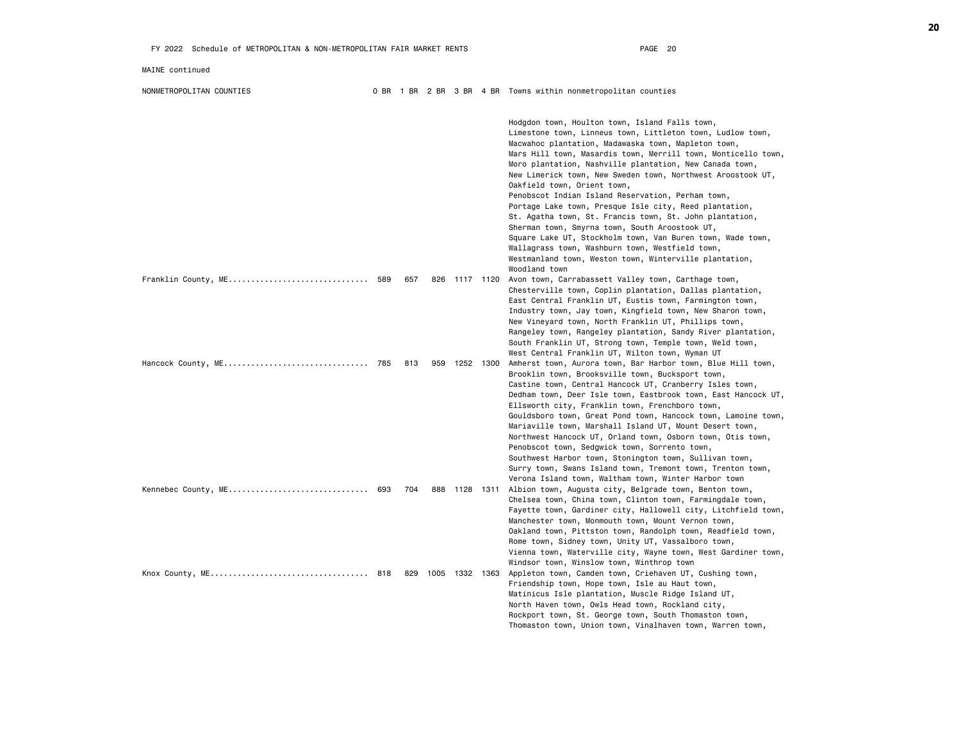|                     |     |     |     |                | Hodgdon town, Houlton town, Island Falls town,<br>Limestone town, Linneus town, Littleton town, Ludlow town,<br>Macwahoc plantation, Madawaska town, Mapleton town,<br>Mars Hill town, Masardis town, Merrill town, Monticello town,<br>Moro plantation, Nashville plantation, New Canada town,<br>New Limerick town, New Sweden town, Northwest Aroostook UT,<br>Oakfield town, Orient town,<br>Penobscot Indian Island Reservation, Perham town,<br>Portage Lake town, Presque Isle city, Reed plantation,<br>St. Agatha town, St. Francis town, St. John plantation,<br>Sherman town, Smyrna town, South Aroostook UT,<br>Square Lake UT, Stockholm town, Van Buren town, Wade town,<br>Wallagrass town, Washburn town, Westfield town,<br>Westmanland town, Weston town, Winterville plantation,<br>Woodland town |
|---------------------|-----|-----|-----|----------------|-----------------------------------------------------------------------------------------------------------------------------------------------------------------------------------------------------------------------------------------------------------------------------------------------------------------------------------------------------------------------------------------------------------------------------------------------------------------------------------------------------------------------------------------------------------------------------------------------------------------------------------------------------------------------------------------------------------------------------------------------------------------------------------------------------------------------|
| Franklin County, ME | 589 | 657 |     | 826 1117 1120  | Avon town, Carrabassett Valley town, Carthage town,<br>Chesterville town, Coplin plantation, Dallas plantation,<br>East Central Franklin UT, Eustis town, Farmington town,<br>Industry town, Jay town, Kingfield town, New Sharon town,<br>New Vineyard town, North Franklin UT, Phillips town,<br>Rangeley town, Rangeley plantation, Sandy River plantation,<br>South Franklin UT, Strong town, Temple town, Weld town,<br>West Central Franklin UT, Wilton town, Wyman UT                                                                                                                                                                                                                                                                                                                                          |
| Hancock County, ME  | 785 | 813 | 959 | 1252 1300      | Amherst town, Aurora town, Bar Harbor town, Blue Hill town,<br>Brooklin town, Brooksville town, Bucksport town,<br>Castine town, Central Hancock UT, Cranberry Isles town,<br>Dedham town, Deer Isle town, Eastbrook town, East Hancock UT,<br>Ellsworth city, Franklin town, Frenchboro town,<br>Gouldsboro town, Great Pond town, Hancock town, Lamoine town,<br>Mariaville town, Marshall Island UT, Mount Desert town,<br>Northwest Hancock UT, Orland town, Osborn town, Otis town,<br>Penobscot town, Sedgwick town, Sorrento town,<br>Southwest Harbor town, Stonington town, Sullivan town,<br>Surry town, Swans Island town, Tremont town, Trenton town,<br>Verona Island town, Waltham town, Winter Harbor town                                                                                             |
| Kennebec County, ME | 693 | 704 |     | 888 1128 1311  | Albion town, Augusta city, Belgrade town, Benton town,<br>Chelsea town, China town, Clinton town, Farmingdale town,<br>Fayette town, Gardiner city, Hallowell city, Litchfield town,<br>Manchester town, Monmouth town, Mount Vernon town,<br>Oakland town, Pittston town, Randolph town, Readfield town,<br>Rome town, Sidney town, Unity UT, Vassalboro town,<br>Vienna town, Waterville city, Wayne town, West Gardiner town,<br>Windsor town, Winslow town, Winthrop town                                                                                                                                                                                                                                                                                                                                         |
| Knox County, ME     | 818 | 829 |     | 1005 1332 1363 | Appleton town, Camden town, Criehaven UT, Cushing town,<br>Friendship town, Hope town, Isle au Haut town,<br>Matinicus Isle plantation, Muscle Ridge Island UT,<br>North Haven town, Owls Head town, Rockland city,<br>Rockport town, St. George town, South Thomaston town,<br>Thomaston town, Union town, Vinalhaven town, Warren town,                                                                                                                                                                                                                                                                                                                                                                                                                                                                             |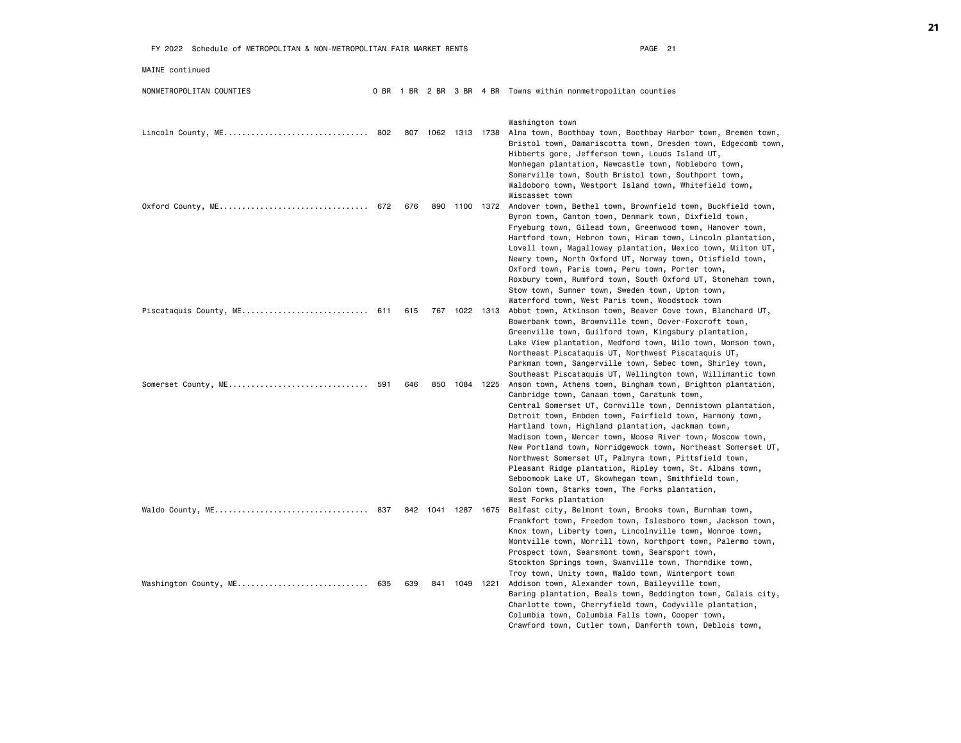| FY 2022 Schedule of METROPOLITAN & NON-METROPOLITAN FAIR MARKET RENTS |     |     |     |                    | PAGE 21                                                                                                                                                                                                                                                                                                                                                                                                                                                                                                                                                                                             |
|-----------------------------------------------------------------------|-----|-----|-----|--------------------|-----------------------------------------------------------------------------------------------------------------------------------------------------------------------------------------------------------------------------------------------------------------------------------------------------------------------------------------------------------------------------------------------------------------------------------------------------------------------------------------------------------------------------------------------------------------------------------------------------|
| MAINE continued                                                       |     |     |     |                    |                                                                                                                                                                                                                                                                                                                                                                                                                                                                                                                                                                                                     |
| NONMETROPOLITAN COUNTIES                                              |     |     |     |                    | 0 BR 1 BR 2 BR 3 BR 4 BR Towns within nonmetropolitan counties                                                                                                                                                                                                                                                                                                                                                                                                                                                                                                                                      |
| Lincoln County, ME 802                                                |     |     |     | 807 1062 1313 1738 | Washington town<br>Alna town, Boothbay town, Boothbay Harbor town, Bremen town,<br>Bristol town, Damariscotta town, Dresden town, Edgecomb town,<br>Hibberts gore, Jefferson town, Louds Island UT,<br>Monhegan plantation, Newcastle town, Nobleboro town,<br>Somerville town, South Bristol town, Southport town,                                                                                                                                                                                                                                                                                 |
|                                                                       |     | 676 | 890 | 1100 1372          | Waldoboro town, Westport Island town, Whitefield town,<br>Wiscasset town<br>Andover town, Bethel town, Brownfield town, Buckfield town,<br>Byron town, Canton town, Denmark town, Dixfield town,<br>Fryeburg town, Gilead town, Greenwood town, Hanover town,<br>Hartford town, Hebron town, Hiram town, Lincoln plantation,<br>Lovell town, Magalloway plantation, Mexico town, Milton UT,<br>Newry town, North Oxford UT, Norway town, Otisfield town,                                                                                                                                            |
| Piscataquis County, ME 611                                            |     | 615 |     | 767 1022 1313      | Oxford town, Paris town, Peru town, Porter town,<br>Roxbury town, Rumford town, South Oxford UT, Stoneham town,<br>Stow town, Sumner town, Sweden town, Upton town,<br>Waterford town, West Paris town, Woodstock town<br>Abbot town, Atkinson town, Beaver Cove town, Blanchard UT,<br>Bowerbank town, Brownville town, Dover-Foxcroft town,                                                                                                                                                                                                                                                       |
|                                                                       |     |     |     |                    | Greenville town, Guilford town, Kingsbury plantation,<br>Lake View plantation, Medford town, Milo town, Monson town,<br>Northeast Piscataquis UT, Northwest Piscataquis UT,<br>Parkman town, Sangerville town, Sebec town, Shirley town,<br>Southeast Piscataquis UT, Wellington town, Willimantic town                                                                                                                                                                                                                                                                                             |
| Somerset County, ME 591                                               |     | 646 |     | 850 1084 1225      | Anson town, Athens town, Bingham town, Brighton plantation,<br>Cambridge town, Canaan town, Caratunk town,<br>Central Somerset UT, Cornville town, Dennistown plantation,<br>Detroit town, Embden town, Fairfield town, Harmony town,<br>Hartland town, Highland plantation, Jackman town,<br>Madison town, Mercer town, Moose River town, Moscow town,<br>New Portland town, Norridgewock town, Northeast Somerset UT,<br>Northwest Somerset UT, Palmyra town, Pittsfield town,<br>Pleasant Ridge plantation, Ripley town, St. Albans town,<br>Seboomook Lake UT, Skowhegan town, Smithfield town, |
|                                                                       |     |     |     | 842 1041 1287 1675 | Solon town, Starks town, The Forks plantation,<br>West Forks plantation<br>Belfast city, Belmont town, Brooks town, Burnham town,                                                                                                                                                                                                                                                                                                                                                                                                                                                                   |
|                                                                       |     |     |     |                    | Frankfort town, Freedom town, Islesboro town, Jackson town,<br>Knox town, Liberty town, Lincolnville town, Monroe town,<br>Montville town, Morrill town, Northport town, Palermo town,<br>Prospect town, Searsmont town, Searsport town,<br>Stockton Springs town, Swanville town, Thorndike town,<br>Troy town, Unity town, Waldo town, Winterport town                                                                                                                                                                                                                                            |
| Washington County, ME                                                 | 635 | 639 |     | 841 1049 1221      | Addison town, Alexander town, Baileyville town,<br>Baring plantation, Beals town, Beddington town, Calais city,<br>Charlotte town, Cherryfield town, Codyville plantation,<br>Columbia town, Columbia Falls town, Cooper town,<br>Crawford town, Cutler town, Danforth town, Deblois town,                                                                                                                                                                                                                                                                                                          |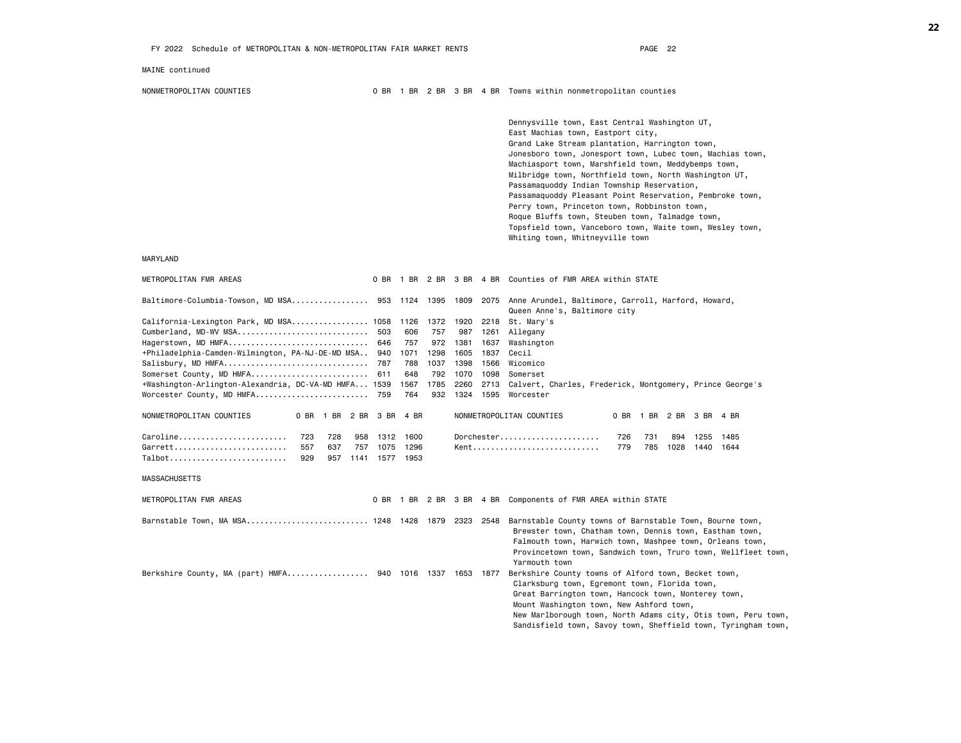Dennysville town, East Central Washington UT, East Machias town, Eastport city, Grand Lake Stream plantation, Harrington town, Jonesboro town, Jonesport town, Lubec town, Machias town, Machiasport town, Marshfield town, Meddybemps town, Milbridge town, Northfield town, North Washington UT, Passamaquoddy Indian Township Reservation, Passamaquoddy Pleasant Point Reservation, Pembroke town, Perry town, Princeton town, Robbinston town, Roque Bluffs town, Steuben town, Talmadge town, Topsfield town, Vanceboro town, Waite town, Wesley town, Whiting town, Whitneyville town

MARYLAND

| METROPOLITAN FMR AREAS                                   |                     |     |     |                |      |      |           |      | 0 BR 1 BR 2 BR 3 BR 4 BR Counties of FMR AREA within STATE                                                                                                                                                                                                                                                                                |
|----------------------------------------------------------|---------------------|-----|-----|----------------|------|------|-----------|------|-------------------------------------------------------------------------------------------------------------------------------------------------------------------------------------------------------------------------------------------------------------------------------------------------------------------------------------------|
|                                                          |                     |     |     |                |      |      |           |      | Baltimore-Columbia-Towson, MD MSA 953 1124 1395 1809 2075 Anne Arundel, Baltimore, Carroll, Harford, Howard,<br>Queen Anne's, Baltimore city                                                                                                                                                                                              |
| California-Lexington Park, MD MSA 1058                   |                     |     |     |                | 1126 | 1372 | 1920      | 2218 | St. Marv's                                                                                                                                                                                                                                                                                                                                |
| Cumberland, MD-WV MSA                                    |                     |     |     | 503            | 606  | 757  | 987       | 1261 | Allegany                                                                                                                                                                                                                                                                                                                                  |
| Hagerstown, MD HMFA                                      |                     |     |     | 646            | 757  | 972  | 1381      | 1637 | Washington                                                                                                                                                                                                                                                                                                                                |
| +Philadelphia-Camden-Wilmington, PA-NJ-DE-MD MSA 940     |                     |     |     |                | 1071 | 1298 | 1605      | 1837 | Cecil                                                                                                                                                                                                                                                                                                                                     |
| Salisbury, MD HMFA                                       |                     |     |     | 787            | 788  | 1037 | 1398      | 1566 | Wicomico                                                                                                                                                                                                                                                                                                                                  |
| Somerset County, MD HMFA                                 |                     |     |     | 611            | 648  | 792  | 1070      | 1098 | Somerset                                                                                                                                                                                                                                                                                                                                  |
| +Washington-Arlington-Alexandria, DC-VA-MD HMFA 1539     |                     |     |     |                | 1567 | 1785 | 2260      |      | 2713 Calvert, Charles, Frederick, Montgomery, Prince George's                                                                                                                                                                                                                                                                             |
| Worcester County, MD HMFA 759                            |                     |     |     |                | 764  | 932  | 1324 1595 |      | Worcester                                                                                                                                                                                                                                                                                                                                 |
|                                                          |                     |     |     |                |      |      |           |      |                                                                                                                                                                                                                                                                                                                                           |
| NONMETROPOLITAN COUNTIES                                 | 0 BR 1 BR 2 BR 3 BR |     |     |                | 4 BR |      |           |      | NONMETROPOLITAN COUNTIES<br>0 BR 1 BR 2 BR 3 BR<br>4 BR                                                                                                                                                                                                                                                                                   |
| Caroline                                                 | 723                 | 728 | 958 | 1312           | 1600 |      |           |      | Dorchester<br>726<br>731<br>894<br>1255<br>1485                                                                                                                                                                                                                                                                                           |
| Garrett                                                  | 557                 | 637 | 757 | 1075           | 1296 |      |           |      | Kent<br>779<br>785<br>1028<br>1440<br>1644                                                                                                                                                                                                                                                                                                |
| Talbot                                                   | 929                 | 957 |     | 1141 1577 1953 |      |      |           |      |                                                                                                                                                                                                                                                                                                                                           |
| <b>MASSACHUSETTS</b>                                     |                     |     |     |                |      |      |           |      |                                                                                                                                                                                                                                                                                                                                           |
| METROPOLITAN FMR AREAS                                   |                     |     |     |                |      |      |           |      | 0 BR 1 BR 2 BR 3 BR 4 BR Components of FMR AREA within STATE                                                                                                                                                                                                                                                                              |
| Barnstable Town, MA MSA 1248 1428 1879 2323              |                     |     |     |                |      |      |           | 2548 | Barnstable County towns of Barnstable Town, Bourne town,<br>Brewster town, Chatham town, Dennis town, Eastham town,<br>Falmouth town, Harwich town, Mashpee town, Orleans town,<br>Provincetown town, Sandwich town, Truro town, Wellfleet town,<br>Yarmouth town                                                                         |
| Berkshire County, MA (part) HMFA 940 1016 1337 1653 1877 |                     |     |     |                |      |      |           |      | Berkshire County towns of Alford town, Becket town,<br>Clarksburg town, Egremont town, Florida town,<br>Great Barrington town, Hancock town, Monterey town,<br>Mount Washington town, New Ashford town,<br>New Marlborough town, North Adams city, Otis town, Peru town,<br>Sandisfield town, Savoy town, Sheffield town, Tyringham town, |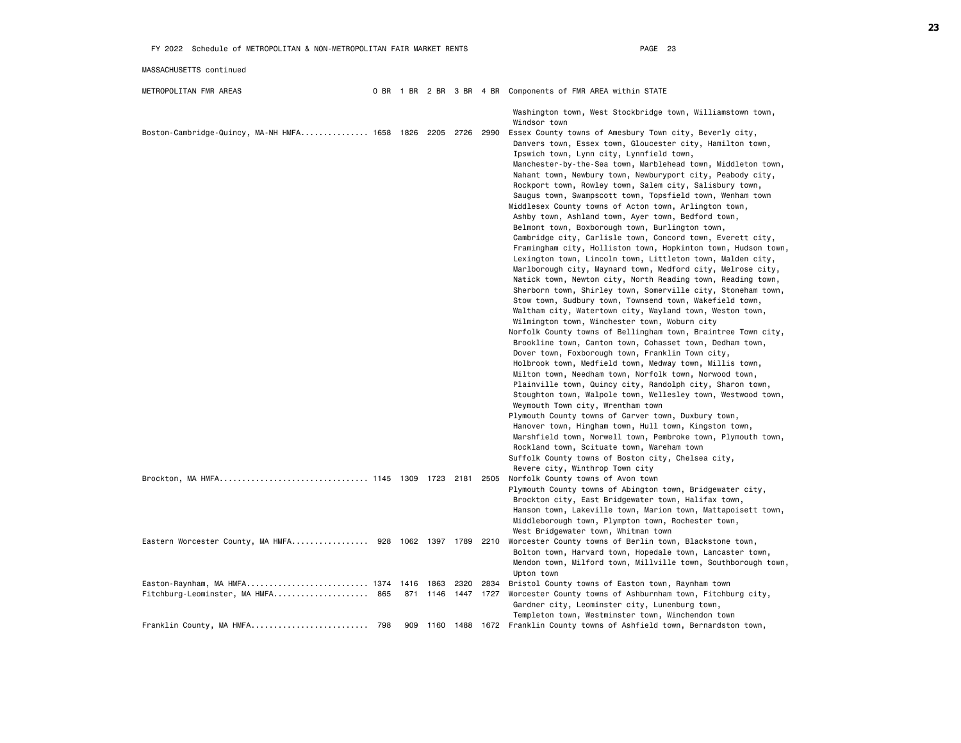| FY 2022 Schedule of METROPOLITAN & NON-METROPOLITAN FAIR MARKET RENTS            |     |     |      |      | PAGE 23                    |                                                                                                                                                                                                                                                                                                                                                                                                                                                                                                                                                                                                                                                                                                                                                                                                                                                                                                                                                                                                                                                                                                                                                                                                                                                                                                                                                                                                                                                                                                                                                                                                                                                                                            |  |  |  |  |
|----------------------------------------------------------------------------------|-----|-----|------|------|----------------------------|--------------------------------------------------------------------------------------------------------------------------------------------------------------------------------------------------------------------------------------------------------------------------------------------------------------------------------------------------------------------------------------------------------------------------------------------------------------------------------------------------------------------------------------------------------------------------------------------------------------------------------------------------------------------------------------------------------------------------------------------------------------------------------------------------------------------------------------------------------------------------------------------------------------------------------------------------------------------------------------------------------------------------------------------------------------------------------------------------------------------------------------------------------------------------------------------------------------------------------------------------------------------------------------------------------------------------------------------------------------------------------------------------------------------------------------------------------------------------------------------------------------------------------------------------------------------------------------------------------------------------------------------------------------------------------------------|--|--|--|--|
| MASSACHUSETTS continued                                                          |     |     |      |      |                            |                                                                                                                                                                                                                                                                                                                                                                                                                                                                                                                                                                                                                                                                                                                                                                                                                                                                                                                                                                                                                                                                                                                                                                                                                                                                                                                                                                                                                                                                                                                                                                                                                                                                                            |  |  |  |  |
| METROPOLITAN FMR AREAS                                                           |     |     |      |      |                            | 0 BR 1 BR 2 BR 3 BR 4 BR Components of FMR AREA within STATE                                                                                                                                                                                                                                                                                                                                                                                                                                                                                                                                                                                                                                                                                                                                                                                                                                                                                                                                                                                                                                                                                                                                                                                                                                                                                                                                                                                                                                                                                                                                                                                                                               |  |  |  |  |
|                                                                                  |     |     |      |      |                            | Washington town, West Stockbridge town, Williamstown town,<br>Windsor town                                                                                                                                                                                                                                                                                                                                                                                                                                                                                                                                                                                                                                                                                                                                                                                                                                                                                                                                                                                                                                                                                                                                                                                                                                                                                                                                                                                                                                                                                                                                                                                                                 |  |  |  |  |
| Boston-Cambridge-Quincy, MA-NH HMFA 1658 1826 2205 2726 2990                     |     |     |      |      |                            | Essex County towns of Amesbury Town city, Beverly city,<br>Danvers town, Essex town, Gloucester city, Hamilton town,<br>Ipswich town, Lynn city, Lynnfield town,<br>Manchester-by-the-Sea town, Marblehead town, Middleton town,<br>Nahant town, Newbury town, Newburyport city, Peabody city,<br>Rockport town, Rowley town, Salem city, Salisbury town,<br>Saugus town, Swampscott town, Topsfield town, Wenham town<br>Middlesex County towns of Acton town, Arlington town,<br>Ashby town, Ashland town, Ayer town, Bedford town,<br>Belmont town, Boxborough town, Burlington town,<br>Cambridge city, Carlisle town, Concord town, Everett city,<br>Framingham city, Holliston town, Hopkinton town, Hudson town,<br>Lexington town, Lincoln town, Littleton town, Malden city,<br>Marlborough city, Maynard town, Medford city, Melrose city,<br>Natick town, Newton city, North Reading town, Reading town,<br>Sherborn town, Shirley town, Somerville city, Stoneham town,<br>Stow town, Sudbury town, Townsend town, Wakefield town,<br>Waltham city, Watertown city, Wayland town, Weston town,<br>Wilmington town, Winchester town, Woburn city<br>Norfolk County towns of Bellingham town, Braintree Town city,<br>Brookline town, Canton town, Cohasset town, Dedham town,<br>Dover town, Foxborough town, Franklin Town city,<br>Holbrook town, Medfield town, Medway town, Millis town,<br>Milton town, Needham town, Norfolk town, Norwood town,<br>Plainville town, Quincy city, Randolph city, Sharon town,<br>Stoughton town, Walpole town, Wellesley town, Westwood town,<br>Weymouth Town city, Wrentham town<br>Plymouth County towns of Carver town, Duxbury town, |  |  |  |  |
|                                                                                  |     |     |      |      |                            | Hanover town, Hingham town, Hull town, Kingston town,<br>Marshfield town, Norwell town, Pembroke town, Plymouth town,<br>Rockland town, Scituate town, Wareham town<br>Suffolk County towns of Boston city, Chelsea city,                                                                                                                                                                                                                                                                                                                                                                                                                                                                                                                                                                                                                                                                                                                                                                                                                                                                                                                                                                                                                                                                                                                                                                                                                                                                                                                                                                                                                                                                  |  |  |  |  |
|                                                                                  |     |     |      |      | 2505                       | Revere city, Winthrop Town city<br>Norfolk County towns of Avon town<br>Plymouth County towns of Abington town, Bridgewater city,<br>Brockton city, East Bridgewater town, Halifax town,<br>Hanson town, Lakeville town, Marion town, Mattapoisett town,<br>Middleborough town, Plympton town, Rochester town,                                                                                                                                                                                                                                                                                                                                                                                                                                                                                                                                                                                                                                                                                                                                                                                                                                                                                                                                                                                                                                                                                                                                                                                                                                                                                                                                                                             |  |  |  |  |
| Eastern Worcester County, MA HMFA 928 1062 1397 1789 2210                        |     |     |      |      |                            | West Bridgewater town, Whitman town<br>Worcester County towns of Berlin town, Blackstone town,<br>Bolton town, Harvard town, Hopedale town, Lancaster town,<br>Mendon town, Milford town, Millville town, Southborough town,<br>Upton town                                                                                                                                                                                                                                                                                                                                                                                                                                                                                                                                                                                                                                                                                                                                                                                                                                                                                                                                                                                                                                                                                                                                                                                                                                                                                                                                                                                                                                                 |  |  |  |  |
| Easton-Raynham, MA HMFA 1374 1416 1863 2320<br>Fitchburg-Leominster, MA HMFA 865 |     |     |      |      | 2834<br>871 1146 1447 1727 | Bristol County towns of Easton town, Raynham town<br>Worcester County towns of Ashburnham town, Fitchburg city,<br>Gardner city, Leominster city, Lunenburg town,<br>Templeton town, Westminster town, Winchendon town                                                                                                                                                                                                                                                                                                                                                                                                                                                                                                                                                                                                                                                                                                                                                                                                                                                                                                                                                                                                                                                                                                                                                                                                                                                                                                                                                                                                                                                                     |  |  |  |  |
| Franklin County, MA HMFA                                                         | 798 | 909 | 1160 | 1488 | 1672                       | Franklin County towns of Ashfield town, Bernardston town,                                                                                                                                                                                                                                                                                                                                                                                                                                                                                                                                                                                                                                                                                                                                                                                                                                                                                                                                                                                                                                                                                                                                                                                                                                                                                                                                                                                                                                                                                                                                                                                                                                  |  |  |  |  |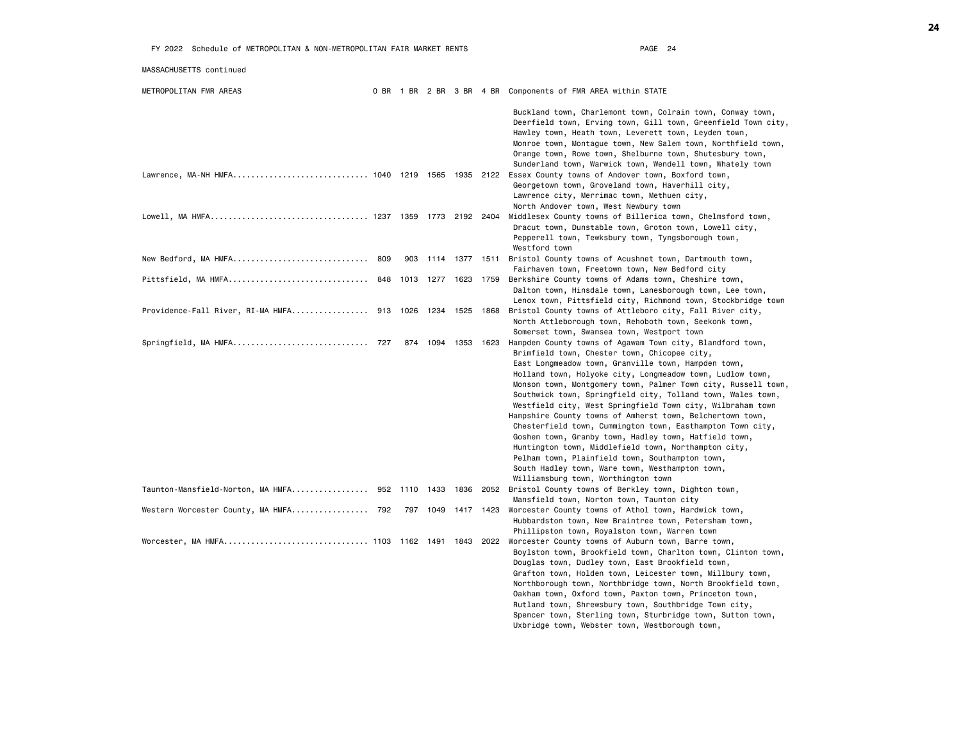| MASSACHUSETTS continued                                    |     |           |                |      |                                                                                                                                                                                                                                                                                                                                                                                                                                                                                                                                                                                                                                                                                                                                                                                                                      |
|------------------------------------------------------------|-----|-----------|----------------|------|----------------------------------------------------------------------------------------------------------------------------------------------------------------------------------------------------------------------------------------------------------------------------------------------------------------------------------------------------------------------------------------------------------------------------------------------------------------------------------------------------------------------------------------------------------------------------------------------------------------------------------------------------------------------------------------------------------------------------------------------------------------------------------------------------------------------|
| METROPOLITAN FMR AREAS                                     |     |           |                |      | 0 BR 1 BR 2 BR 3 BR 4 BR Components of FMR AREA within STATE                                                                                                                                                                                                                                                                                                                                                                                                                                                                                                                                                                                                                                                                                                                                                         |
|                                                            |     |           |                |      | Buckland town, Charlemont town, Colrain town, Conway town,<br>Deerfield town, Erving town, Gill town, Greenfield Town city,<br>Hawley town, Heath town, Leverett town, Leyden town,<br>Monroe town, Montague town, New Salem town, Northfield town,<br>Orange town, Rowe town, Shelburne town, Shutesbury town,<br>Sunderland town, Warwick town, Wendell town, Whately town                                                                                                                                                                                                                                                                                                                                                                                                                                         |
| Lawrence, MA-NH HMFA 1040 1219 1565 1935 2122              |     |           |                |      | Essex County towns of Andover town, Boxford town,<br>Georgetown town, Groveland town, Haverhill city,<br>Lawrence city, Merrimac town, Methuen city,<br>North Andover town, West Newbury town                                                                                                                                                                                                                                                                                                                                                                                                                                                                                                                                                                                                                        |
|                                                            |     |           |                |      | Middlesex County towns of Billerica town, Chelmsford town,<br>Dracut town, Dunstable town, Groton town, Lowell city,<br>Pepperell town, Tewksbury town, Tyngsborough town,<br>Westford town                                                                                                                                                                                                                                                                                                                                                                                                                                                                                                                                                                                                                          |
| New Bedford, MA HMFA 809                                   | 903 |           | 1114 1377 1511 |      | Bristol County towns of Acushnet town, Dartmouth town,<br>Fairhaven town, Freetown town, New Bedford city                                                                                                                                                                                                                                                                                                                                                                                                                                                                                                                                                                                                                                                                                                            |
| Pittsfield, MA HMFA 848 1013 1277 1623                     |     |           |                | 1759 | Berkshire County towns of Adams town, Cheshire town,<br>Dalton town, Hinsdale town, Lanesborough town, Lee town,<br>Lenox town, Pittsfield city, Richmond town, Stockbridge town                                                                                                                                                                                                                                                                                                                                                                                                                                                                                                                                                                                                                                     |
| Providence-Fall River, RI-MA HMFA 913   1026   1234   1525 |     |           |                | 1868 | Bristol County towns of Attleboro city, Fall River city,<br>North Attleborough town, Rehoboth town, Seekonk town,<br>Somerset town, Swansea town, Westport town                                                                                                                                                                                                                                                                                                                                                                                                                                                                                                                                                                                                                                                      |
|                                                            | 874 | 1094 1353 |                | 1623 | Hampden County towns of Agawam Town city, Blandford town,<br>Brimfield town, Chester town, Chicopee city,<br>East Longmeadow town, Granville town, Hampden town,<br>Holland town, Holyoke city, Longmeadow town, Ludlow town,<br>Monson town, Montgomery town, Palmer Town city, Russell town,<br>Southwick town, Springfield city, Tolland town, Wales town,<br>Westfield city, West Springfield Town city, Wilbraham town<br>Hampshire County towns of Amherst town, Belchertown town,<br>Chesterfield town, Cummington town, Easthampton Town city,<br>Goshen town, Granby town, Hadley town, Hatfield town,<br>Huntington town, Middlefield town, Northampton city,<br>Pelham town, Plainfield town, Southampton town,<br>South Hadley town, Ware town, Westhampton town,<br>Williamsburg town, Worthington town |
| Taunton-Mansfield-Norton, MA HMFA 952 1110 1433 1836       |     |           |                | 2052 | Bristol County towns of Berkley town, Dighton town,<br>Mansfield town, Norton town, Taunton city                                                                                                                                                                                                                                                                                                                                                                                                                                                                                                                                                                                                                                                                                                                     |
| Western Worcester County, MA HMFA 792                      | 797 | 1049      | 1417           | 1423 | Worcester County towns of Athol town, Hardwick town,<br>Hubbardston town, New Braintree town, Petersham town,<br>Phillipston town, Royalston town, Warren town                                                                                                                                                                                                                                                                                                                                                                                                                                                                                                                                                                                                                                                       |
| Worcester, MA HMFA 1103 1162 1491 1843                     |     |           |                | 2022 | Worcester County towns of Auburn town, Barre town,<br>Boylston town, Brookfield town, Charlton town, Clinton town,<br>Douglas town, Dudley town, East Brookfield town,<br>Grafton town, Holden town, Leicester town, Millbury town,<br>Northborough town, Northbridge town, North Brookfield town,<br>Oakham town, Oxford town, Paxton town, Princeton town,<br>Rutland town, Shrewsbury town, Southbridge Town city,<br>Spencer town, Sterling town, Sturbridge town, Sutton town,<br>Uxbridge town, Webster town, Westborough town,                                                                                                                                                                                                                                                                                |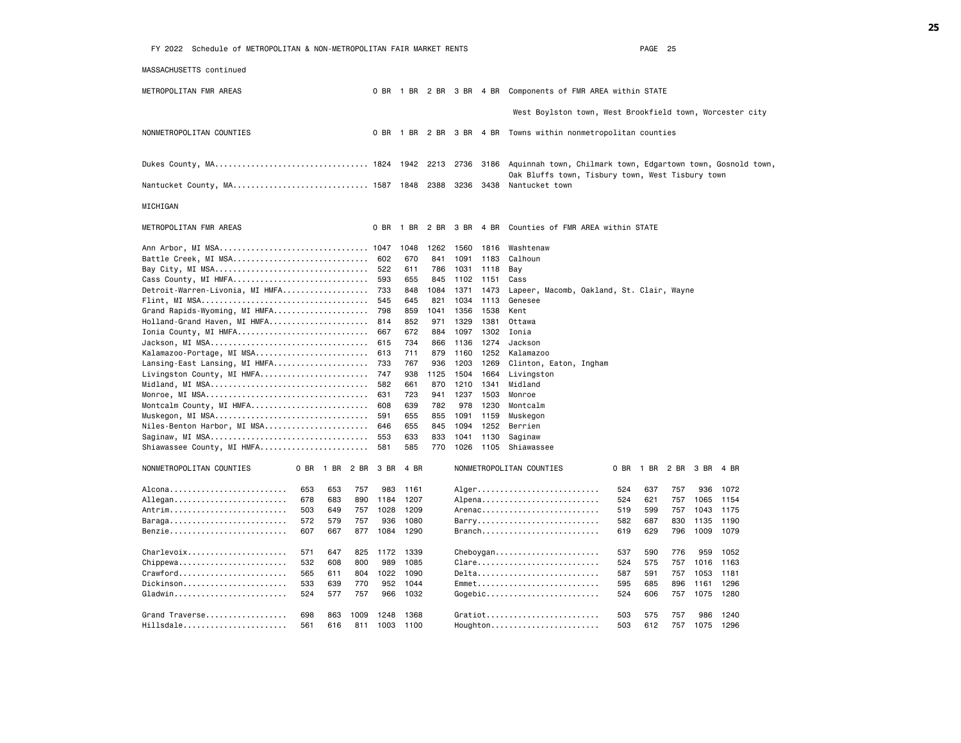| Schedule of METROPOLITAN & NON-METROPOLITAN FAIR MARKET RENTS<br>FY 2022 |              |             |            |            |            |              |              | PAGE 25                                                            |  |
|--------------------------------------------------------------------------|--------------|-------------|------------|------------|------------|--------------|--------------|--------------------------------------------------------------------|--|
| MASSACHUSETTS continued                                                  |              |             |            |            |            |              |              |                                                                    |  |
| METROPOLITAN FMR AREAS                                                   |              |             |            |            |            |              |              | 0 BR 1 BR 2 BR 3 BR 4 BR Components of FMR AREA within STATE       |  |
|                                                                          |              |             |            |            |            |              |              | West Boylston town, West Brookfield town, Worcester city           |  |
| NONMETROPOLITAN COUNTIES                                                 |              |             | 0 BR       |            |            |              |              | 1 BR 2 BR 3 BR 4 BR Towns within nonmetropolitan counties          |  |
| Dukes County, MA 1824                                                    |              |             |            | 1942       | 2213       | 2736         |              | 3186 Aquinnah town, Chilmark town, Edgartown town, Gosnold town,   |  |
|                                                                          |              |             |            |            |            | 3236         |              | Oak Bluffs town, Tisbury town, West Tisbury town<br>Nantucket town |  |
| Nantucket County, MA 1587 1848                                           |              |             |            |            | 2388       |              | 3438         |                                                                    |  |
| MICHIGAN                                                                 |              |             |            |            |            |              |              |                                                                    |  |
| METROPOLITAN FMR AREAS                                                   |              |             | 0 BR       | 1 BR       | 2 BR       | 3 BR         | 4 BR         | Counties of FMR AREA within STATE                                  |  |
| Ann Arbor, MI MSA 1047                                                   |              |             |            | 1048       | 1262       | 1560         | 1816         | Washtenaw                                                          |  |
| Battle Creek, MI MSA                                                     |              |             | 602        | 670        | 841        | 1091         | 1183         | Calhoun                                                            |  |
| Bay City, MI MSA                                                         |              |             | 522        | 611        | 786        | 1031         | 1118         | Bay                                                                |  |
| Cass County, MI HMFA                                                     |              |             | 593        | 655        | 845        | 1102         | 1151         | Cass                                                               |  |
| Detroit-Warren-Livonia, MI HMFA                                          |              |             | 733        | 848        | 1084       | 1371         | 1473         | Lapeer, Macomb, Oakland, St. Clair, Wayne                          |  |
|                                                                          |              |             | 545        | 645        | 821        | 1034         | 1113         | Genesee                                                            |  |
| Grand Rapids-Wyoming, MI HMFA                                            |              |             | 798        | 859        | 1041       | 1356         | 1538         | Kent                                                               |  |
| Holland-Grand Haven, MI HMFA                                             |              |             | 814        | 852        | 971        | 1329         | 1381         | Ottawa                                                             |  |
| Ionia County, MI HMFA                                                    |              |             | 667        | 672        | 884        | 1097         | 1302         | Ionia                                                              |  |
| Jackson, MI MSA                                                          |              |             | 615        | 734        | 866        | 1136         | 1274         | Jackson                                                            |  |
| Kalamazoo-Portage, MI MSA                                                |              |             | 613        | 711        | 879        | 1160         | 1252         | Kalamazoo                                                          |  |
| Lansing-East Lansing, MI HMFA                                            |              |             | 733        | 767        | 936        | 1203         | 1269         | Clinton, Eaton, Ingham                                             |  |
| Livingston County, MI HMFA                                               |              |             | 747        | 938        | 1125       | 1504         | 1664         | Livingston                                                         |  |
| Midland, MI MSA                                                          |              |             | 582<br>631 | 661<br>723 | 870<br>941 | 1210<br>1237 | 1341<br>1503 | Midland<br>Monroe                                                  |  |
| Montcalm County, MI HMFA                                                 |              |             | 608        | 639        | 782        | 978          | 1230         | Montcalm                                                           |  |
| Muskegon, MI MSA                                                         |              |             | 591        | 655        | 855        | 1091         | 1159         | Muskegon                                                           |  |
| Niles-Benton Harbor, MI MSA                                              |              |             | 646        | 655        | 845        | 1094         | 1252         | Berrien                                                            |  |
| Saginaw, MI MSA                                                          |              |             | 553        | 633        | 833        | 1041         | 1130         | Saginaw                                                            |  |
| Shiawassee County, MI HMFA                                               |              |             | 581        | 585        | 770        | 1026         |              | 1105 Shiawassee                                                    |  |
| NONMETROPOLITAN COUNTIES                                                 | 0 BR<br>1 BR | 2 BR        | 3 BR       | 4 BR       |            |              |              | NONMETROPOLITAN COUNTIES<br>0 BR<br>1 BR<br>2 BR<br>3 BR<br>4 BR   |  |
|                                                                          | 653          | 653<br>757  | 983        | 1161       |            |              |              | Alger<br>757<br>936<br>524<br>637<br>1072                          |  |
| Allegan                                                                  | 678          | 683<br>890  | 1184       | 1207       |            |              |              | Alpena<br>524<br>621<br>757<br>1065<br>1154                        |  |
| Antrim                                                                   | 503          | 757<br>649  | 1028       | 1209       |            |              |              | Arenac<br>519<br>599<br>1043<br>1175<br>757                        |  |
| Baraga                                                                   | 572          | 579<br>757  | 936        | 1080       |            |              |              | Barry<br>582<br>687<br>830<br>1135<br>1190                         |  |
| Benzie                                                                   | 607          | 667<br>877  | 1084       | 1290       |            |              |              | Branch<br>619<br>629<br>796<br>1009<br>1079                        |  |
| Charlevoix                                                               | 571          | 647<br>825  | 1172       | 1339       |            |              |              | 537<br>590<br>776<br>959<br>1052                                   |  |
| Chippewa                                                                 | 532          | 608<br>800  | 989        | 1085       |            |              |              | Clare<br>524<br>575<br>757<br>1016<br>1163                         |  |
| $C$ rawford                                                              | 565<br>611   | 804         |            | 1022 1090  |            |              |              | Delta<br>591<br>1053<br>587<br>757<br>1181                         |  |
| $Distinson$                                                              | 533          | 770<br>639  | 952        | 1044       |            |              |              | Emmet<br>595<br>1296<br>685<br>896<br>1161                         |  |
| Gladwin                                                                  | 524          | 577<br>757  |            | 966 1032   |            |              |              | $Gogebic$<br>524<br>606<br>757<br>1075<br>1280                     |  |
|                                                                          |              |             |            |            |            |              |              |                                                                    |  |
| Grand Traverse                                                           | 698          | 863<br>1009 |            | 1248 1368  |            |              |              | Gratiot<br>503<br>575<br>757<br>986<br>1240                        |  |
| Hillsdale                                                                | 561          | 616<br>811  | 1003       | 1100       |            |              |              | Houghton<br>503<br>612<br>757<br>1075<br>1296                      |  |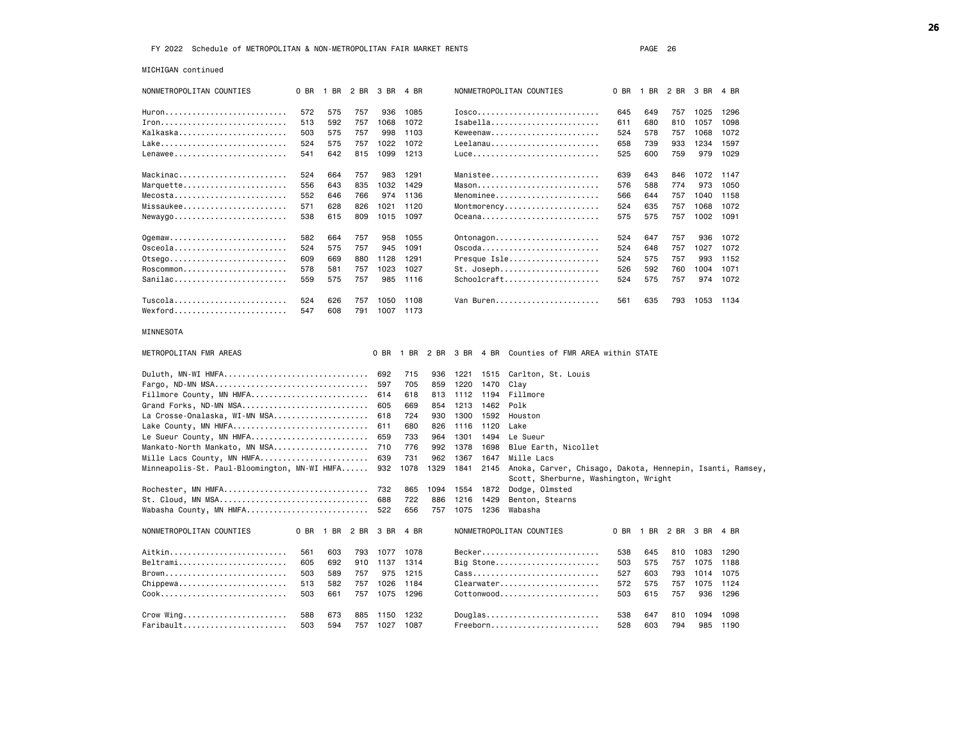MICHIGAN continued

| NONMETROPOLITAN COUNTIES                             | 0 BR | 1 BR      | 2 BR | 3 BR      | 4 BR      |      |      |      | NONMETROPOLITAN COUNTIES                                  | 0 BR | 1 BR      | 2 BR           | 3 BR | 4 BR |
|------------------------------------------------------|------|-----------|------|-----------|-----------|------|------|------|-----------------------------------------------------------|------|-----------|----------------|------|------|
| Huron                                                | 572  | 575       | 757  | 936       | 1085      |      |      |      | Iosco                                                     | 645  | 649       | 757            | 1025 | 1296 |
| $Iron$                                               | 513  | 592       | 757  | 1068      | 1072      |      |      |      | Isabelian                                                 | 611  | 680       | 810            | 1057 | 1098 |
| Kalkaska                                             | 503  | 575       | 757  | 998       | 1103      |      |      |      | Keweenaw                                                  | 524  | 578       | 757            | 1068 | 1072 |
|                                                      | 524  | 575       | 757  | 1022      | 1072      |      |      |      | Leelanau                                                  | 658  | 739       | 933            | 1234 | 1597 |
| Lenawee                                              | 541  | 642       | 815  | 1099      | 1213      |      |      |      |                                                           | 525  | 600       | 759            | 979  | 1029 |
|                                                      |      |           |      |           |           |      |      |      |                                                           |      |           |                |      |      |
| Mackinac                                             | 524  | 664       | 757  | 983       | 1291      |      |      |      | Manistee                                                  | 639  | 643       | 846            | 1072 | 1147 |
| Marquette                                            | 556  | 643       | 835  | 1032      | 1429      |      |      |      |                                                           | 576  | 588       | 774            | 973  | 1050 |
|                                                      | 552  | 646       | 766  | 974       | 1136      |      |      |      | Menominee                                                 | 566  | 644       | 757            | 1040 | 1158 |
| Missaukee                                            | 571  | 628       | 826  | 1021      | 1120      |      |      |      | Montmorency                                               | 524  | 635       | 757            | 1068 | 1072 |
|                                                      | 538  | 615       | 809  | 1015      | 1097      |      |      |      | $0$ ceana                                                 | 575  | 575       | 757            | 1002 | 1091 |
|                                                      |      |           |      |           |           |      |      |      |                                                           |      |           |                |      |      |
| $Og$ emaw                                            | 582  | 664       | 757  | 958       | 1055      |      |      |      | Ontonagon                                                 | 524  | 647       | 757            | 936  | 1072 |
| 0sceola                                              | 524  | 575       | 757  | 945       | 1091      |      |      |      | 0scoda                                                    | 524  | 648       | 757            | 1027 | 1072 |
| 0tsego                                               | 609  | 669       | 880  | 1128      | 1291      |      |      |      | Presque Isle                                              | 524  | 575       | 757            | 993  | 1152 |
| Roscommon                                            | 578  | 581       | 757  | 1023      | 1027      |      |      |      | St. Joseph                                                | 526  | 592       | 760            | 1004 | 1071 |
| Sanilac                                              | 559  | 575       | 757  | 985       | 1116      |      |      |      | Schoolcraft                                               | 524  | 575       | 757            | 974  | 1072 |
|                                                      |      |           |      |           |           |      |      |      |                                                           |      |           |                |      |      |
| Tuscola                                              | 524  | 626       | 757  | 1050      | 1108      |      |      |      | Van Buren                                                 | 561  | 635       | 793            | 1053 | 1134 |
| $Wexford$                                            | 547  | 608       | 791  |           | 1007 1173 |      |      |      |                                                           |      |           |                |      |      |
| MINNESOTA                                            |      |           |      |           |           |      |      |      |                                                           |      |           |                |      |      |
|                                                      |      |           |      |           |           |      |      |      |                                                           |      |           |                |      |      |
| METROPOLITAN FMR AREAS                               |      |           |      | 0 BR      | 1 BR      | 2 BR | 3 BR | 4 BR | Counties of FMR AREA within STATE                         |      |           |                |      |      |
| Duluth, MN-WI HMFA                                   |      |           |      | 692       | 715       | 936  | 1221 | 1515 | Carlton, St. Louis                                        |      |           |                |      |      |
| Fargo, ND-MN MSA                                     |      |           |      | 597       | 705       | 859  | 1220 | 1470 | Clay                                                      |      |           |                |      |      |
| Fillmore County, MN HMFA                             |      |           |      | 614       | 618       | 813  | 1112 | 1194 | Fillmore                                                  |      |           |                |      |      |
| Grand Forks, ND-MN MSA                               |      |           |      | 605       | 669       | 854  | 1213 | 1462 | Polk                                                      |      |           |                |      |      |
| La Crosse-Onalaska, WI-MN MSA                        |      |           |      | 618       | 724       | 930  | 1300 | 1592 | Houston                                                   |      |           |                |      |      |
| Lake County, MN HMFA                                 |      |           |      | 611       | 680       | 826  | 1116 | 1120 | Lake                                                      |      |           |                |      |      |
| Le Sueur County, MN HMFA                             |      |           |      | 659       | 733       | 964  | 1301 | 1494 | Le Sueur                                                  |      |           |                |      |      |
| Mankato-North Mankato, MN MSA                        |      |           |      | 710       | 776       | 992  | 1378 | 1698 | Blue Earth, Nicollet                                      |      |           |                |      |      |
| Mille Lacs County, MN HMFA                           |      |           |      | 639       | 731       | 962  | 1367 | 1647 | Mille Lacs                                                |      |           |                |      |      |
| Minneapolis-St. Paul-Bloomington, MN-WI HMFA         |      |           |      | 932       | 1078      | 1329 | 1841 | 2145 | Anoka, Carver, Chisago, Dakota, Hennepin, Isanti, Ramsey, |      |           |                |      |      |
|                                                      |      |           |      |           |           |      |      |      | Scott, Sherburne, Washington, Wright                      |      |           |                |      |      |
| Rochester, MN HMFA                                   |      |           |      | 732       | 865       | 1094 | 1554 | 1872 | Dodge, Olmsted                                            |      |           |                |      |      |
| St. Cloud, MN MSA                                    |      |           |      | 688       | 722       | 886  | 1216 | 1429 | Benton, Stearns                                           |      |           |                |      |      |
| Wabasha County, MN HMFA                              |      |           |      | 522       | 656       | 757  | 1075 | 1236 | Wabasha                                                   |      |           |                |      |      |
| NONMETROPOLITAN COUNTIES                             | 0 BR | 1 BR 2 BR |      | 3 BR      | 4 BR      |      |      |      | NONMETROPOLITAN COUNTIES                                  |      | 0 BR 1 BR | 2 BR 3 BR 4 BR |      |      |
|                                                      |      |           |      |           |           |      |      |      |                                                           |      |           |                |      |      |
| Aitkin                                               | 561  | 603       | 793  | 1077      | 1078      |      |      |      | Becker                                                    | 538  | 645       | 810            | 1083 | 1290 |
| Beltrami                                             | 605  | 692       | 910  | 1137      | 1314      |      |      |      | Big Stone                                                 | 503  | 575       | 757            | 1075 | 1188 |
| Brown                                                | 503  | 589       | 757  | 975       | 1215      |      |      |      | $\texttt{ Cass}$                                          | 527  | 603       | 793            | 1014 | 1075 |
| $Chippewa \ldots \ldots \ldots \ldots \ldots \ldots$ | 513  | 582       | 757  | 1026      | 1184      |      |      |      |                                                           | 572  | 575       | 757            | 1075 | 1124 |
| Cook                                                 | 503  | 661       | 757  | 1075      | 1296      |      |      |      | Cottonwood                                                | 503  | 615       | 757            | 936  | 1296 |
|                                                      |      |           |      |           |           |      |      |      |                                                           |      |           |                |      |      |
| Crow Wing                                            | 588  | 673       | 885  | 1150 1232 |           |      |      |      | Douglas                                                   | 538  | 647       | 810            | 1094 | 1098 |
| Faribault                                            | 503  | 594       | 757  | 1027      | 1087      |      |      |      | Freeborn                                                  | 528  | 603       | 794            | 985  | 1190 |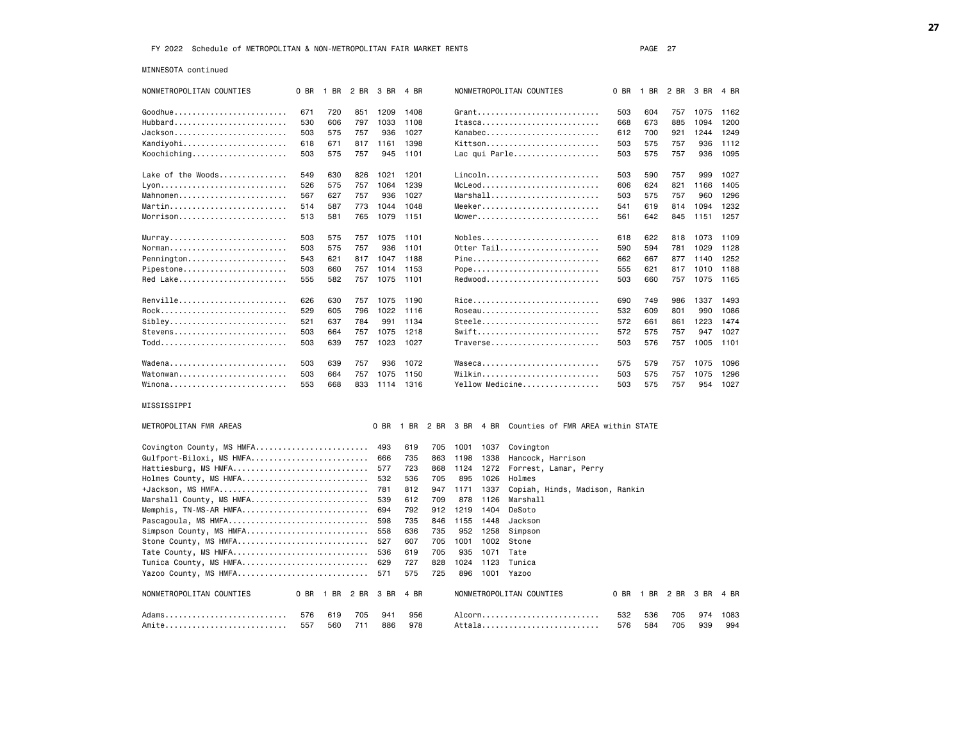MINNESOTA continued

| NONMETROPOLITAN COUNTIES  | 0 BR | 1 BR | 2 BR | 3 BR | 4 BR |      |      |      | NONMETROPOLITAN COUNTIES          | 0 BR | 1 BR | 2 BR | 3 BR | 4 BR |
|---------------------------|------|------|------|------|------|------|------|------|-----------------------------------|------|------|------|------|------|
| Goodhue                   | 671  | 720  | 851  | 1209 | 1408 |      |      |      | $G$ rant                          | 503  | 604  | 757  | 1075 | 1162 |
| $Hubbard$                 | 530  | 606  | 797  | 1033 | 1108 |      |      |      | $Ita, , , , , , , , ,$            | 668  | 673  | 885  | 1094 | 1200 |
| Jackson                   | 503  | 575  | 757  | 936  | 1027 |      |      |      | Kanabec                           | 612  | 700  | 921  | 1244 | 1249 |
| Kandiyohi                 | 618  | 671  | 817  | 1161 | 1398 |      |      |      | Kittson                           | 503  | 575  | 757  | 936  | 1112 |
| Koochiching               | 503  | 575  | 757  | 945  | 1101 |      |      |      | Lac qui Parle                     | 503  | 575  | 757  | 936  | 1095 |
|                           |      |      |      |      |      |      |      |      |                                   |      |      |      |      |      |
| Lake of the Woods         | 549  | 630  | 826  | 1021 | 1201 |      |      |      | Lincoln                           | 503  | 590  | 757  | 999  | 1027 |
|                           | 526  | 575  | 757  | 1064 | 1239 |      |      |      | $McLeod.$                         | 606  | 624  | 821  | 1166 | 1405 |
| Mahnomen                  | 567  | 627  | 757  | 936  | 1027 |      |      |      | Marshall                          | 503  | 575  | 757  | 960  | 1296 |
| Martin                    | 514  | 587  | 773  | 1044 | 1048 |      |      |      | Meeker                            | 541  | 619  | 814  | 1094 | 1232 |
| $Morrison.$               | 513  | 581  | 765  | 1079 | 1151 |      |      |      | Mower                             | 561  | 642  | 845  | 1151 | 1257 |
| $Murnay$                  | 503  | 575  | 757  | 1075 | 1101 |      |      |      | Nobles                            | 618  | 622  | 818  | 1073 | 1109 |
| Norman                    | 503  | 575  | 757  | 936  | 1101 |      |      |      | Otter Tail                        | 590  | 594  | 781  | 1029 | 1128 |
| Pennington                | 543  | 621  | 817  | 1047 | 1188 |      |      |      | Pine                              | 662  | 667  | 877  | 1140 | 1252 |
| Pipestone                 | 503  | 660  | 757  | 1014 | 1153 |      |      |      | Pope                              | 555  | 621  | 817  | 1010 | 1188 |
| Red Lake                  | 555  | 582  | 757  | 1075 | 1101 |      |      |      | Redwood                           | 503  | 660  | 757  | 1075 | 1165 |
|                           |      |      |      |      |      |      |      |      |                                   |      |      |      |      |      |
| Renville                  | 626  | 630  | 757  | 1075 | 1190 |      |      |      | Rice                              | 690  | 749  | 986  | 1337 | 1493 |
| Rock                      | 529  | 605  | 796  | 1022 | 1116 |      |      |      | Roseau                            | 532  | 609  | 801  | 990  | 1086 |
| $SibleV$                  | 521  | 637  | 784  | 991  | 1134 |      |      |      | Steele                            | 572  | 661  | 861  | 1223 | 1474 |
| Stevens                   | 503  | 664  | 757  | 1075 | 1218 |      |      |      | $Swift$                           | 572  | 575  | 757  | 947  | 1027 |
| Todd                      | 503  | 639  | 757  | 1023 | 1027 |      |      |      | Traverse                          | 503  | 576  | 757  | 1005 | 1101 |
| Wadena                    | 503  | 639  | 757  | 936  | 1072 |      |      |      | Waseca                            | 575  | 579  | 757  | 1075 | 1096 |
| Watonwan                  | 503  | 664  | 757  | 1075 | 1150 |      |      |      | Wilkin                            | 503  | 575  | 757  | 1075 | 1296 |
| Winona                    | 553  | 668  | 833  | 1114 | 1316 |      |      |      | Yellow Medicine                   | 503  | 575  | 757  | 954  | 1027 |
| MISSISSIPPI               |      |      |      |      |      |      |      |      |                                   |      |      |      |      |      |
| METROPOLITAN FMR AREAS    |      |      |      | 0 BR | 1 BR | 2 BR | 3 BR | 4 BR | Counties of FMR AREA within STATE |      |      |      |      |      |
| Covington County, MS HMFA |      |      |      | 493  | 619  | 705  | 1001 | 1037 | Covington                         |      |      |      |      |      |
| Gulfport-Biloxi, MS HMFA  |      |      |      | 666  | 735  | 863  | 1198 | 1338 | Hancock, Harrison                 |      |      |      |      |      |
| Hattiesburg, MS HMFA      |      |      |      | 577  | 723  | 868  | 1124 | 1272 | Forrest, Lamar, Perry             |      |      |      |      |      |
| Holmes County, MS HMFA    |      |      |      | 532  | 536  | 705  | 895  | 1026 | Holmes                            |      |      |      |      |      |
| +Jackson, MS HMFA         |      |      |      | 781  | 812  | 947  | 1171 | 1337 | Copiah, Hinds, Madison, Rankin    |      |      |      |      |      |
| Marshall County, MS HMFA  |      |      |      | 539  | 612  | 709  | 878  | 1126 | Marshall                          |      |      |      |      |      |
| Memphis, TN-MS-AR HMFA    |      |      |      | 694  | 792  | 912  | 1219 | 1404 | DeSoto                            |      |      |      |      |      |
| Pascagoula, MS HMFA       |      |      |      | 598  | 735  | 846  | 1155 | 1448 | Jackson                           |      |      |      |      |      |
| Simpson County, MS HMFA   |      |      |      | 558  | 636  | 735  | 952  | 1258 | Simpson                           |      |      |      |      |      |
| Stone County, MS HMFA     |      |      |      | 527  | 607  | 705  | 1001 | 1002 | Stone                             |      |      |      |      |      |
| Tate County, MS HMFA      |      |      |      | 536  | 619  | 705  | 935  | 1071 | Tate                              |      |      |      |      |      |
| Tunica County, MS HMFA    |      |      |      | 629  | 727  | 828  | 1024 | 1123 | Tunica                            |      |      |      |      |      |
| Yazoo County, MS HMFA     |      |      |      | 571  | 575  | 725  | 896  | 1001 | Yazoo                             |      |      |      |      |      |
| NONMETROPOLITAN COUNTIES  | 0 BR | 1 BR | 2 BR | 3 BR | 4 BR |      |      |      | NONMETROPOLITAN COUNTIES          | 0 BR | 1 BR | 2 BR | 3 BR | 4 BR |
| Adams                     | 576  | 619  | 705  | 941  | 956  |      |      |      |                                   | 532  | 536  | 705  | 974  | 1083 |
| Amite                     | 557  | 560  | 711  | 886  | 978  |      |      |      | Attala                            | 576  | 584  | 705  | 939  | 994  |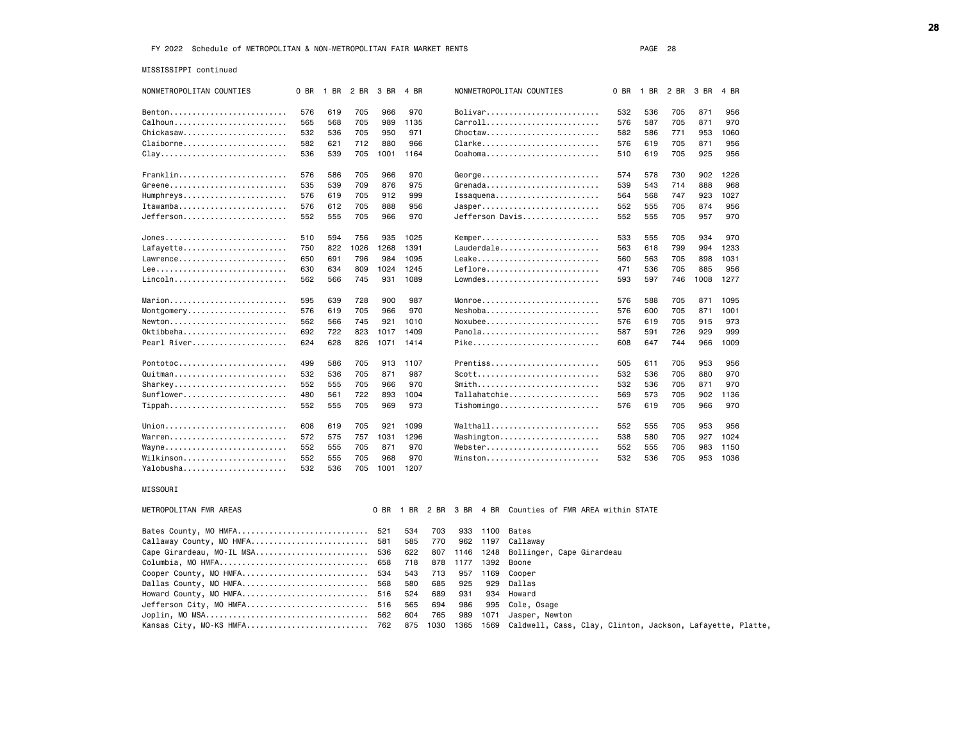MISSISSIPPI continued

| NONMETROPOLITAN COUNTIES  | 0 BR | 1 BR | 2 BR | 3 BR | 4 BR |      |      |      | NONMETROPOLITAN COUNTIES                                 | 0 BR | 1 BR | 2 BR | 3 BR | 4 BR |
|---------------------------|------|------|------|------|------|------|------|------|----------------------------------------------------------|------|------|------|------|------|
| Benton                    | 576  | 619  | 705  | 966  | 970  |      |      |      | Bolivar                                                  | 532  | 536  | 705  | 871  | 956  |
| Calhoun                   | 565  | 568  | 705  | 989  | 1135 |      |      |      | Carroll                                                  | 576  | 587  | 705  | 871  | 970  |
| Chickasaw                 | 532  | 536  | 705  | 950  | 971  |      |      |      | Choctaw                                                  | 582  | 586  | 771  | 953  | 1060 |
| Claiborne                 | 582  | 621  | 712  | 880  | 966  |      |      |      | Clarke                                                   | 576  | 619  | 705  | 871  | 956  |
|                           | 536  | 539  | 705  | 1001 | 1164 |      |      |      | Coahoma                                                  | 510  | 619  | 705  | 925  | 956  |
| Franklin                  | 576  | 586  | 705  | 966  | 970  |      |      |      | George                                                   | 574  | 578  | 730  | 902  | 1226 |
| Greene                    | 535  | 539  | 709  | 876  | 975  |      |      |      | Grenada                                                  | 539  | 543  | 714  | 888  | 968  |
| Humphreys                 | 576  | 619  | 705  | 912  | 999  |      |      |      | Issaquena                                                | 564  | 568  | 747  | 923  | 1027 |
| Itawamba                  | 576  | 612  | 705  | 888  | 956  |      |      |      | Jasper                                                   | 552  | 555  | 705  | 874  | 956  |
| Jefferson                 | 552  | 555  | 705  | 966  | 970  |      |      |      | Jefferson Davis                                          | 552  | 555  | 705  | 957  | 970  |
|                           |      |      |      |      |      |      |      |      |                                                          |      |      |      |      |      |
| Jones                     | 510  | 594  | 756  | 935  | 1025 |      |      |      | Kemper                                                   | 533  | 555  | 705  | 934  | 970  |
| Lafayette                 | 750  | 822  | 1026 | 1268 | 1391 |      |      |      | Lauderdale                                               | 563  | 618  | 799  | 994  | 1233 |
| Lawrence                  | 650  | 691  | 796  | 984  | 1095 |      |      |      | Leake                                                    | 560  | 563  | 705  | 898  | 1031 |
| Lee                       | 630  | 634  | 809  | 1024 | 1245 |      |      |      | $Leflore$                                                | 471  | 536  | 705  | 885  | 956  |
| Lincoln                   | 562  | 566  | 745  | 931  | 1089 |      |      |      | Lowndes                                                  | 593  | 597  | 746  | 1008 | 1277 |
| Marion                    | 595  | 639  | 728  | 900  | 987  |      |      |      | $Monroe$                                                 | 576  | 588  | 705  | 871  | 1095 |
| Montgomery                | 576  | 619  | 705  | 966  | 970  |      |      |      | Neshoba                                                  | 576  | 600  | 705  | 871  | 1001 |
| Newton                    | 562  | 566  | 745  | 921  | 1010 |      |      |      | $N$ oxubee                                               | 576  | 619  | 705  | 915  | 973  |
| Oktibbeha                 | 692  | 722  | 823  | 1017 | 1409 |      |      |      | Panola                                                   | 587  | 591  | 726  | 929  | 999  |
| Pearl River               | 624  | 628  | 826  | 1071 | 1414 |      |      |      | Pike                                                     | 608  | 647  | 744  | 966  | 1009 |
| Pontotoc                  | 499  | 586  | 705  | 913  | 1107 |      |      |      | Prentiss                                                 | 505  | 611  | 705  | 953  | 956  |
| Quitman                   | 532  | 536  | 705  | 871  | 987  |      |      |      | $Scott \ldots \ldots \ldots \ldots \ldots \ldots \ldots$ | 532  | 536  | 705  | 880  | 970  |
| Sharkey                   | 552  | 555  | 705  | 966  | 970  |      |      |      | Smith                                                    | 532  | 536  | 705  | 871  | 970  |
| Sunflower                 | 480  | 561  | 722  | 893  | 1004 |      |      |      | Tallahatchie                                             | 569  | 573  | 705  | 902  | 1136 |
| Tippah                    | 552  | 555  | 705  | 969  | 973  |      |      |      | Tishomingo                                               | 576  | 619  | 705  | 966  | 970  |
| Union                     | 608  | 619  | 705  | 921  | 1099 |      |      |      | Walthall                                                 | 552  | 555  | 705  | 953  | 956  |
| Warren                    | 572  | 575  | 757  | 1031 | 1296 |      |      |      | Washington                                               | 538  | 580  | 705  | 927  | 1024 |
| Wayne                     | 552  | 555  | 705  | 871  | 970  |      |      |      | Webster                                                  | 552  | 555  | 705  | 983  | 1150 |
| Wilkinson                 | 552  | 555  | 705  | 968  | 970  |      |      |      | Winston                                                  | 532  | 536  | 705  | 953  | 1036 |
| Yalobusha                 | 532  | 536  | 705  | 1001 | 1207 |      |      |      |                                                          |      |      |      |      |      |
| MISSOURI                  |      |      |      |      |      |      |      |      |                                                          |      |      |      |      |      |
| METROPOLITAN FMR AREAS    |      |      |      | 0 BR | 1 BR | 2 BR | 3 BR | 4 BR | Counties of FMR AREA within STATE                        |      |      |      |      |      |
| Bates County, MO HMFA     |      |      |      | 521  | 534  | 703  | 933  | 1100 | Bates                                                    |      |      |      |      |      |
| Callaway County, MO HMFA  |      |      |      | 581  | 585  | 770  | 962  | 1197 | Callaway                                                 |      |      |      |      |      |
| Cape Girardeau, MO-IL MSA |      |      |      | 536  | 622  | 807  | 1146 | 1248 | Bollinger, Cape Girardeau                                |      |      |      |      |      |
| Columbia, MO HMFA         |      |      |      | 658  | 718  | 878  | 1177 | 1392 | Boone                                                    |      |      |      |      |      |
| Cooper County, MO HMFA    |      |      |      | 534  | 543  | 713  | 957  | 1169 | Cooper                                                   |      |      |      |      |      |
| Dallas County, MO HMFA    |      |      |      | 568  | 580  | 685  | 925  | 929  | Dallas                                                   |      |      |      |      |      |
| Howard County, MO HMFA    |      |      |      | 516  | 524  | 689  | 931  | 934  | Howard                                                   |      |      |      |      |      |
| Jefferson City, MO HMFA   |      |      |      | 516  | 565  | 694  | 986  | 995  | Cole, Osage                                              |      |      |      |      |      |
|                           |      |      |      | 562  | 604  | 765  | 989  | 1071 | Jasper, Newton                                           |      |      |      |      |      |

Kansas City, MO-KS HMFA........................... 762 875 1030 1365 1569 Caldwell, Cass, Clay, Clinton, Jackson, Lafayette, Platte,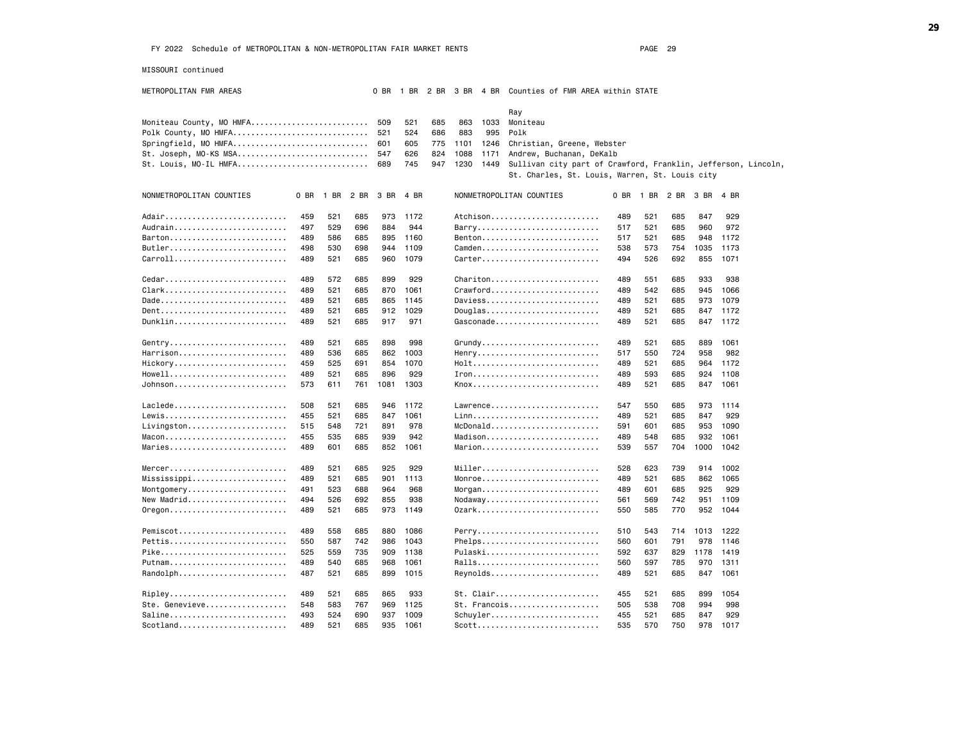MISSOURI continued

METROPOLITAN FMR AREAS 0 BR 1 BR 2 BR 3 BR 4 BR Counties of FMR AREA within STATE

|                                                                   |      |      |      |      |      |     |              | Ray                                                           |      |      |      |           |          |  |
|-------------------------------------------------------------------|------|------|------|------|------|-----|--------------|---------------------------------------------------------------|------|------|------|-----------|----------|--|
| Moniteau County, MO HMFA                                          |      |      |      | 509  | 521  | 685 | 863<br>1033  | Moniteau                                                      |      |      |      |           |          |  |
| Polk County, MO HMFA                                              |      |      |      | 521  | 524  | 686 | 883<br>995   | Polk                                                          |      |      |      |           |          |  |
| Springfield, MO HMFA                                              |      |      |      | 601  | 605  | 775 | 1101<br>1246 | Christian, Greene, Webster                                    |      |      |      |           |          |  |
| St. Joseph, MO-KS MSA                                             |      |      |      | 547  | 626  | 824 | 1088<br>1171 | Andrew, Buchanan, DeKalb                                      |      |      |      |           |          |  |
| St. Louis, MO-IL HMFA                                             |      |      |      | 689  | 745  | 947 | 1230<br>1449 | Sullivan city part of Crawford, Franklin, Jefferson, Lincoln, |      |      |      |           |          |  |
|                                                                   |      |      |      |      |      |     |              | St. Charles, St. Louis, Warren, St. Louis city                |      |      |      |           |          |  |
|                                                                   |      |      |      |      |      |     |              |                                                               |      |      |      |           |          |  |
| NONMETROPOLITAN COUNTIES                                          | 0 BR | 1 BR | 2 BR | 3 BR | 4 BR |     |              | NONMETROPOLITAN COUNTIES                                      | 0 BR | 1 BR | 2 BR | 3 BR      | 4 BR     |  |
| Adair                                                             | 459  | 521  | 685  | 973  | 1172 |     |              | Atchison                                                      | 489  | 521  | 685  | 847       | 929      |  |
| Audrain                                                           | 497  | 529  | 696  | 884  | 944  |     |              | Barry                                                         | 517  | 521  | 685  | 960       | 972      |  |
| $B$ arton                                                         | 489  | 586  | 685  | 895  | 1160 |     |              | Benton                                                        | 517  | 521  | 685  | 948       | 1172     |  |
| Butler                                                            | 498  | 530  | 698  | 944  | 1109 |     |              | Camden                                                        | 538  | 573  | 754  | 1035      | 1173     |  |
| Carroll                                                           | 489  | 521  | 685  | 960  | 1079 |     |              | Carter                                                        | 494  | 526  | 692  | 855       | 1071     |  |
|                                                                   |      |      |      |      |      |     |              |                                                               |      |      |      |           |          |  |
| $Cedar$                                                           | 489  | 572  | 685  | 899  | 929  |     |              | Chariton                                                      | 489  | 551  | 685  | 933       | 938      |  |
| Clark                                                             | 489  | 521  | 685  | 870  | 1061 |     |              | $Crawford \ldots \ldots \ldots \ldots \ldots \ldots \ldots$   | 489  | 542  | 685  | 945       | 1066     |  |
| Dade                                                              | 489  | 521  | 685  | 865  | 1145 |     |              | Daviess                                                       | 489  | 521  | 685  | 973       | 1079     |  |
| $Dent$                                                            | 489  | 521  | 685  | 912  | 1029 |     |              | $Douglas \ldots \ldots \ldots \ldots \ldots \ldots$           | 489  | 521  | 685  | 847       | 1172     |  |
| Dunklin                                                           | 489  | 521  | 685  | 917  | 971  |     |              | Gasconade                                                     | 489  | 521  | 685  |           | 847 1172 |  |
|                                                                   |      |      |      |      |      |     |              |                                                               |      |      |      |           |          |  |
| Gentry                                                            | 489  | 521  | 685  | 898  | 998  |     |              | $Grundy$                                                      | 489  | 521  | 685  | 889       | 1061     |  |
| Harrison                                                          | 489  | 536  | 685  | 862  | 1003 |     |              | Henry                                                         | 517  | 550  | 724  | 958       | 982      |  |
| Hickory                                                           | 459  | 525  | 691  | 854  | 1070 |     |              |                                                               | 489  | 521  | 685  | 964       | 1172     |  |
| $Howell$                                                          | 489  | 521  | 685  | 896  | 929  |     |              |                                                               | 489  | 593  | 685  | 924       | 1108     |  |
| Johnson                                                           | 573  | 611  | 761  | 1081 | 1303 |     |              | Knox                                                          | 489  | 521  | 685  | 847       | 1061     |  |
|                                                                   |      |      |      |      |      |     |              |                                                               |      |      |      |           |          |  |
| Laclede                                                           | 508  | 521  | 685  | 946  | 1172 |     |              | $Lawrence.$                                                   | 547  | 550  | 685  | 973       | 1114     |  |
| Lewis                                                             | 455  | 521  | 685  | 847  | 1061 |     |              |                                                               | 489  | 521  | 685  | 847       | 929      |  |
| Livingston                                                        | 515  | 548  | 721  | 891  | 978  |     |              | McDonald                                                      | 591  | 601  | 685  | 953       | 1090     |  |
| $Macon$                                                           | 455  | 535  | 685  | 939  | 942  |     |              | Madison                                                       | 489  | 548  | 685  | 932       | 1061     |  |
| Maries                                                            | 489  | 601  | 685  | 852  | 1061 |     |              | Marion                                                        | 539  | 557  | 704  | 1000      | 1042     |  |
|                                                                   |      |      |      |      |      |     |              |                                                               |      |      |      |           |          |  |
| $Mercer. \ldots \ldots \ldots \ldots \ldots \ldots \ldots \ldots$ | 489  | 521  | 685  | 925  | 929  |     |              | $Miller$                                                      | 528  | 623  | 739  | 914       | 1002     |  |
| Mississippi                                                       | 489  | 521  | 685  | 901  | 1113 |     |              | Monroe                                                        | 489  | 521  | 685  | 862       | 1065     |  |
| Montgomery                                                        | 491  | 523  | 688  | 964  | 968  |     |              | $M$ organ                                                     | 489  | 601  | 685  | 925       | 929      |  |
| New Madrid                                                        | 494  | 526  | 692  | 855  | 938  |     |              | $N$ odaway                                                    | 561  | 569  | 742  | 951       | 1109     |  |
| $0$ regon                                                         | 489  | 521  | 685  | 973  | 1149 |     |              | 0zark                                                         | 550  | 585  | 770  | 952       | 1044     |  |
| Pemiscot                                                          | 489  | 558  | 685  | 880  | 1086 |     |              | Perry                                                         | 510  | 543  | 714  | 1013 1222 |          |  |
| Pettis                                                            | 550  | 587  | 742  | 986  | 1043 |     |              | Phelps                                                        | 560  | 601  | 791  | 978       | 1146     |  |
| Pike                                                              | 525  | 559  | 735  | 909  | 1138 |     |              | Pulaski                                                       | 592  | 637  | 829  | 1178      | 1419     |  |
| Putnam                                                            | 489  | 540  | 685  | 968  | 1061 |     |              | Ralls                                                         | 560  | 597  | 785  | 970       | 1311     |  |
| Randolph                                                          | 487  | 521  | 685  | 899  | 1015 |     |              | Reynolds                                                      | 489  | 521  | 685  | 847       | 1061     |  |
|                                                                   |      |      |      |      |      |     |              |                                                               |      |      |      |           |          |  |
| Ripley                                                            | 489  | 521  | 685  | 865  | 933  |     |              | St. Clair                                                     | 455  | 521  | 685  | 899       | 1054     |  |
| Ste. Genevieve                                                    | 548  | 583  | 767  | 969  | 1125 |     |              | $St.$ Francois                                                | 505  | 538  | 708  | 994       | 998      |  |
| Saline                                                            | 493  | 524  | 690  | 937  | 1009 |     |              | Schuyler                                                      | 455  | 521  | 685  | 847       | 929      |  |
|                                                                   | 489  | 521  | 685  | 935  | 1061 |     |              | $Scott \ldots \ldots \ldots \ldots \ldots \ldots \ldots$      | 535  | 570  | 750  | 978       | 1017     |  |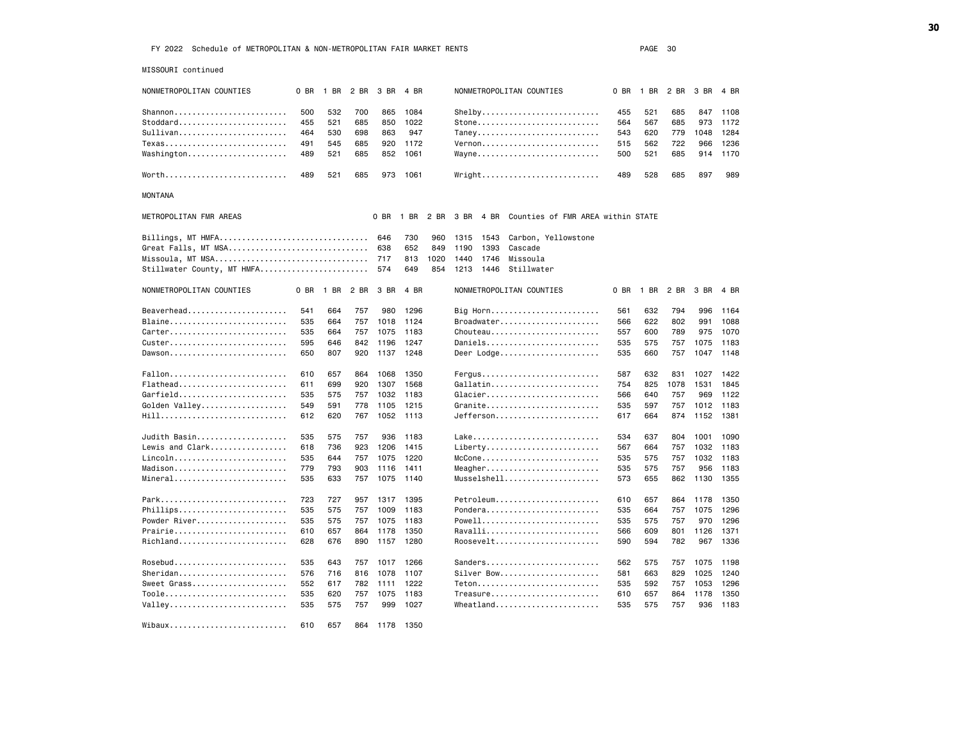| MISSOURI continued         |      |           |      |      |           |      |      |      |                                                                  |      |      |      |      |      |
|----------------------------|------|-----------|------|------|-----------|------|------|------|------------------------------------------------------------------|------|------|------|------|------|
| NONMETROPOLITAN COUNTIES   | 0 BR | 1 BR 2 BR |      | 3 BR | 4 BR      |      |      |      | NONMETROPOLITAN COUNTIES                                         | 0 BR | 1 BR | 2 BR | 3 BR | 4 BR |
| Shannon                    | 500  | 532       | 700  | 865  | 1084      |      |      |      | $Shelby \ldots \ldots \ldots \ldots \ldots \ldots \ldots$        | 455  | 521  | 685  | 847  | 1108 |
| Stoddard                   | 455  | 521       | 685  | 850  | 1022      |      |      |      | Stone                                                            | 564  | 567  | 685  | 973  | 1172 |
| Sullivan                   | 464  | 530       | 698  | 863  | 947       |      |      |      | Taney                                                            | 543  | 620  | 779  | 1048 | 1284 |
| Texas                      | 491  | 545       | 685  | 920  | 1172      |      |      |      | Vernon                                                           | 515  | 562  | 722  | 966  | 1236 |
| Washington                 | 489  | 521       | 685  | 852  | 1061      |      |      |      | Wayne                                                            | 500  | 521  | 685  | 914  | 1170 |
|                            |      |           |      |      |           |      |      |      |                                                                  |      |      |      |      |      |
| Worth                      | 489  | 521       | 685  | 973  | 1061      |      |      |      | $Wright$                                                         | 489  | 528  | 685  | 897  | 989  |
| <b>MONTANA</b>             |      |           |      |      |           |      |      |      |                                                                  |      |      |      |      |      |
| METROPOLITAN FMR AREAS     |      |           |      | 0 BR | 1 BR      |      |      |      | 2 BR 3 BR 4 BR Counties of FMR AREA within STATE                 |      |      |      |      |      |
| Billings, MT HMFA          |      |           |      | 646  | 730       | 960  | 1315 | 1543 | Carbon, Yellowstone                                              |      |      |      |      |      |
| Great Falls, MT MSA        |      |           |      | 638  | 652       | 849  | 1190 | 1393 | Cascade                                                          |      |      |      |      |      |
| Missoula, MT MSA           |      |           |      | 717  | 813       | 1020 | 1440 | 1746 | Missoula                                                         |      |      |      |      |      |
| Stillwater County, MT HMFA |      |           |      | 574  | 649       | 854  | 1213 | 1446 | Stillwater                                                       |      |      |      |      |      |
| NONMETROPOLITAN COUNTIES   | 0 BR | 1 BR      | 2 BR | 3 BR | 4 BR      |      |      |      | NONMETROPOLITAN COUNTIES                                         | 0 BR | 1 BR | 2 BR | 3 BR | 4 BR |
| Beaverhead                 | 541  | 664       | 757  | 980  | 1296      |      |      |      | Big Horn                                                         | 561  | 632  | 794  | 996  | 1164 |
| Blaine                     | 535  | 664       | 757  | 1018 | 1124      |      |      |      | Broadwater                                                       | 566  | 622  | 802  | 991  | 1088 |
| Carter                     | 535  | 664       | 757  | 1075 | 1183      |      |      |      | Chouteau                                                         | 557  | 600  | 789  | 975  | 1070 |
|                            | 595  | 646       | 842  | 1196 | 1247      |      |      |      | Daniels                                                          | 535  | 575  | 757  | 1075 | 1183 |
| Dawson                     | 650  | 807       | 920  | 1137 | 1248      |      |      |      | Deer Lodge                                                       | 535  | 660  | 757  | 1047 | 1148 |
|                            |      |           |      |      |           |      |      |      |                                                                  |      |      |      |      |      |
| Fallon                     | 610  | 657       | 864  | 1068 | 1350      |      |      |      | $Fengus \ldots \ldots \ldots \ldots \ldots \ldots \ldots \ldots$ | 587  | 632  | 831  | 1027 | 1422 |
| Flathead                   | 611  | 699       | 920  | 1307 | 1568      |      |      |      | Gallatin                                                         | 754  | 825  | 1078 | 1531 | 1845 |
| Garfield                   | 535  | 575       | 757  | 1032 | 1183      |      |      |      | Glacier                                                          | 566  | 640  | 757  | 969  | 1122 |
| Golden Valley              | 549  | 591       | 778  | 1105 | 1215      |      |      |      | Granite                                                          | 535  | 597  | 757  | 1012 | 1183 |
| Hill                       | 612  | 620       | 767  | 1052 | 1113      |      |      |      | $Jefferson$                                                      | 617  | 664  | 874  | 1152 | 1381 |
|                            |      |           |      |      |           |      |      |      |                                                                  |      |      |      |      |      |
| Judith Basin               | 535  | 575       | 757  | 936  | 1183      |      |      |      | Lake                                                             | 534  | 637  | 804  | 1001 | 1090 |
| Lewis and Clark            | 618  | 736       | 923  | 1206 | 1415      |      |      |      | Liberty                                                          | 567  | 664  | 757  | 1032 | 1183 |
| Lincoln                    | 535  | 644       | 757  | 1075 | 1220      |      |      |      | $McCone \ldots \ldots \ldots \ldots \ldots \ldots$               | 535  | 575  | 757  | 1032 | 1183 |
| Madison                    | 779  | 793       | 903  | 1116 | 1411      |      |      |      | Meagher                                                          | 535  | 575  | 757  | 956  | 1183 |
| Mineral                    | 535  | 633       | 757  | 1075 | 1140      |      |      |      | Musselshell                                                      | 573  | 655  | 862  | 1130 | 1355 |
|                            |      |           |      |      |           |      |      |      |                                                                  |      |      |      |      |      |
| Park                       | 723  | 727       | 957  | 1317 | 1395      |      |      |      | Petroleum                                                        | 610  | 657  | 864  | 1178 | 1350 |
| Phillips                   | 535  | 575       | 757  | 1009 | 1183      |      |      |      | Pondera                                                          | 535  | 664  | 757  | 1075 | 1296 |
| Powder River               | 535  | 575       | 757  | 1075 | 1183      |      |      |      | Powell                                                           | 535  | 575  | 757  | 970  | 1296 |
| Prairie                    | 610  | 657       | 864  | 1178 | 1350      |      |      |      | Ravalli                                                          | 566  | 609  | 801  | 1126 | 1371 |
| Richland                   | 628  | 676       | 890  | 1157 | 1280      |      |      |      | Roosevelt                                                        | 590  | 594  | 782  | 967  | 1336 |
|                            |      |           |      |      |           |      |      |      |                                                                  |      |      |      |      |      |
| $Rosebud$                  | 535  | 643       | 757  | 1017 | 1266      |      |      |      | Sanders                                                          | 562  | 575  | 757  | 1075 | 1198 |
|                            | 576  | 716       | 816  | 1078 | 1107      |      |      |      | Silver Bow                                                       | 581  | 663  | 829  | 1025 | 1240 |
| Sweet Grass                | 552  | 617       | 782  | 1111 | 1222      |      |      |      | Teton                                                            | 535  | 592  | 757  | 1053 | 1296 |
| Toole                      | 535  | 620       | 757  | 1075 | 1183      |      |      |      | Treasure                                                         | 610  | 657  | 864  | 1178 | 1350 |
| Valley                     | 535  | 575       | 757  | 999  | 1027      |      |      |      | Wheatland                                                        | 535  | 575  | 757  | 936  | 1183 |
|                            |      |           |      |      |           |      |      |      |                                                                  |      |      |      |      |      |
| Wibaux                     | 610  | 657       | 864  |      | 1178 1350 |      |      |      |                                                                  |      |      |      |      |      |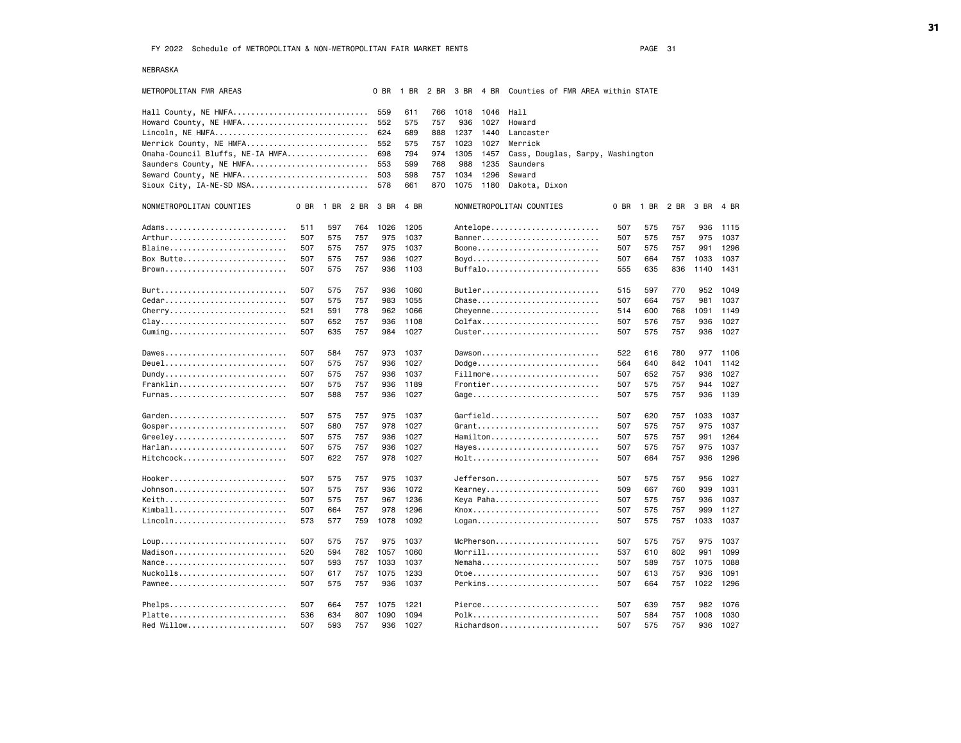NEBRASKA

| METROPOLITAN FMR AREAS           |     |                |     | 0 BR |      |     |      |           | 1 BR 2 BR 3 BR 4 BR Counties of FMR AREA within STATE |      |     |                     |      |      |
|----------------------------------|-----|----------------|-----|------|------|-----|------|-----------|-------------------------------------------------------|------|-----|---------------------|------|------|
| Hall County, NE HMFA             |     |                |     | 559  | 611  | 766 | 1018 | 1046      | Hall                                                  |      |     |                     |      |      |
| Howard County, NE HMFA           |     |                |     | 552  | 575  | 757 | 936  | 1027      | Howard                                                |      |     |                     |      |      |
| Lincoln, NE HMFA                 |     |                |     | 624  | 689  | 888 | 1237 | 1440      | Lancaster                                             |      |     |                     |      |      |
| Merrick County, NE HMFA          |     |                |     | 552  | 575  | 757 | 1023 | 1027      | Merrick                                               |      |     |                     |      |      |
| Omaha-Council Bluffs, NE-IA HMFA |     |                |     | 698  | 794  | 974 | 1305 | 1457      | Cass, Douglas, Sarpy, Washington                      |      |     |                     |      |      |
| Saunders County, NE HMFA         |     |                |     | 553  | 599  | 768 | 988  | 1235      | Saunders                                              |      |     |                     |      |      |
| Seward County, NE HMFA           |     |                |     | 503  | 598  | 757 | 1034 | 1296      | Seward                                                |      |     |                     |      |      |
|                                  |     |                |     | 578  | 661  | 870 |      | 1075 1180 | Dakota, Dixon                                         |      |     |                     |      |      |
|                                  |     |                |     |      |      |     |      |           |                                                       |      |     |                     |      |      |
| NONMETROPOLITAN COUNTIES         |     | 0 BR 1 BR 2 BR |     | 3 BR | 4 BR |     |      |           | NONMETROPOLITAN COUNTIES                              | 0 BR |     | 1 BR 2 BR 3 BR 4 BR |      |      |
| Adams                            | 511 | 597            | 764 | 1026 | 1205 |     |      |           | Antelope                                              | 507  | 575 | 757                 | 936  | 1115 |
| Arthur                           | 507 | 575            | 757 | 975  | 1037 |     |      |           | Banner                                                | 507  | 575 | 757                 | 975  | 1037 |
| Blaine                           | 507 | 575            | 757 | 975  | 1037 |     |      |           | Boone                                                 | 507  | 575 | 757                 | 991  | 1296 |
| Box Butte                        | 507 | 575            | 757 | 936  | 1027 |     |      |           |                                                       | 507  | 664 | 757                 | 1033 | 1037 |
| Brown                            | 507 | 575            | 757 | 936  | 1103 |     |      |           | Buffalo                                               | 555  | 635 | 836                 | 1140 | 1431 |
|                                  |     |                |     |      |      |     |      |           |                                                       |      |     |                     |      |      |
| Burt                             | 507 | 575            | 757 | 936  | 1060 |     |      |           | Butler                                                | 515  | 597 | 770                 | 952  | 1049 |
| Cedar                            | 507 | 575            | 757 | 983  | 1055 |     |      |           | Chase                                                 | 507  | 664 | 757                 | 981  | 1037 |
| Cherry                           | 521 | 591            | 778 | 962  | 1066 |     |      |           | Cheyenne                                              | 514  | 600 | 768                 | 1091 | 1149 |
| Clay                             | 507 | 652            | 757 | 936  | 1108 |     |      |           | Colfax                                                | 507  | 576 | 757                 | 936  | 1027 |
|                                  | 507 | 635            | 757 | 984  | 1027 |     |      |           | Custer                                                | 507  | 575 | 757                 | 936  | 1027 |
| Dawes                            | 507 | 584            | 757 | 973  | 1037 |     |      |           | Dawson                                                | 522  | 616 | 780                 | 977  | 1106 |
| Deuel                            | 507 | 575            | 757 | 936  | 1027 |     |      |           | Dodge                                                 | 564  | 640 | 842                 | 1041 | 1142 |
| Dundy                            | 507 | 575            | 757 | 936  | 1037 |     |      |           | Fillmore                                              | 507  | 652 | 757                 | 936  | 1027 |
| Franklin                         | 507 | 575            | 757 | 936  | 1189 |     |      |           | Frontier                                              | 507  | 575 | 757                 | 944  | 1027 |
| Furnas                           | 507 | 588            | 757 | 936  | 1027 |     |      |           | Gage                                                  | 507  | 575 | 757                 | 936  | 1139 |
|                                  |     |                |     |      |      |     |      |           |                                                       |      |     |                     |      |      |
|                                  | 507 | 575            | 757 | 975  | 1037 |     |      |           | Garfield                                              | 507  | 620 | 757                 | 1033 | 1037 |
|                                  | 507 | 580            | 757 | 978  | 1027 |     |      |           | Grant                                                 | 507  | 575 | 757                 | 975  | 1037 |
| Greeley                          | 507 | 575            | 757 | 936  | 1027 |     |      |           | Hamilton                                              | 507  | 575 | 757                 | 991  | 1264 |
| Harlan                           | 507 | 575            | 757 | 936  | 1027 |     |      |           | Hayes                                                 | 507  | 575 | 757                 | 975  | 1037 |
| Hitchcock                        | 507 | 622            | 757 | 978  | 1027 |     |      |           | Holt                                                  | 507  | 664 | 757                 | 936  | 1296 |
|                                  |     |                |     |      |      |     |      |           |                                                       |      |     |                     |      |      |
| Hooker                           | 507 | 575            | 757 | 975  | 1037 |     |      |           | Jefferson                                             | 507  | 575 | 757                 | 956  | 1027 |
| Johnson                          | 507 | 575            | 757 | 936  | 1072 |     |      |           | Kearney                                               | 509  | 667 | 760                 | 939  | 1031 |
| Keith                            | 507 | 575            | 757 | 967  | 1236 |     |      |           | Keya Paha                                             | 507  | 575 | 757                 | 936  | 1037 |
| Kimball                          | 507 | 664            | 757 | 978  | 1296 |     |      |           | Knox                                                  | 507  | 575 | 757                 | 999  | 1127 |
| Lincoln                          | 573 | 577            | 759 | 1078 | 1092 |     |      |           | Logan                                                 | 507  | 575 | 757                 | 1033 | 1037 |
|                                  | 507 | 575            | 757 | 975  | 1037 |     |      |           | McPherson                                             | 507  | 575 | 757                 | 975  | 1037 |
| Madison                          | 520 | 594            | 782 | 1057 | 1060 |     |      |           | Morrill                                               | 537  | 610 | 802                 | 991  | 1099 |
| Nance                            | 507 | 593            | 757 | 1033 | 1037 |     |      |           | Nemaha                                                | 507  | 589 | 757                 | 1075 | 1088 |
| Nuckolls                         | 507 | 617            | 757 | 1075 | 1233 |     |      |           | 0toe                                                  | 507  | 613 | 757                 | 936  | 1091 |
|                                  | 507 | 575            | 757 | 936  | 1037 |     |      |           | Perkins                                               | 507  | 664 | 757                 | 1022 | 1296 |
|                                  |     |                |     |      |      |     |      |           |                                                       |      |     |                     |      |      |
| Phelps                           | 507 | 664            | 757 | 1075 | 1221 |     |      |           | Pierce                                                | 507  | 639 | 757                 | 982  | 1076 |
| Platte                           | 536 | 634            | 807 | 1090 | 1094 |     |      |           | Polk                                                  | 507  | 584 | 757                 | 1008 | 1030 |
| Red Willow                       | 507 | 593            | 757 | 936  | 1027 |     |      |           | Richardson                                            | 507  | 575 | 757                 | 936  | 1027 |
|                                  |     |                |     |      |      |     |      |           |                                                       |      |     |                     |      |      |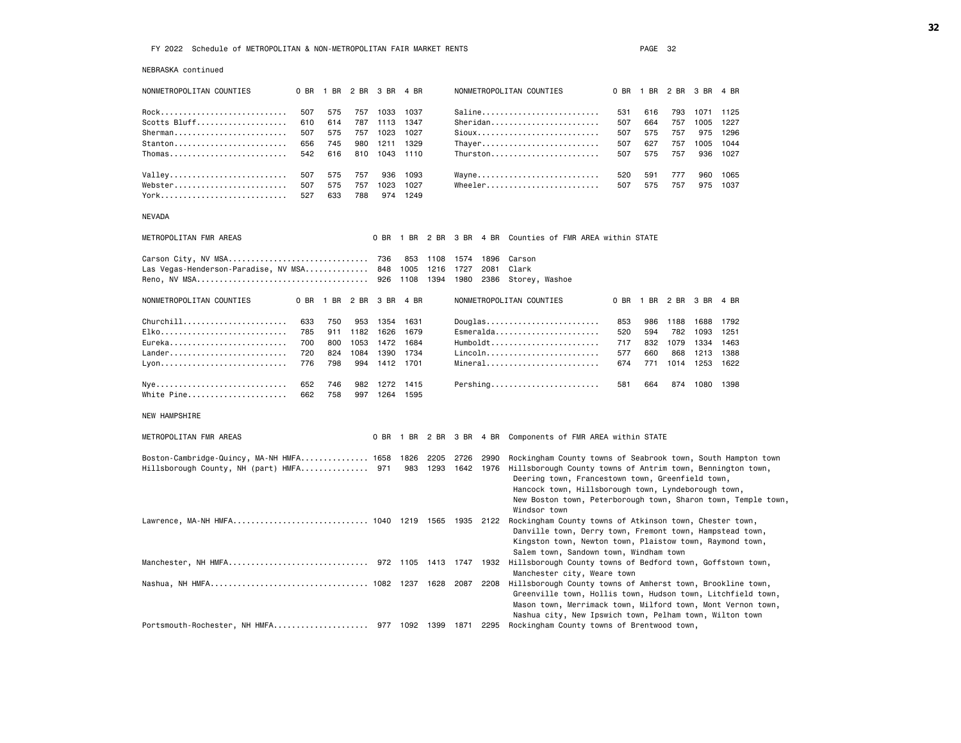| NEBRASKA continued                                               |      |      |      |                          |           |      |           |                |                                                                                                                                                                                                                                                                                    |     |                     |      |      |      |
|------------------------------------------------------------------|------|------|------|--------------------------|-----------|------|-----------|----------------|------------------------------------------------------------------------------------------------------------------------------------------------------------------------------------------------------------------------------------------------------------------------------------|-----|---------------------|------|------|------|
| NONMETROPOLITAN COUNTIES                                         |      |      |      | 0 BR 1 BR 2 BR 3 BR 4 BR |           |      |           |                | NONMETROPOLITAN COUNTIES                                                                                                                                                                                                                                                           |     | 0 BR 1 BR 2 BR 3 BR |      |      | 4 BR |
| Rock                                                             | 507  | 575  |      | 757 1033                 | 1037      |      |           |                | Saline                                                                                                                                                                                                                                                                             | 531 | 616                 | 793  | 1071 | 1125 |
| Scotts Bluff                                                     | 610  | 614  | 787  | 1113                     | 1347      |      |           |                | Sheridan                                                                                                                                                                                                                                                                           | 507 | 664                 | 757  | 1005 | 1227 |
| Sherman                                                          | 507  | 575  | 757  | 1023                     | 1027      |      |           |                | Sioux                                                                                                                                                                                                                                                                              | 507 | 575                 | 757  | 975  | 1296 |
| $Stanton$                                                        | 656  | 745  | 980  | 1211                     | 1329      |      |           |                | Thayer                                                                                                                                                                                                                                                                             | 507 | 627                 | 757  | 1005 | 1044 |
| $Thomas \ldots \ldots \ldots \ldots \ldots \ldots \ldots \ldots$ | 542  | 616  | 810  | 1043                     | 1110      |      |           |                | Thurston                                                                                                                                                                                                                                                                           | 507 | 575                 | 757  | 936  | 1027 |
| Valley                                                           | 507  | 575  | 757  | 936                      | 1093      |      |           |                | Wayne                                                                                                                                                                                                                                                                              | 520 | 591                 | 777  | 960  | 1065 |
| Webster                                                          | 507  | 575  | 757  | 1023                     | 1027      |      |           |                | Wheeler                                                                                                                                                                                                                                                                            | 507 | 575                 | 757  | 975  | 1037 |
| York                                                             | 527  | 633  | 788  |                          | 974 1249  |      |           |                |                                                                                                                                                                                                                                                                                    |     |                     |      |      |      |
| NEVADA                                                           |      |      |      |                          |           |      |           |                |                                                                                                                                                                                                                                                                                    |     |                     |      |      |      |
| METROPOLITAN FMR AREAS                                           |      |      |      |                          |           |      |           |                | 0 BR 1 BR 2 BR 3 BR 4 BR Counties of FMR AREA within STATE                                                                                                                                                                                                                         |     |                     |      |      |      |
|                                                                  |      |      |      |                          | 853       | 1108 | 1574      | 1896           | Carson                                                                                                                                                                                                                                                                             |     |                     |      |      |      |
| Las Vegas-Henderson-Paradise, NV MSA 848                         |      |      |      |                          | 1005      | 1216 | 1727      | 2081           | Clark                                                                                                                                                                                                                                                                              |     |                     |      |      |      |
|                                                                  |      |      |      |                          | 1108      | 1394 | 1980      | 2386           | Storey, Washoe                                                                                                                                                                                                                                                                     |     |                     |      |      |      |
| NONMETROPOLITAN COUNTIES                                         | 0 BR | 1 BR | 2 BR | 3 BR                     | 4 BR      |      |           |                | NONMETROPOLITAN COUNTIES                                                                                                                                                                                                                                                           |     | 0 BR 1 BR           | 2 BR | 3 BR | 4 BR |
|                                                                  | 633  | 750  | 953  | 1354                     | 1631      |      |           |                | Douglas                                                                                                                                                                                                                                                                            | 853 | 986                 | 1188 | 1688 | 1792 |
| Elko                                                             | 785  | 911  | 1182 | 1626                     | 1679      |      |           |                | Esmeralda                                                                                                                                                                                                                                                                          | 520 | 594                 | 782  | 1093 | 1251 |
| Eureka                                                           | 700  | 800  | 1053 |                          | 1472 1684 |      |           |                | $Humboldt$                                                                                                                                                                                                                                                                         | 717 | 832                 | 1079 | 1334 | 1463 |
| Lander                                                           | 720  | 824  | 1084 | 1390                     | 1734      |      |           |                | Lincoln                                                                                                                                                                                                                                                                            | 577 | 660                 | 868  | 1213 | 1388 |
|                                                                  | 776  | 798  | 994  |                          | 1412 1701 |      |           |                | Mineral                                                                                                                                                                                                                                                                            | 674 | 771                 | 1014 | 1253 | 1622 |
|                                                                  | 652  | 746  | 982  | 1272                     | 1415      |      |           |                | Pershing                                                                                                                                                                                                                                                                           | 581 | 664                 | 874  | 1080 | 1398 |
| White Pine                                                       | 662  | 758  |      | 997 1264                 | 1595      |      |           |                |                                                                                                                                                                                                                                                                                    |     |                     |      |      |      |
| NEW HAMPSHIRE                                                    |      |      |      |                          |           |      |           |                |                                                                                                                                                                                                                                                                                    |     |                     |      |      |      |
| METROPOLITAN FMR AREAS                                           |      |      |      |                          |           |      |           |                | 0 BR 1 BR 2 BR 3 BR 4 BR Components of FMR AREA within STATE                                                                                                                                                                                                                       |     |                     |      |      |      |
| Boston-Cambridge-Quincy, MA-NH HMFA 1658                         |      |      |      |                          | 1826      | 2205 | 2726      | 2990           | Rockingham County towns of Seabrook town, South Hampton town                                                                                                                                                                                                                       |     |                     |      |      |      |
| Hillsborough County, NH (part) HMFA 971                          |      |      |      |                          | 983       | 1293 | 1642 1976 |                | Hillsborough County towns of Antrim town, Bennington town,<br>Deering town, Francestown town, Greenfield town,<br>Hancock town, Hillsborough town, Lyndeborough town,<br>New Boston town, Peterborough town, Sharon town, Temple town,<br>Windsor town                             |     |                     |      |      |      |
| Lawrence, MA-NH HMFA 1040 1219 1565 1935 2122                    |      |      |      |                          |           |      |           |                | Rockingham County towns of Atkinson town, Chester town,<br>Danville town, Derry town, Fremont town, Hampstead town,<br>Kingston town, Newton town, Plaistow town, Raymond town,<br>Salem town, Sandown town, Windham town                                                          |     |                     |      |      |      |
| Manchester, NH HMFA 972 1105                                     |      |      |      |                          |           |      |           | 1413 1747 1932 | Hillsborough County towns of Bedford town, Goffstown town,                                                                                                                                                                                                                         |     |                     |      |      |      |
| Nashua, NH HMFA 1082 1237                                        |      |      |      |                          |           | 1628 | 2087      | 2208           | Manchester city, Weare town<br>Hillsborough County towns of Amherst town, Brookline town,<br>Greenville town, Hollis town, Hudson town, Litchfield town,<br>Mason town, Merrimack town, Milford town, Mont Vernon town,<br>Nashua city, New Ipswich town, Pelham town, Wilton town |     |                     |      |      |      |

Portsmouth-Rochester, NH HMFA..................... 977 1092 1399 1871 2295 Rockingham County towns of Brentwood town,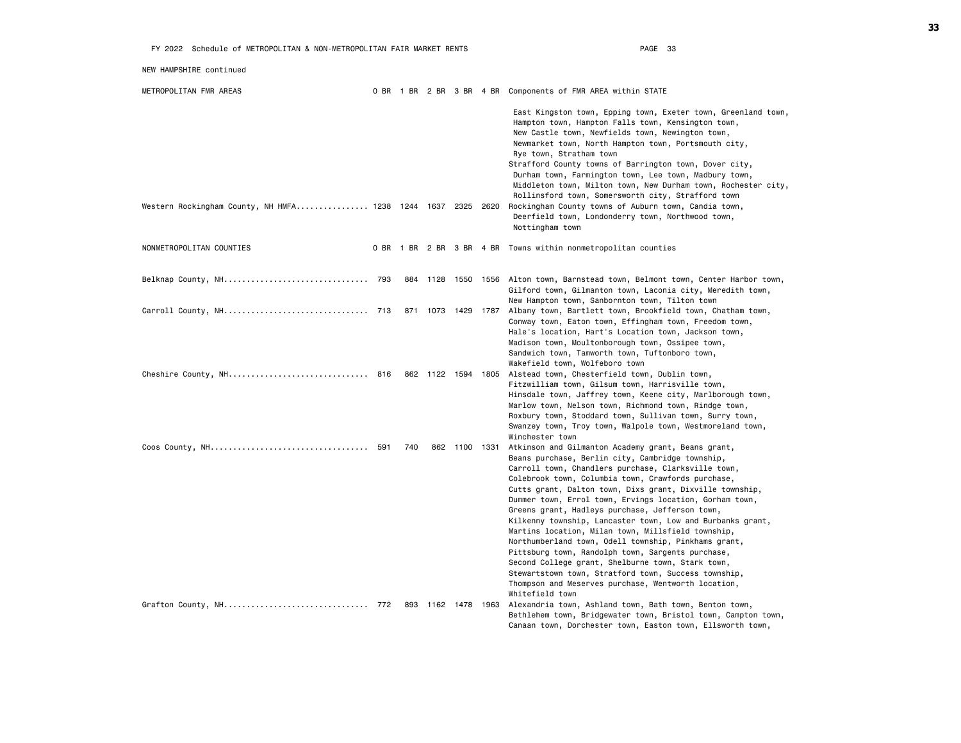| NEW HAMPSHIRE continued                                     |     |                    |               |                                                                                                                                                                                                                                                                                                                                                                                                                                                                                                                                                                                                                                                                                                                                                                                                                       |
|-------------------------------------------------------------|-----|--------------------|---------------|-----------------------------------------------------------------------------------------------------------------------------------------------------------------------------------------------------------------------------------------------------------------------------------------------------------------------------------------------------------------------------------------------------------------------------------------------------------------------------------------------------------------------------------------------------------------------------------------------------------------------------------------------------------------------------------------------------------------------------------------------------------------------------------------------------------------------|
| METROPOLITAN FMR AREAS                                      |     |                    |               | 0 BR 1 BR 2 BR 3 BR 4 BR Components of FMR AREA within STATE                                                                                                                                                                                                                                                                                                                                                                                                                                                                                                                                                                                                                                                                                                                                                          |
|                                                             |     |                    |               | East Kingston town, Epping town, Exeter town, Greenland town,<br>Hampton town, Hampton Falls town, Kensington town,<br>New Castle town, Newfields town, Newington town,<br>Newmarket town, North Hampton town, Portsmouth city,<br>Rye town, Stratham town<br>Strafford County towns of Barrington town, Dover city,<br>Durham town, Farmington town, Lee town, Madbury town,<br>Middleton town, Milton town, New Durham town, Rochester city,<br>Rollinsford town, Somersworth city, Strafford town                                                                                                                                                                                                                                                                                                                  |
| Western Rockingham County, NH HMFA 1238 1244 1637 2325 2620 |     |                    |               | Rockingham County towns of Auburn town, Candia town,<br>Deerfield town, Londonderry town, Northwood town,<br>Nottingham town                                                                                                                                                                                                                                                                                                                                                                                                                                                                                                                                                                                                                                                                                          |
| NONMETROPOLITAN COUNTIES                                    |     |                    |               | 0 BR 1 BR 2 BR 3 BR 4 BR Towns within nonmetropolitan counties                                                                                                                                                                                                                                                                                                                                                                                                                                                                                                                                                                                                                                                                                                                                                        |
|                                                             |     |                    |               | 884 1128 1550 1556 Alton town, Barnstead town, Belmont town, Center Harbor town,<br>Gilford town, Gilmanton town, Laconia city, Meredith town,<br>New Hampton town, Sanbornton town, Tilton town                                                                                                                                                                                                                                                                                                                                                                                                                                                                                                                                                                                                                      |
|                                                             |     |                    |               | 871 1073 1429 1787 Albany town, Bartlett town, Brookfield town, Chatham town,<br>Conway town, Eaton town, Effingham town, Freedom town,<br>Hale's location, Hart's Location town, Jackson town,<br>Madison town, Moultonborough town, Ossipee town,<br>Sandwich town, Tamworth town, Tuftonboro town,<br>Wakefield town, Wolfeboro town                                                                                                                                                                                                                                                                                                                                                                                                                                                                               |
|                                                             |     |                    |               | 862 1122 1594 1805 Alstead town, Chesterfield town, Dublin town,<br>Fitzwilliam town, Gilsum town, Harrisville town,<br>Hinsdale town, Jaffrey town, Keene city, Marlborough town,<br>Marlow town, Nelson town, Richmond town, Rindge town,<br>Roxbury town, Stoddard town, Sullivan town, Surry town,<br>Swanzey town, Troy town, Walpole town, Westmoreland town,<br>Winchester town                                                                                                                                                                                                                                                                                                                                                                                                                                |
|                                                             | 740 |                    | 862 1100 1331 | Atkinson and Gilmanton Academy grant, Beans grant,<br>Beans purchase, Berlin city, Cambridge township,<br>Carroll town, Chandlers purchase, Clarksville town,<br>Colebrook town, Columbia town, Crawfords purchase,<br>Cutts grant, Dalton town, Dixs grant, Dixville township,<br>Dummer town, Errol town, Ervings location, Gorham town,<br>Greens grant, Hadleys purchase, Jefferson town,<br>Kilkenny township, Lancaster town, Low and Burbanks grant,<br>Martins location, Milan town, Millsfield township,<br>Northumberland town, Odell township, Pinkhams grant,<br>Pittsburg town, Randolph town, Sargents purchase,<br>Second College grant, Shelburne town, Stark town,<br>Stewartstown town, Stratford town, Success township,<br>Thompson and Meserves purchase, Wentworth location,<br>Whitefield town |
|                                                             |     | 893 1162 1478 1963 |               | Alexandria town, Ashland town, Bath town, Benton town,<br>Bethlehem town, Bridgewater town, Bristol town, Campton town,<br>Canaan town, Dorchester town, Easton town, Ellsworth town,                                                                                                                                                                                                                                                                                                                                                                                                                                                                                                                                                                                                                                 |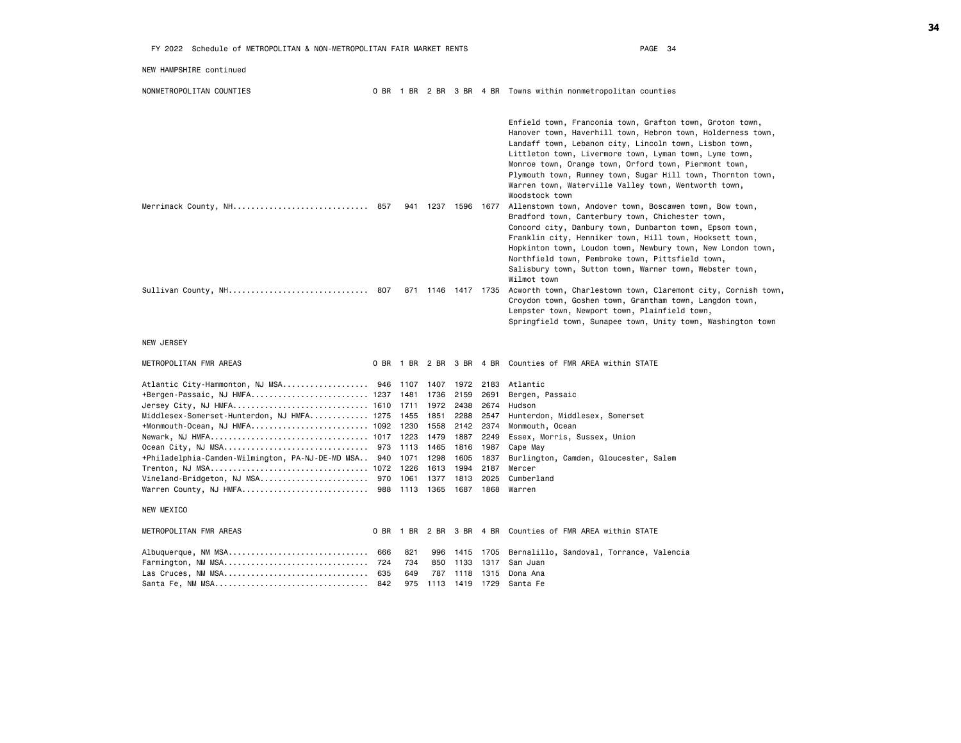| NEW HAMPSHIRE continued                                                                                                                                                                                                                                                                                                                                                                                                                                                                |                   |            |                                                                |                                      |                                                                                                                                                                                                                                                                                                                                                                                                                                                   |
|----------------------------------------------------------------------------------------------------------------------------------------------------------------------------------------------------------------------------------------------------------------------------------------------------------------------------------------------------------------------------------------------------------------------------------------------------------------------------------------|-------------------|------------|----------------------------------------------------------------|--------------------------------------|---------------------------------------------------------------------------------------------------------------------------------------------------------------------------------------------------------------------------------------------------------------------------------------------------------------------------------------------------------------------------------------------------------------------------------------------------|
| NONMETROPOLITAN COUNTIES                                                                                                                                                                                                                                                                                                                                                                                                                                                               |                   |            |                                                                |                                      | 0 BR 1 BR 2 BR 3 BR 4 BR Towns within nonmetropolitan counties                                                                                                                                                                                                                                                                                                                                                                                    |
|                                                                                                                                                                                                                                                                                                                                                                                                                                                                                        |                   |            |                                                                |                                      | Enfield town, Franconia town, Grafton town, Groton town,<br>Hanover town, Haverhill town, Hebron town, Holderness town,<br>Landaff town, Lebanon city, Lincoln town, Lisbon town,<br>Littleton town, Livermore town, Lyman town, Lyme town,<br>Monroe town, Orange town, Orford town, Piermont town,<br>Plymouth town, Rumney town, Sugar Hill town, Thornton town,<br>Warren town, Waterville Valley town, Wentworth town,<br>Woodstock town     |
| Merrimack County, NH 857                                                                                                                                                                                                                                                                                                                                                                                                                                                               |                   |            |                                                                |                                      | 941 1237 1596 1677 Allenstown town, Andover town, Boscawen town, Bow town,<br>Bradford town, Canterbury town, Chichester town,<br>Concord city, Danbury town, Dunbarton town, Epsom town,<br>Franklin city, Henniker town, Hill town, Hooksett town,<br>Hopkinton town, Loudon town, Newbury town, New London town,<br>Northfield town, Pembroke town, Pittsfield town,<br>Salisbury town, Sutton town, Warner town, Webster town,<br>Wilmot town |
|                                                                                                                                                                                                                                                                                                                                                                                                                                                                                        |                   |            |                                                                |                                      | Sullivan County, NH 807 871 1146 1417 1735 Acworth town, Charlestown town, Claremont city, Cornish town,<br>Croydon town, Goshen town, Grantham town, Langdon town,<br>Lempster town, Newport town, Plainfield town,<br>Springfield town, Sunapee town, Unity town, Washington town                                                                                                                                                               |
| NEW JERSEY                                                                                                                                                                                                                                                                                                                                                                                                                                                                             |                   |            |                                                                |                                      |                                                                                                                                                                                                                                                                                                                                                                                                                                                   |
| METROPOLITAN FMR AREAS                                                                                                                                                                                                                                                                                                                                                                                                                                                                 |                   |            |                                                                |                                      | 0 BR 1 BR 2 BR 3 BR 4 BR Counties of FMR AREA within STATE                                                                                                                                                                                                                                                                                                                                                                                        |
| Atlantic City-Hammonton, NJ MSA 946  1107  1407  1972  2183  Atlantic<br>Jersey City, NJ HMFA 1610  1711  1972  2438<br>Middlesex-Somerset-Hunterdon, NJ HMFA 1275 1455 1851<br>+Monmouth-Ocean, NJ HMFA 1092 1230 1558 2142 2374<br>Newark, NJ HMFA 1017  1223  1479<br>Ocean City, NJ MSA 973  1113  1465<br>+Philadelphia-Camden-Wilmington, PA-NJ-DE-MD MSA 940 1071 1298<br>Trenton, NJ MSA 1072 1226<br>Warren County, NJ HMFA 988  1113  1365  1687  1868  Warren<br>NEW MEXICO |                   | 1613       | 2159<br>2288<br>1887<br>1816 1987<br>1605 1837<br>1994<br>1813 | 2691<br>2674<br>2547<br>2187<br>2025 | Bergen, Passaic<br>Hudson<br>Hunterdon, Middlesex, Somerset<br>Monmouth, Ocean<br>2249 Essex, Morris, Sussex, Union<br>Cape May<br>Burlington, Camden, Gloucester, Salem<br>Mercer<br>Cumberland                                                                                                                                                                                                                                                  |
|                                                                                                                                                                                                                                                                                                                                                                                                                                                                                        |                   |            |                                                                |                                      |                                                                                                                                                                                                                                                                                                                                                                                                                                                   |
| METROPOLITAN FMR AREAS<br>Albuquerque, NM MSA 666<br>Farmington, NM MSA 724<br>Las Cruces, NM MSA 635                                                                                                                                                                                                                                                                                                                                                                                  | 821<br>734<br>649 | 996<br>850 |                                                                |                                      | 0 BR 1 BR 2 BR 3 BR 4 BR Counties of FMR AREA within STATE<br>1415 1705 Bernalillo, Sandoval, Torrance, Valencia<br>1133 1317 San Juan<br>787 1118 1315 Dona Ana<br>975 1113 1419 1729 Santa Fe                                                                                                                                                                                                                                                   |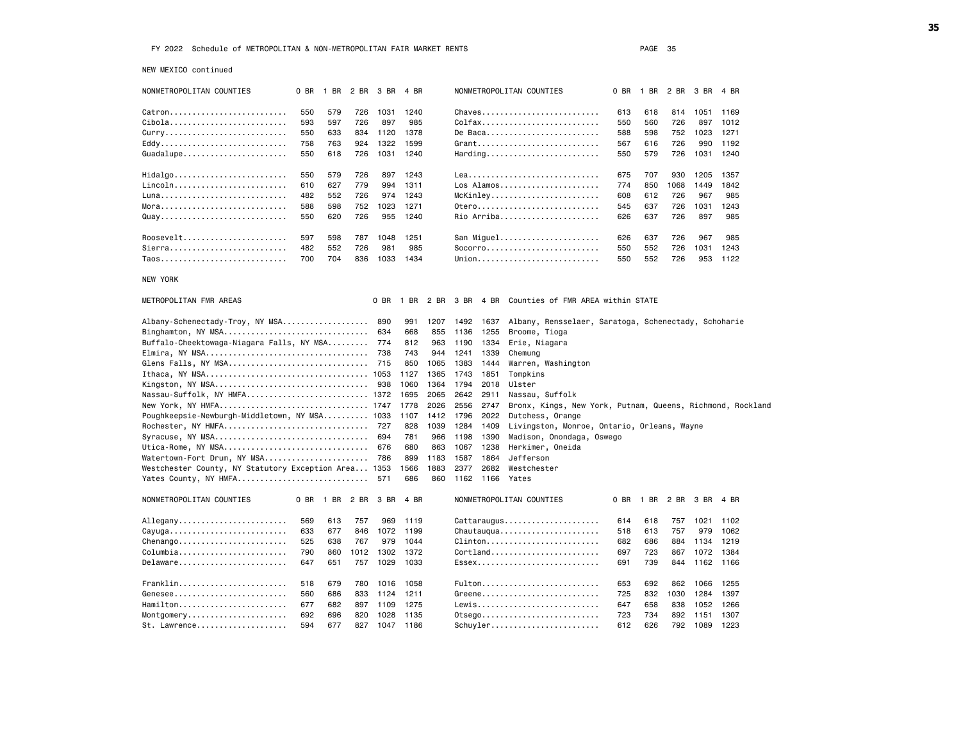NEW MEXICO continued

| NONMETROPOLITAN COUNTIES                             | 0 BR | 1 BR 2 BR 3 BR 4 BR |      |      |      |      |      |           | NONMETROPOLITAN COUNTIES                                   | 0 BR |      | 1 BR 2 BR | 3 BR | 4 BR |
|------------------------------------------------------|------|---------------------|------|------|------|------|------|-----------|------------------------------------------------------------|------|------|-----------|------|------|
| Catron                                               | 550  | 579                 | 726  | 1031 | 1240 |      |      |           | Chaves                                                     | 613  | 618  | 814       | 1051 | 1169 |
| Cibola                                               | 593  | 597                 | 726  | 897  | 985  |      |      |           | Colfax                                                     | 550  | 560  | 726       | 897  | 1012 |
| Curry                                                | 550  | 633                 | 834  | 1120 | 1378 |      |      |           | De Baca                                                    | 588  | 598  | 752       | 1023 | 1271 |
|                                                      | 758  | 763                 | 924  | 1322 | 1599 |      |      |           | Grant                                                      | 567  | 616  | 726       | 990  | 1192 |
| Guadalupe                                            | 550  | 618                 | 726  | 1031 | 1240 |      |      |           |                                                            | 550  | 579  | 726       | 1031 | 1240 |
|                                                      |      |                     |      |      |      |      |      |           |                                                            |      |      |           |      |      |
| Hidalgo                                              | 550  | 579                 | 726  | 897  | 1243 |      |      |           | Lea                                                        | 675  | 707  | 930       | 1205 | 1357 |
| Lincoln                                              | 610  | 627                 | 779  | 994  | 1311 |      |      |           | Los Alamos                                                 | 774  | 850  | 1068      | 1449 | 1842 |
|                                                      | 482  | 552                 | 726  | 974  | 1243 |      |      |           | McKinley                                                   | 608  | 612  | 726       | 967  | 985  |
|                                                      | 588  | 598                 | 752  | 1023 | 1271 |      |      |           | 0tero                                                      | 545  | 637  | 726       | 1031 | 1243 |
| Quay                                                 | 550  | 620                 | 726  | 955  | 1240 |      |      |           | Rio Arriba                                                 | 626  | 637  | 726       | 897  | 985  |
| Roosevelt                                            | 597  | 598                 | 787  | 1048 | 1251 |      |      |           | San Miguel                                                 | 626  | 637  | 726       | 967  | 985  |
| Sierra                                               | 482  | 552                 | 726  | 981  | 985  |      |      |           |                                                            | 550  | 552  | 726       | 1031 | 1243 |
| Taos                                                 | 700  | 704                 | 836  | 1033 | 1434 |      |      |           | Union                                                      | 550  | 552  | 726       | 953  | 1122 |
|                                                      |      |                     |      |      |      |      |      |           |                                                            |      |      |           |      |      |
| <b>NEW YORK</b>                                      |      |                     |      |      |      |      |      |           |                                                            |      |      |           |      |      |
| METROPOLITAN FMR AREAS                               |      |                     |      | 0 BR | 1 BR | 2 BR |      | 3 BR 4 BR | Counties of FMR AREA within STATE                          |      |      |           |      |      |
| Albany-Schenectady-Troy, NY MSA                      |      |                     |      | 890  | 991  | 1207 | 1492 | 1637      | Albany, Rensselaer, Saratoga, Schenectady, Schoharie       |      |      |           |      |      |
| Binghamton, NY MSA                                   |      |                     |      | 634  | 668  | 855  | 1136 | 1255      | Broome, Tioga                                              |      |      |           |      |      |
| Buffalo-Cheektowaga-Niagara Falls, NY MSA            |      |                     |      | 774  | 812  | 963  | 1190 | 1334      | Erie, Niagara                                              |      |      |           |      |      |
|                                                      |      |                     |      | 738  | 743  | 944  | 1241 | 1339      | Chemung                                                    |      |      |           |      |      |
| Glens Falls, NY MSA                                  |      |                     |      | 715  | 850  | 1065 | 1383 | 1444      | Warren, Washington                                         |      |      |           |      |      |
|                                                      |      |                     |      |      | 1127 | 1365 | 1743 | 1851      | Tompkins                                                   |      |      |           |      |      |
| Kingston, NY MSA                                     |      |                     |      | 938  | 1060 | 1364 | 1794 | 2018      | Ulster                                                     |      |      |           |      |      |
| Nassau-Suffolk, NY HMFA 1372                         |      |                     |      |      | 1695 | 2065 | 2642 | 2911      | Nassau, Suffolk                                            |      |      |           |      |      |
| New York, NY HMFA 1747                               |      |                     |      |      | 1778 | 2026 | 2556 | 2747      | Bronx, Kings, New York, Putnam, Queens, Richmond, Rockland |      |      |           |      |      |
| Poughkeepsie-Newburgh-Middletown, NY MSA 1033        |      |                     |      |      | 1107 | 1412 | 1796 | 2022      | Dutchess, Orange                                           |      |      |           |      |      |
| Rochester, NY HMFA                                   |      |                     |      | 727  | 828  | 1039 | 1284 | 1409      | Livingston, Monroe, Ontario, Orleans, Wayne                |      |      |           |      |      |
| Syracuse, NY MSA                                     |      |                     |      | 694  | 781  | 966  | 1198 | 1390      | Madison, Onondaga, Oswego                                  |      |      |           |      |      |
| Utica-Rome, NY MSA                                   |      |                     |      | 676  | 680  | 863  | 1067 | 1238      | Herkimer, Oneida                                           |      |      |           |      |      |
| Watertown-Fort Drum, NY MSA                          |      |                     |      | 786  | 899  | 1183 | 1587 | 1864      | Jefferson                                                  |      |      |           |      |      |
| Westchester County, NY Statutory Exception Area 1353 |      |                     |      |      | 1566 | 1883 | 2377 | 2682      | Westchester                                                |      |      |           |      |      |
| Yates County, NY HMFA                                |      |                     |      | 571  | 686  | 860  | 1162 | 1166      | Yates                                                      |      |      |           |      |      |
| NONMETROPOLITAN COUNTIES                             | 0 BR | 1 BR                | 2 BR | 3 BR | 4 BR |      |      |           | NONMETROPOLITAN COUNTIES                                   | 0 BR | 1 BR | 2 BR      | 3 BR | 4 BR |
| Allegany                                             | 569  | 613                 | 757  | 969  | 1119 |      |      |           | Cattaraugus                                                | 614  | 618  | 757       | 1021 | 1102 |
| Cayuga                                               | 633  | 677                 | 846  | 1072 | 1199 |      |      |           | Chautauqua                                                 | 518  | 613  | 757       | 979  | 1062 |
| $Chenango \ldots \ldots \ldots \ldots \ldots \ldots$ | 525  | 638                 | 767  | 979  | 1044 |      |      |           | $Clienton \ldots \ldots \ldots \ldots \ldots$              | 682  | 686  | 884       | 1134 | 1219 |
| Columbia                                             | 790  | 860                 | 1012 | 1302 | 1372 |      |      |           |                                                            | 697  | 723  | 867       | 1072 | 1384 |
| Delaware                                             | 647  | 651                 | 757  | 1029 | 1033 |      |      |           | Essex                                                      | 691  | 739  | 844       | 1162 | 1166 |
|                                                      |      |                     |      |      |      |      |      |           |                                                            |      |      |           |      |      |
| Franklin                                             | 518  | 679                 | 780  | 1016 | 1058 |      |      |           | Fulton                                                     | 653  | 692  | 862       | 1066 | 1255 |
| Genesee                                              | 560  | 686                 | 833  | 1124 | 1211 |      |      |           | Greene                                                     | 725  | 832  | 1030      | 1284 | 1397 |
| Hamilton                                             | 677  | 682                 | 897  | 1109 | 1275 |      |      |           | Lewis                                                      | 647  | 658  | 838       | 1052 | 1266 |
| Montgomery                                           | 692  | 696                 | 820  | 1028 | 1135 |      |      |           | 0tsego                                                     | 723  | 734  | 892       | 1151 | 1307 |
| St. Lawrence                                         | 594  | 677                 | 827  | 1047 | 1186 |      |      |           | Schuyler                                                   | 612  | 626  | 792       | 1089 | 1223 |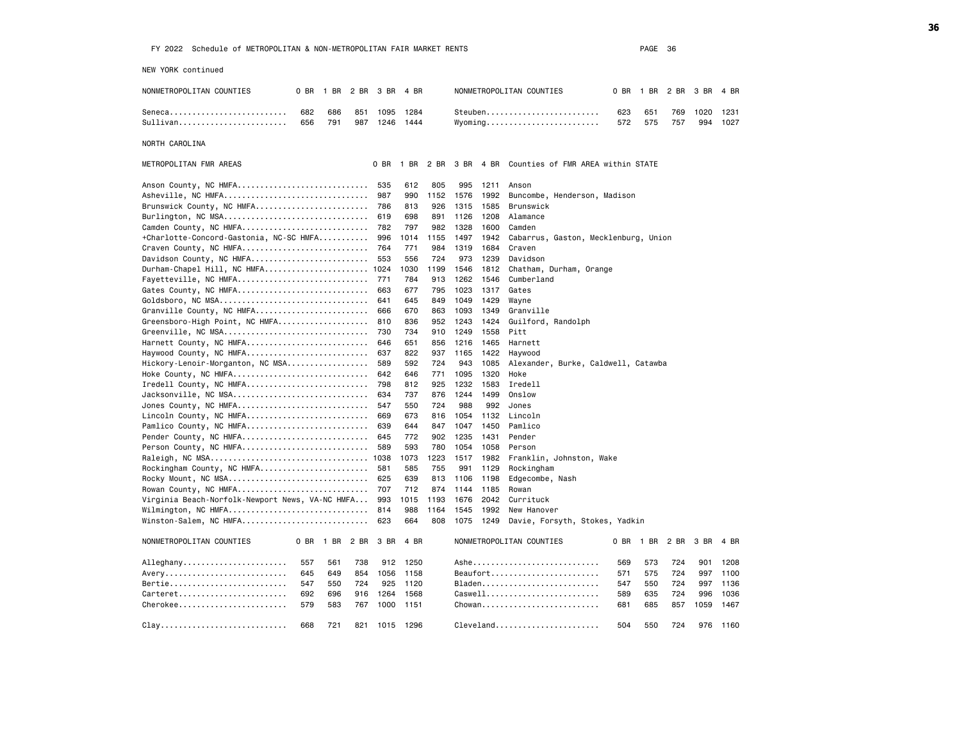NEW YORK continued

| NONMETROPOLITAN COUNTIES                           | 0 BR<br>1 BR             | 2 BR       | 3 BR         | 4 BR         |            |             |              | NONMETROPOLITAN COUNTIES                       | 0 BR       | 1 BR       | 2 BR       | 3 BR        | 4 BR         |
|----------------------------------------------------|--------------------------|------------|--------------|--------------|------------|-------------|--------------|------------------------------------------------|------------|------------|------------|-------------|--------------|
| Seneca<br>Sullivan                                 | 682<br>686<br>656<br>791 | 851<br>987 | 1095<br>1246 | 1284<br>1444 |            |             |              | Steuben<br>$Wy$ oming                          | 623<br>572 | 651<br>575 | 769<br>757 | 1020<br>994 | 1231<br>1027 |
| NORTH CAROLINA                                     |                          |            |              |              |            |             |              |                                                |            |            |            |             |              |
| METROPOLITAN FMR AREAS                             |                          |            | 0 BR         | 1 BR         | 2 BR       | 3 BR        | 4 BR         | Counties of FMR AREA within STATE              |            |            |            |             |              |
| Anson County, NC HMFA                              |                          |            | 535          | 612          | 805        | 995         | 1211         | Anson                                          |            |            |            |             |              |
| Asheville, NC HMFA                                 |                          |            | 987          | 990          | 1152       | 1576        | 1992         | Buncombe, Henderson, Madison                   |            |            |            |             |              |
| Brunswick County, NC HMFA                          |                          |            | 786          | 813          | 926        | 1315        | 1585         | Brunswick                                      |            |            |            |             |              |
| Burlington, NC MSA                                 |                          |            | 619          | 698          | 891        | 1126        | 1208         | Alamance                                       |            |            |            |             |              |
| Camden County, NC HMFA                             |                          |            | 782          | 797          | 982        | 1328        | 1600         | Camden                                         |            |            |            |             |              |
| +Charlotte-Concord-Gastonia, NC-SC HMFA            |                          |            | 996<br>764   | 1014<br>771  | 1155       | 1497        | 1942         | Cabarrus, Gaston, Mecklenburg, Union<br>Craven |            |            |            |             |              |
| Craven County, NC HMFA<br>Davidson County, NC HMFA |                          |            | 553          | 556          | 984<br>724 | 1319<br>973 | 1684<br>1239 | Davidson                                       |            |            |            |             |              |
| Durham-Chapel Hill, NC HMFA                        |                          |            | 1024         | 1030         | 1199       | 1546        | 1812         | Chatham, Durham, Orange                        |            |            |            |             |              |
| Fayetteville, NC HMFA                              |                          |            | 771          | 784          | 913        | 1262        | 1546         | Cumberland                                     |            |            |            |             |              |
| Gates County, NC HMFA                              |                          |            | 663          | 677          | 795        | 1023        | 1317         | Gates                                          |            |            |            |             |              |
| Goldsboro, NC MSA                                  |                          |            | 641          | 645          | 849        | 1049        | 1429         | Wayne                                          |            |            |            |             |              |
| Granville County, NC HMFA                          |                          |            | 666          | 670          | 863        | 1093        | 1349         | Granville                                      |            |            |            |             |              |
| Greensboro-High Point, NC HMFA                     |                          |            | 810          | 836          | 952        | 1243        | 1424         | Guilford, Randolph                             |            |            |            |             |              |
| Greenville, NC MSA                                 |                          |            | 730          | 734          | 910        | 1249        | 1558         | Pitt                                           |            |            |            |             |              |
| Harnett County, NC HMFA                            |                          |            | 646          | 651          | 856        | 1216        | 1465         | Harnett                                        |            |            |            |             |              |
| Haywood County, NC HMFA                            |                          |            | 637          | 822          | 937        | 1165        | 1422         | Haywood                                        |            |            |            |             |              |
| Hickory-Lenoir-Morganton, NC MSA                   |                          |            | 589          | 592          | 724        | 943         | 1085         | Alexander, Burke, Caldwell, Catawba            |            |            |            |             |              |
| Hoke County, NC HMFA                               |                          |            | 642          | 646          | 771        | 1095        | 1320         | Hoke                                           |            |            |            |             |              |
| Iredell County, NC HMFA                            |                          |            | 798          | 812          | 925        | 1232        | 1583         | Iredell                                        |            |            |            |             |              |
| Jacksonville, NC MSA                               |                          |            | 634          | 737          | 876        | 1244        | 1499         | Onslow                                         |            |            |            |             |              |
| Jones County, NC HMFA                              |                          |            | 547          | 550          | 724        | 988         | 992          | Jones                                          |            |            |            |             |              |
| Lincoln County, NC HMFA                            |                          |            | 669          | 673          | 816        | 1054        | 1132         | Lincoln                                        |            |            |            |             |              |
| Pamlico County, NC HMFA                            |                          |            | 639          | 644          | 847        | 1047        | 1450         | Pamlico                                        |            |            |            |             |              |
| Pender County, NC HMFA                             |                          |            | 645          | 772          | 902        | 1235        | 1431         | Pender                                         |            |            |            |             |              |
| Person County, NC HMFA                             |                          |            | 589          | 593          | 780        | 1054        | 1058         | Person                                         |            |            |            |             |              |
| Raleigh, NC MSA                                    |                          |            | 1038         | 1073         | 1223       | 1517        | 1982         | Franklin, Johnston, Wake                       |            |            |            |             |              |
| Rockingham County, NC HMFA                         |                          |            | 581          | 585          | 755        | 991         | 1129         | Rockingham                                     |            |            |            |             |              |
| Rocky Mount, NC MSA                                |                          |            | 625          | 639          | 813        | 1106        | 1198         | Edgecombe, Nash                                |            |            |            |             |              |
| Rowan County, NC HMFA                              |                          |            | 707          | 712          | 874        | 1144        | 1185         | Rowan                                          |            |            |            |             |              |
| Virginia Beach-Norfolk-Newport News, VA-NC HMFA    |                          |            | 993          | 1015         | 1193       | 1676        | 2042         | Currituck                                      |            |            |            |             |              |
| Wilmington, NC HMFA                                |                          |            | 814          | 988          | 1164       | 1545        | 1992         | New Hanover                                    |            |            |            |             |              |
| Winston-Salem, NC HMFA                             |                          |            | 623          | 664          | 808        | 1075        | 1249         | Davie, Forsyth, Stokes, Yadkin                 |            |            |            |             |              |
| NONMETROPOLITAN COUNTIES                           | 1 BR<br>0 BR             | 2 BR       | 3 BR         | 4 BR         |            |             |              | NONMETROPOLITAN COUNTIES                       | 0 BR       | 1 BR       | 2 BR       | 3 BR        | 4 BR         |
| Alleghany                                          | 557<br>561               | 738        | 912          | 1250         |            |             |              |                                                | 569        | 573        | 724        | 901         | 1208         |
| Avery                                              | 645<br>649               | 854        | 1056         | 1158         |            |             |              | Beaufort                                       | 571        | 575        | 724        | 997         | 1100         |
| Bertie                                             | 547<br>550               | 724        | 925          | 1120         |            |             |              | $B$ laden                                      | 547        | 550        | 724        | 997         | 1136         |
| Carteret                                           | 692<br>696               | 916        | 1264         | 1568         |            |             |              | Caswell                                        | 589        | 635        | 724        | 996         | 1036         |
| Cherokee                                           | 579<br>583               | 767        | 1000         | 1151         |            |             |              | Chowan                                         | 681        | 685        | 857        | 1059        | 1467         |
| $clay$                                             | 668<br>721               | 821        |              | 1015 1296    |            |             |              | Cleveland                                      | 504        | 550        | 724        |             | 976 1160     |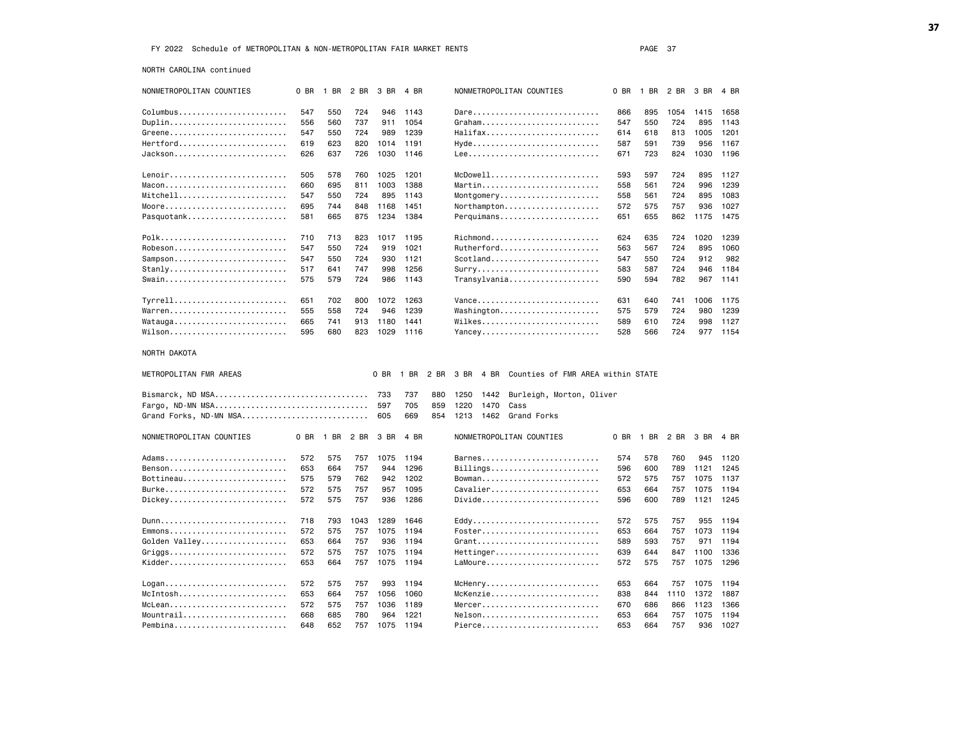NORTH CAROLINA continued

| NONMETROPOLITAN COUNTIES |      | 0 BR 1 BR 2 BR 3 BR 4 BR |      |      |              | NONMETROPOLITAN COUNTIES                             | 0 BR |     | 1 BR 2 BR 3 BR |      | 4 BR |
|--------------------------|------|--------------------------|------|------|--------------|------------------------------------------------------|------|-----|----------------|------|------|
| Columbus                 | 547  | 550                      | 724  | 946  | 1143         | Dare                                                 | 866  | 895 | 1054           | 1415 | 1658 |
| Duplin                   | 556  | 560                      | 737  | 911  | 1054         | $G$ raham                                            | 547  | 550 | 724            | 895  | 1143 |
| Greene                   | 547  | 550                      | 724  | 989  | 1239         | Halifax                                              | 614  | 618 | 813            | 1005 | 1201 |
| Hertford                 | 619  | 623                      | 820  | 1014 | 1191         | Hyde                                                 | 587  | 591 | 739            | 956  | 1167 |
| $Jackson.$               | 626  | 637                      | 726  | 1030 | 1146         |                                                      | 671  | 723 | 824            | 1030 | 1196 |
|                          |      |                          |      |      |              |                                                      |      |     |                |      |      |
| $Lenoir$                 | 505  | 578                      | 760  | 1025 | 1201         | McDown11                                             | 593  | 597 | 724            | 895  | 1127 |
|                          | 660  | 695                      | 811  | 1003 | 1388         | Martin                                               | 558  | 561 | 724            | 996  | 1239 |
| Mitchell                 | 547  | 550                      | 724  | 895  | 1143         | Montgomery                                           | 558  | 561 | 724            | 895  | 1083 |
| Moore                    | 695  | 744                      | 848  | 1168 | 1451         | Northampton                                          | 572  | 575 | 757            | 936  | 1027 |
| Pasquotank               | 581  | 665                      | 875  | 1234 | 1384         | Perquimans                                           | 651  | 655 | 862            | 1175 | 1475 |
| Polk                     | 710  | 713                      | 823  |      | 1017 1195    | Richmond                                             | 624  | 635 | 724            | 1020 | 1239 |
| Robeson                  | 547  | 550                      | 724  | 919  | 1021         | Rutherford                                           | 563  | 567 | 724            | 895  | 1060 |
| Sampson                  | 547  | 550                      | 724  | 930  | 1121         |                                                      | 547  | 550 | 724            | 912  | 982  |
| $Stanly$                 | 517  | 641                      | 747  | 998  | 1256         | Surry                                                | 583  | 587 | 724            | 946  | 1184 |
| Swain                    | 575  | 579                      | 724  | 986  | 1143         | Transylvania                                         | 590  | 594 | 782            | 967  | 1141 |
|                          |      |                          |      |      |              |                                                      |      |     |                |      |      |
| Tyrrell                  | 651  | 702                      | 800  | 1072 | 1263         | Vance                                                | 631  | 640 | 741            | 1006 | 1175 |
| Warren                   | 555  | 558                      | 724  | 946  | 1239         | Washington                                           | 575  | 579 | 724            | 980  | 1239 |
| Watauga                  | 665  | 741                      | 913  | 1180 | 1441         | Wilkes                                               | 589  | 610 | 724            | 998  | 1127 |
| Wilson                   | 595  | 680                      | 823  | 1029 | 1116         | Yancey                                               | 528  | 566 | 724            | 977  | 1154 |
| NORTH DAKOTA             |      |                          |      |      |              |                                                      |      |     |                |      |      |
|                          |      |                          |      |      |              |                                                      |      |     |                |      |      |
| METROPOLITAN FMR AREAS   |      |                          |      | 0 BR | 1 BR<br>2 BR | 3 BR 4 BR<br>Counties of FMR AREA within STATE       |      |     |                |      |      |
|                          |      |                          |      |      | 737<br>880   | 1250<br>1442<br>Burleigh, Morton, Oliver             |      |     |                |      |      |
| Fargo, ND-MN MSA         |      |                          |      | 597  | 705<br>859   | 1220<br>1470<br>Cass                                 |      |     |                |      |      |
| Grand Forks, ND-MN MSA   |      |                          |      | 605  | 669<br>854   | 1213<br>1462<br>Grand Forks                          |      |     |                |      |      |
| NONMETROPOLITAN COUNTIES | 0 BR | 1 BR 2 BR                |      | 3 BR | 4 BR         | NONMETROPOLITAN COUNTIES                             | 0 BR |     | 1 BR 2 BR      | 3 BR | 4 BR |
| Adams                    | 572  | 575                      | 757  |      | 1075 1194    | Barnes                                               | 574  | 578 | 760            | 945  | 1120 |
| Benson                   | 653  | 664                      | 757  | 944  | 1296         | $Billings \ldots \ldots \ldots \ldots \ldots \ldots$ | 596  | 600 | 789            | 1121 | 1245 |
| Bottineau                | 575  | 579                      | 762  | 942  | 1202         | Bowman                                               | 572  | 575 | 757            | 1075 | 1137 |
| Burke                    | 572  | 575                      | 757  | 957  | 1095         | Cavalier                                             | 653  | 664 | 757            | 1075 | 1194 |
| Dickey                   | 572  | 575                      | 757  | 936  | 1286         | Divide                                               | 596  | 600 | 789            | 1121 | 1245 |
|                          |      |                          |      |      |              |                                                      |      |     |                |      |      |
|                          | 718  | 793                      | 1043 | 1289 | 1646         |                                                      | 572  | 575 | 757            | 955  | 1194 |
| Emmons                   | 572  | 575                      | 757  | 1075 | 1194         | Foster                                               | 653  | 664 | 757            | 1073 | 1194 |
| Golden Valley            | 653  | 664                      | 757  | 936  | 1194         | Grant                                                | 589  | 593 | 757            | 971  | 1194 |
| Griggs                   | 572  | 575                      | 757  | 1075 | 1194         | Hettinger                                            | 639  | 644 | 847            | 1100 | 1336 |
| Kidder                   | 653  | 664                      | 757  | 1075 | 1194         | LaMoure                                              | 572  | 575 | 757            | 1075 | 1296 |
|                          | 572  | 575                      | 757  | 993  | 1194         | McHenry                                              | 653  | 664 | 757            | 1075 | 1194 |
| McIntosh                 | 653  | 664                      | 757  | 1056 | 1060         | McKenzie                                             | 838  | 844 | 1110           | 1372 | 1887 |
| McLean                   | 572  | 575                      | 757  | 1036 | 1189         | Mercer                                               | 670  | 686 | 866            | 1123 | 1366 |
| Mountrail                | 668  | 685                      | 780  | 964  | 1221         | Nelson                                               | 653  | 664 | 757            | 1075 | 1194 |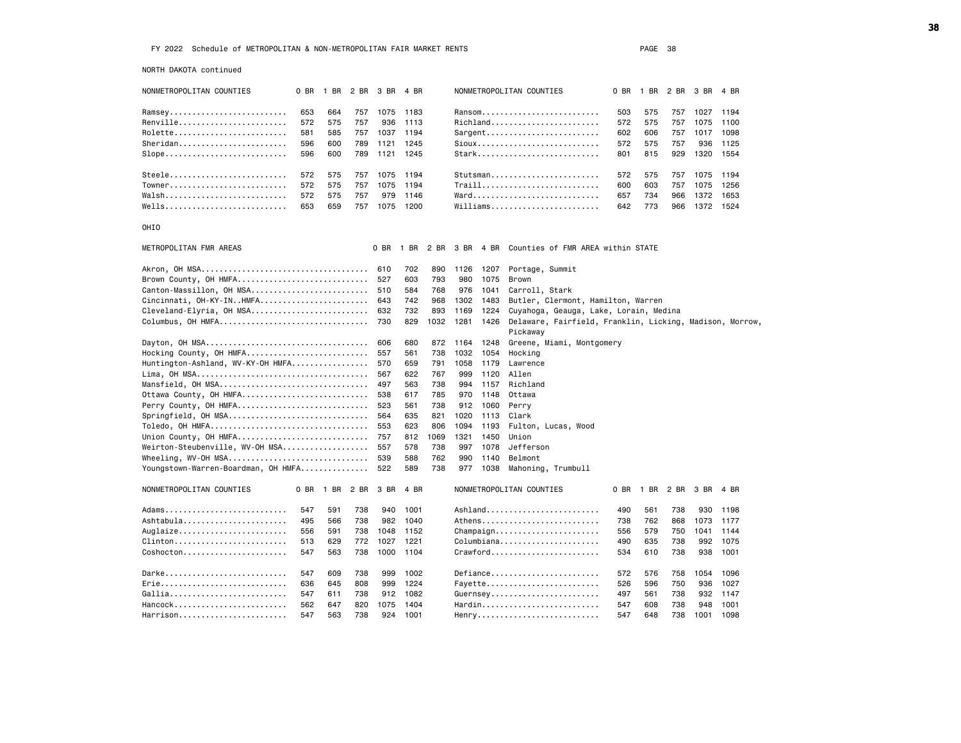NORTH DAKOTA continued

| NORIH DAKOIA CONTINUEG                                    |      |      |      |      |      |      |      |      |                                                          |      |      |      |      |      |
|-----------------------------------------------------------|------|------|------|------|------|------|------|------|----------------------------------------------------------|------|------|------|------|------|
| NONMETROPOLITAN COUNTIES                                  | 0 BR | 1 BR | 2 BR | 3 BR | 4 BR |      |      |      | NONMETROPOLITAN COUNTIES                                 | 0 BR | 1 BR | 2 BR | 3 BR | 4 BR |
| Ramsey                                                    | 653  | 664  | 757  | 1075 | 1183 |      |      |      | Ransom                                                   | 503  | 575  | 757  | 1027 | 1194 |
| Renville                                                  | 572  | 575  | 757  | 936  | 1113 |      |      |      | Richland                                                 | 572  | 575  | 757  | 1075 | 1100 |
| Rolette                                                   | 581  | 585  | 757  | 1037 | 1194 |      |      |      |                                                          | 602  | 606  | 757  | 1017 | 1098 |
| Sheridan                                                  | 596  | 600  | 789  | 1121 | 1245 |      |      |      | $Sioux$                                                  | 572  | 575  | 757  | 936  | 1125 |
| Slope                                                     | 596  | 600  | 789  | 1121 | 1245 |      |      |      | Stark                                                    | 801  | 815  | 929  | 1320 | 1554 |
|                                                           |      |      |      |      |      |      |      |      |                                                          |      |      |      |      |      |
| Steele                                                    | 572  | 575  | 757  | 1075 | 1194 |      |      |      | Stutsman                                                 | 572  | 575  | 757  | 1075 | 1194 |
| Towner                                                    | 572  | 575  | 757  | 1075 | 1194 |      |      |      | Traill                                                   | 600  | 603  | 757  | 1075 | 1256 |
| $Walsh$                                                   | 572  | 575  | 757  | 979  | 1146 |      |      |      | Ward                                                     | 657  | 734  | 966  | 1372 | 1653 |
| $Wells$                                                   | 653  | 659  | 757  | 1075 | 1200 |      |      |      | $Willliams.$                                             | 642  | 773  | 966  | 1372 | 1524 |
|                                                           |      |      |      |      |      |      |      |      |                                                          |      |      |      |      |      |
| OHIO                                                      |      |      |      |      |      |      |      |      |                                                          |      |      |      |      |      |
| METROPOLITAN FMR AREAS                                    |      |      |      | 0 BR | 1 BR |      |      |      | 2 BR 3 BR 4 BR Counties of FMR AREA within STATE         |      |      |      |      |      |
|                                                           |      |      |      | 610  | 702  | 890  | 1126 | 1207 | Portage, Summit                                          |      |      |      |      |      |
| Brown County, OH HMFA                                     |      |      |      | 527  | 603  | 793  | 980  | 1075 | Brown                                                    |      |      |      |      |      |
| Canton-Massillon, OH MSA                                  |      |      |      | 510  | 584  | 768  | 976  | 1041 | Carroll, Stark                                           |      |      |      |      |      |
| Cincinnati, OH-KY-INHMFA                                  |      |      |      | 643  | 742  | 968  | 1302 | 1483 | Butler, Clermont, Hamilton, Warren                       |      |      |      |      |      |
| Cleveland-Elyria, OH MSA                                  |      |      |      | 632  | 732  | 893  | 1169 | 1224 | Cuyahoga, Geauga, Lake, Lorain, Medina                   |      |      |      |      |      |
| Columbus, OH HMFA                                         |      |      |      | 730  | 829  | 1032 | 1281 | 1426 | Delaware, Fairfield, Franklin, Licking, Madison, Morrow, |      |      |      |      |      |
|                                                           |      |      |      |      |      |      |      |      | Pickaway                                                 |      |      |      |      |      |
|                                                           |      |      |      | 606  | 680  | 872  | 1164 | 1248 | Greene, Miami, Montgomery                                |      |      |      |      |      |
| Hocking County, OH HMFA                                   |      |      |      | 557  | 561  | 738  | 1032 | 1054 | Hocking                                                  |      |      |      |      |      |
| Huntington-Ashland, WV-KY-OH HMFA                         |      |      |      | 570  | 659  | 791  | 1058 | 1179 | Lawrence                                                 |      |      |      |      |      |
|                                                           |      |      |      | 567  | 622  | 767  | 999  | 1120 | Allen                                                    |      |      |      |      |      |
| Mansfield, OH MSA                                         |      |      |      | 497  | 563  | 738  | 994  | 1157 | Richland                                                 |      |      |      |      |      |
| Ottawa County, OH HMFA                                    |      |      |      | 538  | 617  | 785  | 970  | 1148 | Ottawa                                                   |      |      |      |      |      |
| Perry County, OH HMFA                                     |      |      |      | 523  | 561  | 738  | 912  | 1060 | Perry                                                    |      |      |      |      |      |
| Springfield, OH MSA                                       |      |      |      | 564  | 635  | 821  | 1020 | 1113 | Clark                                                    |      |      |      |      |      |
| Toledo, OH HMFA                                           |      |      |      | 553  | 623  | 806  | 1094 | 1193 | Fulton, Lucas, Wood                                      |      |      |      |      |      |
| Union County, OH HMFA                                     |      |      |      | 757  | 812  | 1069 | 1321 | 1450 | Union                                                    |      |      |      |      |      |
| Weirton-Steubenville, WV-OH MSA                           |      |      |      | 557  | 578  | 738  | 997  | 1078 | Jefferson                                                |      |      |      |      |      |
|                                                           |      |      |      | 539  | 588  | 762  | 990  | 1140 | Belmont                                                  |      |      |      |      |      |
| Youngstown-Warren-Boardman, OH HMFA                       |      |      |      | 522  | 589  | 738  | 977  | 1038 | Mahoning, Trumbull                                       |      |      |      |      |      |
|                                                           |      |      |      |      |      |      |      |      |                                                          |      |      |      |      |      |
| NONMETROPOLITAN COUNTIES                                  | 0 BR | 1 BR | 2 BR | 3 BR | 4 BR |      |      |      | NONMETROPOLITAN COUNTIES                                 | 0 BR | 1 BR | 2 BR | 3 BR | 4 BR |
| Adams                                                     | 547  | 591  | 738  | 940  | 1001 |      |      |      | Ashland                                                  | 490  | 561  | 738  | 930  | 1198 |
| Ashtabula                                                 | 495  | 566  | 738  | 982  | 1040 |      |      |      |                                                          | 738  | 762  | 868  | 1073 | 1177 |
| Auglaize                                                  | 556  | 591  | 738  | 1048 | 1152 |      |      |      | $Champaign$                                              | 556  | 579  | 750  | 1041 | 1144 |
| Clinton                                                   | 513  | 629  | 772  | 1027 | 1221 |      |      |      | Columbiana                                               | 490  | 635  | 738  | 992  | 1075 |
| Coshocton                                                 | 547  | 563  | 738  | 1000 | 1104 |      |      |      | Crawford                                                 | 534  | 610  | 738  | 938  | 1001 |
|                                                           |      |      |      |      |      |      |      |      |                                                          |      |      |      |      |      |
| Darke                                                     | 547  | 609  | 738  | 999  | 1002 |      |      |      | Defiance                                                 | 572  | 576  | 758  | 1054 | 1096 |
| Erie                                                      | 636  | 645  | 808  | 999  | 1224 |      |      |      | Fayette                                                  | 526  | 596  | 750  | 936  | 1027 |
| $Gallia \ldots \ldots \ldots \ldots \ldots \ldots \ldots$ | 547  | 611  | 738  | 912  | 1082 |      |      |      | Guernsey                                                 | 497  | 561  | 738  | 932  | 1147 |
| Hancock                                                   | 562  | 647  | 820  | 1075 | 1404 |      |      |      | Hardin                                                   | 547  | 608  | 738  | 948  | 1001 |
| Harrison                                                  | 547  | 563  | 738  | 924  | 1001 |      |      |      | Henry                                                    | 547  | 648  | 738  | 1001 | 1098 |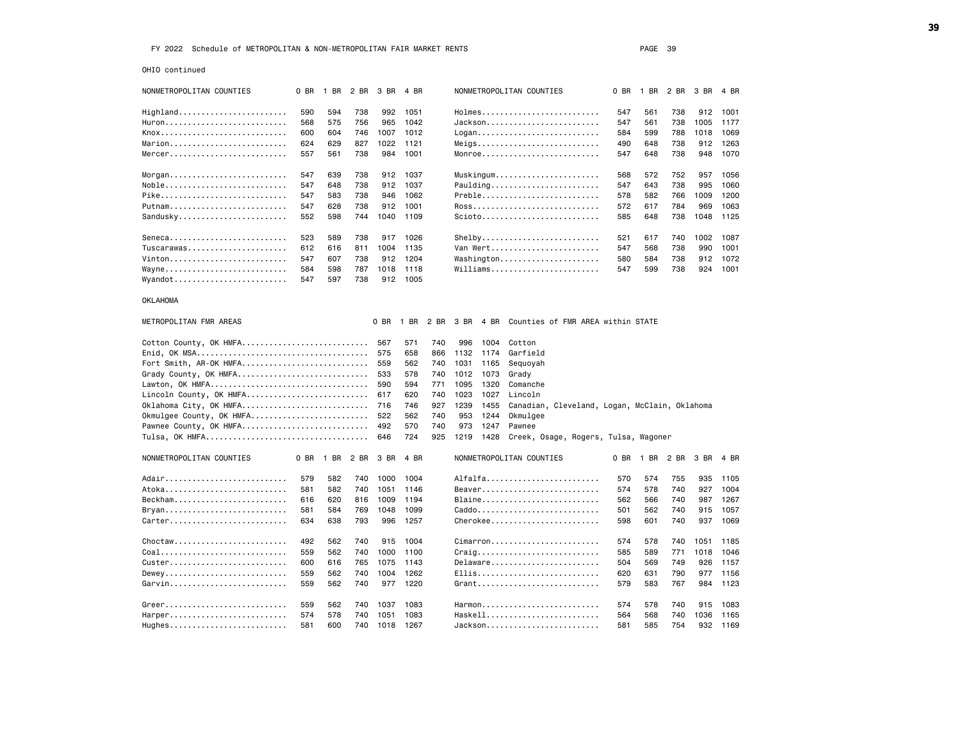OHIO continued

| NONMETROPOLITAN COUNTIES                                  | 0 BR | 1 BR | 2 BR | 3 BR | 4 BR |      |      |           | NONMETROPOLITAN COUNTIES |                                                          | 0 BR | 1 BR | 2 BR | 3 BR | 4 BR     |  |
|-----------------------------------------------------------|------|------|------|------|------|------|------|-----------|--------------------------|----------------------------------------------------------|------|------|------|------|----------|--|
| Highland                                                  | 590  | 594  | 738  | 992  | 1051 |      |      |           |                          | Holmes                                                   | 547  | 561  | 738  |      | 912 1001 |  |
| Huron                                                     | 568  | 575  | 756  | 965  | 1042 |      |      |           |                          | Jackson                                                  | 547  | 561  | 738  | 1005 | 1177     |  |
| Knox                                                      | 600  | 604  | 746  | 1007 | 1012 |      |      |           |                          | Logan                                                    | 584  | 599  | 788  | 1018 | 1069     |  |
|                                                           | 624  | 629  | 827  | 1022 | 1121 |      |      |           |                          | Meigs                                                    | 490  | 648  | 738  | 912  | 1263     |  |
| Mercer                                                    | 557  | 561  | 738  | 984  | 1001 |      |      |           |                          | Monroe                                                   | 547  | 648  | 738  | 948  | 1070     |  |
|                                                           |      |      |      |      |      |      |      |           |                          |                                                          |      |      |      |      |          |  |
|                                                           | 547  | 639  | 738  | 912  | 1037 |      |      |           |                          | Muskingum                                                | 568  | 572  | 752  | 957  | 1056     |  |
| Noble                                                     | 547  | 648  | 738  | 912  | 1037 |      |      |           |                          |                                                          | 547  | 643  | 738  | 995  | 1060     |  |
| Pike                                                      | 547  | 583  | 738  | 946  | 1062 |      |      |           |                          | Preble                                                   | 578  | 582  | 766  | 1009 | 1200     |  |
| Putnam                                                    | 547  | 628  | 738  | 912  | 1001 |      |      |           |                          | Ross                                                     | 572  | 617  | 784  | 969  | 1063     |  |
| Sandusky                                                  | 552  | 598  | 744  | 1040 | 1109 |      |      |           |                          | $Scioto$                                                 | 585  | 648  | 738  | 1048 | 1125     |  |
| Seneca                                                    | 523  | 589  | 738  | 917  | 1026 |      |      |           |                          |                                                          | 521  | 617  | 740  | 1002 | 1087     |  |
| Tuscarawas                                                | 612  |      |      |      |      |      |      |           |                          | Shelby<br>Van Wert                                       | 547  | 568  | 738  | 990  |          |  |
|                                                           |      | 616  | 811  | 1004 | 1135 |      |      |           |                          |                                                          |      |      |      |      | 1001     |  |
| Vinton                                                    | 547  | 607  | 738  | 912  | 1204 |      |      |           |                          | Washington                                               | 580  | 584  | 738  |      | 912 1072 |  |
| Wayne                                                     | 584  | 598  | 787  | 1018 | 1118 |      |      |           |                          | Williams                                                 | 547  | 599  | 738  | 924  | 1001     |  |
| Wyandot                                                   | 547  | 597  | 738  | 912  | 1005 |      |      |           |                          |                                                          |      |      |      |      |          |  |
| <b>OKLAHOMA</b>                                           |      |      |      |      |      |      |      |           |                          |                                                          |      |      |      |      |          |  |
| METROPOLITAN FMR AREAS                                    |      |      |      | 0 BR | 1 BR | 2 BR |      | 3 BR 4 BR |                          | Counties of FMR AREA within STATE                        |      |      |      |      |          |  |
| Cotton County, OK HMFA                                    |      |      |      | 567  | 571  | 740  | 996  | 1004      | Cotton                   |                                                          |      |      |      |      |          |  |
|                                                           |      |      |      | 575  | 658  | 866  | 1132 | 1174      | Garfield                 |                                                          |      |      |      |      |          |  |
| Fort Smith, AR-OK HMFA                                    |      |      |      | 559  | 562  | 740  | 1031 | 1165      | Sequoyah                 |                                                          |      |      |      |      |          |  |
| Grady County, OK HMFA                                     |      |      |      | 533  | 578  | 740  | 1012 | 1073      | Grady                    |                                                          |      |      |      |      |          |  |
|                                                           |      |      |      | 590  | 594  | 771  | 1095 | 1320      | Comanche                 |                                                          |      |      |      |      |          |  |
| Lincoln County, OK HMFA                                   |      |      |      | 617  | 620  | 740  | 1023 | 1027      | Lincoln                  |                                                          |      |      |      |      |          |  |
| Oklahoma City, OK HMFA                                    |      |      |      | 716  | 746  | 927  | 1239 | 1455      |                          | Canadian, Cleveland, Logan, McClain, Oklahoma            |      |      |      |      |          |  |
| Okmulgee County, OK HMFA                                  |      |      |      | 522  | 562  | 740  | 953  | 1244      | Okmulgee                 |                                                          |      |      |      |      |          |  |
| Pawnee County, OK HMFA                                    |      |      |      | 492  | 570  | 740  | 973  | 1247      | Pawnee                   |                                                          |      |      |      |      |          |  |
|                                                           |      |      |      | 646  | 724  | 925  | 1219 | 1428      |                          | Creek, Osage, Rogers, Tulsa, Wagoner                     |      |      |      |      |          |  |
|                                                           |      |      |      |      |      |      |      |           |                          |                                                          |      |      |      |      |          |  |
| NONMETROPOLITAN COUNTIES                                  | 0 BR | 1 BR | 2 BR | 3 BR | 4 BR |      |      |           | NONMETROPOLITAN COUNTIES |                                                          | 0 BR | 1 BR | 2 BR | 3 BR | 4 BR     |  |
| Adair                                                     | 579  | 582  | 740  | 1000 | 1004 |      |      |           |                          | Alfalfa                                                  | 570  | 574  | 755  |      | 935 1105 |  |
| Atoka                                                     | 581  | 582  | 740  | 1051 | 1146 |      |      |           |                          | Beaver                                                   | 574  | 578  | 740  | 927  | 1004     |  |
| Beckham                                                   | 616  | 620  | 816  | 1009 | 1194 |      |      |           |                          | Blaine                                                   | 562  | 566  | 740  | 987  | 1267     |  |
| Bryan                                                     | 581  | 584  | 769  | 1048 | 1099 |      |      |           |                          | Caddo                                                    | 501  | 562  | 740  | 915  | 1057     |  |
| Carter                                                    | 634  | 638  | 793  | 996  | 1257 |      |      |           |                          | Cherokee                                                 | 598  | 601  | 740  | 937  | 1069     |  |
| $Choctaw, , , , , , ,$                                    | 492  | 562  | 740  | 915  | 1004 |      |      |           |                          | Cimarron                                                 | 574  | 578  | 740  | 1051 | 1185     |  |
| Coal                                                      | 559  | 562  | 740  | 1000 | 1100 |      |      |           |                          | $Craig \ldots \ldots \ldots \ldots \ldots \ldots \ldots$ | 585  | 589  | 771  | 1018 | 1046     |  |
| Custer                                                    | 600  | 616  | 765  | 1075 | 1143 |      |      |           |                          | Delaware                                                 | 504  | 569  | 749  | 926  | 1157     |  |
| Dewey                                                     | 559  | 562  | 740  | 1004 | 1262 |      |      |           |                          | Ellis                                                    | 620  | 631  | 790  | 977  | 1156     |  |
| Garvin                                                    |      | 562  | 740  |      | 1220 |      |      |           |                          | $G$ rant                                                 |      | 583  |      |      |          |  |
|                                                           | 559  |      |      | 977  |      |      |      |           |                          |                                                          | 579  |      | 767  | 984  | 1123     |  |
| Greer                                                     | 559  | 562  | 740  | 1037 | 1083 |      |      |           |                          | Harmon                                                   | 574  | 578  | 740  | 915  | 1083     |  |
| Harper                                                    | 574  | 578  | 740  | 1051 | 1083 |      |      |           |                          | Haskell                                                  | 564  | 568  | 740  | 1036 | 1165     |  |
| $Hughes \ldots \ldots \ldots \ldots \ldots \ldots \ldots$ | 581  | 600  | 740  | 1018 | 1267 |      |      |           |                          | Jackson                                                  | 581  | 585  | 754  | 932  | 1169     |  |
|                                                           |      |      |      |      |      |      |      |           |                          |                                                          |      |      |      |      |          |  |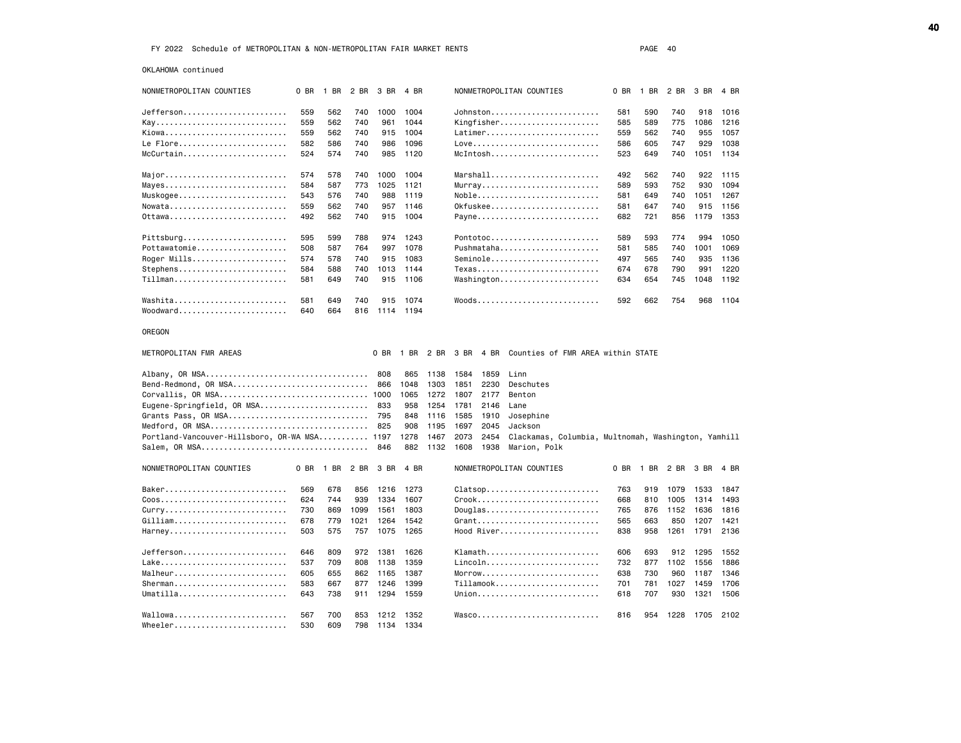OKLAHOMA continued

| NONMETROPOLITAN COUNTIES                      | 0 BR | 1 BR 2 BR 3 BR |      |               | 4 BR |      |      |      | NONMETROPOLITAN COUNTIES                                 | 0 BR | 1 BR 2 BR |      | 3 BR | 4 BR |
|-----------------------------------------------|------|----------------|------|---------------|------|------|------|------|----------------------------------------------------------|------|-----------|------|------|------|
| Jefferson                                     | 559  | 562            | 740  | 1000          | 1004 |      |      |      | Johnston                                                 | 581  | 590       | 740  | 918  | 1016 |
|                                               | 559  | 562            | 740  | 961           | 1044 |      |      |      | Kingfisher                                               | 585  | 589       | 775  | 1086 | 1216 |
| Kiowa                                         | 559  | 562            | 740  | 915           | 1004 |      |      |      | Latimer                                                  | 559  | 562       | 740  | 955  | 1057 |
| Le Flore                                      | 582  | 586            | 740  | 986           | 1096 |      |      |      | $Love$ ,,,,,,,,,,,,,,,,,,,,,,,,,,,,,,,                   | 586  | 605       | 747  | 929  | 1038 |
| McCurtain                                     | 524  | 574            | 740  | 985           | 1120 |      |      |      | McIntosh                                                 | 523  | 649       | 740  | 1051 | 1134 |
|                                               |      |                |      |               |      |      |      |      |                                                          |      |           |      |      |      |
| Major                                         | 574  | 578            | 740  | 1000          | 1004 |      |      |      | $Marshall \ldots \ldots \ldots \ldots \ldots$            | 492  | 562       | 740  | 922  | 1115 |
| Mayes                                         | 584  | 587            | 773  | 1025          | 1121 |      |      |      | Murray                                                   | 589  | 593       | 752  | 930  | 1094 |
| Muskogee                                      | 543  | 576            | 740  | 988           | 1119 |      |      |      | Noble                                                    | 581  | 649       | 740  | 1051 | 1267 |
| Nowata                                        | 559  | 562            | 740  | 957           | 1146 |      |      |      | 0kfuskee                                                 | 581  | 647       | 740  | 915  | 1156 |
| 0ttawa                                        | 492  | 562            | 740  | 915           | 1004 |      |      |      | Payne                                                    | 682  | 721       | 856  | 1179 | 1353 |
| Pittsburg                                     | 595  | 599            | 788  | 974           | 1243 |      |      |      | Pontotoc                                                 | 589  | 593       | 774  | 994  | 1050 |
| Pottawatomie                                  | 508  | 587            | 764  | 997           | 1078 |      |      |      | Pushmataha                                               | 581  | 585       | 740  | 1001 | 1069 |
| Roger Mills                                   | 574  | 578            | 740  | 915           | 1083 |      |      |      | Seminole                                                 | 497  | 565       | 740  | 935  | 1136 |
| Stephens                                      | 584  | 588            | 740  | 1013          | 1144 |      |      |      | Texas                                                    | 674  | 678       | 790  | 991  | 1220 |
| Tillman                                       | 581  | 649            | 740  | 915           | 1106 |      |      |      | Washington                                               | 634  | 654       | 745  | 1048 | 1192 |
|                                               |      |                |      |               |      |      |      |      |                                                          |      |           |      |      |      |
| Washita                                       | 581  | 649            | 740  | 915           | 1074 |      |      |      | $Woods \ldots \ldots \ldots \ldots \ldots \ldots \ldots$ | 592  | 662       | 754  | 968  | 1104 |
| $Woodward \ldots \ldots \ldots \ldots \ldots$ | 640  | 664            |      | 816 1114      | 1194 |      |      |      |                                                          |      |           |      |      |      |
| OREGON                                        |      |                |      |               |      |      |      |      |                                                          |      |           |      |      |      |
| METROPOLITAN FMR AREAS                        |      |                |      | 0 BR          | 1 BR | 2 BR | 3 BR | 4 BR | Counties of FMR AREA within STATE                        |      |           |      |      |      |
|                                               |      |                |      | 808           | 865  | 1138 | 1584 | 1859 | Linn                                                     |      |           |      |      |      |
| Bend-Redmond, OR MSA                          |      |                |      | 866           | 1048 | 1303 | 1851 | 2230 | Deschutes                                                |      |           |      |      |      |
| Corvallis, OR MSA 1000                        |      |                |      |               | 1065 | 1272 | 1807 | 2177 | Benton                                                   |      |           |      |      |      |
| Eugene-Springfield, OR MSA                    |      |                |      | 833           | 958  | 1254 | 1781 | 2146 | Lane                                                     |      |           |      |      |      |
| Grants Pass, OR MSA                           |      |                |      | 795           | 848  | 1116 | 1585 | 1910 | Josephine                                                |      |           |      |      |      |
| Medford, OR MSA                               |      |                |      | 825           | 908  | 1195 | 1697 | 2045 | Jackson                                                  |      |           |      |      |      |
| Portland-Vancouver-Hillsboro, OR-WA MSA 1197  |      |                |      |               | 1278 | 1467 | 2073 | 2454 | Clackamas, Columbia, Multnomah, Washington, Yamhill      |      |           |      |      |      |
|                                               |      |                |      | 846           | 882  | 1132 | 1608 | 1938 | Marion, Polk                                             |      |           |      |      |      |
| NONMETROPOLITAN COUNTIES                      | 0 BR | 1 BR           | 2 BR | 3 BR          | 4 BR |      |      |      | NONMETROPOLITAN COUNTIES                                 | 0 BR | 1 BR      | 2 BR | 3 BR | 4 BR |
| Baker                                         | 569  | 678            | 856  | 1216          | 1273 |      |      |      | Clatsop                                                  | 763  | 919       | 1079 | 1533 | 1847 |
|                                               | 624  | 744            | 939  | 1334          | 1607 |      |      |      | Crook                                                    | 668  | 810       | 1005 | 1314 | 1493 |
| Curry                                         | 730  | 869            | 1099 | 1561          | 1803 |      |      |      | $Douglas \ldots \ldots \ldots \ldots \ldots \ldots$      | 765  | 876       | 1152 | 1636 | 1816 |
| Gilliam                                       | 678  | 779            | 1021 | 1264          | 1542 |      |      |      | Grant                                                    | 565  | 663       | 850  | 1207 | 1421 |
| Harney                                        | 503  | 575            |      | 757 1075      | 1265 |      |      |      | Hood River                                               | 838  | 958       | 1261 | 1791 | 2136 |
| Jefferson                                     | 646  | 809            |      | 972 1381      | 1626 |      |      |      | Klamath                                                  | 606  | 693       | 912  | 1295 | 1552 |
| Lake                                          | 537  | 709            | 808  | 1138          | 1359 |      |      |      | Lincoln                                                  | 732  | 877       | 1102 | 1556 | 1886 |
| Malheur                                       | 605  | 655            | 862  | 1165          | 1387 |      |      |      | Morrow                                                   | 638  | 730       | 960  | 1187 | 1346 |
| $S$ herman                                    | 583  | 667            | 877  | 1246          | 1399 |      |      |      | $Tillamook$                                              | 701  | 781       | 1027 | 1459 | 1706 |
| Umatilla                                      | 643  | 738            | 911  | 1294          | 1559 |      |      |      | Union                                                    | 618  | 707       | 930  | 1321 | 1506 |
|                                               |      |                |      |               |      |      |      |      |                                                          |      |           |      |      |      |
| Wallowa                                       | 567  | 700            |      | 853 1212 1352 |      |      |      |      | Wasco                                                    | 816  | 954       | 1228 | 1705 | 2102 |
| Wheeler                                       | 530  | 609            | 798  | 1134          | 1334 |      |      |      |                                                          |      |           |      |      |      |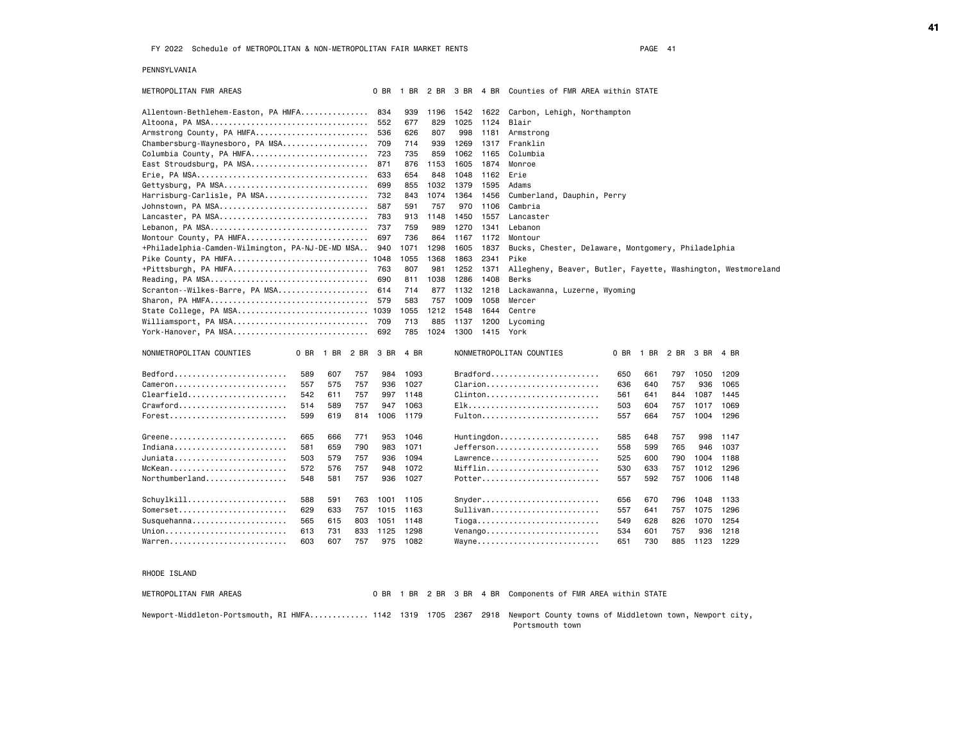## PENNSYLVANIA

| METROPOLITAN FMR AREAS                                                |              |      | 0 BR | 1 BR |      |      |      | 2 BR 3 BR 4 BR Counties of FMR AREA within STATE                                              |  |
|-----------------------------------------------------------------------|--------------|------|------|------|------|------|------|-----------------------------------------------------------------------------------------------|--|
| Allentown-Bethlehem-Easton, PA HMFA                                   |              |      | 834  | 939  | 1196 | 1542 | 1622 | Carbon, Lehigh, Northampton                                                                   |  |
|                                                                       |              |      | 552  | 677  | 829  | 1025 | 1124 | Blair                                                                                         |  |
| Armstrong County, PA HMFA                                             |              |      | 536  | 626  | 807  | 998  | 1181 | Armstrong                                                                                     |  |
| Chambersburg-Waynesboro, PA MSA                                       |              |      | 709  | 714  | 939  | 1269 | 1317 | Franklin                                                                                      |  |
| Columbia County, PA HMFA                                              |              |      | 723  | 735  | 859  | 1062 | 1165 | Columbia                                                                                      |  |
| East Stroudsburg, PA MSA                                              |              |      | 871  | 876  | 1153 | 1605 | 1874 | Monroe                                                                                        |  |
|                                                                       |              |      | 633  | 654  | 848  | 1048 | 1162 | Erie                                                                                          |  |
| Gettysburg, PA MSA                                                    |              |      | 699  | 855  | 1032 | 1379 | 1595 | Adams                                                                                         |  |
| Harrisburg-Carlisle, PA MSA                                           |              |      | 732  | 843  | 1074 | 1364 | 1456 | Cumberland, Dauphin, Perry                                                                    |  |
| Johnstown, PA MSA                                                     |              |      | 587  | 591  | 757  | 970  | 1106 | Cambria                                                                                       |  |
| Lancaster, PA MSA                                                     |              |      | 783  | 913  | 1148 | 1450 | 1557 | Lancaster                                                                                     |  |
|                                                                       |              |      | 737  | 759  | 989  | 1270 | 1341 | Lebanon                                                                                       |  |
| Montour County, PA HMFA                                               |              |      | 697  | 736  | 864  | 1167 | 1172 | Montour                                                                                       |  |
| +Philadelphia-Camden-Wilmington, PA-NJ-DE-MD MSA                      |              |      | 940  | 1071 | 1298 | 1605 | 1837 | Bucks, Chester, Delaware, Montgomery, Philadelphia                                            |  |
| Pike County, PA HMFA 1048                                             |              |      |      | 1055 | 1368 | 1863 | 2341 | Pike                                                                                          |  |
| +Pittsburgh, PA HMFA                                                  |              |      | 763  | 807  | 981  | 1252 | 1371 | Allegheny, Beaver, Butler, Fayette, Washington, Westmoreland                                  |  |
|                                                                       |              |      | 690  | 811  | 1038 | 1286 | 1408 | Berks                                                                                         |  |
| Scranton--Wilkes-Barre, PA MSA                                        |              |      | 614  | 714  | 877  | 1132 | 1218 | Lackawanna, Luzerne, Wyoming                                                                  |  |
| Sharon, PA HMFA                                                       |              |      | 579  | 583  | 757  | 1009 | 1058 | Mercer                                                                                        |  |
| State College, PA MSA 1039                                            |              |      |      | 1055 | 1212 | 1548 | 1644 | Centre                                                                                        |  |
| Williamsport, PA MSA                                                  |              |      | 709  | 713  | 885  | 1137 | 1200 | Lycoming                                                                                      |  |
| York-Hanover, PA MSA                                                  |              |      | 692  | 785  | 1024 | 1300 | 1415 | York                                                                                          |  |
| NONMETROPOLITAN COUNTIES                                              | 0 BR<br>1 BR | 2 BR | 3 BR | 4 BR |      |      |      | NONMETROPOLITAN COUNTIES<br>1 BR<br>0 BR<br>2 BR<br>3 BR<br>4 BR                              |  |
| Bedford                                                               | 589<br>607   | 757  | 984  | 1093 |      |      |      | $Bradford$<br>1209<br>650<br>661<br>797<br>1050                                               |  |
| Cameron                                                               | 575<br>557   | 757  | 936  | 1027 |      |      |      | $Clarion$<br>757<br>936<br>1065<br>636<br>640                                                 |  |
| $\texttt{Clearfield} \dots \dots \dots \dots \dots \dots \dots \dots$ | 542<br>611   | 757  | 997  | 1148 |      |      |      | $Clinton$<br>561<br>641<br>844<br>1087<br>1445                                                |  |
| $C$ rawford                                                           | 514<br>589   | 757  | 947  | 1063 |      |      |      | Elk<br>503<br>604<br>757<br>1017<br>1069                                                      |  |
| Forest                                                                | 619<br>599   | 814  | 1006 | 1179 |      |      |      | Fulton<br>664<br>757<br>1004<br>1296<br>557                                                   |  |
| Greene                                                                | 665<br>666   | 771  | 953  | 1046 |      |      |      | $Hunting don.$<br>585<br>648<br>757<br>998<br>1147                                            |  |
| Indiana                                                               | 659<br>581   | 790  | 983  | 1071 |      |      |      | Jefferson<br>558<br>599<br>765<br>946<br>1037                                                 |  |
| Juniata                                                               | 503<br>579   | 757  | 936  | 1094 |      |      |      | Lawrence<br>525<br>600<br>790<br>1004<br>1188                                                 |  |
| McKean                                                                | 572<br>576   | 757  | 948  | 1072 |      |      |      | Mifflin<br>530<br>633<br>757<br>1012<br>1296                                                  |  |
| $Northumber$ and $\ldots$ $\ldots$ $\ldots$ $\ldots$ .                | 548<br>581   | 757  | 936  | 1027 |      |      |      | Potter<br>557<br>592<br>757<br>1006<br>1148                                                   |  |
| Schuylkill                                                            | 588<br>591   | 763  | 1001 | 1105 |      |      |      | 656<br>670<br>796<br>1048<br>1133                                                             |  |
| Somerset                                                              | 629<br>633   | 757  | 1015 | 1163 |      |      |      | Sullivan<br>557<br>757<br>1075<br>1296<br>641                                                 |  |
| Susquehanna                                                           | 565<br>615   | 803  | 1051 | 1148 |      |      |      | $Tioga \ldots \ldots \ldots \ldots \ldots \ldots \ldots$<br>549<br>628<br>826<br>1070<br>1254 |  |
| Union                                                                 | 731<br>613   | 833  | 1125 | 1298 |      |      |      | 936<br>1218<br>$Venango \ldots \ldots \ldots \ldots \ldots \ldots$<br>534<br>601<br>757       |  |
| Warren                                                                | 603<br>607   | 757  | 975  | 1082 |      |      |      | Wayne<br>730<br>885<br>1123<br>1229<br>651                                                    |  |
|                                                                       |              |      |      |      |      |      |      |                                                                                               |  |
| RHODE ISLAND                                                          |              |      |      |      |      |      |      |                                                                                               |  |
| METROPOLITAN FMR AREAS                                                |              |      |      |      |      |      |      | 0 BR 1 BR 2 BR 3 BR 4 BR Components of FMR AREA within STATE                                  |  |

Newport-Middleton-Portsmouth, RI HMFA............. 1142 1319 1705 2367 2918 Newport County towns of Middletown town, Newport city, Portsmouth town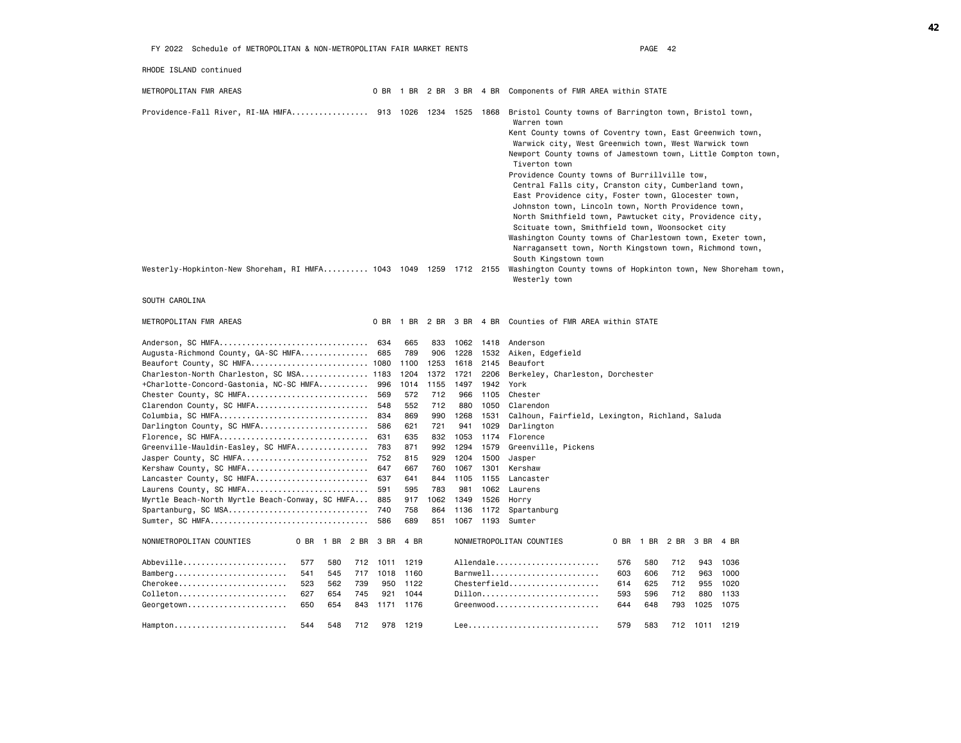| RHODE ISLAND continued                                                     |            |                          |            |                |              |                                                                                                                                                                                                                                                                                                                                                                                                                                                                                                                                                                                                                                                                                                                                                              |
|----------------------------------------------------------------------------|------------|--------------------------|------------|----------------|--------------|--------------------------------------------------------------------------------------------------------------------------------------------------------------------------------------------------------------------------------------------------------------------------------------------------------------------------------------------------------------------------------------------------------------------------------------------------------------------------------------------------------------------------------------------------------------------------------------------------------------------------------------------------------------------------------------------------------------------------------------------------------------|
| METROPOLITAN FMR AREAS                                                     |            | 0 BR 1 BR 2 BR 3 BR 4 BR |            |                |              | Components of FMR AREA within STATE                                                                                                                                                                                                                                                                                                                                                                                                                                                                                                                                                                                                                                                                                                                          |
| Providence-Fall River, RI-MA HMFA 913 1026 1234 1525 1868                  |            |                          |            |                |              | Bristol County towns of Barrington town, Bristol town,<br>Warren town<br>Kent County towns of Coventry town, East Greenwich town,<br>Warwick city, West Greenwich town, West Warwick town<br>Newport County towns of Jamestown town, Little Compton town,<br>Tiverton town<br>Providence County towns of Burrillville tow,<br>Central Falls city, Cranston city, Cumberland town,<br>East Providence city, Foster town, Glocester town,<br>Johnston town, Lincoln town, North Providence town,<br>North Smithfield town, Pawtucket city, Providence city,<br>Scituate town, Smithfield town, Woonsocket city<br>Washington County towns of Charlestown town, Exeter town,<br>Narragansett town, North Kingstown town, Richmond town,<br>South Kingstown town |
| Westerly-Hopkinton-New Shoreham, RI HMFA 1043 1049 1259 1712 2155          |            |                          |            |                |              | Washington County towns of Hopkinton town, New Shoreham town,<br>Westerly town                                                                                                                                                                                                                                                                                                                                                                                                                                                                                                                                                                                                                                                                               |
| SOUTH CAROLINA                                                             |            |                          |            |                |              |                                                                                                                                                                                                                                                                                                                                                                                                                                                                                                                                                                                                                                                                                                                                                              |
| METROPOLITAN FMR AREAS                                                     | 0 BR       | 1 BR                     |            | 2 BR 3 BR 4 BR |              | Counties of FMR AREA within STATE                                                                                                                                                                                                                                                                                                                                                                                                                                                                                                                                                                                                                                                                                                                            |
| Anderson, SC HMFA                                                          | 634        | 665                      | 833        | 1062 1418      |              | Anderson                                                                                                                                                                                                                                                                                                                                                                                                                                                                                                                                                                                                                                                                                                                                                     |
| Augusta-Richmond County, GA-SC HMFA                                        | 685        | 789                      | 906        | 1228           | 1532         | Aiken, Edgefield                                                                                                                                                                                                                                                                                                                                                                                                                                                                                                                                                                                                                                                                                                                                             |
| Beaufort County, SC HMFA 1080                                              |            | 1100                     | 1253       | 1618           | 2145         | Beaufort                                                                                                                                                                                                                                                                                                                                                                                                                                                                                                                                                                                                                                                                                                                                                     |
| Charleston-North Charleston, SC MSA 1183                                   |            | 1204                     | 1372       | 1721           | 2206         | Berkeley, Charleston, Dorchester                                                                                                                                                                                                                                                                                                                                                                                                                                                                                                                                                                                                                                                                                                                             |
| +Charlotte-Concord-Gastonia, NC-SC HMFA                                    | 996        | 1014                     | 1155       | 1497           | 1942         | York                                                                                                                                                                                                                                                                                                                                                                                                                                                                                                                                                                                                                                                                                                                                                         |
| Chester County, SC HMFA                                                    | 569        | 572                      | 712        | 966            | 1105         | Chester                                                                                                                                                                                                                                                                                                                                                                                                                                                                                                                                                                                                                                                                                                                                                      |
| Clarendon County, SC HMFA                                                  | 548        | 552                      | 712        | 880            | 1050         | Clarendon                                                                                                                                                                                                                                                                                                                                                                                                                                                                                                                                                                                                                                                                                                                                                    |
| Columbia, SC HMFA                                                          | 834        | 869                      | 990        | 1268           | 1531         | Calhoun, Fairfield, Lexington, Richland, Saluda                                                                                                                                                                                                                                                                                                                                                                                                                                                                                                                                                                                                                                                                                                              |
| Darlington County, SC HMFA                                                 | 586        | 621                      | 721        | 941            | 1029         | Darlington                                                                                                                                                                                                                                                                                                                                                                                                                                                                                                                                                                                                                                                                                                                                                   |
| Florence, SC HMFA                                                          | 631        | 635                      | 832        | 1053           | 1174         | Florence                                                                                                                                                                                                                                                                                                                                                                                                                                                                                                                                                                                                                                                                                                                                                     |
| Greenville-Mauldin-Easley, SC HMFA                                         | 783        | 871                      | 992        | 1294           | 1579         | Greenville, Pickens                                                                                                                                                                                                                                                                                                                                                                                                                                                                                                                                                                                                                                                                                                                                          |
| Jasper County, SC HMFA                                                     | 752        | 815                      | 929        | 1204           | 1500         | Jasper                                                                                                                                                                                                                                                                                                                                                                                                                                                                                                                                                                                                                                                                                                                                                       |
| Kershaw County, SC HMFA                                                    | 647        | 667                      | 760        | 1067           | 1301         | Kershaw                                                                                                                                                                                                                                                                                                                                                                                                                                                                                                                                                                                                                                                                                                                                                      |
| Lancaster County, SC HMFA                                                  | 637<br>591 | 641                      | 844<br>783 | 1105           | 1155         | Lancaster                                                                                                                                                                                                                                                                                                                                                                                                                                                                                                                                                                                                                                                                                                                                                    |
| Laurens County, SC HMFA<br>Myrtle Beach-North Myrtle Beach-Conway, SC HMFA | 885        | 595<br>917               | 1062       | 981<br>1349    | 1062<br>1526 | Laurens<br>Horry                                                                                                                                                                                                                                                                                                                                                                                                                                                                                                                                                                                                                                                                                                                                             |
| Spartanburg, SC MSA                                                        | 740        | 758                      | 864        | 1136           | 1172         | Spartanburg                                                                                                                                                                                                                                                                                                                                                                                                                                                                                                                                                                                                                                                                                                                                                  |
|                                                                            | 586        | 689                      | 851        |                | 1067 1193    | Sumter                                                                                                                                                                                                                                                                                                                                                                                                                                                                                                                                                                                                                                                                                                                                                       |
|                                                                            |            |                          |            |                |              |                                                                                                                                                                                                                                                                                                                                                                                                                                                                                                                                                                                                                                                                                                                                                              |
| NONMETROPOLITAN COUNTIES<br>0 BR 1 BR<br>2 BR                              | 3 BR       | 4 BR                     |            |                |              | NONMETROPOLITAN COUNTIES<br>0 BR<br>1 BR<br>2 BR<br>3 BR 4 BR                                                                                                                                                                                                                                                                                                                                                                                                                                                                                                                                                                                                                                                                                                |
| Abbeville<br>577<br>580<br>712                                             | 1011       | 1219                     |            |                |              | Allendale<br>576<br>580<br>712<br>943<br>1036                                                                                                                                                                                                                                                                                                                                                                                                                                                                                                                                                                                                                                                                                                                |
| $B$ amberg<br>541<br>545<br>717                                            | 1018       | 1160                     |            |                |              | Barnwell<br>712<br>603<br>606<br>963<br>1000                                                                                                                                                                                                                                                                                                                                                                                                                                                                                                                                                                                                                                                                                                                 |
| Cherokee<br>562<br>739<br>523                                              | 950        | 1122                     |            |                |              | 712<br>1020<br>614<br>625<br>955                                                                                                                                                                                                                                                                                                                                                                                                                                                                                                                                                                                                                                                                                                                             |
| Colleton<br>627<br>654<br>745                                              | 921        | 1044                     |            |                |              | Dillon<br>593<br>596<br>712<br>880<br>1133                                                                                                                                                                                                                                                                                                                                                                                                                                                                                                                                                                                                                                                                                                                   |
| Georgetown<br>654<br>650<br>843                                            | 1171       | 1176                     |            |                |              | Greenwood<br>644<br>648<br>793<br>1025<br>1075                                                                                                                                                                                                                                                                                                                                                                                                                                                                                                                                                                                                                                                                                                               |
| 548<br>544<br>712<br>Hampton                                               | 978        | 1219                     |            |                |              | 579<br>583<br>712<br>1011 1219                                                                                                                                                                                                                                                                                                                                                                                                                                                                                                                                                                                                                                                                                                                               |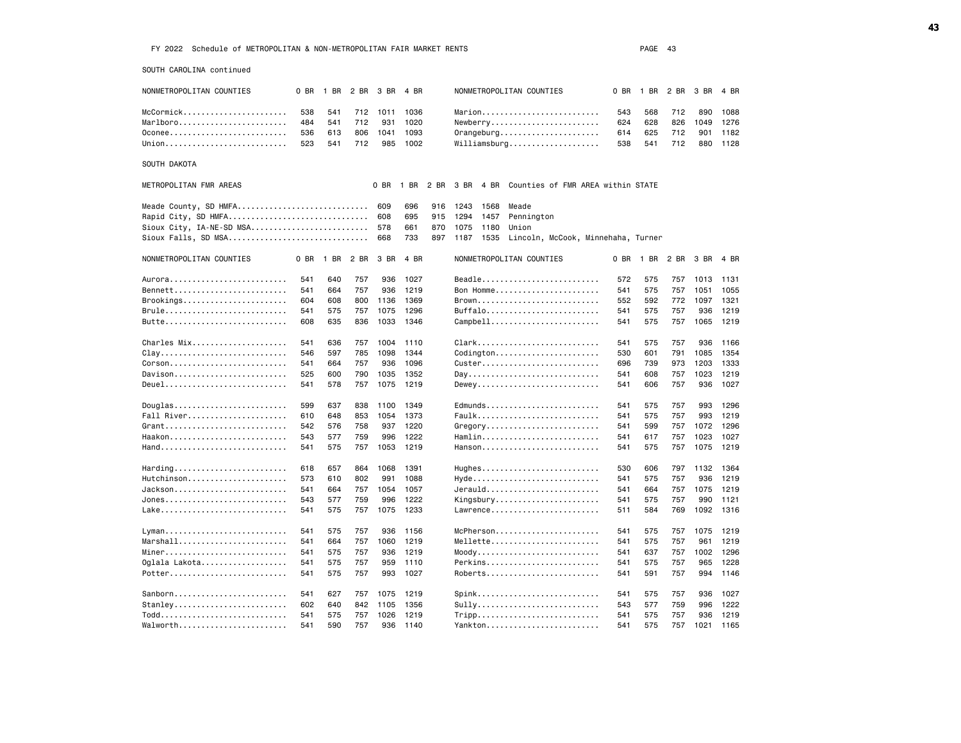SOUTH CAROLINA continued

NONMETROPOLITAN COUNTIES O BR 1 BR 2 BR 3 BR 4 BR NONMETROPOLITAN COUNTIES 0 BR 1 BR 2 BR 3 BR 4 BR McCormick....................... 538 541 712 1011 1036 Marion.......................... 543 568 712 890 1088 Marlboro............................ 484 541 712 931 1020 Newberry............................... 624 628 826 1049 1276 Oconee.......................... 536 613 806 1041 1093 Orangeburg...................... 614 625 712 901 1182 Union........................... 523 541 712 985 1002 Williamsburg.................... 538 541 712 880 1128 SOUTH DAKOTA METROPOLITAN FMR AREAS 0 BR 1 BR 2 BR 3 BR 4 BR Counties of FMR AREA within STATE Meade County, SD HMFA.................................. 609 696 916 1243 1568 Meade Rapid City, SD HMFA............................... 608 695 915 1294 1457 Pennington Sioux City, IA-NE-SD MSA.......................... 578 661 870 1075 1180 Union Sioux Falls, SD MSA............................... 668 733 897 1187 1535 Lincoln, McCook, Minnehaha, Turner NONMETROPOLITAN COUNTIES 0 BR 1 BR 2 BR 3 BR 4 BR NONMETROPOLITAN COUNTIES 0 BR 1 BR 2 BR 3 BR 4 BR Aurora.......................... 541 640 757 936 1027 Beadle.......................... 572 575 757 1013 1131 Bennett......................... 541 664 757 936 1219 Bon Homme....................... 541 575 757 1051 1055 Brookings............................... 604 608 800 1136 1369 Brown................................. 552 592 772 1097 1321<br>Brule.............................. 541 575 757 1075 1296 Buffalo........................... 541 5 Brule........................... 541 575 757 1075 1296 Buffalo......................... 541 575 757 936 1219 Butte........................... 608 635 836 1033 1346 Campbell........................ 541 575 757 1065 1219 Charles Mix..................... 541 636 757 1004 1110 Clark........................... 541 575 757 936 1166 Clay............................ 546 597 785 1098 1344 Codington....................... 530 601 791 1085 1354 Corson.......................... 541 664 757 936 1096 Custer.......................... 696 739 973 1203 1333 Davison......................... 525 600 790 1035 1352 Day............................. 541 608 757 1023 1219 Deuel........................... 541 578 757 1075 1219 Dewey........................... 541 606 757 936 1027 Douglas......................... 599 637 838 1100 1349 Edmunds......................... 541 575 757 993 1296 Fall River...................... 610 648 853 1054 1373 Faulk........................... 541 575 757 993 1219 Grant........................... 542 576 758 937 1220 Gregory......................... 541 599 757 1072 1296 Haakon............................. 543 577 759 996 1222 Hamlin............................ 541 617 757 1023 1027 Hand............................ 541 575 757 1053 1219 Hanson.......................... 541 575 757 1075 1219 Harding......................... 618 657 864 1068 1391 Hughes.......................... 530 606 797 1132 1364 573 610 802 991 1088 Hyde.............................. 541 575 757 936 1219 Jackson......................... 541 664 757 1054 1057 Jerauld......................... 541 664 757 1075 1219 Jones........................... 543 577 759 996 1222 Kingsbury....................... 541 575 757 990 1121 Lake............................ 541 575 757 1075 1233 Lawrence........................ 511 584 769 1092 1316 Lyman........................... 541 575 757 936 1156 McPherson....................... 541 575 757 1075 1219 Marshall................................ 541 664 757 1060 1219 Mellette............................. 541 575 757 961 1219 Miner........................... 541 575 757 936 1219 Moody........................... 541 637 757 1002 1296 Oglala Lakota................... 541 575 757 959 1110 Perkins......................... 541 575 757 965 1228 Potter.......................... 541 575 757 993 1027 Roberts......................... 541 591 757 994 1146 Sanborn......................... 541 627 757 1075 1219 Spink........................... 541 575 757 936 1027 Stanley......................... 602 640 842 1105 1356 Sully........................... 543 577 759 996 1222 Todd............................ 541 575 757 1026 1219 Tripp........................... 541 575 757 936 1219 Walworth........................... 541 590 757 936 1140 Yankton............................. 541 575 757 1021 1165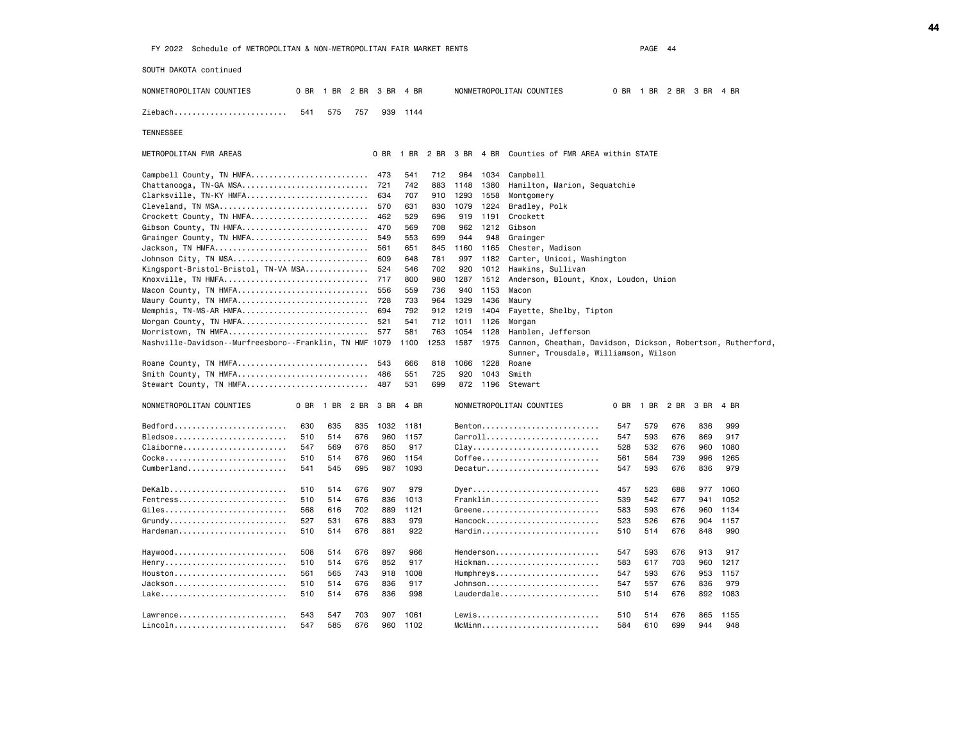SOUTH DAKOTA continued

TENNESSEE

NONMETROPOLITAN COUNTIES 0 BR 1 BR 2 BR 3 BR 4 BR NONMETROPOLITAN COUNTIES 0 BR 1 BR 2 BR 3 BR 4 BR Ziebach......................... 541 575 757 939 1144 METROPOLITAN FMR AREAS 0 BR 1 BR 2 BR 3 BR 4 BR Counties of FMR AREA within STATE Campbell County, TN HMFA.......................... 473 541 712 964 1034 Campbell Chattanooga, TN-GA MSA............................ 721 742 883 1148 1380 Hamilton, Marion, Sequatchie Clarksville, TN-KY HMFA........................... 634 707 910 1293 1558 Montgomery Cleveland, TN MSA................................. 570 631 830 1079 1224 Bradley, Polk Crockett County, TN HMFA.......................... 462 529 696 919 1191 Crockett Gibson County, TN HMFA................................. 470 569 708 962 1212 Gibson Grainger County, TN HMFA.......................... 549 553 699 944 948 Grainger Jackson, TN HMFA.................................. 561 651 845 1160 1165 Chester, Madison Johnson City, TN MSA.............................. 609 648 781 997 1182 Carter, Unicoi, Washington

| Kingsport-Bristol-Bristol, TN-VA MSA                    |      |      |      | 524  | 546  | 702  | 920  | 1012 | Hawkins, Sullivan                                           |      |      |      |      |      |  |
|---------------------------------------------------------|------|------|------|------|------|------|------|------|-------------------------------------------------------------|------|------|------|------|------|--|
| Knoxville, TN HMFA                                      |      |      |      | 717  | 800  | 980  | 1287 | 1512 | Anderson, Blount, Knox, Loudon, Union                       |      |      |      |      |      |  |
| Macon County, TN HMFA                                   |      |      |      | 556  | 559  | 736  | 940  | 1153 | Macon                                                       |      |      |      |      |      |  |
| Maury County, TN HMFA                                   |      |      |      | 728  | 733  | 964  | 1329 | 1436 | Maury                                                       |      |      |      |      |      |  |
| Memphis, TN-MS-AR HMFA                                  |      |      |      | 694  | 792  | 912  | 1219 | 1404 | Fayette, Shelby, Tipton                                     |      |      |      |      |      |  |
| Morgan County, TN HMFA                                  |      |      |      | 521  | 541  | 712  | 1011 | 1126 | Morgan                                                      |      |      |      |      |      |  |
| Morristown, TN HMFA                                     |      |      |      | 577  | 581  | 763  | 1054 | 1128 | Hamblen, Jefferson                                          |      |      |      |      |      |  |
| Nashville-Davidson--Murfreesboro--Franklin, TN HMF 1079 |      |      |      |      | 1100 | 1253 | 1587 | 1975 | Cannon, Cheatham, Davidson, Dickson, Robertson, Rutherford, |      |      |      |      |      |  |
|                                                         |      |      |      |      |      |      |      |      | Sumner, Trousdale, Williamson, Wilson                       |      |      |      |      |      |  |
| Roane County, TN HMFA                                   |      |      |      | 543  | 666  | 818  | 1066 | 1228 | Roane                                                       |      |      |      |      |      |  |
| Smith County, TN HMFA                                   |      |      |      | 486  | 551  | 725  | 920  | 1043 | Smith                                                       |      |      |      |      |      |  |
| Stewart County, TN HMFA                                 |      |      |      | 487  | 531  | 699  | 872  | 1196 | Stewart                                                     |      |      |      |      |      |  |
| NONMETROPOLITAN COUNTIES                                | 0 BR | 1 BR | 2 BR | 3 BR | 4 BR |      |      |      | NONMETROPOLITAN COUNTIES                                    | 0 BR | 1 BR | 2 BR | 3 BR | 4 BR |  |
| $Bedford.$                                              | 630  | 635  | 835  | 1032 | 1181 |      |      |      | $Benton$                                                    | 547  | 579  | 676  | 836  | 999  |  |
| Bledsoe                                                 | 510  | 514  | 676  | 960  | 1157 |      |      |      | Carroll                                                     | 547  | 593  | 676  | 869  | 917  |  |
| Claiborne                                               | 547  | 569  | 676  | 850  | 917  |      |      |      | $clay$                                                      | 528  | 532  | 676  | 960  | 1080 |  |
| Cocke                                                   | 510  | 514  | 676  | 960  | 1154 |      |      |      | $C$ offee                                                   | 561  | 564  | 739  | 996  | 1265 |  |
| Cumberland                                              | 541  | 545  | 695  | 987  | 1093 |      |      |      |                                                             | 547  | 593  | 676  | 836  | 979  |  |
|                                                         |      |      |      |      |      |      |      |      |                                                             |      |      |      |      |      |  |
| Dekalb                                                  | 510  | 514  | 676  | 907  | 979  |      |      |      | $D$ yer                                                     | 457  | 523  | 688  | 977  | 1060 |  |
| $Fentress$                                              | 510  | 514  | 676  | 836  | 1013 |      |      |      | Franklin                                                    | 539  | 542  | 677  | 941  | 1052 |  |
| Giles                                                   | 568  | 616  | 702  | 889  | 1121 |      |      |      | Greene                                                      | 583  | 593  | 676  | 960  | 1134 |  |
| $Grundy$                                                | 527  | 531  | 676  | 883  | 979  |      |      |      | $Hancock$                                                   | 523  | 526  | 676  | 904  | 1157 |  |
| Hardeman                                                | 510  | 514  | 676  | 881  | 922  |      |      |      | Hardin                                                      | 510  | 514  | 676  | 848  | 990  |  |
|                                                         |      |      |      |      |      |      |      |      |                                                             |      |      |      |      |      |  |
| Haywood                                                 | 508  | 514  | 676  | 897  | 966  |      |      |      | $H$ enderson                                                | 547  | 593  | 676  | 913  | 917  |  |
| Henry                                                   | 510  | 514  | 676  | 852  | 917  |      |      |      | Hickman                                                     | 583  | 617  | 703  | 960  | 1217 |  |
| $Houseton$                                              | 561  | 565  | 743  | 918  | 1008 |      |      |      | Humphreys                                                   | 547  | 593  | 676  | 953  | 1157 |  |
| Jackson                                                 | 510  | 514  | 676  | 836  | 917  |      |      |      | Johnson                                                     | 547  | 557  | 676  | 836  | 979  |  |
| Lake                                                    | 510  | 514  | 676  | 836  | 998  |      |      |      | $Lauderdale \ldots \ldots \ldots \ldots \ldots$             | 510  | 514  | 676  | 892  | 1083 |  |

Lawrence........................ 543 547 703 907 1061 Lewis........................... 510 514 676 865 1155 Lincoln......................... 547 585 676 960 1102 McMinn.......................... 584 610 699 944 948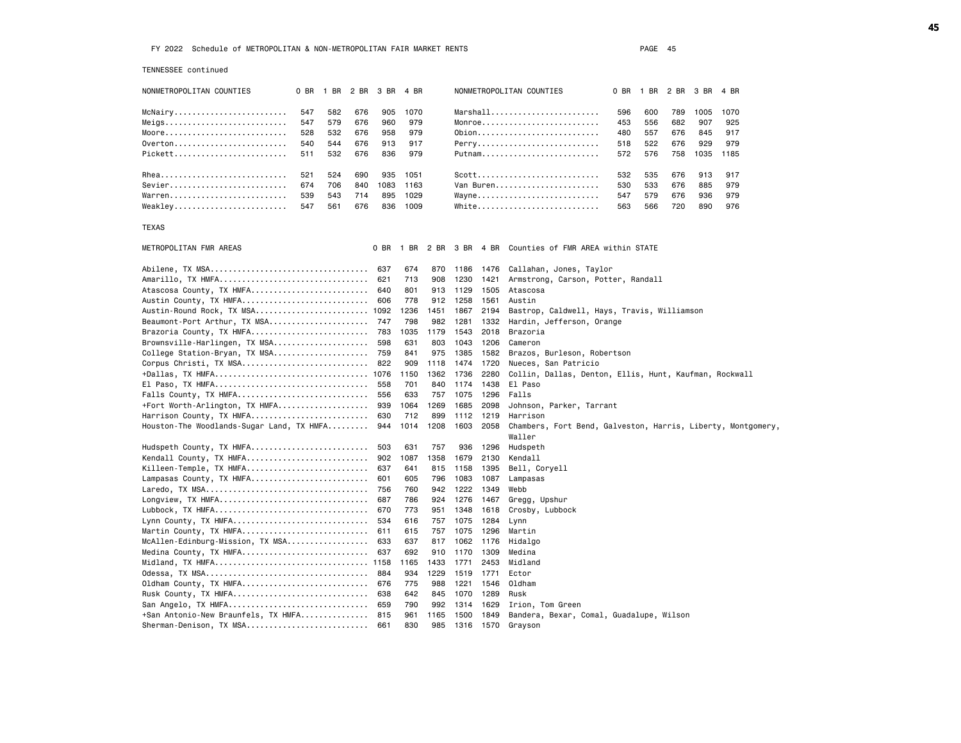Sherman-Denison, TX MSA........................... 661 830 985 1316 1570 Grayson

| TENNESSEE continued                       |     |                |     |      |      |      |      |      |                                                                        |      |      |      |      |      |  |
|-------------------------------------------|-----|----------------|-----|------|------|------|------|------|------------------------------------------------------------------------|------|------|------|------|------|--|
| NONMETROPOLITAN COUNTIES                  |     | 0 BR 1 BR 2 BR |     | 3 BR | 4 BR |      |      |      | NONMETROPOLITAN COUNTIES                                               | 0 BR | 1 BR | 2 BR | 3 BR | 4 BR |  |
| McNairy                                   | 547 | 582            | 676 | 905  | 1070 |      |      |      | $Marshall$                                                             | 596  | 600  | 789  | 1005 | 1070 |  |
| Meigs                                     | 547 | 579            | 676 | 960  | 979  |      |      |      | $Monroe$                                                               | 453  | 556  | 682  | 907  | 925  |  |
| Moore                                     | 528 | 532            | 676 | 958  | 979  |      |      |      | 0bion                                                                  | 480  | 557  | 676  | 845  | 917  |  |
| 0verton                                   | 540 | 544            | 676 | 913  | 917  |      |      |      | Perry                                                                  | 518  | 522  | 676  | 929  | 979  |  |
| Pickett                                   | 511 | 532            | 676 | 836  | 979  |      |      |      | Putnam                                                                 | 572  | 576  | 758  | 1035 | 1185 |  |
| Rhea                                      | 521 | 524            | 690 | 935  | 1051 |      |      |      | Scott                                                                  | 532  | 535  | 676  | 913  | 917  |  |
| Sevier                                    | 674 | 706            | 840 | 1083 | 1163 |      |      |      | Van Buren                                                              | 530  | 533  | 676  | 885  | 979  |  |
| Warren                                    | 539 | 543            | 714 | 895  | 1029 |      |      |      | Wayne                                                                  | 547  | 579  | 676  | 936  | 979  |  |
| Weakley                                   | 547 | 561            | 676 | 836  | 1009 |      |      |      | White                                                                  | 563  | 566  | 720  | 890  | 976  |  |
| TEXAS                                     |     |                |     |      |      |      |      |      |                                                                        |      |      |      |      |      |  |
| METROPOLITAN FMR AREAS                    |     |                |     | 0 BR |      |      |      |      | 1 BR 2 BR 3 BR 4 BR Counties of FMR AREA within STATE                  |      |      |      |      |      |  |
| Abilene, TX MSA                           |     |                |     | 637  | 674  | 870  | 1186 | 1476 | Callahan, Jones, Taylor                                                |      |      |      |      |      |  |
| Amarillo, TX HMFA                         |     |                |     | 621  | 713  | 908  | 1230 | 1421 | Armstrong, Carson, Potter, Randall                                     |      |      |      |      |      |  |
| Atascosa County, TX HMFA 640              |     |                |     |      | 801  | 913  | 1129 | 1505 | Atascosa                                                               |      |      |      |      |      |  |
| Austin County, TX HMFA 606                |     |                |     |      | 778  | 912  | 1258 | 1561 | Austin                                                                 |      |      |      |      |      |  |
| Austin-Round Rock, TX MSA 1092            |     |                |     |      | 1236 | 1451 | 1867 | 2194 | Bastrop, Caldwell, Hays, Travis, Williamson                            |      |      |      |      |      |  |
| Beaumont-Port Arthur, TX MSA 747          |     |                |     |      | 798  | 982  | 1281 | 1332 | Hardin, Jefferson, Orange                                              |      |      |      |      |      |  |
| Brazoria County, TX HMFA                  |     |                |     | 783  | 1035 | 1179 | 1543 | 2018 | Brazoria                                                               |      |      |      |      |      |  |
| Brownsville-Harlingen, TX MSA             |     |                |     | 598  | 631  | 803  | 1043 | 1206 | Cameron                                                                |      |      |      |      |      |  |
| College Station-Bryan, TX MSA             |     |                |     | 759  | 841  | 975  | 1385 | 1582 | Brazos, Burleson, Robertson                                            |      |      |      |      |      |  |
| Corpus Christi, TX MSA 822                |     |                |     |      | 909  | 1118 | 1474 | 1720 | Nueces, San Patricio                                                   |      |      |      |      |      |  |
| +Dallas, TX HMFA 1076                     |     |                |     |      | 1150 | 1362 | 1736 | 2280 | Collin, Dallas, Denton, Ellis, Hunt, Kaufman, Rockwall                 |      |      |      |      |      |  |
| El Paso, TX HMFA                          |     |                |     | 558  | 701  | 840  | 1174 | 1438 | El Paso                                                                |      |      |      |      |      |  |
| Falls County, TX HMFA                     |     |                |     | 556  | 633  | 757  | 1075 | 1296 | Falls                                                                  |      |      |      |      |      |  |
| +Fort Worth-Arlington, TX HMFA            |     |                |     | 939  | 1064 | 1269 | 1685 | 2098 | Johnson, Parker, Tarrant                                               |      |      |      |      |      |  |
| Harrison County, TX HMFA                  |     |                |     | 630  | 712  | 899  | 1112 | 1219 | Harrison                                                               |      |      |      |      |      |  |
| Houston-The Woodlands-Sugar Land, TX HMFA |     |                |     | 944  | 1014 | 1208 | 1603 | 2058 | Chambers, Fort Bend, Galveston, Harris, Liberty, Montgomery,<br>Waller |      |      |      |      |      |  |
| Hudspeth County, TX HMFA                  |     |                |     | 503  | 631  | 757  | 936  | 1296 | Hudspeth                                                               |      |      |      |      |      |  |
| Kendall County, TX HMFA                   |     |                |     | 902  | 1087 | 1358 | 1679 | 2130 | Kendall                                                                |      |      |      |      |      |  |
| Killeen-Temple, TX HMFA                   |     |                |     | 637  | 641  | 815  | 1158 | 1395 | Bell, Coryell                                                          |      |      |      |      |      |  |
| Lampasas County, TX HMFA                  |     |                |     | 601  | 605  | 796  | 1083 | 1087 | Lampasas                                                               |      |      |      |      |      |  |
|                                           |     |                |     |      | 760  | 942  | 1222 | 1349 | Webb                                                                   |      |      |      |      |      |  |
|                                           |     |                |     | 756  |      |      |      |      |                                                                        |      |      |      |      |      |  |
| Longview, TX HMFA                         |     |                |     | 687  | 786  | 924  | 1276 | 1467 | Gregg, Upshur                                                          |      |      |      |      |      |  |
| Lubbock, TX HMFA                          |     |                |     | 670  | 773  | 951  | 1348 | 1618 | Crosby, Lubbock                                                        |      |      |      |      |      |  |
| Lynn County, TX HMFA                      |     |                |     | 534  | 616  | 757  | 1075 | 1284 | Lynn                                                                   |      |      |      |      |      |  |
| Martin County, TX HMFA                    |     |                |     | 611  | 615  | 757  | 1075 | 1296 | Martin                                                                 |      |      |      |      |      |  |
| McAllen-Edinburg-Mission, TX MSA          |     |                |     | 633  | 637  | 817  | 1062 | 1176 | Hidalgo                                                                |      |      |      |      |      |  |
| Medina County, TX HMFA 637                |     |                |     |      | 692  | 910  | 1170 | 1309 | Medina                                                                 |      |      |      |      |      |  |
| Midland, TX HMFA 1158                     |     |                |     |      | 1165 | 1433 | 1771 | 2453 | Midland                                                                |      |      |      |      |      |  |
|                                           |     |                |     |      | 934  | 1229 | 1519 | 1771 | Ector                                                                  |      |      |      |      |      |  |
| Oldham County, TX HMFA                    |     |                |     | 676  | 775  | 988  | 1221 | 1546 | Oldham                                                                 |      |      |      |      |      |  |
| Rusk County, TX HMFA                      |     |                |     | 638  | 642  | 845  | 1070 | 1289 | Rusk                                                                   |      |      |      |      |      |  |
| San Angelo, TX HMFA                       |     |                |     | 659  | 790  | 992  | 1314 | 1629 | Irion, Tom Green                                                       |      |      |      |      |      |  |
| +San Antonio-New Braunfels, TX HMFA       |     |                |     | 815  | 961  | 1165 | 1500 | 1849 | Bandera, Bexar, Comal, Guadalupe, Wilson                               |      |      |      |      |      |  |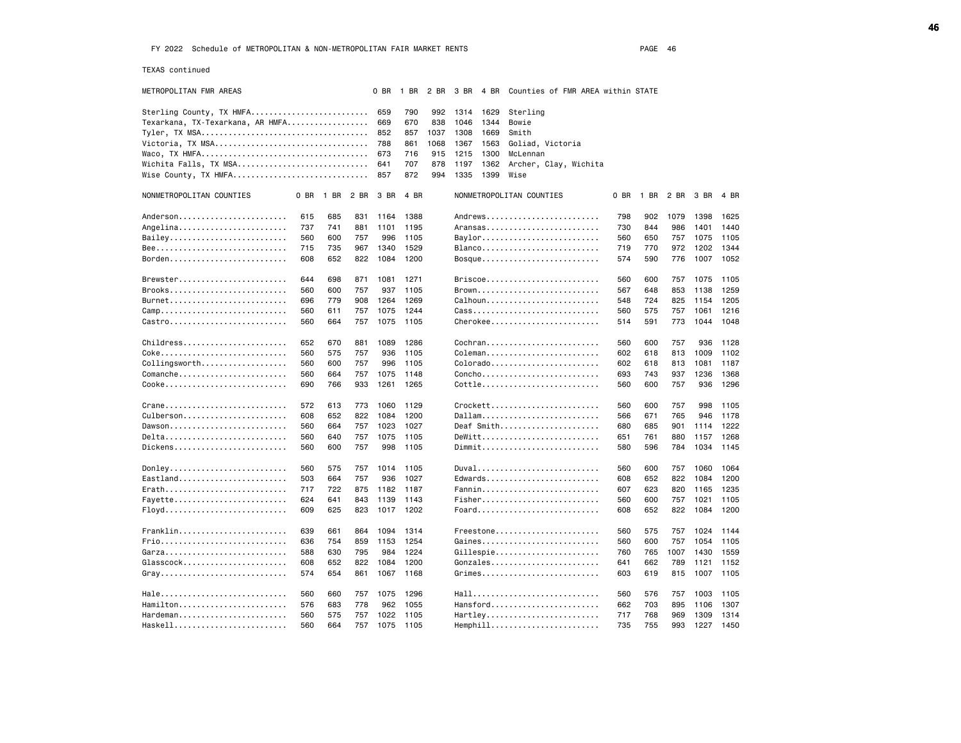TEXAS continued

| METROPOLITAN FMR AREAS           |      |      |      | 0 BR | 1 BR 2 BR |      |              | 3 BR 4 BR Counties of FMR AREA within STATE |      |      |      |           |      |
|----------------------------------|------|------|------|------|-----------|------|--------------|---------------------------------------------|------|------|------|-----------|------|
| Sterling County, TX HMFA         |      |      |      | 659  | 790       | 992  | 1314<br>1629 | Sterling                                    |      |      |      |           |      |
| Texarkana, TX-Texarkana, AR HMFA |      |      |      | 669  | 670       | 838  | 1046<br>1344 | Bowie                                       |      |      |      |           |      |
|                                  |      |      |      | 852  | 857       | 1037 | 1308<br>1669 | Smith                                       |      |      |      |           |      |
| Victoria, TX MSA                 |      |      |      | 788  | 861       | 1068 | 1367<br>1563 | Goliad, Victoria                            |      |      |      |           |      |
|                                  |      |      |      | 673  | 716       | 915  | 1215<br>1300 | McLennan                                    |      |      |      |           |      |
| Wichita Falls, TX MSA            |      |      |      | 641  | 707       | 878  | 1197<br>1362 | Archer, Clay, Wichita                       |      |      |      |           |      |
| Wise County, TX HMFA             |      |      |      | 857  | 872       | 994  | 1335<br>1399 | Wise                                        |      |      |      |           |      |
| NONMETROPOLITAN COUNTIES         | 0 BR | 1 BR | 2 BR | 3 BR | 4 BR      |      |              | NONMETROPOLITAN COUNTIES                    | 0 BR | 1 BR | 2 BR | 3 BR      | 4 BR |
| Anderson                         | 615  | 685  | 831  | 1164 | 1388      |      |              | Andrews                                     | 798  | 902  | 1079 | 1398      | 1625 |
| Angelina                         | 737  | 741  | 881  | 1101 | 1195      |      |              | Aransas                                     | 730  | 844  | 986  | 1401      | 1440 |
| Bailey                           | 560  | 600  | 757  | 996  | 1105      |      |              | Baylor                                      | 560  | 650  | 757  | 1075      | 1105 |
|                                  | 715  | 735  | 967  | 1340 | 1529      |      |              | Blanco                                      | 719  | 770  | 972  | 1202      | 1344 |
| Borden                           | 608  | 652  | 822  | 1084 | 1200      |      |              | Bosque                                      | 574  | 590  | 776  | 1007 1052 |      |
| $B$ rewster                      | 644  | 698  | 871  | 1081 | 1271      |      |              | $Briscoe \ldots \ldots \ldots \ldots$       | 560  | 600  | 757  | 1075      | 1105 |
| Brooks                           | 560  | 600  | 757  | 937  | 1105      |      |              | Brown                                       | 567  | 648  | 853  | 1138      | 1259 |
| Burnet                           | 696  | 779  | 908  | 1264 | 1269      |      |              | Calhoun                                     | 548  | 724  | 825  | 1154      | 1205 |
|                                  | 560  | 611  | 757  | 1075 | 1244      |      |              | Cass                                        | 560  | 575  | 757  | 1061      | 1216 |
| Castro                           | 560  | 664  | 757  | 1075 | 1105      |      |              | $Cherokee$                                  | 514  | 591  | 773  | 1044      | 1048 |
| Childress                        | 652  | 670  | 881  | 1089 | 1286      |      |              | Cochran                                     | 560  | 600  | 757  | 936       | 1128 |
|                                  | 560  | 575  | 757  | 936  | 1105      |      |              | Coleman                                     | 602  | 618  | 813  | 1009      | 1102 |
| $Collingsworth$                  | 560  | 600  | 757  | 996  | 1105      |      |              | Colora do                                   | 602  | 618  | 813  | 1081      | 1187 |
| Comanche                         | 560  | 664  | 757  | 1075 | 1148      |      |              | Concho                                      | 693  | 743  | 937  | 1236      | 1368 |
| Cooke                            | 690  | 766  | 933  | 1261 | 1265      |      |              | Cottle                                      | 560  | 600  | 757  | 936       | 1296 |
| Crane                            | 572  | 613  | 773  | 1060 | 1129      |      |              | $C$ rockett                                 | 560  | 600  | 757  | 998       | 1105 |
| Culberson                        | 608  | 652  | 822  | 1084 | 1200      |      |              | Dallam                                      | 566  | 671  | 765  | 946       | 1178 |
| Dawson                           | 560  | 664  | 757  | 1023 | 1027      |      |              | Deaf Smith                                  | 680  | 685  | 901  | 1114      | 1222 |
| Delta                            | 560  | 640  | 757  | 1075 | 1105      |      |              | $DeWitt$                                    | 651  | 761  | 880  | 1157      | 1268 |
| Dickens                          | 560  | 600  | 757  | 998  | 1105      |      |              | Dimmit                                      | 580  | 596  | 784  | 1034 1145 |      |
| Donley                           | 560  | 575  | 757  | 1014 | 1105      |      |              | Duval                                       | 560  | 600  | 757  | 1060      | 1064 |
| Eastland                         | 503  | 664  | 757  | 936  | 1027      |      |              | Edwards                                     | 608  | 652  | 822  | 1084      | 1200 |
| Erath                            | 717  | 722  | 875  | 1182 | 1187      |      |              | Fannin                                      | 607  | 623  | 820  | 1165      | 1235 |
| Fayette                          | 624  | 641  | 843  | 1139 | 1143      |      |              | Fisher                                      | 560  | 600  | 757  | 1021      | 1105 |
| Floyd                            | 609  | 625  | 823  | 1017 | 1202      |      |              | Foard                                       | 608  | 652  | 822  | 1084      | 1200 |
| Franklin                         | 639  | 661  | 864  | 1094 | 1314      |      |              | Freestone                                   | 560  | 575  | 757  | 1024      | 1144 |
| Frio                             | 636  | 754  | 859  | 1153 | 1254      |      |              | Gaines                                      | 560  | 600  | 757  | 1054      | 1105 |
| Garza                            | 588  | 630  | 795  | 984  | 1224      |      |              | Gillespie                                   | 760  | 765  | 1007 | 1430      | 1559 |
| Glasscock                        | 608  | 652  | 822  | 1084 | 1200      |      |              | Gonzales                                    | 641  | 662  | 789  | 1121      | 1152 |
| Gray                             | 574  | 654  | 861  | 1067 | 1168      |      |              | Grimes                                      | 603  | 619  | 815  | 1007      | 1105 |
|                                  | 560  | 660  | 757  | 1075 | 1296      |      |              | Hall                                        | 560  | 576  | 757  | 1003      | 1105 |
| Hamilton                         | 576  | 683  | 778  | 962  | 1055      |      |              | Hansford                                    | 662  | 703  | 895  | 1106      | 1307 |
| Hardeman                         | 560  | 575  | 757  | 1022 | 1105      |      |              | Hartley                                     | 717  | 768  | 969  | 1309      | 1314 |
| Haskell                          | 560  | 664  | 757  | 1075 | 1105      |      |              | Hemphill                                    | 735  | 755  | 993  | 1227      | 1450 |
|                                  |      |      |      |      |           |      |              |                                             |      |      |      |           |      |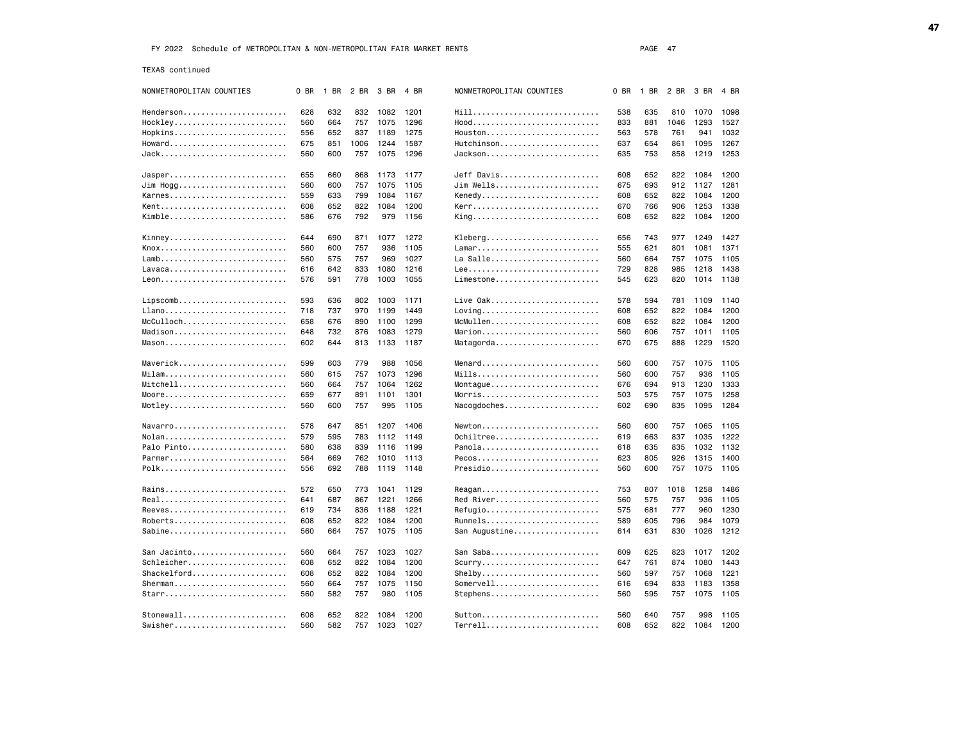TEXAS continued

| NONMETROPOLITAN COUNTIES | 0 BR | 1 BR | 2 BR | 3 BR     | 4 BR | NONMETROPOLITAN COUNTIES                           | 0 BR | 1 BR 2 BR |      | 3 BR | 4 BR |
|--------------------------|------|------|------|----------|------|----------------------------------------------------|------|-----------|------|------|------|
| Henderson                | 628  | 632  | 832  | 1082     | 1201 |                                                    | 538  | 635       | 810  | 1070 | 1098 |
| Hockley                  | 560  | 664  | 757  | 1075     | 1296 | Hood                                               | 833  | 881       | 1046 | 1293 | 1527 |
| Hopkins                  | 556  | 652  | 837  | 1189     | 1275 | Houston                                            | 563  | 578       | 761  | 941  | 1032 |
| Howard                   | 675  | 851  | 1006 | 1244     | 1587 | Hutchinson                                         | 637  | 654       | 861  | 1095 | 1267 |
| Jack                     | 560  | 600  | 757  | 1075     | 1296 | Jackson                                            | 635  | 753       | 858  | 1219 | 1253 |
|                          |      |      |      |          |      |                                                    |      |           |      |      |      |
| Jasper                   | 655  | 660  | 868  | 1173     | 1177 | Jeff Davis                                         | 608  | 652       | 822  | 1084 | 1200 |
| Jim Hogg                 | 560  | 600  | 757  | 1075     | 1105 | Jim Wells                                          | 675  | 693       | 912  | 1127 | 1281 |
| Karnes                   | 559  | 633  | 799  | 1084     | 1167 | Kenedy                                             | 608  | 652       | 822  | 1084 | 1200 |
| Kent                     | 608  | 652  | 822  | 1084     | 1200 | Kerr                                               | 670  | 766       | 906  | 1253 | 1338 |
| Kimble                   | 586  | 676  | 792  | 979      | 1156 | King                                               | 608  | 652       | 822  | 1084 | 1200 |
| Kinney                   | 644  | 690  | 871  | 1077     | 1272 | Kleberg                                            | 656  | 743       | 977  | 1249 | 1427 |
| Knox                     | 560  | 600  | 757  | 936      | 1105 | Lamar                                              | 555  | 621       | 801  | 1081 | 1371 |
|                          | 560  | 575  | 757  | 969      | 1027 | La Salle                                           | 560  | 664       | 757  | 1075 | 1105 |
| Lavaca                   | 616  | 642  | 833  | 1080     | 1216 |                                                    | 729  | 828       | 985  | 1218 | 1438 |
|                          | 576  | 591  | 778  | 1003     | 1055 | Limestone                                          | 545  | 623       | 820  | 1014 | 1138 |
|                          |      |      |      |          |      |                                                    |      |           |      |      |      |
| Lipscomb                 | 593  | 636  | 802  | 1003     | 1171 | Live Oak                                           | 578  | 594       | 781  | 1109 | 1140 |
| Llano                    | 718  | 737  | 970  | 1199     | 1449 | $Loving \ldots \ldots \ldots \ldots \ldots \ldots$ | 608  | 652       | 822  | 1084 | 1200 |
|                          | 658  | 676  | 890  | 1100     | 1299 | McMullen                                           | 608  | 652       | 822  | 1084 | 1200 |
| Madison                  | 648  | 732  | 876  | 1083     | 1279 | Marion                                             | 560  | 606       | 757  | 1011 | 1105 |
| $Mason$                  | 602  | 644  |      | 813 1133 | 1187 | Matagorda                                          | 670  | 675       | 888  | 1229 | 1520 |
|                          |      |      |      |          |      |                                                    |      |           |      |      |      |
| Maverick                 | 599  | 603  | 779  | 988      | 1056 | Menard                                             | 560  | 600       | 757  | 1075 | 1105 |
| Milam                    | 560  | 615  | 757  | 1073     | 1296 | Mills                                              | 560  | 600       | 757  | 936  | 1105 |
| Mitchell                 | 560  | 664  | 757  | 1064     | 1262 | Montague                                           | 676  | 694       | 913  | 1230 | 1333 |
| Moore                    | 659  | 677  | 891  | 1101     | 1301 | Morris                                             | 503  | 575       | 757  | 1075 | 1258 |
|                          | 560  | 600  | 757  | 995      | 1105 | Nacogdoches                                        | 602  | 690       | 835  | 1095 | 1284 |
| Navarro                  | 578  | 647  | 851  | 1207     | 1406 | Newton                                             | 560  | 600       | 757  | 1065 | 1105 |
| Nolan                    | 579  | 595  | 783  | 1112     | 1149 | 0chiltree                                          | 619  | 663       | 837  | 1035 | 1222 |
| Palo Pinto               | 580  | 638  | 839  | 1116     | 1199 | Panola                                             | 618  | 635       | 835  | 1032 | 1132 |
| Parmer                   | 564  | 669  | 762  | 1010     | 1113 | Pecos                                              | 623  | 805       | 926  | 1315 | 1400 |
| Polk                     | 556  | 692  | 788  | 1119     | 1148 | Presidio                                           | 560  | 600       | 757  | 1075 | 1105 |
|                          |      |      |      |          |      |                                                    |      |           |      |      |      |
| Rains                    | 572  | 650  |      | 773 1041 | 1129 | Reagan                                             | 753  | 807       | 1018 | 1258 | 1486 |
| Real                     | 641  | 687  | 867  | 1221     | 1266 | Red River                                          | 560  | 575       | 757  | 936  | 1105 |
| Reeves                   | 619  | 734  | 836  | 1188     | 1221 | Refugio                                            | 575  | 681       | 777  | 960  | 1230 |
| Roberts                  | 608  | 652  | 822  | 1084     | 1200 | Runnels                                            | 589  | 605       | 796  | 984  | 1079 |
| Sabine                   | 560  | 664  |      | 757 1075 | 1105 | San Augustine                                      | 614  | 631       | 830  | 1026 | 1212 |
| San Jacinto              | 560  | 664  | 757  | 1023     | 1027 | San Saba                                           | 609  | 625       | 823  | 1017 | 1202 |
| Schleicher               | 608  | 652  | 822  | 1084     | 1200 | $Scurry$                                           | 647  | 761       | 874  | 1080 | 1443 |
| Shackelford              | 608  | 652  | 822  | 1084     | 1200 | Shelby                                             | 560  | 597       | 757  | 1068 | 1221 |
| Sherman                  | 560  | 664  | 757  | 1075     | 1150 | Somervell                                          | 616  | 694       | 833  | 1183 | 1358 |
| Starr                    | 560  | 582  | 757  | 980      | 1105 | Stephens                                           | 560  | 595       | 757  | 1075 | 1105 |
|                          |      |      |      |          |      |                                                    |      |           |      |      |      |
| Stonewall                | 608  | 652  | 822  | 1084     | 1200 | Sutton                                             | 560  | 640       | 757  | 998  | 1105 |
| Swisher                  | 560  | 582  | 757  | 1023     | 1027 | Terrell                                            | 608  | 652       | 822  | 1084 | 1200 |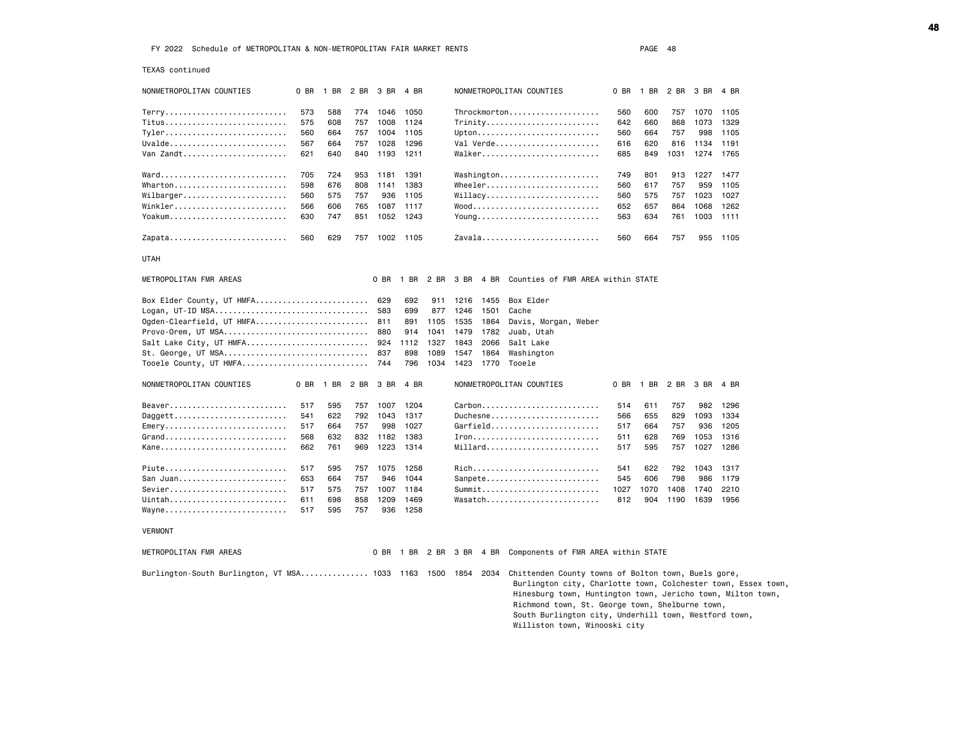TEXAS continued

| IEAAS CONTINUED                                               |      |                     |      |          |           |      |                          |           |                                                                                                                                                                                                                                                                                                 |      |                |      |      |      |
|---------------------------------------------------------------|------|---------------------|------|----------|-----------|------|--------------------------|-----------|-------------------------------------------------------------------------------------------------------------------------------------------------------------------------------------------------------------------------------------------------------------------------------------------------|------|----------------|------|------|------|
| NONMETROPOLITAN COUNTIES                                      |      | 0 BR 1 BR 2 BR 3 BR |      |          | 4 BR      |      |                          |           | NONMETROPOLITAN COUNTIES                                                                                                                                                                                                                                                                        |      | 0 BR 1 BR 2 BR |      | 3 BR | 4 BR |
|                                                               | 573  | 588                 |      | 774 1046 | 1050      |      |                          |           | Throckmorton                                                                                                                                                                                                                                                                                    | 560  | 600            | 757  | 1070 | 1105 |
| Titus                                                         | 575  | 608                 | 757  | 1008     | 1124      |      |                          |           | Trinity                                                                                                                                                                                                                                                                                         | 642  | 660            | 868  | 1073 | 1329 |
| $Tyler$                                                       | 560  | 664                 | 757  | 1004     | 1105      |      |                          |           | Upton                                                                                                                                                                                                                                                                                           | 560  | 664            | 757  | 998  | 1105 |
| Uvalde                                                        | 567  | 664                 | 757  | 1028     | 1296      |      |                          |           | Val Verde                                                                                                                                                                                                                                                                                       | 616  | 620            | 816  | 1134 | 1191 |
| Van Zandt                                                     | 621  | 640                 | 840  | 1193     | 1211      |      |                          |           | Walker                                                                                                                                                                                                                                                                                          | 685  | 849            | 1031 | 1274 | 1765 |
|                                                               |      |                     |      |          |           |      |                          |           |                                                                                                                                                                                                                                                                                                 |      |                |      |      |      |
|                                                               | 705  | 724                 | 953  | 1181     | 1391      |      |                          |           | Washington                                                                                                                                                                                                                                                                                      | 749  | 801            | 913  | 1227 | 1477 |
| Wharton                                                       | 598  | 676                 | 808  | 1141     | 1383      |      |                          |           | Wheeler                                                                                                                                                                                                                                                                                         | 560  | 617            | 757  | 959  | 1105 |
| $Wilbarger. \ldots \ldots \ldots \ldots \ldots \ldots \ldots$ | 560  | 575                 | 757  | 936      | 1105      |      |                          |           | $Willacy \ldots \ldots \ldots \ldots \ldots$                                                                                                                                                                                                                                                    | 560  | 575            | 757  | 1023 | 1027 |
| Winkler                                                       | 566  | 606                 | 765  | 1087     | 1117      |      |                          |           |                                                                                                                                                                                                                                                                                                 | 652  | 657            | 864  | 1068 | 1262 |
| Yoakum                                                        | 630  | 747                 | 851  | 1052     | 1243      |      |                          |           | Young                                                                                                                                                                                                                                                                                           | 563  | 634            | 761  | 1003 | 1111 |
|                                                               |      |                     |      |          |           |      |                          |           |                                                                                                                                                                                                                                                                                                 |      |                |      |      |      |
| Zapata                                                        | 560  | 629                 | 757  |          | 1002 1105 |      |                          |           | Zavala                                                                                                                                                                                                                                                                                          | 560  | 664            | 757  | 955  | 1105 |
| <b>UTAH</b>                                                   |      |                     |      |          |           |      |                          |           |                                                                                                                                                                                                                                                                                                 |      |                |      |      |      |
| METROPOLITAN FMR AREAS                                        |      |                     |      | 0 BR     | 1 BR      |      |                          |           | 2 BR 3 BR 4 BR Counties of FMR AREA within STATE                                                                                                                                                                                                                                                |      |                |      |      |      |
| Box Elder County, UT HMFA                                     |      |                     |      | 629      | 692       | 911  |                          | 1216 1455 | Box Elder                                                                                                                                                                                                                                                                                       |      |                |      |      |      |
| Logan, UT-ID MSA                                              |      |                     |      | 583      | 699       | 877  | 1246                     | 1501      | Cache                                                                                                                                                                                                                                                                                           |      |                |      |      |      |
| Ogden-Clearfield, UT HMFA 811                                 |      |                     |      |          | 891       | 1105 | 1535                     | 1864      |                                                                                                                                                                                                                                                                                                 |      |                |      |      |      |
|                                                               |      |                     |      |          |           |      |                          |           | Davis, Morgan, Weber                                                                                                                                                                                                                                                                            |      |                |      |      |      |
| Provo-Orem, UT MSA                                            |      |                     |      | 880      | 914       | 1041 | 1479                     | 1782      | Juab, Utah                                                                                                                                                                                                                                                                                      |      |                |      |      |      |
| Salt Lake City, UT HMFA                                       |      |                     |      | 924      | 1112      | 1327 | 1843                     | 2066      | Salt Lake                                                                                                                                                                                                                                                                                       |      |                |      |      |      |
| St. George, UT MSA                                            |      |                     |      | 837      | 898       | 1089 | 1547                     | 1864      | Washington                                                                                                                                                                                                                                                                                      |      |                |      |      |      |
| Tooele County, UT HMFA                                        |      |                     |      | 744      | 796       | 1034 |                          |           | 1423 1770 Tooele                                                                                                                                                                                                                                                                                |      |                |      |      |      |
| NONMETROPOLITAN COUNTIES                                      | 0 BR | 1 BR                | 2 BR | 3 BR     | 4 BR      |      |                          |           | NONMETROPOLITAN COUNTIES                                                                                                                                                                                                                                                                        | 0 BR | 1 BR           | 2 BR | 3 BR | 4 BR |
| Beaver                                                        | 517  | 595                 | 757  | 1007     | 1204      |      |                          |           | $Carbon \ldots \ldots \ldots \ldots \ldots \ldots \ldots$                                                                                                                                                                                                                                       | 514  | 611            | 757  | 982  | 1296 |
| Daggett                                                       | 541  | 622                 | 792  | 1043     | 1317      |      |                          |           | Duchesne                                                                                                                                                                                                                                                                                        | 566  | 655            | 829  | 1093 | 1334 |
| Emery                                                         | 517  | 664                 | 757  | 998      | 1027      |      |                          |           | Garfield                                                                                                                                                                                                                                                                                        | 517  | 664            | 757  | 936  | 1205 |
|                                                               |      |                     |      |          |           |      |                          |           |                                                                                                                                                                                                                                                                                                 |      |                |      |      |      |
| Grand                                                         | 568  | 632                 | 832  | 1182     | 1383      |      |                          |           |                                                                                                                                                                                                                                                                                                 | 511  | 628            | 769  | 1053 | 1316 |
|                                                               | 662  | 761                 | 969  | 1223     | 1314      |      |                          |           | Millard                                                                                                                                                                                                                                                                                         | 517  | 595            | 757  | 1027 | 1286 |
| Piute                                                         | 517  | 595                 | 757  | 1075     | 1258      |      |                          |           | Rich                                                                                                                                                                                                                                                                                            | 541  | 622            | 792  | 1043 | 1317 |
| San Juan                                                      | 653  | 664                 | 757  | 946      | 1044      |      |                          |           | Sanpete                                                                                                                                                                                                                                                                                         | 545  | 606            | 798  | 986  | 1179 |
| Sevier                                                        | 517  | 575                 | 757  | 1007     | 1184      |      |                          |           | Summit                                                                                                                                                                                                                                                                                          | 1027 | 1070           | 1408 | 1740 | 2210 |
|                                                               |      |                     |      |          |           |      |                          |           |                                                                                                                                                                                                                                                                                                 |      |                |      |      |      |
| Uintah                                                        | 611  | 698                 | 858  | 1209     | 1469      |      |                          |           | Wasatch                                                                                                                                                                                                                                                                                         | 812  | 904            | 1190 | 1639 | 1956 |
| Wayne                                                         | 517  | 595                 | 757  |          | 936 1258  |      |                          |           |                                                                                                                                                                                                                                                                                                 |      |                |      |      |      |
| <b>VERMONT</b>                                                |      |                     |      |          |           |      |                          |           |                                                                                                                                                                                                                                                                                                 |      |                |      |      |      |
| METROPOLITAN FMR AREAS                                        |      |                     |      |          |           |      | 0 BR 1 BR 2 BR 3 BR 4 BR |           | Components of FMR AREA within STATE                                                                                                                                                                                                                                                             |      |                |      |      |      |
| Burlington-South Burlington, VT MSA 1033 1163 1500 1854       |      |                     |      |          |           |      |                          | 2034      | Chittenden County towns of Bolton town, Buels gore,<br>Burlington city, Charlotte town, Colchester town, Essex town,<br>Hinesburg town, Huntington town, Jericho town, Milton town,<br>Richmond town, St. George town, Shelburne town,<br>South Burlington city, Underhill town, Westford town, |      |                |      |      |      |
|                                                               |      |                     |      |          |           |      |                          |           | Williston town, Winooski city                                                                                                                                                                                                                                                                   |      |                |      |      |      |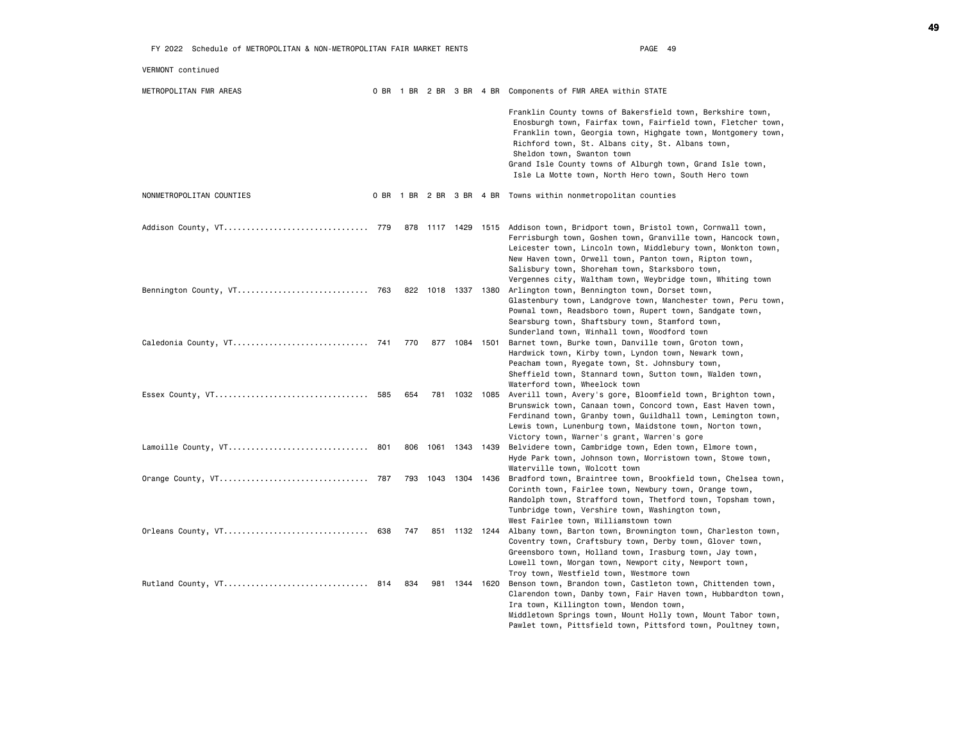| VERMONT continued         |     |      |               |                                                                                                                                                                                                                                                                                                                                                                                                   |
|---------------------------|-----|------|---------------|---------------------------------------------------------------------------------------------------------------------------------------------------------------------------------------------------------------------------------------------------------------------------------------------------------------------------------------------------------------------------------------------------|
| METROPOLITAN FMR AREAS    |     |      |               | 0 BR 1 BR 2 BR 3 BR 4 BR Components of FMR AREA within STATE                                                                                                                                                                                                                                                                                                                                      |
|                           |     |      |               | Franklin County towns of Bakersfield town, Berkshire town,<br>Enosburgh town, Fairfax town, Fairfield town, Fletcher town,<br>Franklin town, Georgia town, Highgate town, Montgomery town,<br>Richford town, St. Albans city, St. Albans town,<br>Sheldon town, Swanton town<br>Grand Isle County towns of Alburgh town, Grand Isle town,<br>Isle La Motte town, North Hero town, South Hero town |
| NONMETROPOLITAN COUNTIES  |     |      |               | 0 BR 1 BR 2 BR 3 BR 4 BR Towns within nonmetropolitan counties                                                                                                                                                                                                                                                                                                                                    |
|                           |     |      |               | 878 1117 1429 1515 Addison town, Bridport town, Bristol town, Cornwall town,<br>Ferrisburgh town, Goshen town, Granville town, Hancock town,<br>Leicester town, Lincoln town, Middlebury town, Monkton town,<br>New Haven town, Orwell town, Panton town, Ripton town,<br>Salisbury town, Shoreham town, Starksboro town,<br>Vergennes city, Waltham town, Weybridge town, Whiting town           |
| Bennington County, VT 763 |     |      |               | 822 1018 1337 1380 Arlington town, Bennington town, Dorset town,<br>Glastenbury town, Landgrove town, Manchester town, Peru town,<br>Pownal town, Readsboro town, Rupert town, Sandgate town,<br>Searsburg town, Shaftsbury town, Stamford town,<br>Sunderland town, Winhall town, Woodford town                                                                                                  |
|                           | 770 |      | 877 1084 1501 | Barnet town, Burke town, Danville town, Groton town,<br>Hardwick town, Kirby town, Lyndon town, Newark town,<br>Peacham town, Ryegate town, St. Johnsbury town,<br>Sheffield town, Stannard town, Sutton town, Walden town,<br>Waterford town, Wheelock town                                                                                                                                      |
|                           | 654 |      |               | 781 1032 1085 Averill town, Avery's gore, Bloomfield town, Brighton town,<br>Brunswick town, Canaan town, Concord town, East Haven town,<br>Ferdinand town, Granby town, Guildhall town, Lemington town,<br>Lewis town, Lunenburg town, Maidstone town, Norton town,<br>Victory town, Warner's grant, Warren's gore                                                                               |
| Lamoille County, VT 801   | 806 |      |               | 1061 1343 1439 Belvidere town, Cambridge town, Eden town, Elmore town,<br>Hyde Park town, Johnson town, Morristown town, Stowe town,<br>Waterville town, Wolcott town                                                                                                                                                                                                                             |
|                           | 793 | 1043 | 1304 1436     | Bradford town, Braintree town, Brookfield town, Chelsea town,<br>Corinth town, Fairlee town, Newbury town, Orange town,<br>Randolph town, Strafford town, Thetford town, Topsham town,<br>Tunbridge town, Vershire town, Washington town,<br>West Fairlee town, Williamstown town                                                                                                                 |
| Orleans County, VT 638    | 747 |      |               | 851 1132 1244 Albany town, Barton town, Brownington town, Charleston town,<br>Coventry town, Craftsbury town, Derby town, Glover town,<br>Greensboro town, Holland town, Irasburg town, Jay town,<br>Lowell town, Morgan town, Newport city, Newport town,<br>Troy town, Westfield town, Westmore town                                                                                            |
| Rutland County, VT 814    | 834 | 981  | 1344 1620     | Benson town, Brandon town, Castleton town, Chittenden town,<br>Clarendon town, Danby town, Fair Haven town, Hubbardton town,<br>Ira town, Killington town, Mendon town,<br>Middletown Springs town, Mount Holly town, Mount Tabor town,<br>Pawlet town, Pittsfield town, Pittsford town, Poultney town,                                                                                           |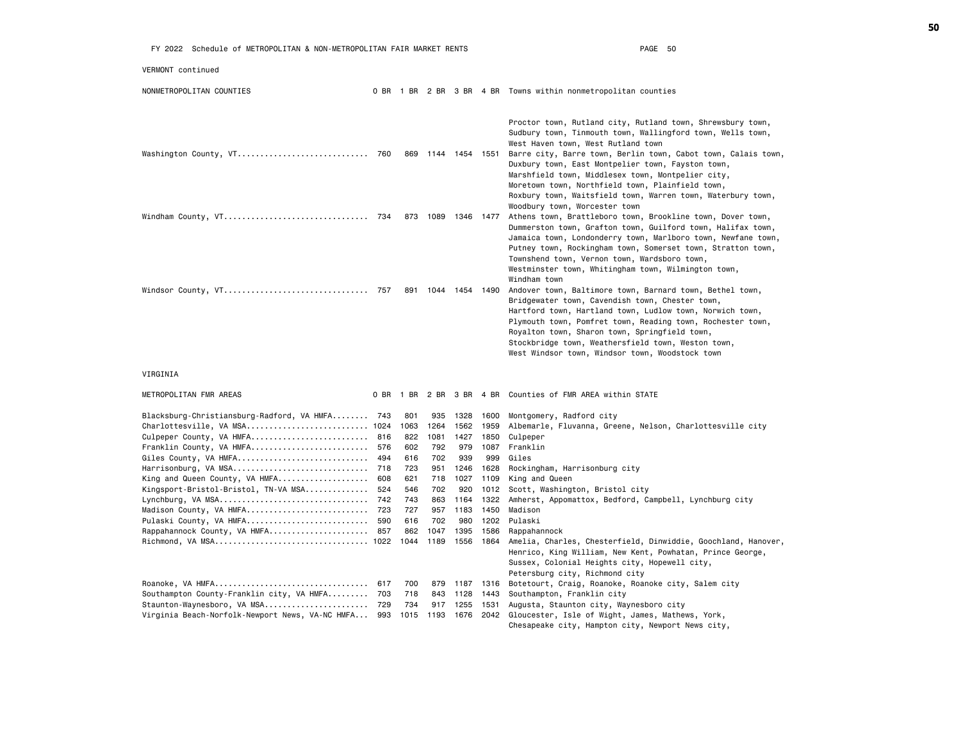| FY 2022 Schedule of METROPOLITAN & NON-METROPOLITAN FAIR MARKET RENTS                                                                                                                                                                     | PAGE 50 |                                                |                                                 |                                                    |                                                     |                                                                                                                                                                                                                                                                                                                                                                                                                                                              |
|-------------------------------------------------------------------------------------------------------------------------------------------------------------------------------------------------------------------------------------------|---------|------------------------------------------------|-------------------------------------------------|----------------------------------------------------|-----------------------------------------------------|--------------------------------------------------------------------------------------------------------------------------------------------------------------------------------------------------------------------------------------------------------------------------------------------------------------------------------------------------------------------------------------------------------------------------------------------------------------|
| VERMONT continued                                                                                                                                                                                                                         |         |                                                |                                                 |                                                    |                                                     |                                                                                                                                                                                                                                                                                                                                                                                                                                                              |
| NONMETROPOLITAN COUNTIES                                                                                                                                                                                                                  |         |                                                |                                                 |                                                    |                                                     | 0 BR 1 BR 2 BR 3 BR 4 BR Towns within nonmetropolitan counties                                                                                                                                                                                                                                                                                                                                                                                               |
| Washington County, VT 760                                                                                                                                                                                                                 |         | 869                                            | 1144 1454 1551                                  |                                                    |                                                     | Proctor town, Rutland city, Rutland town, Shrewsbury town,<br>Sudbury town, Tinmouth town, Wallingford town, Wells town,<br>West Haven town, West Rutland town<br>Barre city, Barre town, Berlin town, Cabot town, Calais town,<br>Duxbury town, East Montpelier town, Fayston town,<br>Marshfield town, Middlesex town, Montpelier city,<br>Moretown town, Northfield town, Plainfield town,<br>Roxbury town, Waitsfield town, Warren town, Waterbury town, |
| Windham County, VT 734                                                                                                                                                                                                                    |         |                                                | 873 1089                                        | 1346 1477                                          |                                                     | Woodbury town, Worcester town<br>Athens town, Brattleboro town, Brookline town, Dover town,<br>Dummerston town, Grafton town, Guilford town, Halifax town,<br>Jamaica town, Londonderry town, Marlboro town, Newfane town,<br>Putney town, Rockingham town, Somerset town, Stratton town,<br>Townshend town, Vernon town, Wardsboro town,<br>Westminster town, Whitingham town, Wilmington town,                                                             |
| Windsor County, VT 757                                                                                                                                                                                                                    |         | 891                                            |                                                 |                                                    | 1044 1454 1490                                      | Windham town<br>Andover town, Baltimore town, Barnard town, Bethel town,<br>Bridgewater town, Cavendish town, Chester town,<br>Hartford town, Hartland town, Ludlow town, Norwich town,<br>Plymouth town, Pomfret town, Reading town, Rochester town,<br>Royalton town, Sharon town, Springfield town,<br>Stockbridge town, Weathersfield town, Weston town,<br>West Windsor town, Windsor town, Woodstock town                                              |
| VIRGINIA                                                                                                                                                                                                                                  |         |                                                |                                                 |                                                    |                                                     |                                                                                                                                                                                                                                                                                                                                                                                                                                                              |
| METROPOLITAN FMR AREAS                                                                                                                                                                                                                    |         |                                                |                                                 |                                                    |                                                     | 0 BR 1 BR 2 BR 3 BR 4 BR Counties of FMR AREA within STATE                                                                                                                                                                                                                                                                                                                                                                                                   |
| Blacksburg-Christiansburg-Radford, VA HMFA 743<br>Charlottesville, VA MSA 1024<br>Culpeper County, VA HMFA 816<br>Franklin County, VA HMFA 576<br>Giles County, VA HMFA 494<br>Harrisonburg, VA MSA 718<br>King and Queen County, VA HMFA | 608     | 801<br>1063<br>822<br>602<br>616<br>723<br>621 | 935<br>1264<br>1081<br>792<br>702<br>951<br>718 | 1328<br>1562<br>1427<br>979<br>939<br>1246<br>1027 | 1600<br>1959<br>1850<br>1087<br>999<br>1628<br>1109 | Montgomery, Radford city<br>Albemarle, Fluvanna, Greene, Nelson, Charlottesville city<br>Culpeper<br>Franklin<br>Giles<br>Rockingham, Harrisonburg city<br>King and Queen                                                                                                                                                                                                                                                                                    |
| Kingsport-Bristol-Bristol, TN-VA MSA<br>Madison County, VA HMFA 723<br>Pulaski County, VA HMFA 590<br>Rappahannock County, VA HMFA 857                                                                                                    | 524     | 546<br>743<br>727<br>616<br>862                | 702<br>863<br>957<br>702<br>1047                | 920<br>980<br>1395                                 | 1012<br>1164 1322<br>1183 1450<br>1586              | Scott, Washington, Bristol city<br>Amherst, Appomattox, Bedford, Campbell, Lynchburg city<br>Madison<br>1202 Pulaski<br>Rappahannock                                                                                                                                                                                                                                                                                                                         |
|                                                                                                                                                                                                                                           |         | 1044                                           | 1189                                            | 1556                                               | 1864                                                | Amelia, Charles, Chesterfield, Dinwiddie, Goochland, Hanover,<br>Henrico, King William, New Kent, Powhatan, Prince George,<br>Sussex, Colonial Heights city, Hopewell city,<br>Petersburg city, Richmond city                                                                                                                                                                                                                                                |
| Roanoke, VA HMFA 617<br>Southampton County-Franklin city, VA HMFA 703<br>Staunton-Waynesboro, VA MSA 729<br>Virginia Beach-Norfolk-Newport News, VA-NC HMFA 993                                                                           |         | 700<br>718<br>734<br>1015                      | 879<br>843<br>917<br>1193                       | 1187<br>1128<br>1255<br>1676                       | 1443<br>1531<br>2042                                | 1316 Botetourt, Craig, Roanoke, Roanoke city, Salem city<br>Southampton, Franklin city<br>Augusta, Staunton city, Waynesboro city<br>Gloucester, Isle of Wight, James, Mathews, York,<br>Chesapeake city, Hampton city, Newport News city,                                                                                                                                                                                                                   |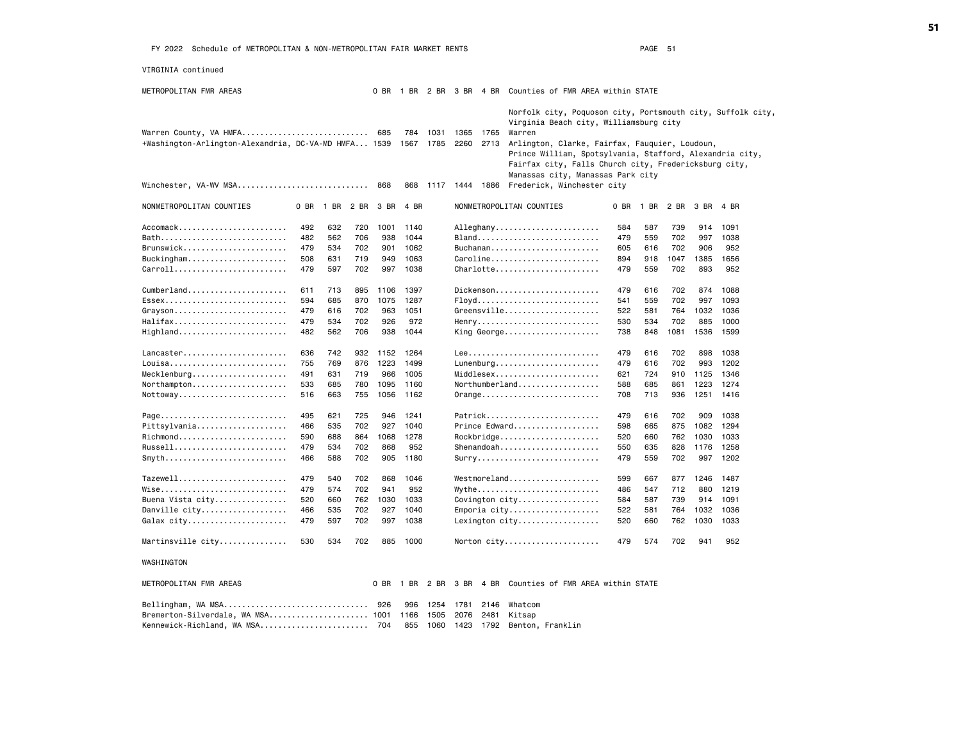VIRGINIA continued

| METROPOLITAN FMR AREAS                                                         |            |      |      |      |             |              |              |              | 0 BR 1 BR 2 BR 3 BR 4 BR Counties of FMR AREA within STATE                                                                                                                                                                                                                             |      |      |      |      |      |  |  |  |  |
|--------------------------------------------------------------------------------|------------|------|------|------|-------------|--------------|--------------|--------------|----------------------------------------------------------------------------------------------------------------------------------------------------------------------------------------------------------------------------------------------------------------------------------------|------|------|------|------|------|--|--|--|--|
| Warren County, VA HMFA<br>+Washington-Arlington-Alexandria, DC-VA-MD HMFA 1539 |            |      |      |      | 784<br>1567 | 1031<br>1785 | 1365<br>2260 | 1765<br>2713 | Norfolk city, Poquoson city, Portsmouth city, Suffolk city,<br>Virginia Beach city, Williamsburg city<br>Warren<br>Arlington, Clarke, Fairfax, Fauquier, Loudoun,<br>Prince William, Spotsylvania, Stafford, Alexandria city,<br>Fairfax city, Falls Church city, Fredericksburg city, |      |      |      |      |      |  |  |  |  |
| Winchester, VA-WV MSA                                                          |            |      |      | 868  | 868         | 1117         | 1444 1886    |              | Manassas city, Manassas Park city<br>Frederick, Winchester city                                                                                                                                                                                                                        |      |      |      |      |      |  |  |  |  |
|                                                                                |            |      |      |      |             |              |              |              |                                                                                                                                                                                                                                                                                        |      |      |      |      |      |  |  |  |  |
| NONMETROPOLITAN COUNTIES                                                       | 0 BR       | 1 BR | 2 BR | 3 BR | 4 BR        |              |              |              | NONMETROPOLITAN COUNTIES                                                                                                                                                                                                                                                               | 0 BR | 1 BR | 2 BR | 3 BR | 4 BR |  |  |  |  |
| Accomack                                                                       | 492        | 632  | 720  | 1001 | 1140        |              |              |              | Alleghany                                                                                                                                                                                                                                                                              | 584  | 587  | 739  | 914  | 1091 |  |  |  |  |
| Bath                                                                           | 482        | 562  | 706  | 938  | 1044        |              |              |              | Bland                                                                                                                                                                                                                                                                                  | 479  | 559  | 702  | 997  | 1038 |  |  |  |  |
| Brunswick                                                                      | 479        | 534  | 702  | 901  | 1062        |              |              |              | Buchanan                                                                                                                                                                                                                                                                               | 605  | 616  | 702  | 906  | 952  |  |  |  |  |
| Buckingham                                                                     | 508        | 631  | 719  | 949  | 1063        |              |              |              | Caroline                                                                                                                                                                                                                                                                               | 894  | 918  | 1047 | 1385 | 1656 |  |  |  |  |
| Carroll                                                                        | 479        | 597  | 702  | 997  | 1038        |              |              |              | Charlotte                                                                                                                                                                                                                                                                              | 479  | 559  | 702  | 893  | 952  |  |  |  |  |
| Cumberland                                                                     | 611        | 713  | 895  | 1106 | 1397        |              |              |              | Dickenson                                                                                                                                                                                                                                                                              | 479  | 616  | 702  | 874  | 1088 |  |  |  |  |
| Essex                                                                          | 594        | 685  | 870  | 1075 | 1287        |              |              |              | Floyd                                                                                                                                                                                                                                                                                  | 541  | 559  | 702  | 997  | 1093 |  |  |  |  |
| Grayson                                                                        | 479        | 616  | 702  | 963  | 1051        |              |              |              | Greensville                                                                                                                                                                                                                                                                            | 522  | 581  | 764  | 1032 | 1036 |  |  |  |  |
| Halifax                                                                        | 479        | 534  | 702  | 926  | 972         |              |              |              | Henry                                                                                                                                                                                                                                                                                  | 530  | 534  | 702  | 885  | 1000 |  |  |  |  |
| Highland                                                                       | 482        | 562  | 706  | 938  | 1044        |              |              |              | King George                                                                                                                                                                                                                                                                            | 738  | 848  | 1081 | 1536 | 1599 |  |  |  |  |
| Lancaster                                                                      | 636        | 742  | 932  | 1152 | 1264        |              |              |              |                                                                                                                                                                                                                                                                                        | 479  | 616  | 702  | 898  | 1038 |  |  |  |  |
| Louisa                                                                         | 755        | 769  | 876  | 1223 | 1499        |              |              |              | Lunenburg                                                                                                                                                                                                                                                                              | 479  | 616  | 702  | 993  | 1202 |  |  |  |  |
| Mecklenburg                                                                    | 491        | 631  | 719  | 966  | 1005        |              |              |              | $Middlesex$                                                                                                                                                                                                                                                                            | 621  | 724  | 910  | 1125 | 1346 |  |  |  |  |
| Northampton                                                                    | 533        | 685  | 780  | 1095 | 1160        |              |              |              |                                                                                                                                                                                                                                                                                        | 588  | 685  | 861  | 1223 | 1274 |  |  |  |  |
| Nottoway                                                                       | 516        | 663  | 755  | 1056 | 1162        |              |              |              | Orange                                                                                                                                                                                                                                                                                 | 708  | 713  | 936  | 1251 | 1416 |  |  |  |  |
|                                                                                | 495        | 621  | 725  | 946  | 1241        |              |              |              | Patrick                                                                                                                                                                                                                                                                                | 479  | 616  | 702  | 909  | 1038 |  |  |  |  |
| Page<br>Pittsylvania                                                           |            | 535  | 702  | 927  | 1040        |              |              |              | Prince Edward                                                                                                                                                                                                                                                                          | 598  | 665  | 875  | 1082 | 1294 |  |  |  |  |
| Richmond                                                                       | 466<br>590 | 688  | 864  | 1068 | 1278        |              |              |              |                                                                                                                                                                                                                                                                                        | 520  | 660  | 762  | 1030 | 1033 |  |  |  |  |
| Russell                                                                        | 479        | 534  | 702  | 868  | 952         |              |              |              | Rockbridge<br>Shenandoah                                                                                                                                                                                                                                                               | 550  | 635  | 828  | 1176 | 1258 |  |  |  |  |
| $Smyth$                                                                        | 466        | 588  | 702  | 905  | 1180        |              |              |              | $Surry$                                                                                                                                                                                                                                                                                | 479  | 559  | 702  | 997  | 1202 |  |  |  |  |
|                                                                                |            |      |      |      |             |              |              |              |                                                                                                                                                                                                                                                                                        |      |      |      |      |      |  |  |  |  |
| Tazewell                                                                       | 479        | 540  | 702  | 868  | 1046        |              |              |              | Westmoreland                                                                                                                                                                                                                                                                           | 599  | 667  | 877  | 1246 | 1487 |  |  |  |  |
| Wise                                                                           | 479        | 574  | 702  | 941  | 952         |              |              |              | Wythe                                                                                                                                                                                                                                                                                  | 486  | 547  | 712  | 880  | 1219 |  |  |  |  |
| Buena Vista city                                                               | 520        | 660  | 762  | 1030 | 1033        |              |              |              | Covington city                                                                                                                                                                                                                                                                         | 584  | 587  | 739  | 914  | 1091 |  |  |  |  |
| Danville city                                                                  | 466        | 535  | 702  | 927  | 1040        |              |              |              | Emporia city                                                                                                                                                                                                                                                                           | 522  | 581  | 764  | 1032 | 1036 |  |  |  |  |
| Galax city                                                                     | 479        | 597  | 702  | 997  | 1038        |              |              |              | Lexington city                                                                                                                                                                                                                                                                         | 520  | 660  | 762  | 1030 | 1033 |  |  |  |  |
| Martinsville city                                                              | 530        | 534  | 702  | 885  | 1000        |              |              |              | Norton city                                                                                                                                                                                                                                                                            | 479  | 574  | 702  | 941  | 952  |  |  |  |  |
| WASHINGTON                                                                     |            |      |      |      |             |              |              |              |                                                                                                                                                                                                                                                                                        |      |      |      |      |      |  |  |  |  |
| METROPOLITAN FMR AREAS                                                         |            |      |      | 0 BR | 1 BR        | 2 BR         | 3 BR 4 BR    |              | Counties of FMR AREA within STATE                                                                                                                                                                                                                                                      |      |      |      |      |      |  |  |  |  |
| Bellingham, WA MSA                                                             |            |      |      | 926  | 996         | 1254         | 1781         | 2146         | Whatcom                                                                                                                                                                                                                                                                                |      |      |      |      |      |  |  |  |  |
| Bremerton-Silverdale, WA MSA 1001                                              |            |      |      |      | 1166        | 1505         | 2076         | 2481         | Kitsap                                                                                                                                                                                                                                                                                 |      |      |      |      |      |  |  |  |  |
| Kennewick-Richland, WA MSA                                                     |            |      |      | 704  | 855         | 1060         | 1423         | 1792         | Benton, Franklin                                                                                                                                                                                                                                                                       |      |      |      |      |      |  |  |  |  |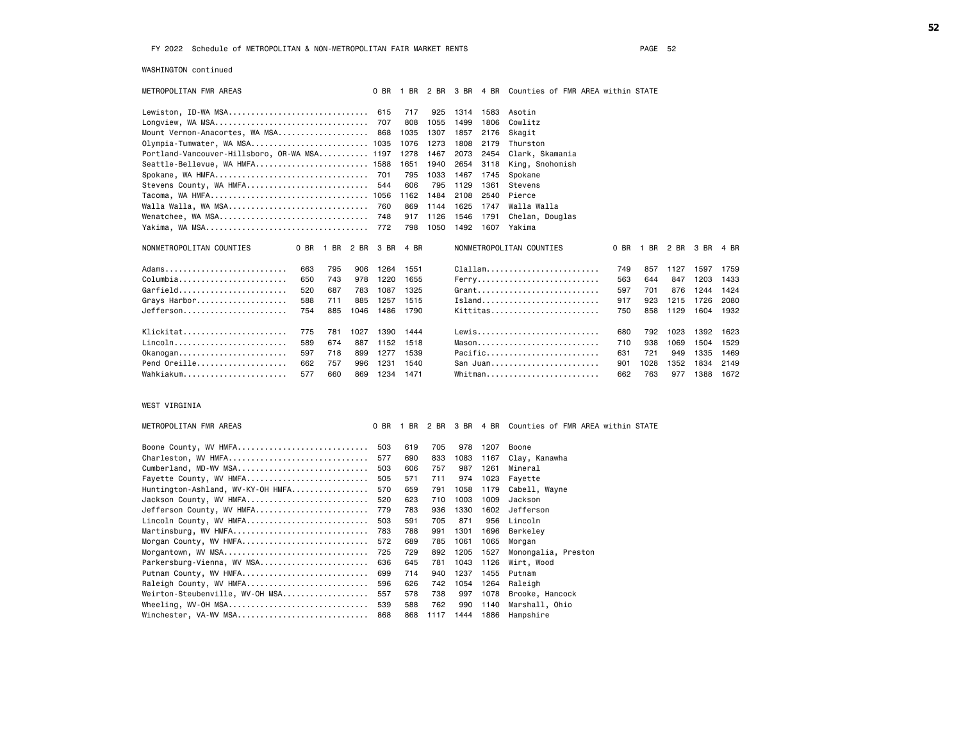WASHINGTON continued

| METROPOLITAN FMR AREAS                       |     |     |      | $0$ BR              |      |      | 1 BR 2 BR 3 BR |      | 4 BR Counties of FMR AREA within STATE                              |     |                     |      |      |      |
|----------------------------------------------|-----|-----|------|---------------------|------|------|----------------|------|---------------------------------------------------------------------|-----|---------------------|------|------|------|
| Lewiston, ID-WA MSA                          |     |     |      | 615                 | 717  | 925  | 1314           | 1583 | Asotin                                                              |     |                     |      |      |      |
|                                              |     |     |      | 707                 | 808  | 1055 | 1499           | 1806 | Cowlitz                                                             |     |                     |      |      |      |
| Mount Vernon-Anacortes, WA MSA               |     |     |      | 868                 | 1035 | 1307 | 1857           | 2176 | Skagit                                                              |     |                     |      |      |      |
| Olympia-Tumwater, WA MSA 1035                |     |     |      |                     | 1076 | 1273 | 1808           | 2179 | Thurston                                                            |     |                     |      |      |      |
| Portland-Vancouver-Hillsboro, OR-WA MSA 1197 |     |     |      |                     | 1278 | 1467 | 2073           | 2454 | Clark, Skamania                                                     |     |                     |      |      |      |
| Seattle-Bellevue, WA HMFA                    |     |     |      | 1588                | 1651 | 1940 | 2654           | 3118 | King, Snohomish                                                     |     |                     |      |      |      |
|                                              |     |     |      |                     | 795  | 1033 | 1467           | 1745 | Spokane                                                             |     |                     |      |      |      |
| Stevens County, WA HMFA                      |     |     |      | 544                 | 606  | 795  | 1129           | 1361 | Stevens                                                             |     |                     |      |      |      |
|                                              |     |     |      |                     | 1162 | 1484 | 2108           | 2540 | Pierce                                                              |     |                     |      |      |      |
|                                              |     |     |      |                     | 869  | 1144 | 1625           | 1747 | Walla Walla                                                         |     |                     |      |      |      |
|                                              |     |     |      |                     | 917  | 1126 | 1546           | 1791 | Chelan, Douglas                                                     |     |                     |      |      |      |
|                                              |     |     |      |                     | 798  | 1050 | 1492           | 1607 | Yakima                                                              |     |                     |      |      |      |
| NONMETROPOLITAN COUNTIES                     |     |     |      | 0 BR 1 BR 2 BR 3 BR | 4 BR |      |                |      | NONMETROPOLITAN COUNTIES                                            |     | 0 BR 1 BR 2 BR 3 BR |      |      | 4 BR |
| Adams                                        | 663 | 795 | 906  | 1264                | 1551 |      |                |      | $\texttt{Clallam.} \dots \dots \dots \dots \dots \dots \dots \dots$ | 749 | 857                 | 1127 | 1597 | 1759 |
| Columbia                                     | 650 | 743 | 978  | 1220                | 1655 |      |                |      | Ferry                                                               | 563 | 644                 | 847  | 1203 | 1433 |
| Garfield                                     | 520 | 687 | 783  | 1087                | 1325 |      |                |      | $G$ rant                                                            | 597 | 701                 | 876  | 1244 | 1424 |
| Grays Harbor                                 | 588 | 711 | 885  | 1257                | 1515 |      |                |      | Island                                                              | 917 | 923                 | 1215 | 1726 | 2080 |
| Jefferson                                    | 754 | 885 | 1046 | 1486                | 1790 |      |                |      | Kittitas                                                            | 750 | 858                 | 1129 | 1604 | 1932 |
| Klickitat                                    | 775 | 781 | 1027 | 1390                | 1444 |      |                |      | Lewis                                                               | 680 | 792                 | 1023 | 1392 | 1623 |
| Lincoln                                      | 589 | 674 | 887  | 1152                | 1518 |      |                |      |                                                                     | 710 | 938                 | 1069 | 1504 | 1529 |
| $0$ kanogan                                  | 597 | 718 | 899  | 1277                | 1539 |      |                |      | Pacific                                                             | 631 | 721                 | 949  | 1335 | 1469 |
| Pend Oreille                                 | 662 | 757 | 996  | 1231                | 1540 |      |                |      | San Juan                                                            | 901 | 1028                | 1352 | 1834 | 2149 |
| Wahkiakum                                    | 577 | 660 | 869  | 1234                | 1471 |      |                |      | Whitman                                                             | 662 | 763                 | 977  | 1388 | 1672 |

## WEST VIRGINIA

| METROPOLITAN FMR AREAS               |     | 0 BR 1 BR |      |      |      | 2 BR 3 BR 4 BR Counties of FMR AREA within STATE |
|--------------------------------------|-----|-----------|------|------|------|--------------------------------------------------|
|                                      |     |           |      |      |      |                                                  |
| Boone County, WV HMFA                | 503 | 619       | 705  | 978  | 1207 | Boone                                            |
| Charleston, WV HMFA                  | 577 | 690       | 833  | 1083 |      | 1167 Clay, Kanawha                               |
| Cumberland, MD-WV MSA                | 503 | 606       | 757  | 987  | 1261 | Mineral                                          |
| Fayette County, WV HMFA              | 505 | 571       | 711  | 974  |      | 1023 Fayette                                     |
| $H$ untington-Ashland, WV-KY-OH HMFA | 570 | 659       | 791  | 1058 |      | 1179 Cabell, Wayne                               |
| Jackson County, WV HMFA              | 520 | 623       | 710  | 1003 | 1009 | Jackson                                          |
| Jefferson County, WV HMFA            | 779 | 783       | 936  | 1330 | 1602 | Jefferson                                        |
| Lincoln County, WV HMFA              | 503 | 591       | 705  | 871  | 956  | Lincoln                                          |
| Martinsburg, WV HMFA                 | 783 | 788       | 991  | 1301 | 1696 | Berkeley                                         |
| Morgan County, WV HMFA               | 572 | 689       | 785  | 1061 | 1065 | Morgan                                           |
| Morgantown, WV MSA 725               |     | 729       | 892  | 1205 | 1527 | Monongalia, Preston                              |
| Parkersburg-Vienna, WV MSA 636       |     | 645       | 781  | 1043 | 1126 | Wirt, Wood                                       |
| Putnam County, WV HMFA 699           |     | 714       | 940  | 1237 | 1455 | Putnam                                           |
| Raleigh County, WV HMFA 596          |     | 626       | 742  | 1054 | 1264 | Raleigh                                          |
| Weirton-Steubenville, WV-OH MSA 557  |     | 578       | 738  | 997  | 1078 | Brooke, Hancock                                  |
| Wheeling, WV-OH MSA 539              |     | 588       | 762  | 990  | 1140 | Marshall, Ohio                                   |
| Winchester, VA-WV MSA 868            |     | 868       | 1117 | 1444 | 1886 | Hampshire                                        |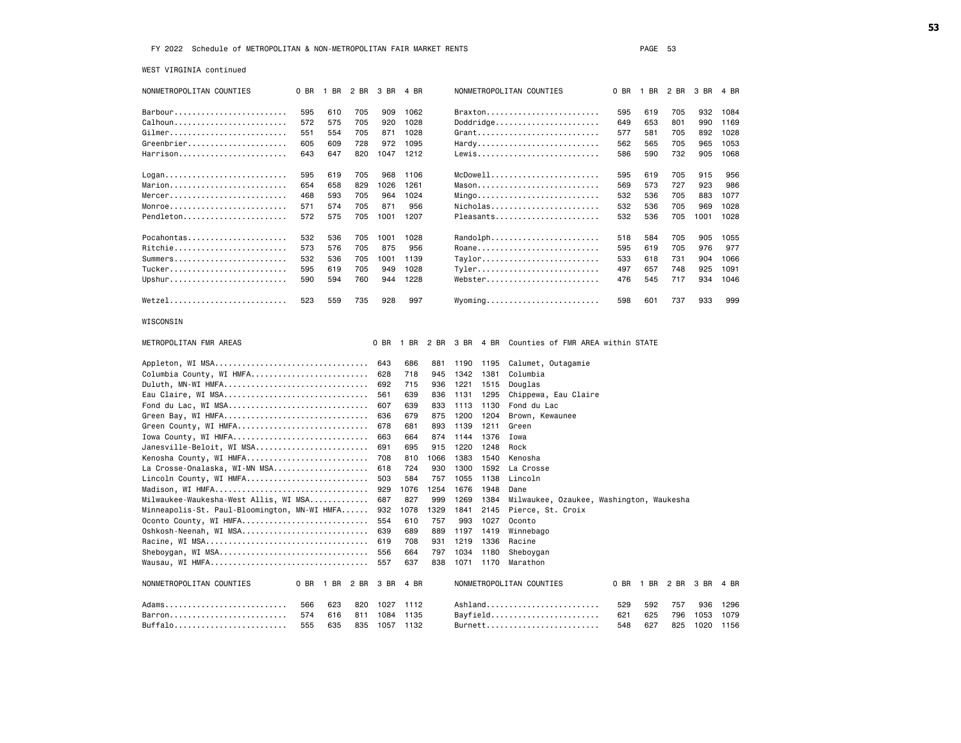WEST VIRGINIA continued

| NONMETROPOLITAN COUNTIES                     | 0 BR | 1 BR      | 2 BR | 3 BR       | 4 BR       |             |             |              | NONMETROPOLITAN COUNTIES                              | 0 BR | 1 BR      | 2 BR | 3 BR | 4 BR |
|----------------------------------------------|------|-----------|------|------------|------------|-------------|-------------|--------------|-------------------------------------------------------|------|-----------|------|------|------|
| Barbour                                      | 595  | 610       | 705  | 909        | 1062       |             |             |              | Braxton                                               | 595  | 619       | 705  | 932  | 1084 |
| Calhoun                                      | 572  | 575       | 705  | 920        | 1028       |             |             |              | $Doddridge \ldots \ldots \ldots \ldots \ldots \ldots$ | 649  | 653       | 801  | 990  | 1169 |
| Gilmer                                       | 551  | 554       | 705  | 871        | 1028       |             |             |              | Grant                                                 | 577  | 581       | 705  | 892  | 1028 |
| Greenbrier                                   | 605  | 609       | 728  | 972        | 1095       |             |             |              | Hardy                                                 | 562  | 565       | 705  | 965  | 1053 |
| Harrison                                     | 643  | 647       | 820  | 1047       | 1212       |             |             |              | Lewis                                                 | 586  | 590       | 732  | 905  | 1068 |
|                                              |      |           |      |            |            |             |             |              |                                                       |      |           |      |      |      |
| Logan                                        | 595  | 619       | 705  | 968        | 1106       |             |             |              | McDowell                                              | 595  | 619       | 705  | 915  | 956  |
| Marion                                       | 654  | 658       | 829  | 1026       | 1261       |             |             |              | Mason                                                 | 569  | 573       | 727  | 923  | 986  |
| Mercer                                       | 468  | 593       | 705  | 964        | 1024       |             |             |              | $Mingo$                                               | 532  | 536       | 705  | 883  | 1077 |
| Monroe                                       | 571  | 574       | 705  | 871        | 956        |             |             |              | Nicholas                                              | 532  | 536       | 705  | 969  | 1028 |
| Pendleton                                    | 572  | 575       | 705  | 1001       | 1207       |             |             |              | Pleasants                                             | 532  | 536       | 705  | 1001 | 1028 |
|                                              |      |           |      |            |            |             |             |              |                                                       |      |           |      |      |      |
| Pocahontas                                   | 532  | 536       | 705  | 1001       | 1028       |             |             |              | Randolph                                              | 518  | 584       | 705  | 905  | 1055 |
| Ritchie                                      | 573  | 576       | 705  | 875        | 956        |             |             |              | Roane                                                 | 595  | 619       | 705  | 976  | 977  |
| Summers                                      | 532  | 536       | 705  | 1001       | 1139       |             |             |              | Taylor                                                | 533  | 618       | 731  | 904  | 1066 |
| Tucker                                       | 595  | 619       | 705  | 949        | 1028       |             |             |              | Tyler                                                 | 497  | 657       | 748  | 925  | 1091 |
| Upshur                                       | 590  | 594       | 760  | 944        | 1228       |             |             |              | Webster                                               | 476  | 545       | 717  | 934  | 1046 |
| Wetzel                                       | 523  | 559       | 735  | 928        | 997        |             |             |              | $Wy$ oming                                            | 598  | 601       | 737  | 933  | 999  |
| WISCONSIN                                    |      |           |      |            |            |             |             |              |                                                       |      |           |      |      |      |
| METROPOLITAN FMR AREAS                       |      |           |      | 0 BR       | 1 BR       | 2 BR        | 3 BR 4 BR   |              | Counties of FMR AREA within STATE                     |      |           |      |      |      |
| Appleton, WI MSA                             |      |           |      | 643        | 686        | 881         | 1190        | 1195         | Calumet, Outagamie                                    |      |           |      |      |      |
| Columbia County, WI HMFA                     |      |           |      | 628        | 718        | 945         | 1342        | 1381         | Columbia                                              |      |           |      |      |      |
| Duluth, MN-WI HMFA                           |      |           |      | 692        | 715        | 936         | 1221        | 1515         | Douglas                                               |      |           |      |      |      |
| Eau Claire, WI MSA                           |      |           |      | 561        | 639        | 836         | 1131        | 1295         | Chippewa, Eau Claire                                  |      |           |      |      |      |
| Fond du Lac, WI MSA                          |      |           |      | 607        | 639        | 833         | 1113        | 1130         | Fond du Lac                                           |      |           |      |      |      |
| Green Bay, WI HMFA                           |      |           |      | 636        | 679        | 875         | 1200        | 1204         | Brown, Kewaunee                                       |      |           |      |      |      |
| Green County, WI HMFA                        |      |           |      | 678        | 681        | 893         | 1139        | 1211         | Green                                                 |      |           |      |      |      |
| Iowa County, WI HMFA                         |      |           |      | 663        | 664        | 874         | 1144        | 1376         | Iowa                                                  |      |           |      |      |      |
| Janesville-Beloit, WI MSA                    |      |           |      | 691        | 695        | 915         | 1220        | 1248         | Rock                                                  |      |           |      |      |      |
| Kenosha County, WI HMFA                      |      |           |      | 708        | 810        | 1066        | 1383        | 1540         | Kenosha                                               |      |           |      |      |      |
| La Crosse-Onalaska, WI-MN MSA                |      |           |      | 618        | 724        | 930         | 1300        | 1592         | La Crosse                                             |      |           |      |      |      |
| Lincoln County, WI HMFA                      |      |           |      | 503        | 584        | 757         | 1055        | 1138         | Lincoln                                               |      |           |      |      |      |
| Madison, WI HMFA                             |      |           |      | 929        | 1076       | 1254        | 1676        | 1948         | Dane                                                  |      |           |      |      |      |
| Milwaukee-Waukesha-West Allis, WI MSA        |      |           |      | 687        | 827        | 999         | 1269        | 1384         | Milwaukee, Ozaukee, Washington, Waukesha              |      |           |      |      |      |
| Minneapolis-St. Paul-Bloomington, MN-WI HMFA |      |           |      | 932<br>554 | 1078       | 1329<br>757 | 1841<br>993 | 2145         | Pierce, St. Croix<br>Oconto                           |      |           |      |      |      |
| Oconto County, WI HMFA                       |      |           |      | 639        | 610<br>689 | 889         | 1197        | 1027<br>1419 | Winnebago                                             |      |           |      |      |      |
| Oshkosh-Neenah, WI MSA                       |      |           |      | 619        | 708        | 931         | 1219        | 1336         | Racine                                                |      |           |      |      |      |
| Sheboygan, WI MSA                            |      |           |      | 556        | 664        | 797         | 1034        | 1180         | Sheboygan                                             |      |           |      |      |      |
|                                              |      |           |      | 557        | 637        | 838         | 1071        | 1170         | Marathon                                              |      |           |      |      |      |
|                                              |      |           |      |            |            |             |             |              |                                                       |      |           |      |      |      |
| NONMETROPOLITAN COUNTIES                     | 0 BR | 1 BR 2 BR |      | 3 BR       | 4 BR       |             |             |              | NONMETROPOLITAN COUNTIES                              | 0 BR | 1 BR 2 BR |      | 3 BR | 4 BR |
| Adams                                        | 566  | 623       | 820  | 1027       | 1112       |             |             |              | Ashland                                               | 529  | 592       | 757  | 936  | 1296 |
| Barron                                       | 574  | 616       | 811  | 1084       | 1135       |             |             |              | Bayfield                                              | 621  | 625       | 796  | 1053 | 1079 |
| Buffalo                                      | 555  | 635       | 835  |            | 1057 1132  |             |             |              | Burnett                                               | 548  | 627       | 825  | 1020 | 1156 |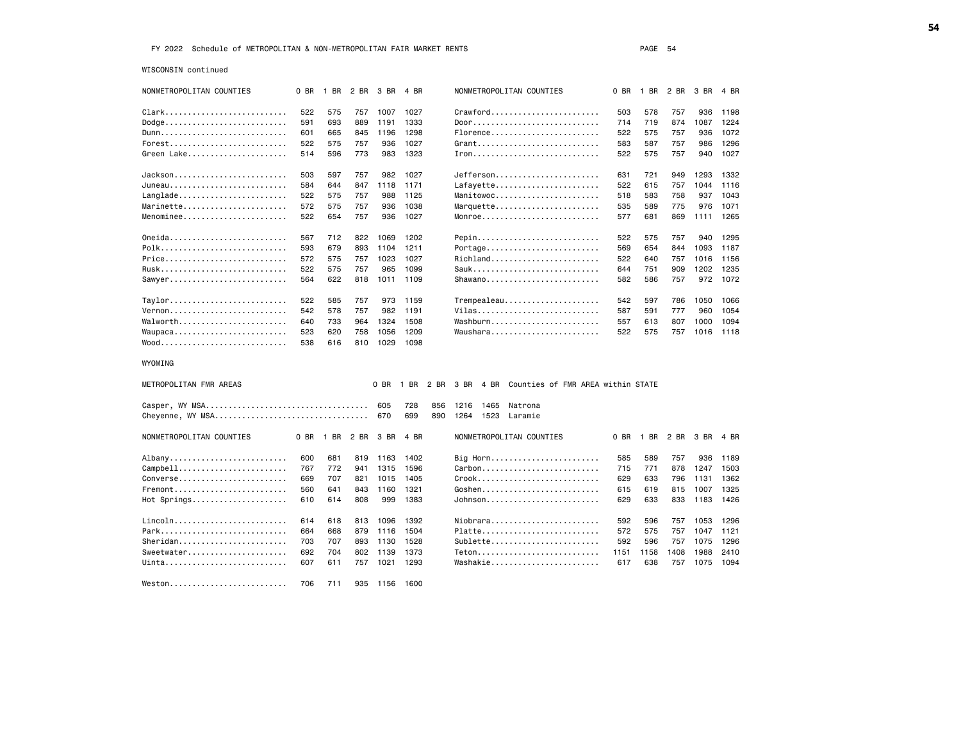WISCONSIN continued

| $Crawford \ldots \ldots \ldots \ldots \ldots \ldots \ldots$<br>Clark<br>522<br>575<br>757<br>1007<br>1027<br>503<br>578<br>757<br>936<br>1198<br>Dodge<br>591<br>693<br>Door<br>889<br>1191<br>1333<br>714<br>719<br>874<br>1087<br>1224<br>Florence<br>Dunn<br>601<br>1298<br>522<br>665<br>845<br>1196<br>575<br>757<br>936<br>1072<br>$Forest$<br>522<br>575<br>757<br>936<br>1027<br>Grant<br>583<br>587<br>757<br>986<br>1296<br>Green Lake<br>514<br>596<br>1323<br>773<br>983<br>522<br>575<br>757<br>940<br>1027<br>Jefferson<br>503<br>597<br>757<br>982<br>1027<br>631<br>721<br>1293<br>949<br>1332<br>Lafayette<br>584<br>1171<br>522<br>757<br>644<br>847<br>1118<br>615<br>1044<br>1116<br>Manitowoc<br>522<br>575<br>757<br>988<br>1125<br>518<br>583<br>758<br>937<br>1043<br>Marquette<br>572<br>757<br>936<br>1038<br>535<br>775<br>976<br>1071<br>575<br>589<br>1027<br>Monroe<br>522<br>654<br>757<br>936<br>869<br>1111<br>1265<br>577<br>681<br>567<br>712<br>822<br>1069<br>1202<br>Pepin<br>522<br>575<br>757<br>940<br>1295<br>Portage<br>593<br>679<br>893<br>1104<br>1211<br>654<br>844<br>1093<br>569<br>1187<br>Richland<br>572<br>575<br>757<br>1023<br>1027<br>522<br>640<br>757<br>1016<br>1156<br>522<br>1099<br>Sauk<br>751<br>909<br>1202<br>575<br>757<br>965<br>644<br>1235<br>Shawano<br>564<br>622<br>582<br>757<br>972<br>818<br>1011<br>1109<br>586<br>1072<br>Trempealeau<br>Taylor<br>522<br>585<br>757<br>973<br>1159<br>542<br>597<br>786<br>1050<br>1066<br>Vilas<br>$Vernon$<br>542<br>578<br>1191<br>777<br>960<br>1054<br>757<br>982<br>587<br>591<br>Washburn<br>Walworth<br>640<br>733<br>964<br>1324<br>1508<br>613<br>807<br>1000<br>1094<br>557<br>Waupaca<br>523<br>620<br>1209<br>Waushara<br>758<br>1056<br>522<br>575<br>757<br>1016<br>1118<br>$Wood$<br>538<br>1029<br>1098<br>616<br>810<br>$0$ BR<br>2 BR<br>3 BR<br>4 BR<br>Counties of FMR AREA within STATE<br>1 BR<br>728<br>605<br>856<br>1216<br>1465<br>Natrona<br>Cheyenne, WY MSA<br>699<br>670<br>890<br>1264<br>1523<br>Laramie<br>0 BR<br>1 BR<br>2 BR<br>3 BR<br>4 BR<br>NONMETROPOLITAN COUNTIES<br>0 BR<br>1 BR 2 BR<br>3 BR<br>4 BR<br>600<br>Big Horn<br>Albany<br>681<br>819<br>1163<br>1402<br>585<br>589<br>757<br>936<br>1189<br>Campbell<br>767<br>772<br>1596<br>Carbon<br>878<br>941<br>1315<br>715<br>771<br>1247<br>1503<br>Converse<br>Crook<br>669<br>707<br>821<br>1015<br>1405<br>629<br>633<br>796<br>1131<br>1362<br>Fremont<br>1321<br>Goshen<br>1007<br>560<br>641<br>843<br>1160<br>615<br>619<br>815<br>1325<br>Hot Springs<br>610<br>614<br>808<br>999<br>1383<br>Johnson<br>629<br>633<br>833<br>1183<br>1426<br>Niobrara<br>614<br>618<br>813<br>1096<br>1392<br>592<br>596<br>757<br>1053<br>1296 | NONMETROPOLITAN COUNTIES                             | 0 BR | 1 BR 2 BR 3 BR | 4 BR | NONMETROPOLITAN COUNTIES | $0$ BR | 1 BR 2 BR | 3 BR | 4 BR |
|---------------------------------------------------------------------------------------------------------------------------------------------------------------------------------------------------------------------------------------------------------------------------------------------------------------------------------------------------------------------------------------------------------------------------------------------------------------------------------------------------------------------------------------------------------------------------------------------------------------------------------------------------------------------------------------------------------------------------------------------------------------------------------------------------------------------------------------------------------------------------------------------------------------------------------------------------------------------------------------------------------------------------------------------------------------------------------------------------------------------------------------------------------------------------------------------------------------------------------------------------------------------------------------------------------------------------------------------------------------------------------------------------------------------------------------------------------------------------------------------------------------------------------------------------------------------------------------------------------------------------------------------------------------------------------------------------------------------------------------------------------------------------------------------------------------------------------------------------------------------------------------------------------------------------------------------------------------------------------------------------------------------------------------------------------------------------------------------------------------------------------------------------------------------------------------------------------------------------------------------------------------------------------------------------------------------------------------------------------------------------------------------------------------------------------------------------------------------------------------------------------------------------------------------------------------------------------------------------------------------------------------------------------------------------------------------------------------------------------------------------------|------------------------------------------------------|------|----------------|------|--------------------------|--------|-----------|------|------|
|                                                                                                                                                                                                                                                                                                                                                                                                                                                                                                                                                                                                                                                                                                                                                                                                                                                                                                                                                                                                                                                                                                                                                                                                                                                                                                                                                                                                                                                                                                                                                                                                                                                                                                                                                                                                                                                                                                                                                                                                                                                                                                                                                                                                                                                                                                                                                                                                                                                                                                                                                                                                                                                                                                                                                         |                                                      |      |                |      |                          |        |           |      |      |
|                                                                                                                                                                                                                                                                                                                                                                                                                                                                                                                                                                                                                                                                                                                                                                                                                                                                                                                                                                                                                                                                                                                                                                                                                                                                                                                                                                                                                                                                                                                                                                                                                                                                                                                                                                                                                                                                                                                                                                                                                                                                                                                                                                                                                                                                                                                                                                                                                                                                                                                                                                                                                                                                                                                                                         |                                                      |      |                |      |                          |        |           |      |      |
|                                                                                                                                                                                                                                                                                                                                                                                                                                                                                                                                                                                                                                                                                                                                                                                                                                                                                                                                                                                                                                                                                                                                                                                                                                                                                                                                                                                                                                                                                                                                                                                                                                                                                                                                                                                                                                                                                                                                                                                                                                                                                                                                                                                                                                                                                                                                                                                                                                                                                                                                                                                                                                                                                                                                                         |                                                      |      |                |      |                          |        |           |      |      |
|                                                                                                                                                                                                                                                                                                                                                                                                                                                                                                                                                                                                                                                                                                                                                                                                                                                                                                                                                                                                                                                                                                                                                                                                                                                                                                                                                                                                                                                                                                                                                                                                                                                                                                                                                                                                                                                                                                                                                                                                                                                                                                                                                                                                                                                                                                                                                                                                                                                                                                                                                                                                                                                                                                                                                         |                                                      |      |                |      |                          |        |           |      |      |
|                                                                                                                                                                                                                                                                                                                                                                                                                                                                                                                                                                                                                                                                                                                                                                                                                                                                                                                                                                                                                                                                                                                                                                                                                                                                                                                                                                                                                                                                                                                                                                                                                                                                                                                                                                                                                                                                                                                                                                                                                                                                                                                                                                                                                                                                                                                                                                                                                                                                                                                                                                                                                                                                                                                                                         |                                                      |      |                |      |                          |        |           |      |      |
|                                                                                                                                                                                                                                                                                                                                                                                                                                                                                                                                                                                                                                                                                                                                                                                                                                                                                                                                                                                                                                                                                                                                                                                                                                                                                                                                                                                                                                                                                                                                                                                                                                                                                                                                                                                                                                                                                                                                                                                                                                                                                                                                                                                                                                                                                                                                                                                                                                                                                                                                                                                                                                                                                                                                                         |                                                      |      |                |      |                          |        |           |      |      |
|                                                                                                                                                                                                                                                                                                                                                                                                                                                                                                                                                                                                                                                                                                                                                                                                                                                                                                                                                                                                                                                                                                                                                                                                                                                                                                                                                                                                                                                                                                                                                                                                                                                                                                                                                                                                                                                                                                                                                                                                                                                                                                                                                                                                                                                                                                                                                                                                                                                                                                                                                                                                                                                                                                                                                         | $Jackson \ldots \ldots \ldots \ldots \ldots$         |      |                |      |                          |        |           |      |      |
|                                                                                                                                                                                                                                                                                                                                                                                                                                                                                                                                                                                                                                                                                                                                                                                                                                                                                                                                                                                                                                                                                                                                                                                                                                                                                                                                                                                                                                                                                                                                                                                                                                                                                                                                                                                                                                                                                                                                                                                                                                                                                                                                                                                                                                                                                                                                                                                                                                                                                                                                                                                                                                                                                                                                                         | Juneau                                               |      |                |      |                          |        |           |      |      |
|                                                                                                                                                                                                                                                                                                                                                                                                                                                                                                                                                                                                                                                                                                                                                                                                                                                                                                                                                                                                                                                                                                                                                                                                                                                                                                                                                                                                                                                                                                                                                                                                                                                                                                                                                                                                                                                                                                                                                                                                                                                                                                                                                                                                                                                                                                                                                                                                                                                                                                                                                                                                                                                                                                                                                         | $LangLade \ldots \ldots \ldots \ldots \ldots \ldots$ |      |                |      |                          |        |           |      |      |
|                                                                                                                                                                                                                                                                                                                                                                                                                                                                                                                                                                                                                                                                                                                                                                                                                                                                                                                                                                                                                                                                                                                                                                                                                                                                                                                                                                                                                                                                                                                                                                                                                                                                                                                                                                                                                                                                                                                                                                                                                                                                                                                                                                                                                                                                                                                                                                                                                                                                                                                                                                                                                                                                                                                                                         | $Marinette, , , , , , ,$                             |      |                |      |                          |        |           |      |      |
|                                                                                                                                                                                                                                                                                                                                                                                                                                                                                                                                                                                                                                                                                                                                                                                                                                                                                                                                                                                                                                                                                                                                                                                                                                                                                                                                                                                                                                                                                                                                                                                                                                                                                                                                                                                                                                                                                                                                                                                                                                                                                                                                                                                                                                                                                                                                                                                                                                                                                                                                                                                                                                                                                                                                                         | Menominee                                            |      |                |      |                          |        |           |      |      |
|                                                                                                                                                                                                                                                                                                                                                                                                                                                                                                                                                                                                                                                                                                                                                                                                                                                                                                                                                                                                                                                                                                                                                                                                                                                                                                                                                                                                                                                                                                                                                                                                                                                                                                                                                                                                                                                                                                                                                                                                                                                                                                                                                                                                                                                                                                                                                                                                                                                                                                                                                                                                                                                                                                                                                         |                                                      |      |                |      |                          |        |           |      |      |
|                                                                                                                                                                                                                                                                                                                                                                                                                                                                                                                                                                                                                                                                                                                                                                                                                                                                                                                                                                                                                                                                                                                                                                                                                                                                                                                                                                                                                                                                                                                                                                                                                                                                                                                                                                                                                                                                                                                                                                                                                                                                                                                                                                                                                                                                                                                                                                                                                                                                                                                                                                                                                                                                                                                                                         | Oneida                                               |      |                |      |                          |        |           |      |      |
|                                                                                                                                                                                                                                                                                                                                                                                                                                                                                                                                                                                                                                                                                                                                                                                                                                                                                                                                                                                                                                                                                                                                                                                                                                                                                                                                                                                                                                                                                                                                                                                                                                                                                                                                                                                                                                                                                                                                                                                                                                                                                                                                                                                                                                                                                                                                                                                                                                                                                                                                                                                                                                                                                                                                                         | Polk                                                 |      |                |      |                          |        |           |      |      |
|                                                                                                                                                                                                                                                                                                                                                                                                                                                                                                                                                                                                                                                                                                                                                                                                                                                                                                                                                                                                                                                                                                                                                                                                                                                                                                                                                                                                                                                                                                                                                                                                                                                                                                                                                                                                                                                                                                                                                                                                                                                                                                                                                                                                                                                                                                                                                                                                                                                                                                                                                                                                                                                                                                                                                         | Price                                                |      |                |      |                          |        |           |      |      |
|                                                                                                                                                                                                                                                                                                                                                                                                                                                                                                                                                                                                                                                                                                                                                                                                                                                                                                                                                                                                                                                                                                                                                                                                                                                                                                                                                                                                                                                                                                                                                                                                                                                                                                                                                                                                                                                                                                                                                                                                                                                                                                                                                                                                                                                                                                                                                                                                                                                                                                                                                                                                                                                                                                                                                         | Rusk                                                 |      |                |      |                          |        |           |      |      |
|                                                                                                                                                                                                                                                                                                                                                                                                                                                                                                                                                                                                                                                                                                                                                                                                                                                                                                                                                                                                                                                                                                                                                                                                                                                                                                                                                                                                                                                                                                                                                                                                                                                                                                                                                                                                                                                                                                                                                                                                                                                                                                                                                                                                                                                                                                                                                                                                                                                                                                                                                                                                                                                                                                                                                         | $Sawyer.$                                            |      |                |      |                          |        |           |      |      |
|                                                                                                                                                                                                                                                                                                                                                                                                                                                                                                                                                                                                                                                                                                                                                                                                                                                                                                                                                                                                                                                                                                                                                                                                                                                                                                                                                                                                                                                                                                                                                                                                                                                                                                                                                                                                                                                                                                                                                                                                                                                                                                                                                                                                                                                                                                                                                                                                                                                                                                                                                                                                                                                                                                                                                         |                                                      |      |                |      |                          |        |           |      |      |
|                                                                                                                                                                                                                                                                                                                                                                                                                                                                                                                                                                                                                                                                                                                                                                                                                                                                                                                                                                                                                                                                                                                                                                                                                                                                                                                                                                                                                                                                                                                                                                                                                                                                                                                                                                                                                                                                                                                                                                                                                                                                                                                                                                                                                                                                                                                                                                                                                                                                                                                                                                                                                                                                                                                                                         |                                                      |      |                |      |                          |        |           |      |      |
|                                                                                                                                                                                                                                                                                                                                                                                                                                                                                                                                                                                                                                                                                                                                                                                                                                                                                                                                                                                                                                                                                                                                                                                                                                                                                                                                                                                                                                                                                                                                                                                                                                                                                                                                                                                                                                                                                                                                                                                                                                                                                                                                                                                                                                                                                                                                                                                                                                                                                                                                                                                                                                                                                                                                                         |                                                      |      |                |      |                          |        |           |      |      |
|                                                                                                                                                                                                                                                                                                                                                                                                                                                                                                                                                                                                                                                                                                                                                                                                                                                                                                                                                                                                                                                                                                                                                                                                                                                                                                                                                                                                                                                                                                                                                                                                                                                                                                                                                                                                                                                                                                                                                                                                                                                                                                                                                                                                                                                                                                                                                                                                                                                                                                                                                                                                                                                                                                                                                         |                                                      |      |                |      |                          |        |           |      |      |
|                                                                                                                                                                                                                                                                                                                                                                                                                                                                                                                                                                                                                                                                                                                                                                                                                                                                                                                                                                                                                                                                                                                                                                                                                                                                                                                                                                                                                                                                                                                                                                                                                                                                                                                                                                                                                                                                                                                                                                                                                                                                                                                                                                                                                                                                                                                                                                                                                                                                                                                                                                                                                                                                                                                                                         |                                                      |      |                |      |                          |        |           |      |      |
|                                                                                                                                                                                                                                                                                                                                                                                                                                                                                                                                                                                                                                                                                                                                                                                                                                                                                                                                                                                                                                                                                                                                                                                                                                                                                                                                                                                                                                                                                                                                                                                                                                                                                                                                                                                                                                                                                                                                                                                                                                                                                                                                                                                                                                                                                                                                                                                                                                                                                                                                                                                                                                                                                                                                                         |                                                      |      |                |      |                          |        |           |      |      |
|                                                                                                                                                                                                                                                                                                                                                                                                                                                                                                                                                                                                                                                                                                                                                                                                                                                                                                                                                                                                                                                                                                                                                                                                                                                                                                                                                                                                                                                                                                                                                                                                                                                                                                                                                                                                                                                                                                                                                                                                                                                                                                                                                                                                                                                                                                                                                                                                                                                                                                                                                                                                                                                                                                                                                         | WYOMING                                              |      |                |      |                          |        |           |      |      |
|                                                                                                                                                                                                                                                                                                                                                                                                                                                                                                                                                                                                                                                                                                                                                                                                                                                                                                                                                                                                                                                                                                                                                                                                                                                                                                                                                                                                                                                                                                                                                                                                                                                                                                                                                                                                                                                                                                                                                                                                                                                                                                                                                                                                                                                                                                                                                                                                                                                                                                                                                                                                                                                                                                                                                         | METROPOLITAN FMR AREAS                               |      |                |      |                          |        |           |      |      |
|                                                                                                                                                                                                                                                                                                                                                                                                                                                                                                                                                                                                                                                                                                                                                                                                                                                                                                                                                                                                                                                                                                                                                                                                                                                                                                                                                                                                                                                                                                                                                                                                                                                                                                                                                                                                                                                                                                                                                                                                                                                                                                                                                                                                                                                                                                                                                                                                                                                                                                                                                                                                                                                                                                                                                         |                                                      |      |                |      |                          |        |           |      |      |
|                                                                                                                                                                                                                                                                                                                                                                                                                                                                                                                                                                                                                                                                                                                                                                                                                                                                                                                                                                                                                                                                                                                                                                                                                                                                                                                                                                                                                                                                                                                                                                                                                                                                                                                                                                                                                                                                                                                                                                                                                                                                                                                                                                                                                                                                                                                                                                                                                                                                                                                                                                                                                                                                                                                                                         |                                                      |      |                |      |                          |        |           |      |      |
|                                                                                                                                                                                                                                                                                                                                                                                                                                                                                                                                                                                                                                                                                                                                                                                                                                                                                                                                                                                                                                                                                                                                                                                                                                                                                                                                                                                                                                                                                                                                                                                                                                                                                                                                                                                                                                                                                                                                                                                                                                                                                                                                                                                                                                                                                                                                                                                                                                                                                                                                                                                                                                                                                                                                                         | NONMETROPOLITAN COUNTIES                             |      |                |      |                          |        |           |      |      |
|                                                                                                                                                                                                                                                                                                                                                                                                                                                                                                                                                                                                                                                                                                                                                                                                                                                                                                                                                                                                                                                                                                                                                                                                                                                                                                                                                                                                                                                                                                                                                                                                                                                                                                                                                                                                                                                                                                                                                                                                                                                                                                                                                                                                                                                                                                                                                                                                                                                                                                                                                                                                                                                                                                                                                         |                                                      |      |                |      |                          |        |           |      |      |
|                                                                                                                                                                                                                                                                                                                                                                                                                                                                                                                                                                                                                                                                                                                                                                                                                                                                                                                                                                                                                                                                                                                                                                                                                                                                                                                                                                                                                                                                                                                                                                                                                                                                                                                                                                                                                                                                                                                                                                                                                                                                                                                                                                                                                                                                                                                                                                                                                                                                                                                                                                                                                                                                                                                                                         |                                                      |      |                |      |                          |        |           |      |      |
|                                                                                                                                                                                                                                                                                                                                                                                                                                                                                                                                                                                                                                                                                                                                                                                                                                                                                                                                                                                                                                                                                                                                                                                                                                                                                                                                                                                                                                                                                                                                                                                                                                                                                                                                                                                                                                                                                                                                                                                                                                                                                                                                                                                                                                                                                                                                                                                                                                                                                                                                                                                                                                                                                                                                                         |                                                      |      |                |      |                          |        |           |      |      |
|                                                                                                                                                                                                                                                                                                                                                                                                                                                                                                                                                                                                                                                                                                                                                                                                                                                                                                                                                                                                                                                                                                                                                                                                                                                                                                                                                                                                                                                                                                                                                                                                                                                                                                                                                                                                                                                                                                                                                                                                                                                                                                                                                                                                                                                                                                                                                                                                                                                                                                                                                                                                                                                                                                                                                         |                                                      |      |                |      |                          |        |           |      |      |
|                                                                                                                                                                                                                                                                                                                                                                                                                                                                                                                                                                                                                                                                                                                                                                                                                                                                                                                                                                                                                                                                                                                                                                                                                                                                                                                                                                                                                                                                                                                                                                                                                                                                                                                                                                                                                                                                                                                                                                                                                                                                                                                                                                                                                                                                                                                                                                                                                                                                                                                                                                                                                                                                                                                                                         |                                                      |      |                |      |                          |        |           |      |      |
|                                                                                                                                                                                                                                                                                                                                                                                                                                                                                                                                                                                                                                                                                                                                                                                                                                                                                                                                                                                                                                                                                                                                                                                                                                                                                                                                                                                                                                                                                                                                                                                                                                                                                                                                                                                                                                                                                                                                                                                                                                                                                                                                                                                                                                                                                                                                                                                                                                                                                                                                                                                                                                                                                                                                                         |                                                      |      |                |      |                          |        |           |      |      |
|                                                                                                                                                                                                                                                                                                                                                                                                                                                                                                                                                                                                                                                                                                                                                                                                                                                                                                                                                                                                                                                                                                                                                                                                                                                                                                                                                                                                                                                                                                                                                                                                                                                                                                                                                                                                                                                                                                                                                                                                                                                                                                                                                                                                                                                                                                                                                                                                                                                                                                                                                                                                                                                                                                                                                         | Lincoln                                              |      |                |      |                          |        |           |      |      |
| Platte<br>664<br>668<br>1504<br>879<br>1116<br>572<br>575<br>757<br>1047<br>1121                                                                                                                                                                                                                                                                                                                                                                                                                                                                                                                                                                                                                                                                                                                                                                                                                                                                                                                                                                                                                                                                                                                                                                                                                                                                                                                                                                                                                                                                                                                                                                                                                                                                                                                                                                                                                                                                                                                                                                                                                                                                                                                                                                                                                                                                                                                                                                                                                                                                                                                                                                                                                                                                        | Park                                                 |      |                |      |                          |        |           |      |      |
| Sublette<br>703<br>707<br>893<br>1130<br>1528<br>592<br>596<br>757<br>1075<br>1296                                                                                                                                                                                                                                                                                                                                                                                                                                                                                                                                                                                                                                                                                                                                                                                                                                                                                                                                                                                                                                                                                                                                                                                                                                                                                                                                                                                                                                                                                                                                                                                                                                                                                                                                                                                                                                                                                                                                                                                                                                                                                                                                                                                                                                                                                                                                                                                                                                                                                                                                                                                                                                                                      | Sheridan                                             |      |                |      |                          |        |           |      |      |
| 692<br>704<br>802<br>1373<br>$Teton$<br>1988<br>1139<br>1151<br>1408<br>2410<br>1158                                                                                                                                                                                                                                                                                                                                                                                                                                                                                                                                                                                                                                                                                                                                                                                                                                                                                                                                                                                                                                                                                                                                                                                                                                                                                                                                                                                                                                                                                                                                                                                                                                                                                                                                                                                                                                                                                                                                                                                                                                                                                                                                                                                                                                                                                                                                                                                                                                                                                                                                                                                                                                                                    | Sweetwater                                           |      |                |      |                          |        |           |      |      |
| 1021<br>1293<br>Washakie<br>1075<br>607<br>611<br>757<br>617<br>638<br>757<br>1094                                                                                                                                                                                                                                                                                                                                                                                                                                                                                                                                                                                                                                                                                                                                                                                                                                                                                                                                                                                                                                                                                                                                                                                                                                                                                                                                                                                                                                                                                                                                                                                                                                                                                                                                                                                                                                                                                                                                                                                                                                                                                                                                                                                                                                                                                                                                                                                                                                                                                                                                                                                                                                                                      | $Uinta$                                              |      |                |      |                          |        |           |      |      |
| 706<br>711<br>1156 1600<br>935                                                                                                                                                                                                                                                                                                                                                                                                                                                                                                                                                                                                                                                                                                                                                                                                                                                                                                                                                                                                                                                                                                                                                                                                                                                                                                                                                                                                                                                                                                                                                                                                                                                                                                                                                                                                                                                                                                                                                                                                                                                                                                                                                                                                                                                                                                                                                                                                                                                                                                                                                                                                                                                                                                                          | Weston                                               |      |                |      |                          |        |           |      |      |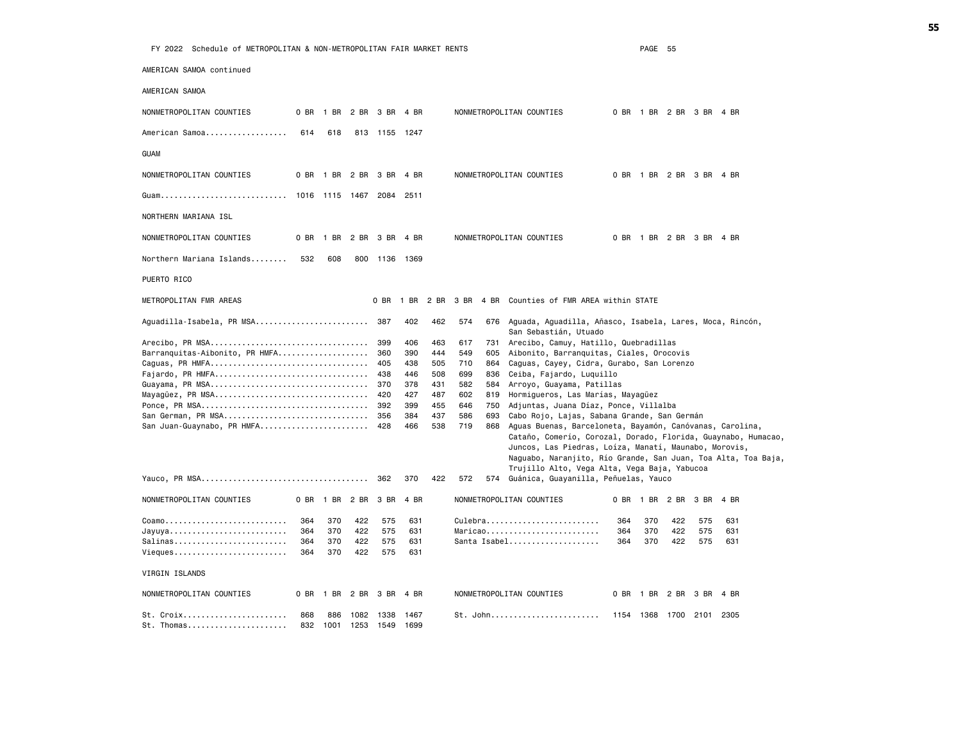| AMERICAN SAMOA continued       |      |                |      |                          |      |     |     |     |                                                                |      |     |                          |      |      |      |  |
|--------------------------------|------|----------------|------|--------------------------|------|-----|-----|-----|----------------------------------------------------------------|------|-----|--------------------------|------|------|------|--|
| AMERICAN SAMOA                 |      |                |      |                          |      |     |     |     |                                                                |      |     |                          |      |      |      |  |
| NONMETROPOLITAN COUNTIES       |      |                |      | 0 BR 1 BR 2 BR 3 BR      | 4 BR |     |     |     | NONMETROPOLITAN COUNTIES                                       |      |     | 0 BR 1 BR 2 BR 3 BR 4 BR |      |      |      |  |
| American Samoa                 | 614  | 618            |      | 813 1155 1247            |      |     |     |     |                                                                |      |     |                          |      |      |      |  |
| guam                           |      |                |      |                          |      |     |     |     |                                                                |      |     |                          |      |      |      |  |
| NONMETROPOLITAN COUNTIES       |      |                |      | 0 BR 1 BR 2 BR 3 BR 4 BR |      |     |     |     | NONMETROPOLITAN COUNTIES                                       |      |     | 0 BR 1 BR 2 BR 3 BR 4 BR |      |      |      |  |
| Guam 1016 1115 1467 2084       |      |                |      |                          | 2511 |     |     |     |                                                                |      |     |                          |      |      |      |  |
| NORTHERN MARIANA ISL           |      |                |      |                          |      |     |     |     |                                                                |      |     |                          |      |      |      |  |
| NONMETROPOLITAN COUNTIES       |      |                |      | 0 BR 1 BR 2 BR 3 BR      | 4 BR |     |     |     | NONMETROPOLITAN COUNTIES                                       |      |     | 0 BR 1 BR 2 BR 3 BR 4 BR |      |      |      |  |
| Northern Mariana Islands       | 532  | 608            |      | 800 1136 1369            |      |     |     |     |                                                                |      |     |                          |      |      |      |  |
| PUERTO RICO                    |      |                |      |                          |      |     |     |     |                                                                |      |     |                          |      |      |      |  |
| METROPOLITAN FMR AREAS         |      |                |      | 0 BR                     |      |     |     |     | 1 BR 2 BR 3 BR 4 BR Counties of FMR AREA within STATE          |      |     |                          |      |      |      |  |
| Aguadilla-Isabela, PR MSA 387  |      |                |      |                          | 402  | 462 | 574 |     | 676 Aguada, Aguadilla, Añasco, Isabela, Lares, Moca, Rincón,   |      |     |                          |      |      |      |  |
|                                |      |                |      | 399                      | 406  | 463 | 617 | 731 | San Sebastián, Utuado<br>Arecibo, Camuy, Hatillo, Quebradillas |      |     |                          |      |      |      |  |
| Barranquitas-Aibonito, PR HMFA |      |                |      | 360                      | 390  | 444 | 549 | 605 | Aibonito, Barranquitas, Ciales, Orocovis                       |      |     |                          |      |      |      |  |
|                                |      |                |      | 405                      | 438  | 505 | 710 |     | 864 Caguas, Cayey, Cidra, Gurabo, San Lorenzo                  |      |     |                          |      |      |      |  |
| Fajardo, PR HMFA               |      |                |      | 438                      | 446  | 508 | 699 |     | 836 Ceiba, Fajardo, Luquillo                                   |      |     |                          |      |      |      |  |
|                                |      |                |      |                          | 378  | 431 | 582 |     | 584 Arroyo, Guayama, Patillas                                  |      |     |                          |      |      |      |  |
| Mayagüez, PR MSA 420           |      |                |      |                          | 427  | 487 | 602 |     | 819 Hormigueros, Las Marías, Mayagüez                          |      |     |                          |      |      |      |  |
|                                |      |                |      |                          | 399  | 455 | 646 |     | 750 Adjuntas, Juana Díaz, Ponce, Villalba                      |      |     |                          |      |      |      |  |
| San German, PR MSA 356         |      |                |      |                          | 384  | 437 | 586 | 693 | Cabo Rojo, Lajas, Sabana Grande, San Germán                    |      |     |                          |      |      |      |  |
| San Juan-Guaynabo, PR HMFA 428 |      |                |      |                          | 466  | 538 | 719 |     | 868 Aguas Buenas, Barceloneta, Bayamón, Canóvanas, Carolina,   |      |     |                          |      |      |      |  |
|                                |      |                |      |                          |      |     |     |     | Cataño, Comerío, Corozal, Dorado, Florida, Guaynabo, Humacao,  |      |     |                          |      |      |      |  |
|                                |      |                |      |                          |      |     |     |     | Juncos, Las Piedras, Loíza, Manatí, Maunabo, Morovis,          |      |     |                          |      |      |      |  |
|                                |      |                |      |                          |      |     |     |     | Naguabo, Naranjito, Río Grande, San Juan, Toa Alta, Toa Baja,  |      |     |                          |      |      |      |  |
|                                |      |                |      |                          |      |     |     |     | Trujillo Alto, Vega Alta, Vega Baja, Yabucoa                   |      |     |                          |      |      |      |  |
|                                |      |                |      | 362                      | 370  | 422 | 572 |     | 574 Guánica, Guayanilla, Peñuelas, Yauco                       |      |     |                          |      |      |      |  |
| NONMETROPOLITAN COUNTIES       |      | 0 BR 1 BR 2 BR |      | 3 BR                     | 4 BR |     |     |     | NONMETROPOLITAN COUNTIES                                       | 0 BR |     | 1 BR 2 BR                | 3 BR | 4 BR |      |  |
| Coamo                          | 364  | 370            | 422  | 575                      | 631  |     |     |     | Culebra                                                        | 364  | 370 | 422                      | 575  |      | 631  |  |
| Jayuya                         | 364  | 370            | 422  | 575                      | 631  |     |     |     | $Maricao \ldots \ldots \ldots \ldots \ldots$                   | 364  | 370 | 422                      | 575  |      | 631  |  |
| Salinas                        | 364  | 370            | 422  | 575                      | 631  |     |     |     | Santa Isabel                                                   | 364  | 370 | 422                      | 575  |      | 631  |  |
| Vieques                        | 364  | 370            | 422  | 575                      | 631  |     |     |     |                                                                |      |     |                          |      |      |      |  |
| VIRGIN ISLANDS                 |      |                |      |                          |      |     |     |     |                                                                |      |     |                          |      |      |      |  |
| NONMETROPOLITAN COUNTIES       | 0 BR | 1 BR 2 BR      |      | 3 BR                     | 4 BR |     |     |     | NONMETROPOLITAN COUNTIES                                       | 0 BR |     | 1 BR 2 BR                | 3 BR |      | 4 BR |  |
| St. Croix                      | 868  | 886            |      | 1082 1338                | 1467 |     |     |     |                                                                |      |     | 1154 1368 1700 2101      |      | 2305 |      |  |
| St. Thomas                     | 832  | 1001           | 1253 | 1549                     | 1699 |     |     |     |                                                                |      |     |                          |      |      |      |  |
|                                |      |                |      |                          |      |     |     |     |                                                                |      |     |                          |      |      |      |  |